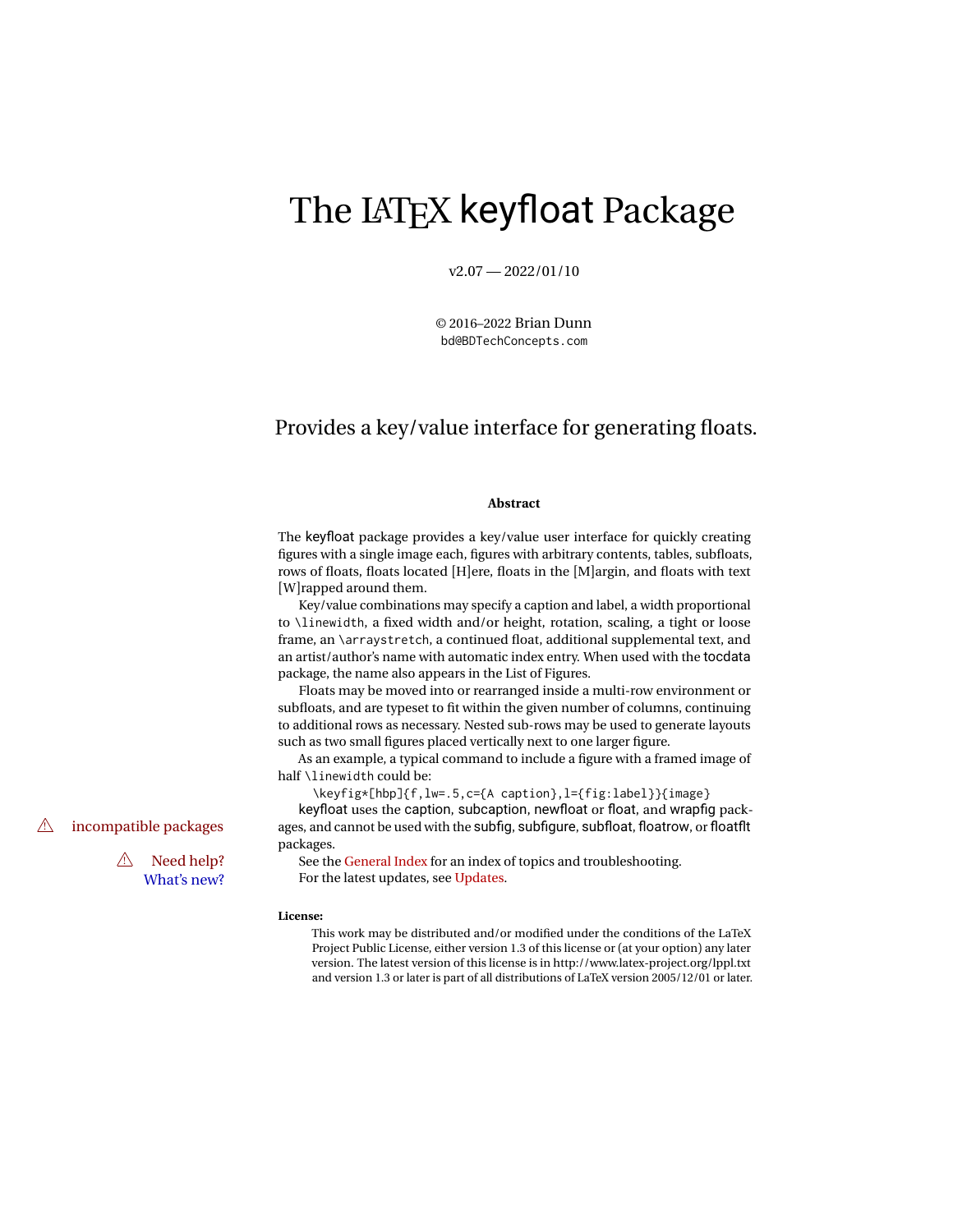# The LATEX keyfloat Package

 $v2.07 - 2022/01/10$ 

© 2016–2022 Brian Dunn bd@BDTechConcepts.com

## Provides a key/value interface for generating floats.

#### **Abstract**

The keyfloat package provides a key/value user interface for quickly creating figures with a single image each, figures with arbitrary contents, tables, subfloats, rows of floats, floats located [H]ere, floats in the [M]argin, and floats with text [W]rapped around them.

Key/value combinations may specify a caption and label, a width proportional to \linewidth, a fixed width and/or height, rotation, scaling, a tight or loose frame, an \arraystretch, a continued float, additional supplemental text, and an artist/author's name with automatic index entry. When used with the tocdata package, the name also appears in the List of Figures.

Floats may be moved into or rearranged inside a multi-row environment or subfloats, and are typeset to fit within the given number of columns, continuing to additional rows as necessary. Nested sub-rows may be used to generate layouts such as two small figures placed vertically next to one larger figure.

As an example, a typical command to include a figure with a framed image of half \linewidth could be:

\keyfig\*[hbp]{f,lw=.5,c={A caption},l={fig:label}}{image} keyfloat uses the caption, subcaption, newfloat or float, and wrapfig pack-  $\triangle$  incompatible packages ages, and cannot be used with the subfig, subfigure, subfloat, floatrow, or floatflt

packages.

 $\triangle$  Need help? See the [General Index](#page-116-0) for an index of topics and troubleshooting. What's new? For the latest updates, see [Updates.](#page-7-0)

#### **License:**

This work may be distributed and/or modified under the conditions of the LaTeX Project Public License, either version 1.3 of this license or (at your option) any later version. The latest version of this license is in http://www.latex-project.org/lppl.txt and version 1.3 or later is part of all distributions of LaTeX version 2005/12/01 or later.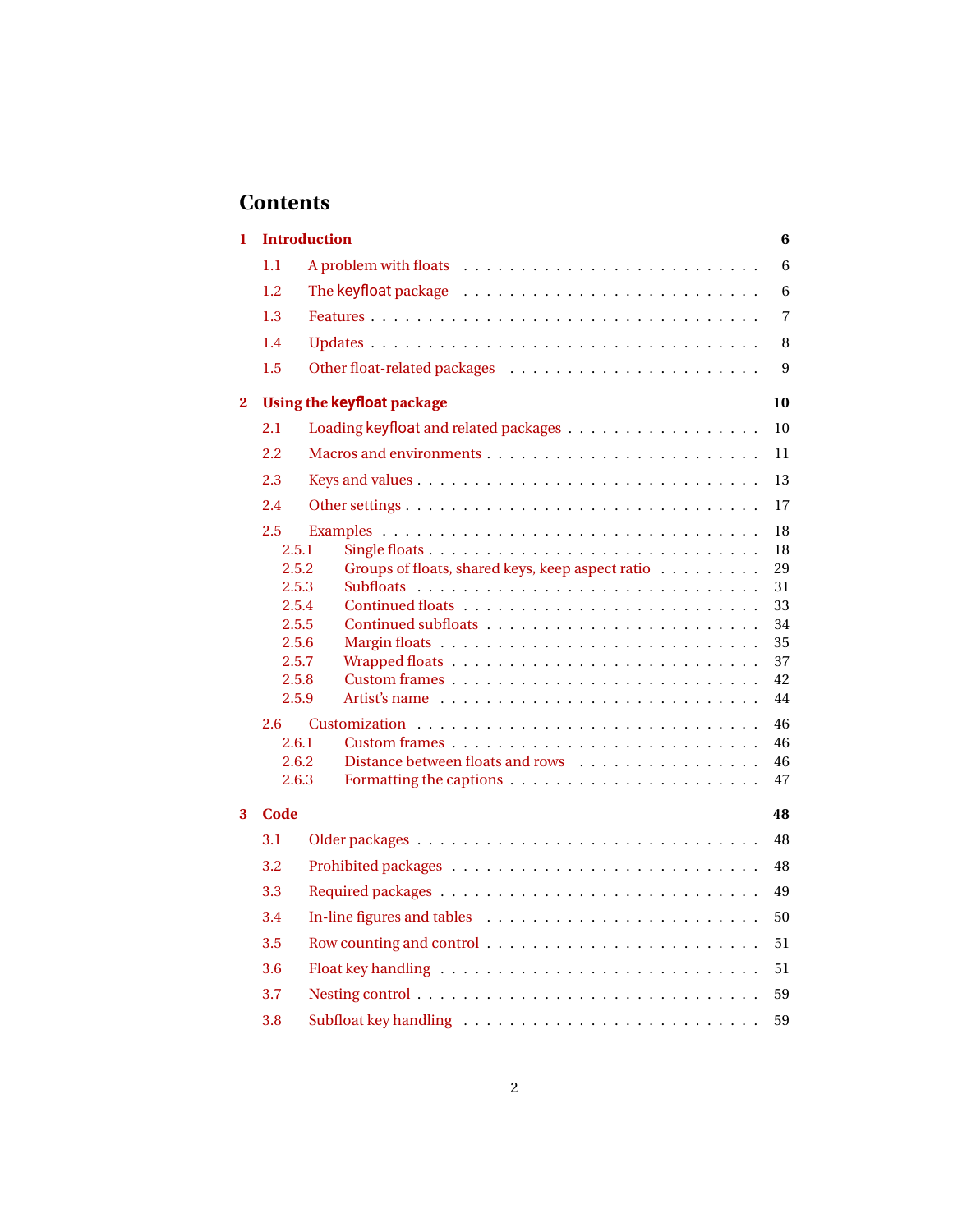## **Contents**

| 1            |                                                                                                                        | <b>Introduction</b><br>6                                                                                                                                                 |
|--------------|------------------------------------------------------------------------------------------------------------------------|--------------------------------------------------------------------------------------------------------------------------------------------------------------------------|
|              | 1.1                                                                                                                    | $6\phantom{1}$                                                                                                                                                           |
|              | 1.2                                                                                                                    | 6                                                                                                                                                                        |
|              | 1.3                                                                                                                    | $\overline{7}$                                                                                                                                                           |
|              | 1.4                                                                                                                    | 8                                                                                                                                                                        |
|              | 1.5                                                                                                                    | 9                                                                                                                                                                        |
| $\mathbf{2}$ |                                                                                                                        | <b>Using the keyfloat package</b><br>10                                                                                                                                  |
|              | 2.1                                                                                                                    | 10                                                                                                                                                                       |
|              | $2.2\,$                                                                                                                | 11                                                                                                                                                                       |
|              | 2.3                                                                                                                    | 13                                                                                                                                                                       |
|              | 2.4                                                                                                                    | 17                                                                                                                                                                       |
|              | 2.5<br>2.5.1<br>2.5.2<br>2.5.3<br>2.5.4<br>2.5.5<br>2.5.6<br>2.5.7<br>2.5.8<br>2.5.9<br>2.6<br>2.6.1<br>2.6.2<br>2.6.3 | 18<br>18<br>Groups of floats, shared keys, keep aspect ratio<br>29<br>31<br>33<br>34<br>35<br>37<br>42<br>44<br>46<br>46<br>Distance between floats and rows<br>46<br>47 |
| 3            | Code                                                                                                                   | 48                                                                                                                                                                       |
|              | 3.1                                                                                                                    | 48                                                                                                                                                                       |
|              | 3.2                                                                                                                    | 48                                                                                                                                                                       |
|              | 3.3                                                                                                                    | 49                                                                                                                                                                       |
|              | 3.4                                                                                                                    | 50                                                                                                                                                                       |
|              | 3.5                                                                                                                    | 51                                                                                                                                                                       |
|              | 3.6                                                                                                                    | 51                                                                                                                                                                       |
|              | 3.7                                                                                                                    | 59                                                                                                                                                                       |
|              | 3.8                                                                                                                    | 59                                                                                                                                                                       |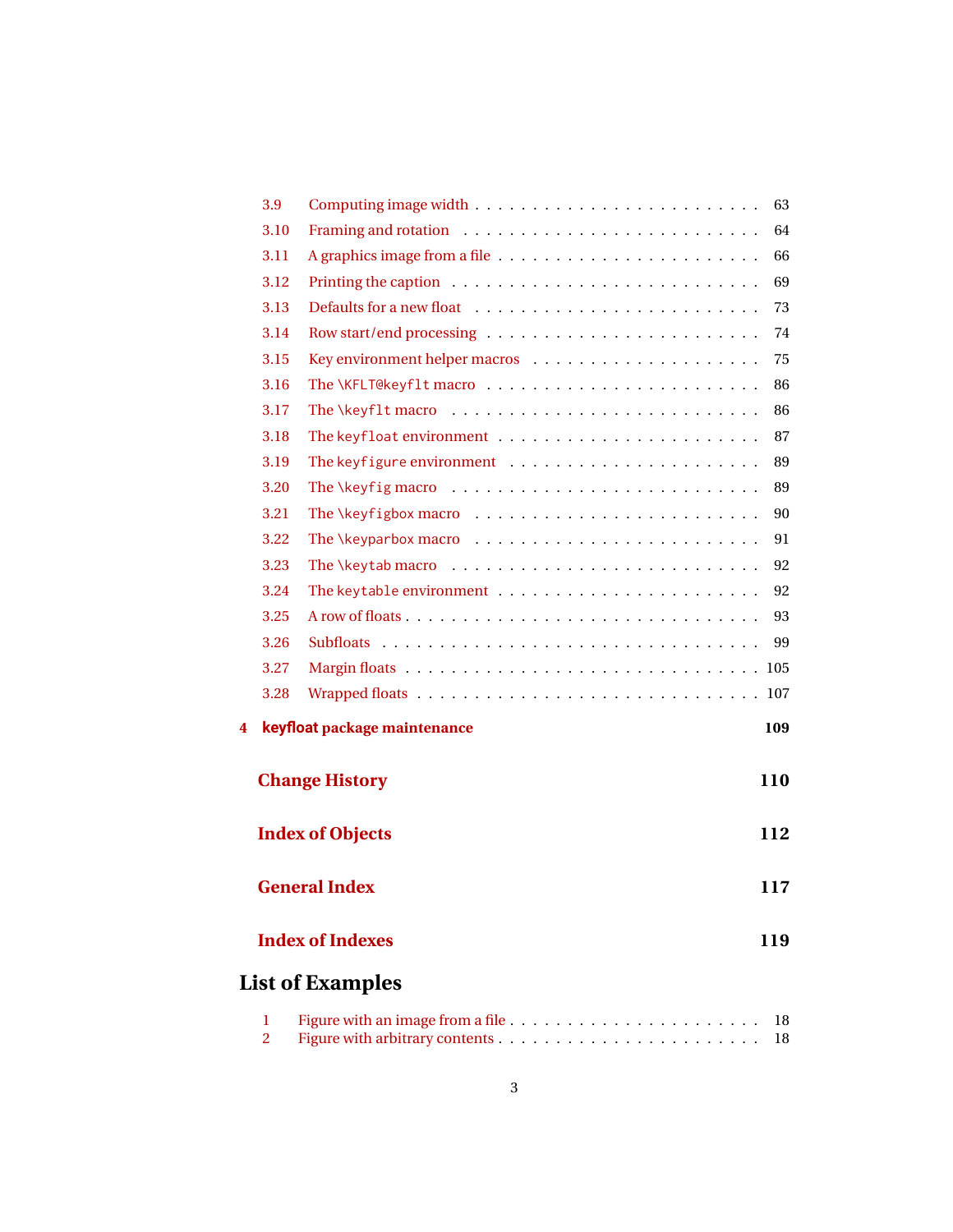|   | 3.9  |                                                                   | 63  |
|---|------|-------------------------------------------------------------------|-----|
|   | 3.10 |                                                                   | 64  |
|   | 3.11 |                                                                   | 66  |
|   | 3.12 |                                                                   | 69  |
|   | 3.13 |                                                                   | 73  |
|   | 3.14 |                                                                   | 74  |
|   | 3.15 |                                                                   | 75  |
|   | 3.16 |                                                                   | 86  |
|   | 3.17 |                                                                   | 86  |
|   | 3.18 |                                                                   | 87  |
|   | 3.19 |                                                                   | 89  |
|   | 3.20 | The \keyfig macro $\dots\dots\dots\dots\dots\dots\dots\dots\dots$ | 89  |
|   | 3.21 |                                                                   | 90  |
|   | 3.22 |                                                                   | 91  |
|   | 3.23 |                                                                   | 92  |
|   | 3.24 |                                                                   | 92  |
|   | 3.25 |                                                                   | 93  |
|   | 3.26 |                                                                   | 99  |
|   | 3.27 |                                                                   |     |
|   | 3.28 |                                                                   |     |
| 4 |      | keyfloat package maintenance                                      | 109 |
|   |      | <b>Change History</b>                                             | 110 |
|   |      | <b>Index of Objects</b>                                           | 112 |
|   |      | <b>General Index</b>                                              | 117 |
|   |      | <b>Index of Indexes</b>                                           | 119 |
|   |      | <b>List of Examples</b>                                           |     |
|   | 1    |                                                                   | 18  |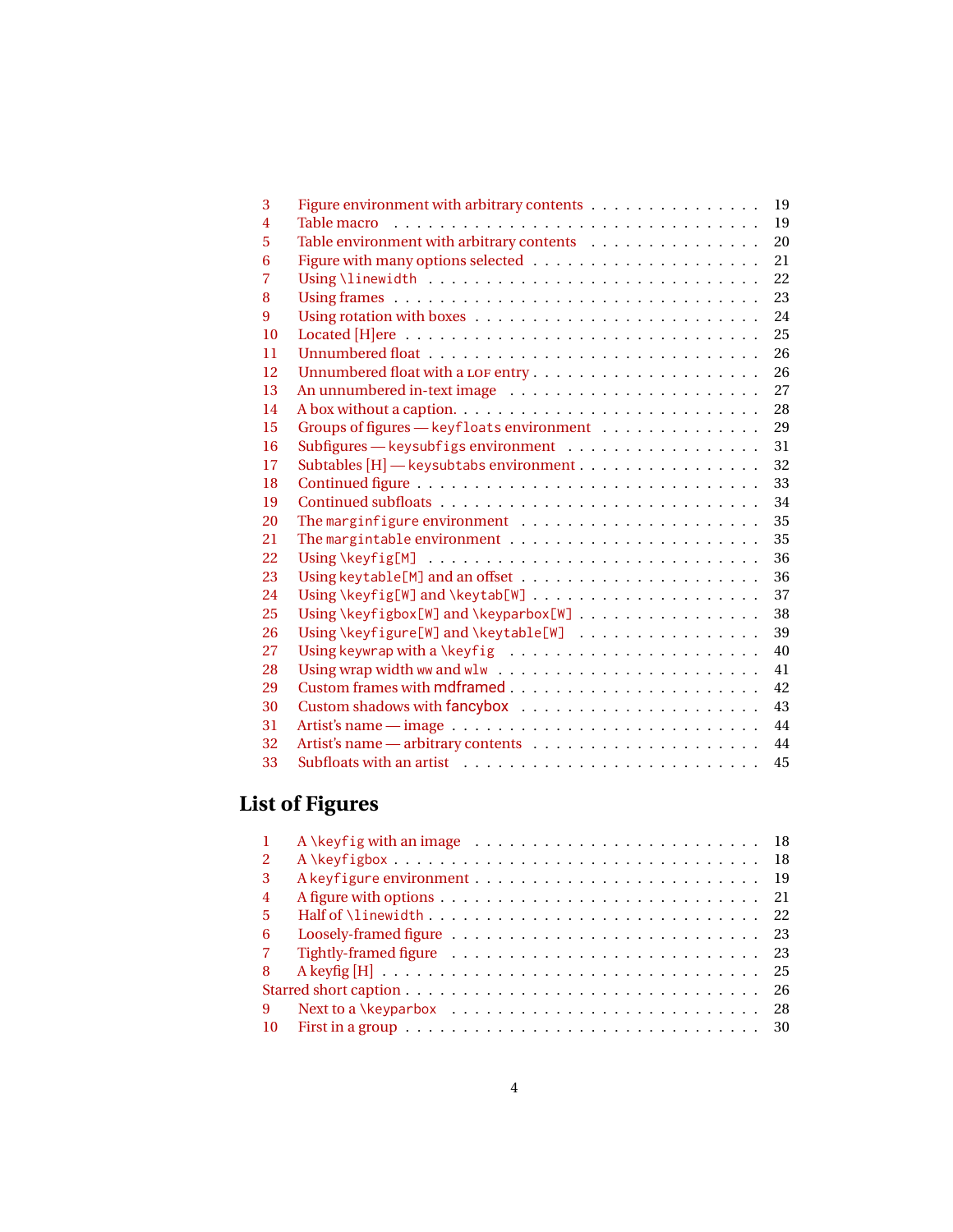| 3              | Figure environment with arbitrary contents                                       | 19 |
|----------------|----------------------------------------------------------------------------------|----|
| 4              |                                                                                  | 19 |
| 5              | Table environment with arbitrary contents                                        | 20 |
| 6              |                                                                                  | 21 |
| $\overline{7}$ |                                                                                  | 22 |
| 8              |                                                                                  | 23 |
| 9              |                                                                                  | 24 |
| 10             |                                                                                  | 25 |
| 11             |                                                                                  | 26 |
| 12             |                                                                                  | 26 |
| 13             |                                                                                  | 27 |
| 14             |                                                                                  | 28 |
| 15             | Groups of figures - keyfloats environment                                        | 29 |
| 16             | Subfigures - keysubfigs environment                                              | 31 |
| 17             | Subtables [H] - keysubtabs environment                                           | 32 |
| 18             |                                                                                  | 33 |
| 19             |                                                                                  | 34 |
| 20             | The margin figure environment $\ldots \ldots \ldots \ldots \ldots \ldots \ldots$ | 35 |
| 21             |                                                                                  | 35 |
| 22             |                                                                                  | 36 |
| 23             |                                                                                  | 36 |
| 24             |                                                                                  | 37 |
| 25             | Using \keyfigbox[W] and \keyparbox[W]                                            | 38 |
| 26             | Using \keyfigure[W] and \keytable[W]                                             | 39 |
| 27             |                                                                                  | 40 |
| 28             |                                                                                  | 41 |
| 29             |                                                                                  | 42 |
| 30             |                                                                                  | 43 |
| 31             |                                                                                  | 44 |
| 32             |                                                                                  | 44 |
| 33             |                                                                                  | 45 |

## **List of Figures**

| $\mathbf{2}$   | $A \ \ \ \ \ \$ |  |
|----------------|-----------------|--|
| 3              |                 |  |
| $\overline{4}$ |                 |  |
| .5             |                 |  |
| 6              |                 |  |
| -7             |                 |  |
| -8             |                 |  |
|                |                 |  |
|                | -28             |  |
| <b>10</b>      |                 |  |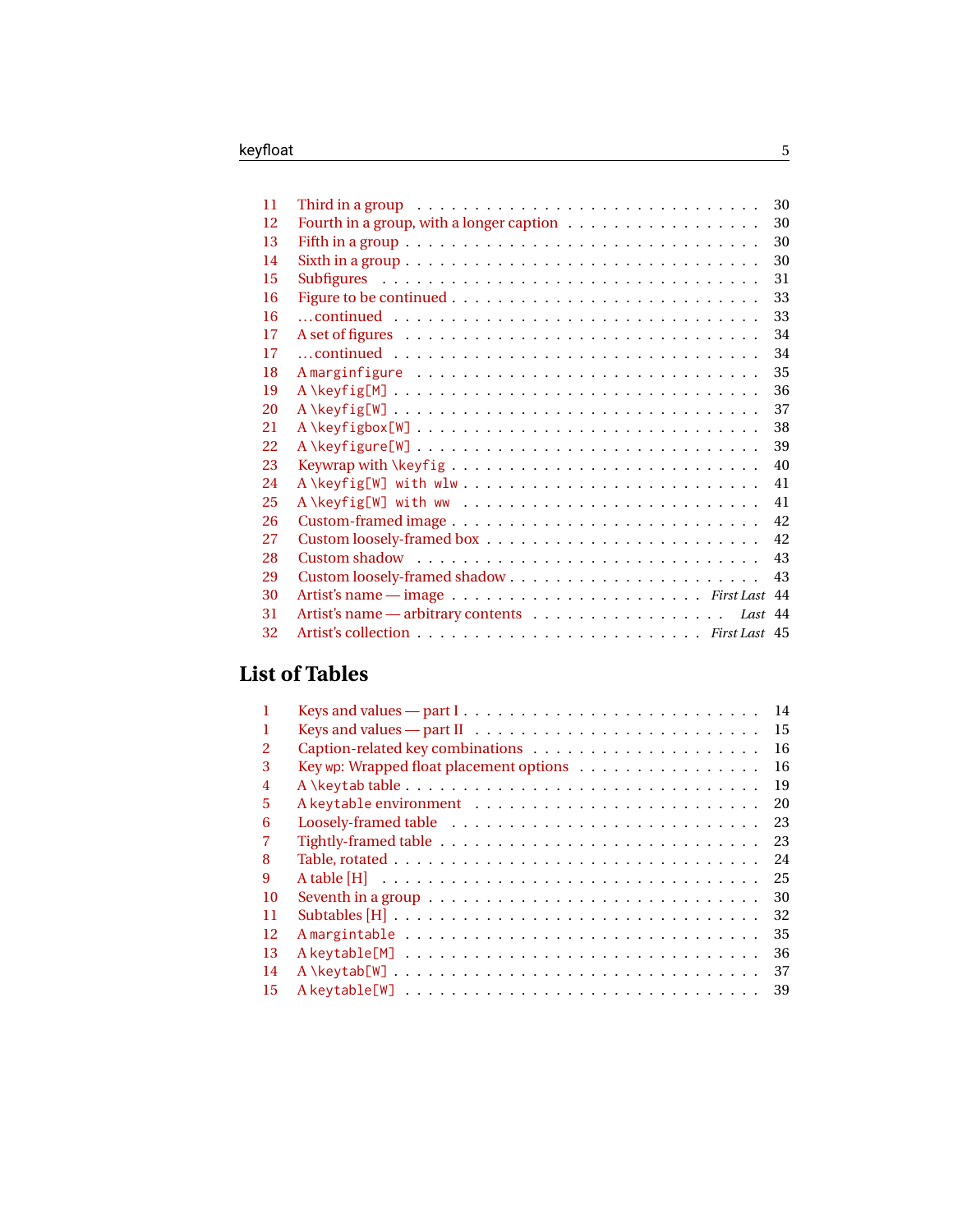| 11 | Third in a group $\ldots \ldots \ldots \ldots \ldots \ldots \ldots \ldots \ldots \ldots$ | 30 |
|----|------------------------------------------------------------------------------------------|----|
| 12 |                                                                                          | 30 |
| 13 |                                                                                          | 30 |
| 14 |                                                                                          | 30 |
| 15 |                                                                                          | 31 |
| 16 |                                                                                          | 33 |
| 16 |                                                                                          | 33 |
| 17 |                                                                                          | 34 |
| 17 |                                                                                          | 34 |
| 18 |                                                                                          | 35 |
| 19 |                                                                                          | 36 |
| 20 |                                                                                          | 37 |
| 21 |                                                                                          | 38 |
| 22 | A\keyfigure[W]                                                                           | 39 |
| 23 |                                                                                          | 40 |
| 24 | A \keyfig[W] with wlw                                                                    | 41 |
| 25 | A \keyfig[W] with ww                                                                     | 41 |
| 26 |                                                                                          | 42 |
| 27 |                                                                                          | 42 |
| 28 |                                                                                          | 43 |
| 29 |                                                                                          | 43 |
| 30 |                                                                                          |    |
| 31 | Last 44                                                                                  |    |
| 32 |                                                                                          |    |

## **List of Tables**

|                |                                                                                        | 14 |
|----------------|----------------------------------------------------------------------------------------|----|
|                | Keys and values $-$ part II $\dots \dots \dots \dots \dots \dots \dots \dots \dots$    | 15 |
| $\overline{2}$ |                                                                                        | 16 |
| 3              | Key wp: Wrapped float placement options                                                | 16 |
| $\overline{4}$ |                                                                                        | 19 |
| 5              |                                                                                        | 20 |
| 6              |                                                                                        | 23 |
|                |                                                                                        | 23 |
| 8              |                                                                                        | 24 |
| 9              |                                                                                        | 25 |
| 10             | Seventh in a group $\dots \dots \dots \dots \dots \dots \dots \dots \dots \dots \dots$ | 30 |
| 11             |                                                                                        | 32 |
| 12             |                                                                                        | 35 |
| 13             |                                                                                        | 36 |
| 14             |                                                                                        | 37 |
| 15             |                                                                                        | 39 |
|                |                                                                                        |    |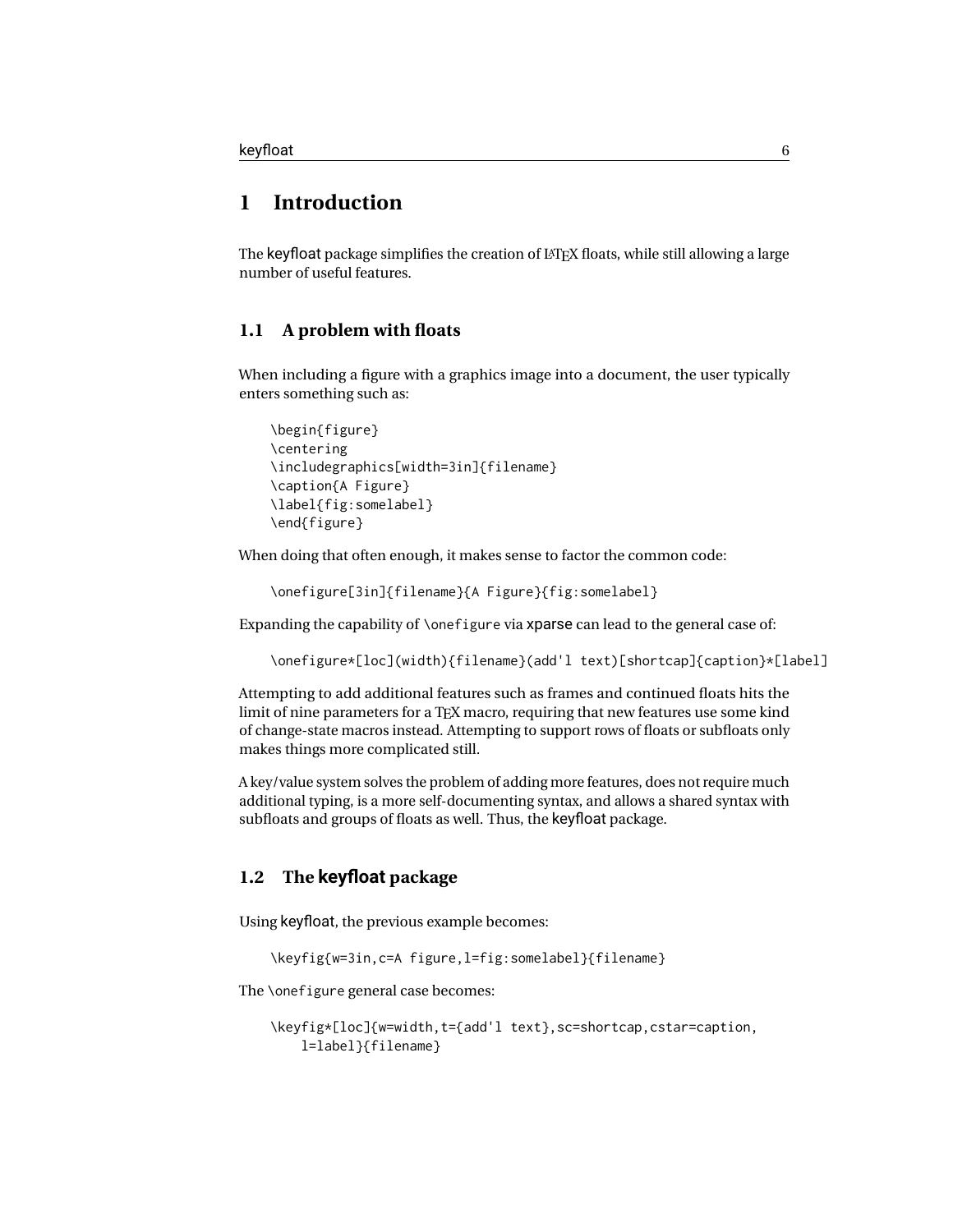### <span id="page-5-0"></span>**1 Introduction**

The keyfloat package simplifies the creation of  $LATEX$  floats, while still allowing a large number of useful features.

#### <span id="page-5-1"></span>**1.1 A problem with floats**

When including a figure with a graphics image into a document, the user typically enters something such as:

```
\begin{figure}
\centering
\includegraphics[width=3in]{filename}
\caption{A Figure}
\label{fig:somelabel}
\end{figure}
```
When doing that often enough, it makes sense to factor the common code:

\onefigure[3in]{filename}{A Figure}{fig:somelabel}

Expanding the capability of \onefigure via xparse can lead to the general case of:

```
\onefigure*[loc](width){filename}(add'l text)[shortcap]{caption}*[label]
```
Attempting to add additional features such as frames and continued floats hits the limit of nine parameters for a TEX macro, requiring that new features use some kind of change-state macros instead. Attempting to support rows of floats or subfloats only makes things more complicated still.

A key/value system solves the problem of adding more features, does not require much additional typing, is a more self-documenting syntax, and allows a shared syntax with subfloats and groups of floats as well. Thus, the keyfloat package.

### <span id="page-5-2"></span>**1.2 The keyfloat package**

Using keyfloat, the previous example becomes:

\keyfig{w=3in,c=A figure,l=fig:somelabel}{filename}

The \onefigure general case becomes:

```
\keyfig*[loc]{w=width,t={add'l text},sc=shortcap,cstar=caption,
    l=label}{filename}
```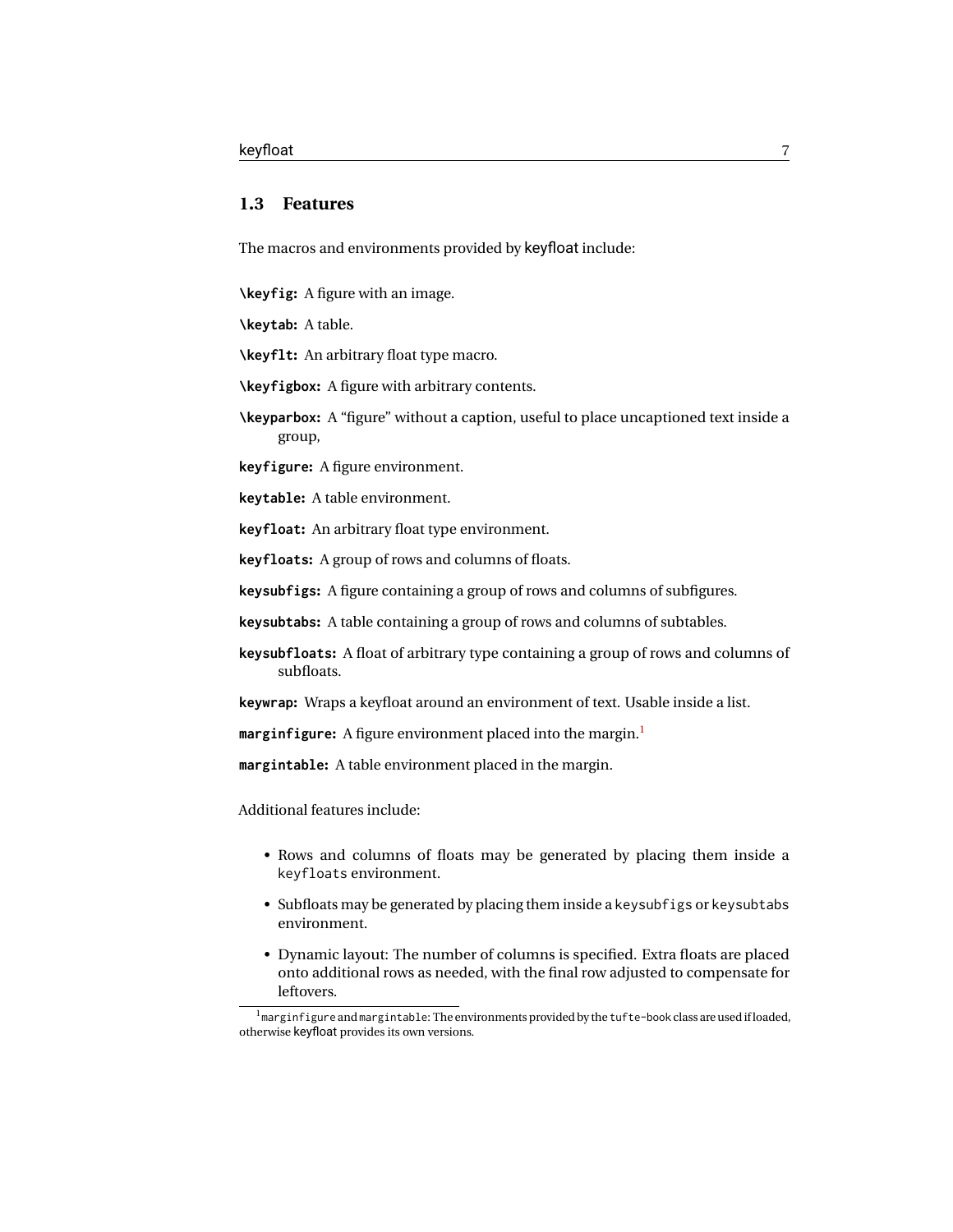#### <span id="page-6-0"></span>**1.3 Features**

The macros and environments provided by keyfloat include:

**\keyfig:** A figure with an image.

**\keytab:** A table.

**\keyflt:** An arbitrary float type macro.

**\keyfigbox:** A figure with arbitrary contents.

**\keyparbox:** A "figure" without a caption, useful to place uncaptioned text inside a group,

**keyfigure:** A figure environment.

**keytable:** A table environment.

**keyfloat:** An arbitrary float type environment.

**keyfloats:** A group of rows and columns of floats.

**keysubfigs:** A figure containing a group of rows and columns of subfigures.

**keysubtabs:** A table containing a group of rows and columns of subtables.

**keysubfloats:** A float of arbitrary type containing a group of rows and columns of subfloats.

**keywrap:** Wraps a keyfloat around an environment of text. Usable inside a list.

**marginfigure:** A figure environment placed into the margin.[1](#page-6-1)

**margintable:** A table environment placed in the margin.

Additional features include:

- Rows and columns of floats may be generated by placing them inside a keyfloats environment.
- Subfloats may be generated by placing them inside a keysubfigs or keysubtabs environment.
- Dynamic layout: The number of columns is specified. Extra floats are placed onto additional rows as needed, with the final row adjusted to compensate for leftovers.

<span id="page-6-1"></span> $1$ marginfigure and margintable: The environments provided by the tufte-book class are used if loaded, otherwise keyfloat provides its own versions.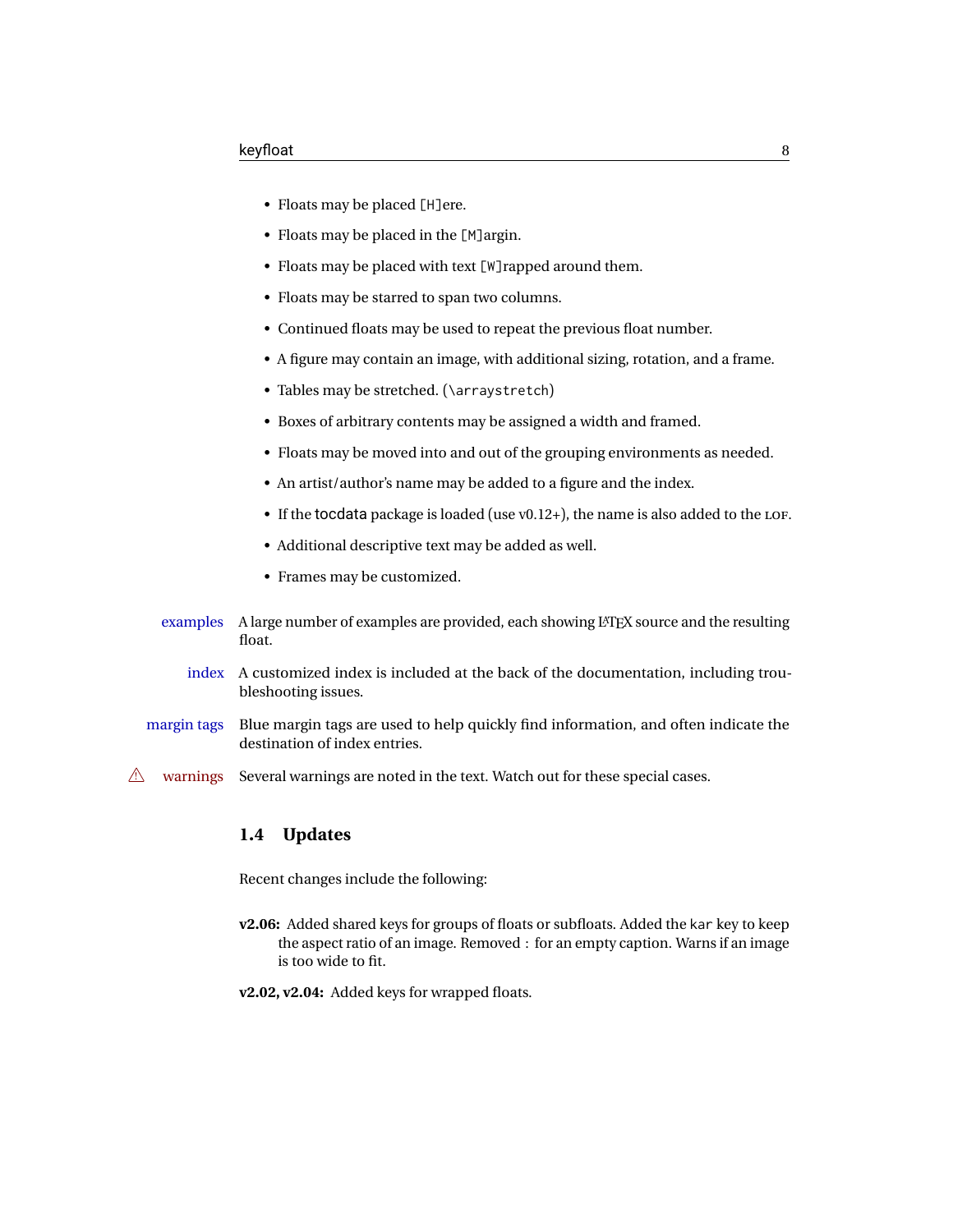- Floats may be placed [H]ere.
- Floats may be placed in the [M]argin.
- Floats may be placed with text [W]rapped around them.
- Floats may be starred to span two columns.
- Continued floats may be used to repeat the previous float number.
- A figure may contain an image, with additional sizing, rotation, and a frame.
- Tables may be stretched. (\arraystretch)
- Boxes of arbitrary contents may be assigned a width and framed.
- Floats may be moved into and out of the grouping environments as needed.
- An artist/author's name may be added to a figure and the index.
- If the tocdata package is loaded (use v0.12+), the name is also added to the LOF.
- Additional descriptive text may be added as well.
- Frames may be customized.
- examples A large number of examples are provided, each showing L<sup>AT</sup>EX source and the resulting float.
	- index A customized index is included at the back of the documentation, including troubleshooting issues.
- margin tags Blue margin tags are used to help quickly find information, and often indicate the destination of index entries.
- $\triangle$  warnings Several warnings are noted in the text. Watch out for these special cases.

#### <span id="page-7-0"></span>**1.4 Updates**

Recent changes include the following:

**v2.06:** Added shared keys for groups of floats or subfloats. Added the kar key to keep the aspect ratio of an image. Removed : for an empty caption. Warns if an image is too wide to fit.

**v2.02, v2.04:** Added keys for wrapped floats.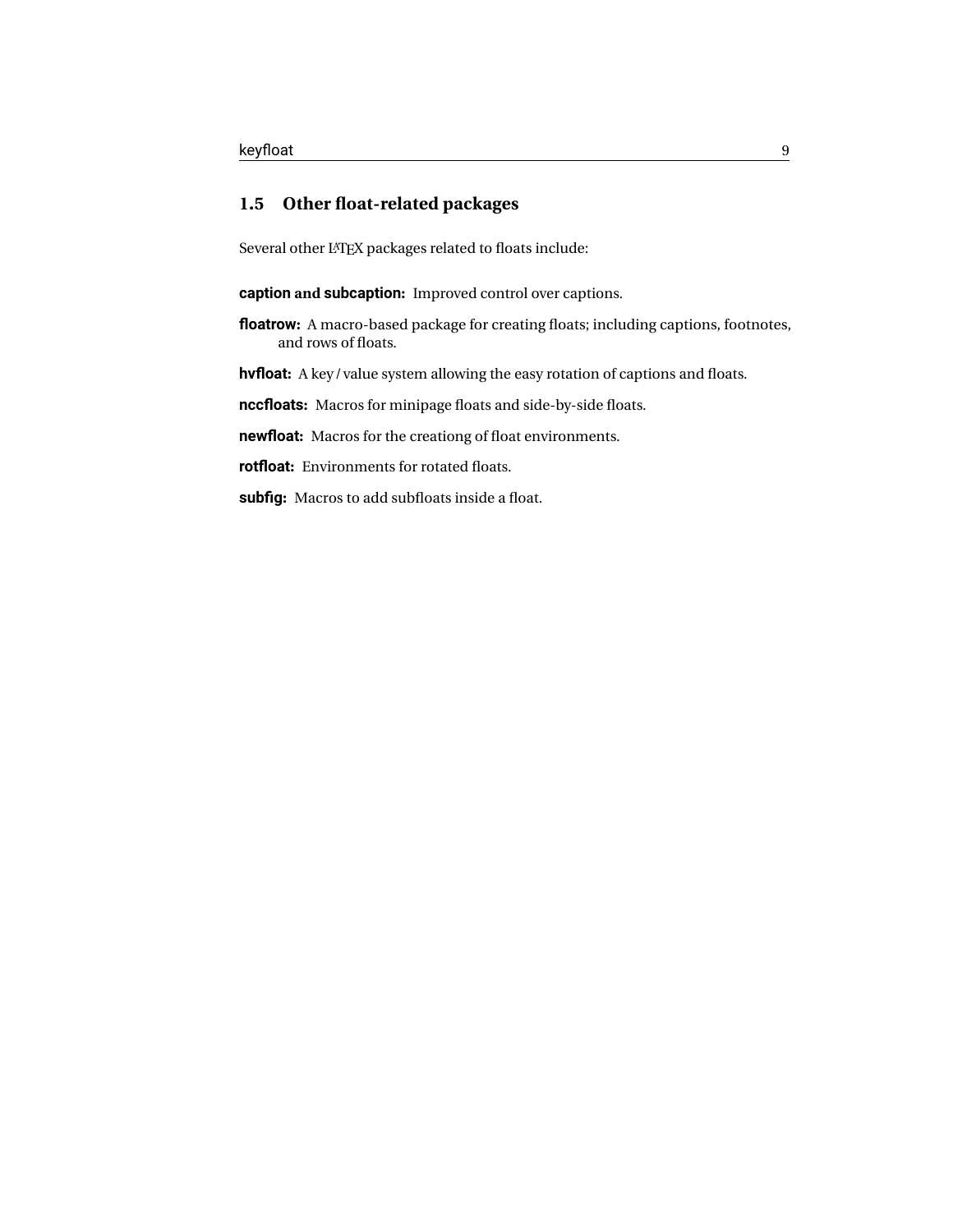## <span id="page-8-0"></span>**1.5 Other float-related packages**

Several other LATEX packages related to floats include:

**caption and subcaption:** Improved control over captions.

**floatrow:** A macro-based package for creating floats; including captions, footnotes, and rows of floats.

**hvfloat:** A key/value system allowing the easy rotation of captions and floats.

**nccfloats:** Macros for minipage floats and side-by-side floats.

**newfloat:** Macros for the creationg of float environments.

**rotfloat:** Environments for rotated floats.

**subfig:** Macros to add subfloats inside a float.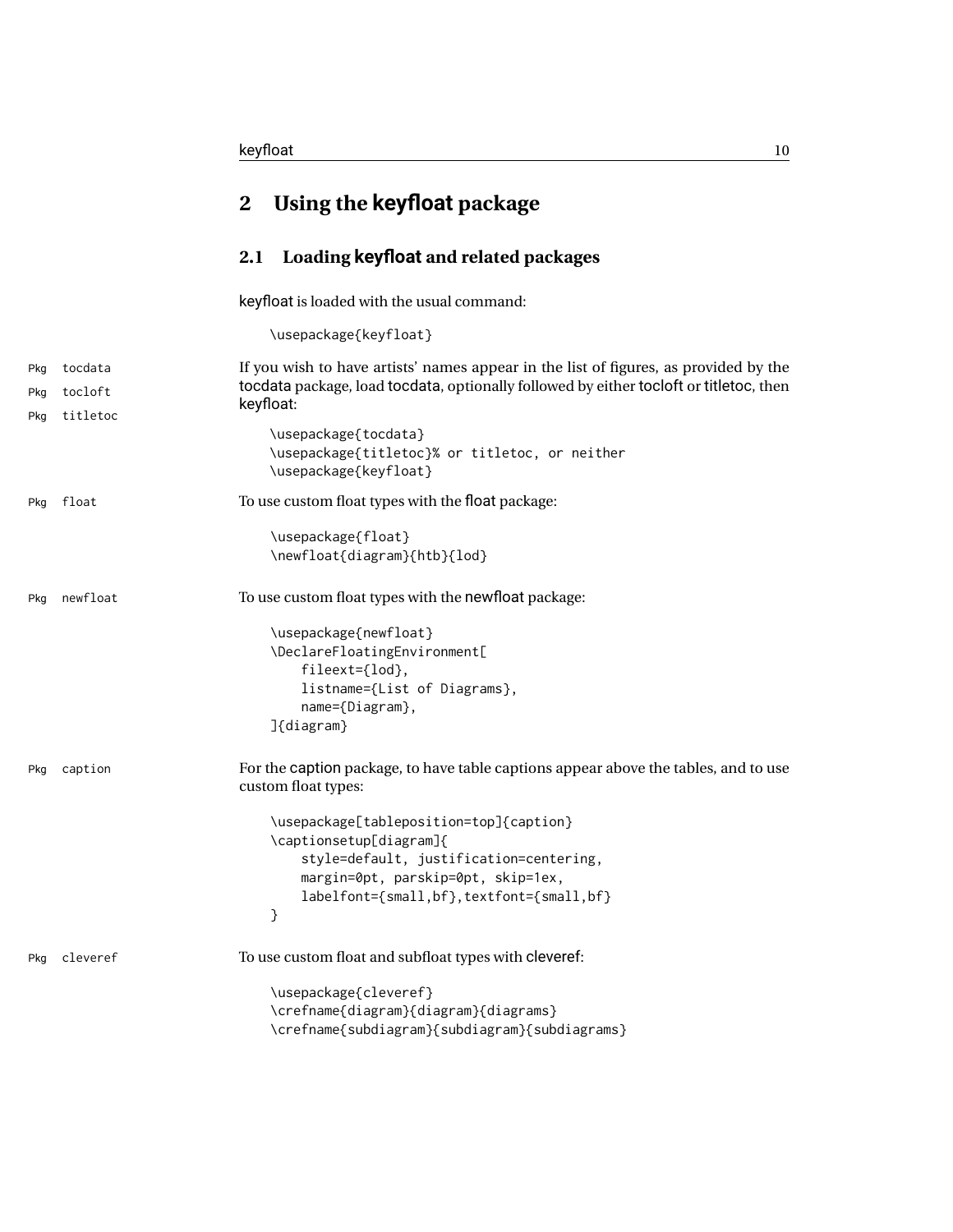## <span id="page-9-0"></span>**2 Using the keyfloat package**

## <span id="page-9-1"></span>**2.1 Loading keyfloat and related packages**

keyfloat is loaded with the usual command:

\usepackage{keyfloat}

| Pkg | tocdata  | If you wish to have artists' names appear in the list of figures, as provided by the<br>tocdata package, load tocdata, optionally followed by either tocloft or titletoc, then                        |
|-----|----------|-------------------------------------------------------------------------------------------------------------------------------------------------------------------------------------------------------|
| Pkg | tocloft  | keyfloat:                                                                                                                                                                                             |
| Pkg | titletoc | \usepackage{tocdata}<br>\usepackage{titletoc}% or titletoc, or neither<br>\usepackage{keyfloat}                                                                                                       |
| Pkg | float    | To use custom float types with the float package:                                                                                                                                                     |
|     |          | \usepackage{float}<br>\newfloat{diagram}{htb}{lod}                                                                                                                                                    |
| Pkg | newfloat | To use custom float types with the newfloat package:                                                                                                                                                  |
|     |          | \usepackage{newfloat}<br>\DeclareFloatingEnvironment[<br>fileext={lod},<br>listname={List of Diagrams},<br>name={Diagram},<br>]{diagram}                                                              |
| Pkg | caption  | For the caption package, to have table captions appear above the tables, and to use<br>custom float types:                                                                                            |
|     |          | \usepackage[tableposition=top]{caption}<br>\captionsetup[diagram]{<br>style=default, justification=centering,<br>margin=0pt, parskip=0pt, skip=1ex,<br>labelfont={small,bf}, textfont={small,bf}<br>} |
| Pkg | cleveref | To use custom float and subfloat types with cleveref:                                                                                                                                                 |
|     |          | \usepackage{cleveref}<br>\crefname{diagram}{diagram}{diagrams}<br>\crefname{subdiagram}{subdiagram}{subdiagrams}                                                                                      |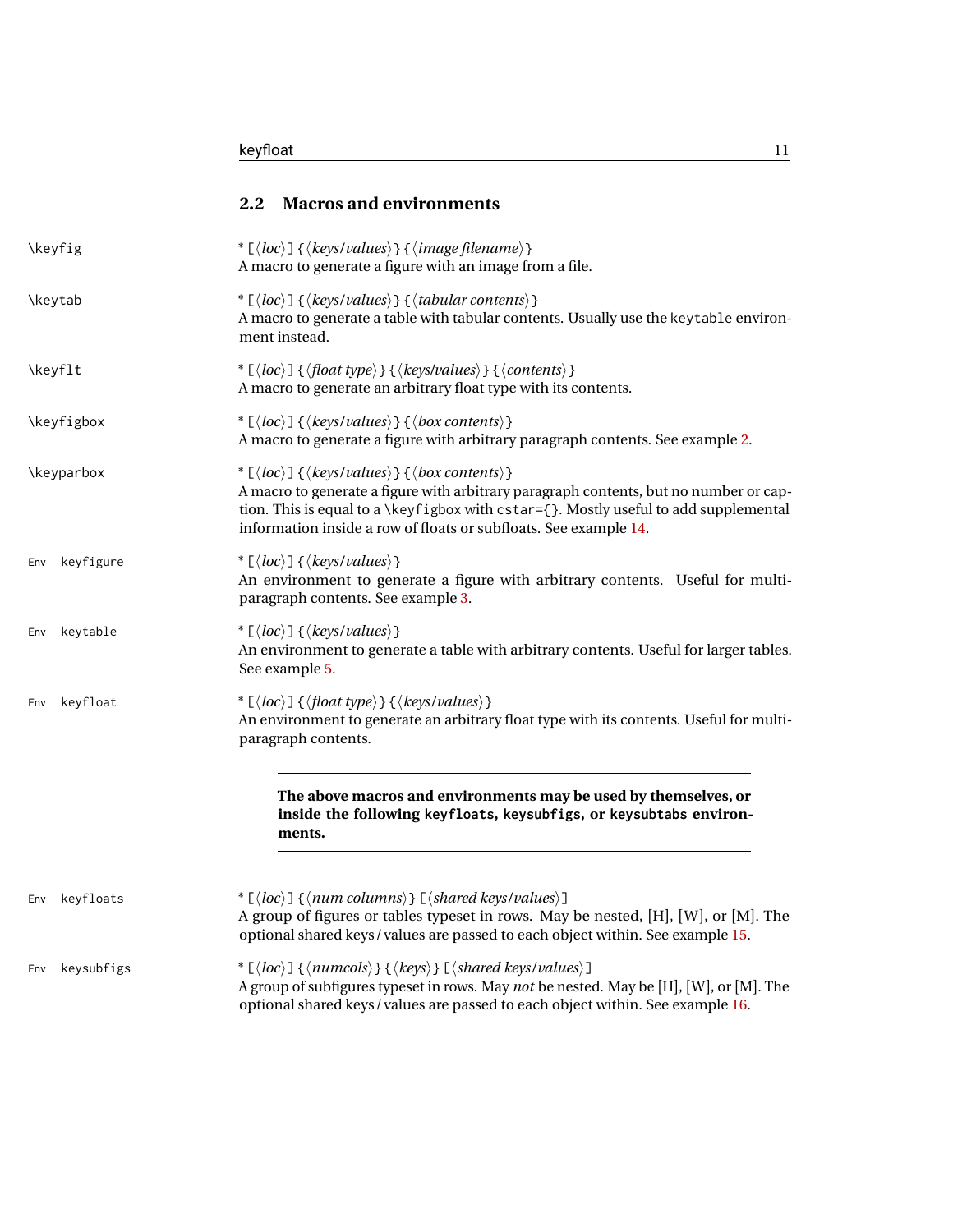<span id="page-10-0"></span>

| \keyfig                                                                                                                                                                                                                                                                                                                                     | * $\lceil \langle \text{loc} \rangle \rceil$ { $\langle \text{keys/values} \rangle$ } { $\langle \text{image filename} \rangle$ }<br>A macro to generate a figure with an image from a file.                                                                                                                                                                                               |  |
|---------------------------------------------------------------------------------------------------------------------------------------------------------------------------------------------------------------------------------------------------------------------------------------------------------------------------------------------|--------------------------------------------------------------------------------------------------------------------------------------------------------------------------------------------------------------------------------------------------------------------------------------------------------------------------------------------------------------------------------------------|--|
| <b>\keytab</b>                                                                                                                                                                                                                                                                                                                              | * $\lceil \langle \text{loc} \rangle \rceil$ { $\langle \text{keys/values} \rangle$ } { $\langle \text{tabular contents} \rangle$ }<br>A macro to generate a table with tabular contents. Usually use the keytable environ-<br>ment instead.                                                                                                                                               |  |
| \keyflt                                                                                                                                                                                                                                                                                                                                     | * $\lfloor \langle loc \rangle \rfloor \{ \langle float\ type \rangle \} \{ \langle keys/values \rangle \} \{ \langle contents \rangle \}$<br>A macro to generate an arbitrary float type with its contents.                                                                                                                                                                               |  |
| \keyfigbox                                                                                                                                                                                                                                                                                                                                  | * $\lceil \langle \text{loc} \rangle \rceil$ { $\langle \text{keys/values} \rangle$ } { $\langle \text{box contents} \rangle$ }<br>A macro to generate a figure with arbitrary paragraph contents. See example 2.                                                                                                                                                                          |  |
| <b>\keyparbox</b>                                                                                                                                                                                                                                                                                                                           | * $\lceil \langle \textit{loc} \rangle \rceil$ { $\langle \textit{keys/values} \rangle$ } { $\langle \textit{box contents} \rangle$ }<br>A macro to generate a figure with arbitrary paragraph contents, but no number or cap-<br>tion. This is equal to a \keyfigbox with cstar={}. Mostly useful to add supplemental<br>information inside a row of floats or subfloats. See example 14. |  |
| keyfigure<br>Env                                                                                                                                                                                                                                                                                                                            | * $\lfloor \langle \textit{loc} \rangle \rfloor \} \langle \textit{keys/values} \rangle$<br>An environment to generate a figure with arbitrary contents. Useful for multi-<br>paragraph contents. See example 3.                                                                                                                                                                           |  |
| keytable<br>Env                                                                                                                                                                                                                                                                                                                             | * $\lfloor \langle \textit{loc} \rangle \rfloor \ \{\langle \textit{keys}/\textit{values} \rangle \}$<br>An environment to generate a table with arbitrary contents. Useful for larger tables.<br>See example 5.                                                                                                                                                                           |  |
| keyfloat<br>Env                                                                                                                                                                                                                                                                                                                             | * [ $\langle loc \rangle$ ] { $\langle float type \rangle$ } { $\langle keys/values \rangle$ }<br>An environment to generate an arbitrary float type with its contents. Useful for multi-<br>paragraph contents.                                                                                                                                                                           |  |
|                                                                                                                                                                                                                                                                                                                                             | The above macros and environments may be used by themselves, or<br>inside the following keyfloats, keysubfigs, or keysubtabs environ-<br>ments.                                                                                                                                                                                                                                            |  |
| keyfloats<br>Env                                                                                                                                                                                                                                                                                                                            | * $\lfloor \langle loc \rangle \rfloor \{ \langle num \space columns \rangle \}$ $\lfloor \langle shared \space keys/values \rangle \rfloor$<br>A group of figures or tables typeset in rows. May be nested, [H], [W], or [M]. The<br>optional shared keys / values are passed to each object within. See example 15.                                                                      |  |
| * $\lfloor \langle loc \rangle \rfloor \{ \langle numbers \rangle \} \{ \langle keys \rangle \}$ [ $\langle shared keys/values \rangle$ ]<br>keysubfigs<br>Env<br>A group of subfigures typeset in rows. May not be nested. May be [H], [W], or [M]. The<br>optional shared keys / values are passed to each object within. See example 16. |                                                                                                                                                                                                                                                                                                                                                                                            |  |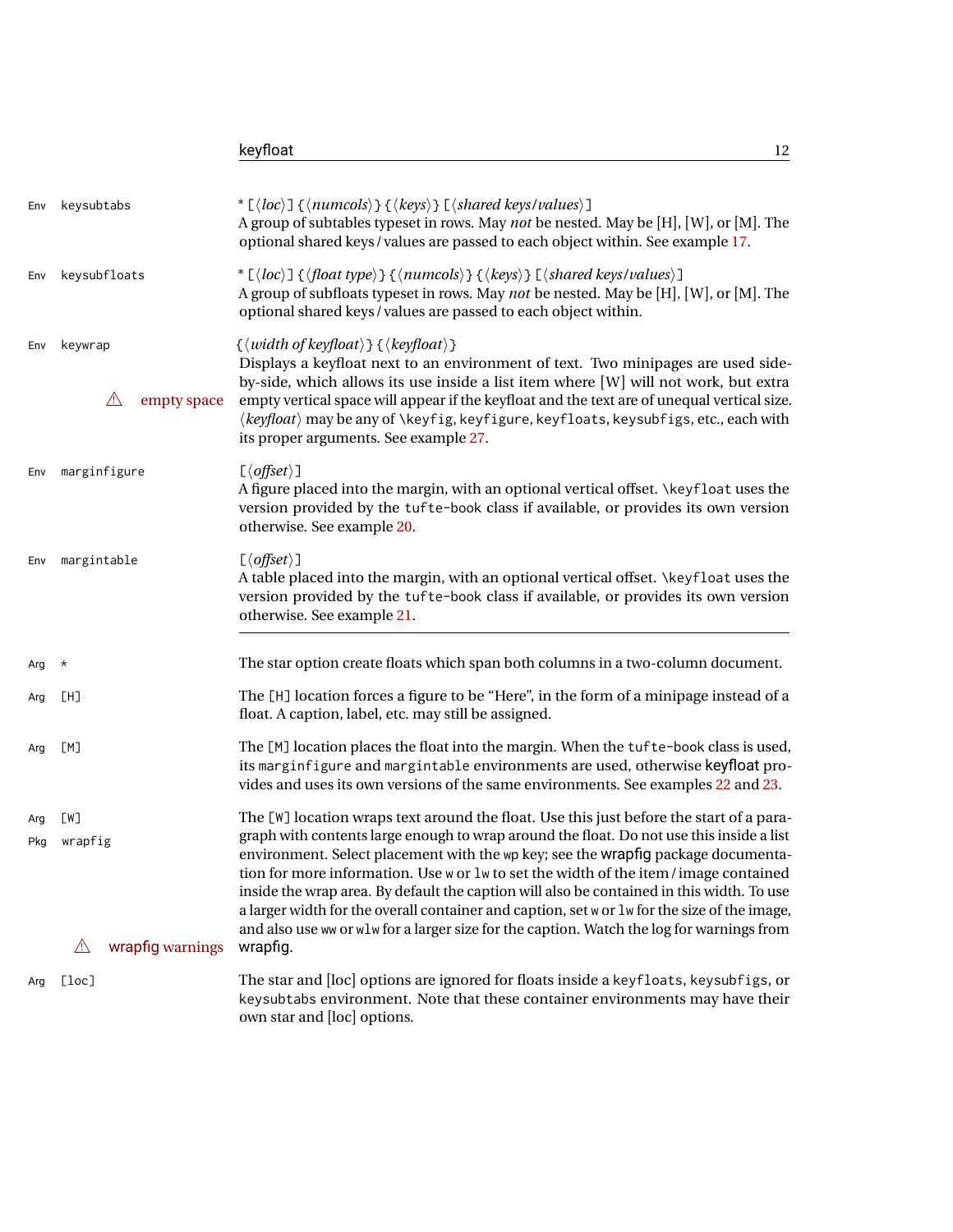|     |                                                       | keyfloat<br>12                                                                                                                                                                                                                                                                                                                                                                                                                                                                                                                                                                                                                                                        |
|-----|-------------------------------------------------------|-----------------------------------------------------------------------------------------------------------------------------------------------------------------------------------------------------------------------------------------------------------------------------------------------------------------------------------------------------------------------------------------------------------------------------------------------------------------------------------------------------------------------------------------------------------------------------------------------------------------------------------------------------------------------|
| Env | keysubtabs                                            | * $\lfloor \langle loc \rangle \rfloor$ { $\langle numcols \rangle$ } { $\langle keys \rangle$ } $\lfloor \langle shared \text{ keys}/values \rangle \rfloor$<br>A group of subtables typeset in rows. May not be nested. May be [H], [W], or [M]. The<br>optional shared keys / values are passed to each object within. See example 17.                                                                                                                                                                                                                                                                                                                             |
| Env | keysubfloats                                          | * $\lfloor \langle loc \rangle \rfloor$ { $\langle float\ type \rangle$ } { $\langle numcols \rangle$ } { $\langle keys \rangle$ } $\lfloor \langle shared\ keys/values \rangle \rfloor$<br>A group of subfloats typeset in rows. May not be nested. May be [H], [W], or [M]. The<br>optional shared keys / values are passed to each object within.                                                                                                                                                                                                                                                                                                                  |
| Env | keywrap<br>$\sqrt{2}$<br>empty space                  | $\{\langle width\ of\ keyfloat \rangle\}\ \{\langle\ keyfloat \rangle\}\$<br>Displays a keyfloat next to an environment of text. Two minipages are used side-<br>by-side, which allows its use inside a list item where [W] will not work, but extra<br>empty vertical space will appear if the keyfloat and the text are of unequal vertical size.<br>$\langle keyfloat\rangle$ may be any of $\langle keyfig, keyfigure, keyfloats, keysubfigs, etc., each with$<br>its proper arguments. See example 27.                                                                                                                                                           |
| Env | marginfigure                                          | $\lceil \langle \text{offset} \rangle \rceil$<br>A figure placed into the margin, with an optional vertical offset. <i>\keyfloat uses the</i><br>version provided by the tufte-book class if available, or provides its own version<br>otherwise. See example 20.                                                                                                                                                                                                                                                                                                                                                                                                     |
| Env | margintable                                           | $\lceil \langle \text{offset} \rangle \rceil$<br>A table placed into the margin, with an optional vertical offset. <i>\keyfloat uses the</i><br>version provided by the tufte-book class if available, or provides its own version<br>otherwise. See example 21.                                                                                                                                                                                                                                                                                                                                                                                                      |
| Arg | $^\star$                                              | The star option create floats which span both columns in a two-column document.                                                                                                                                                                                                                                                                                                                                                                                                                                                                                                                                                                                       |
| Arg | [H]                                                   | The [H] location forces a figure to be "Here", in the form of a minipage instead of a<br>float. A caption, label, etc. may still be assigned.                                                                                                                                                                                                                                                                                                                                                                                                                                                                                                                         |
| Arg | [M]                                                   | The [M] location places the float into the margin. When the tufte-book class is used,<br>its marginfigure and margintable environments are used, otherwise keyfloat pro-<br>vides and uses its own versions of the same environments. See examples 22 and 23.                                                                                                                                                                                                                                                                                                                                                                                                         |
| Arg | [W]<br>Pkg wrapfig<br>wrapfig warnings<br>$\triangle$ | The [W] location wraps text around the float. Use this just before the start of a para-<br>graph with contents large enough to wrap around the float. Do not use this inside a list<br>environment. Select placement with the wp key; see the wrapfig package documenta-<br>tion for more information. Use w or lw to set the width of the item/image contained<br>inside the wrap area. By default the caption will also be contained in this width. To use<br>a larger width for the overall container and caption, set w or 1w for the size of the image,<br>and also use ww or wlw for a larger size for the caption. Watch the log for warnings from<br>wrapfig. |
| Arg | [loc]                                                 | The star and [loc] options are ignored for floats inside a keyfloats, keysubfigs, or<br>keysubtabs environment. Note that these container environments may have their<br>own star and [loc] options.                                                                                                                                                                                                                                                                                                                                                                                                                                                                  |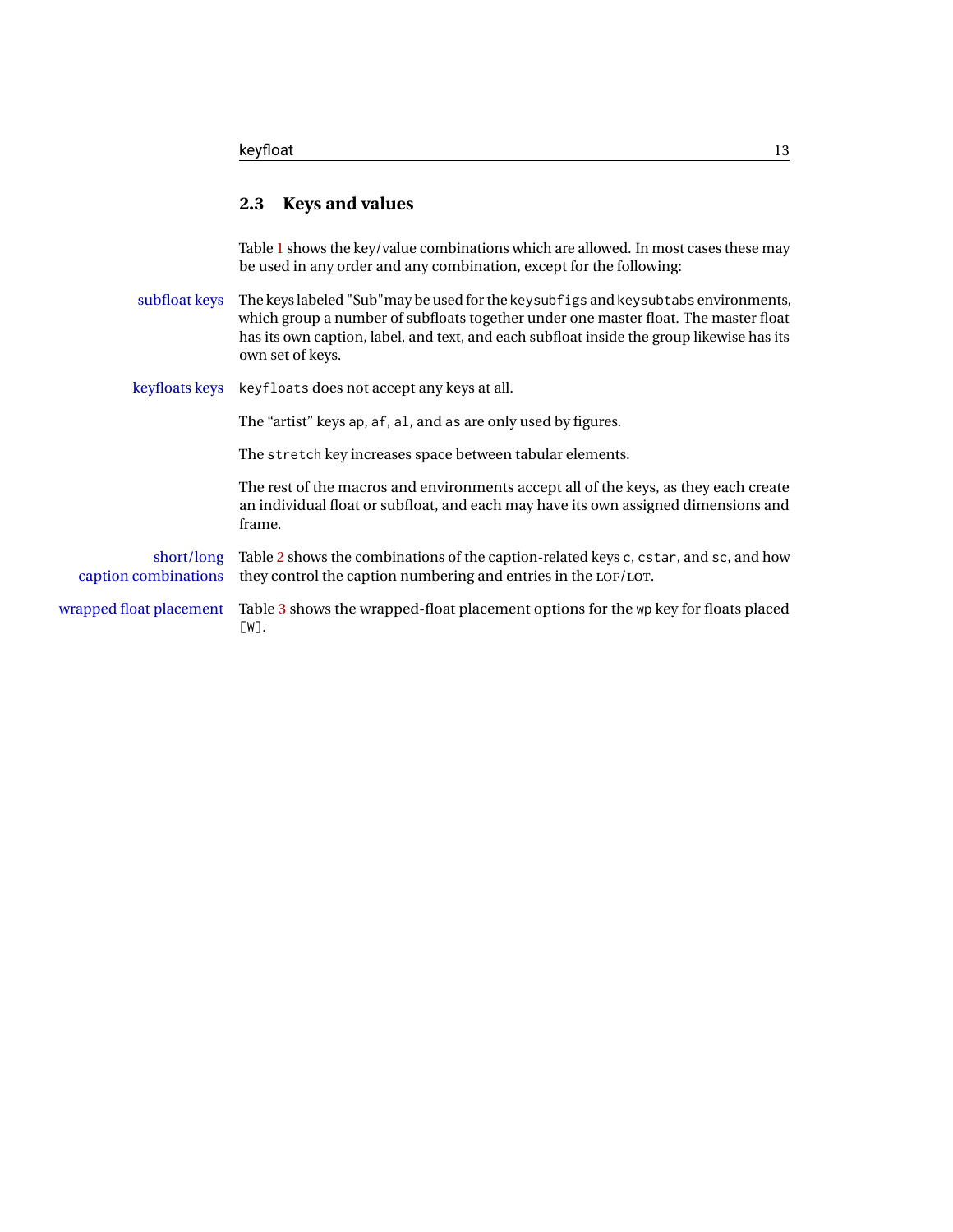#### <span id="page-12-0"></span>**2.3 Keys and values**

Table [1](#page-13-0) shows the key/value combinations which are allowed. In most cases these may be used in any order and any combination, except for the following:

subfloat keys The keys labeled "Sub"may be used for the keysubfigs and keysubtabs environments, which group a number of subfloats together under one master float. The master float has its own caption, label, and text, and each subfloat inside the group likewise has its own set of keys.

keyfloats keys keyfloats does not accept any keys at all.

The "artist" keys ap, af, al, and as are only used by figures.

The stretch key increases space between tabular elements.

The rest of the macros and environments accept all of the keys, as they each create an individual float or subfloat, and each may have its own assigned dimensions and frame.

short/long Table [2](#page-15-0) shows the combinations of the caption-related keys c, cstar, and sc, and how caption combinations they control the caption numbering and entries in the LOF/LOT.

wrapped float placement Table [3](#page-15-1) shows the wrapped-float placement options for the wp key for floats placed [W].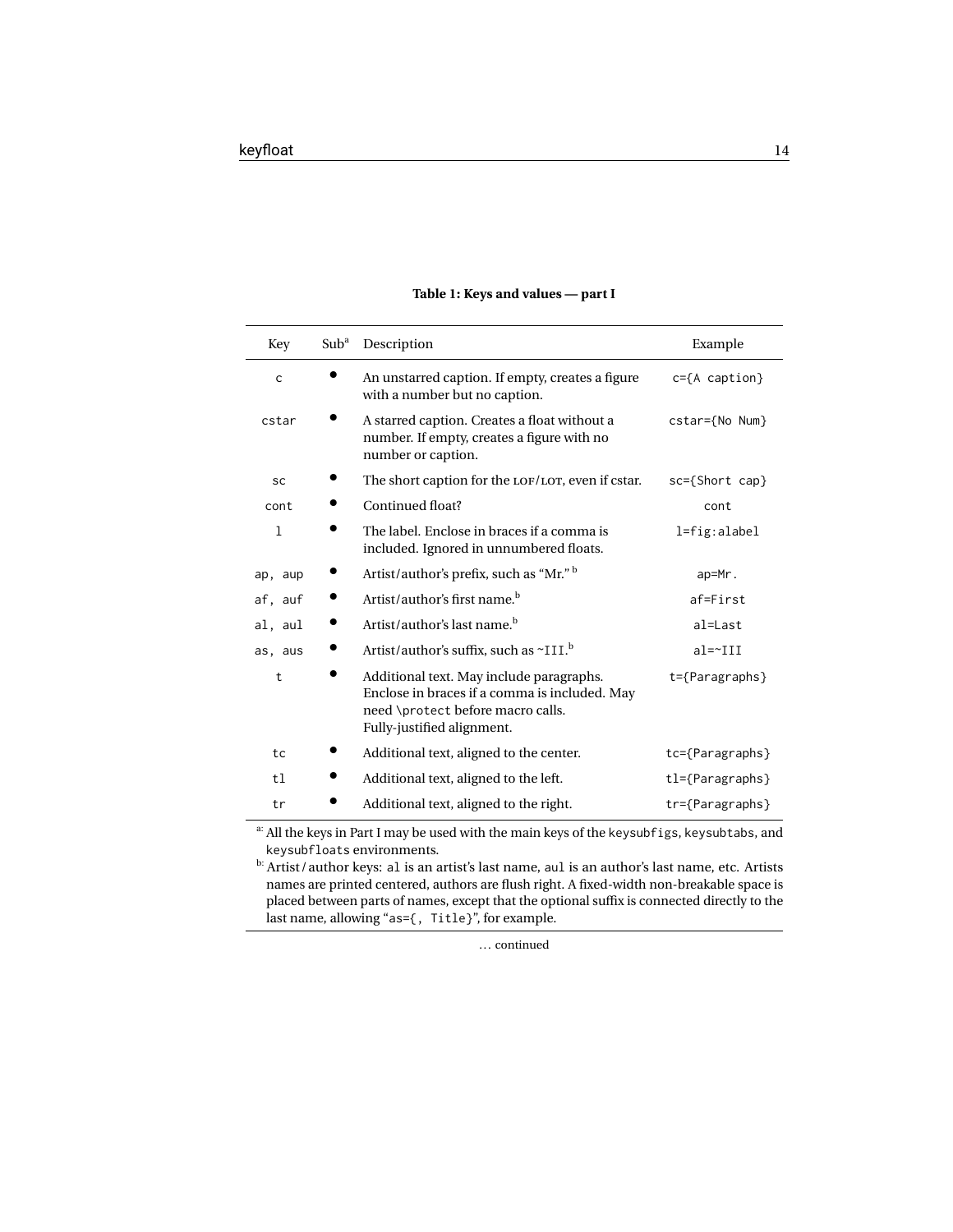<span id="page-13-0"></span>

| Key          | Sub <sup>a</sup> | Description                                                                                                                                                  | Example                  |
|--------------|------------------|--------------------------------------------------------------------------------------------------------------------------------------------------------------|--------------------------|
| $\mathsf{C}$ |                  | An unstarred caption. If empty, creates a figure<br>with a number but no caption.                                                                            | $c = {A \space caption}$ |
| cstar        |                  | A starred caption. Creates a float without a<br>number. If empty, creates a figure with no<br>number or caption.                                             | cstar={No Num}           |
| sc           |                  | The short caption for the LOF/LOT, even if cstar.                                                                                                            | $sc=\{Short cap\}$       |
| cont         |                  | Continued float?                                                                                                                                             | cont                     |
| $\mathbf{1}$ |                  | The label. Enclose in braces if a comma is<br>included. Ignored in unnumbered floats.                                                                        | $l = fig:alabel$         |
| ap, aup      |                  | Artist/author's prefix, such as "Mr." b                                                                                                                      | ap=Mr.                   |
| af, auf      |                  | Artist/author's first name. <sup>b</sup>                                                                                                                     | af=First                 |
| al, aul      |                  | Artist/author's last name. <sup>b</sup>                                                                                                                      | al=Last                  |
| as, aus      |                  | Artist/author's suffix, such as ~III. <sup>b</sup>                                                                                                           | $al = \sim III$          |
| $\mathsf{t}$ |                  | Additional text. May include paragraphs.<br>Enclose in braces if a comma is included. May<br>need \protect before macro calls.<br>Fully-justified alignment. | $t = \{Parameters\}$     |
| tc           |                  | Additional text, aligned to the center.                                                                                                                      | $tc = {Paragraphs}$      |
| t1           |                  | Additional text, aligned to the left.                                                                                                                        | $tl = \{Paramgraphs\}$   |
| tr           |                  | Additional text, aligned to the right.                                                                                                                       | tr={Paragraphs}          |

#### **Table 1: Keys and values — part I**

a: All the keys in Part I may be used with the main keys of the keysubfigs, keysubtabs, and keysubfloats environments.

b: Artist / author keys: al is an artist's last name, aul is an author's last name, etc. Artists names are printed centered, authors are flush right. A fixed-width non-breakable space is placed between parts of names, except that the optional suffix is connected directly to the last name, allowing "as={, Title}", for example.

... continued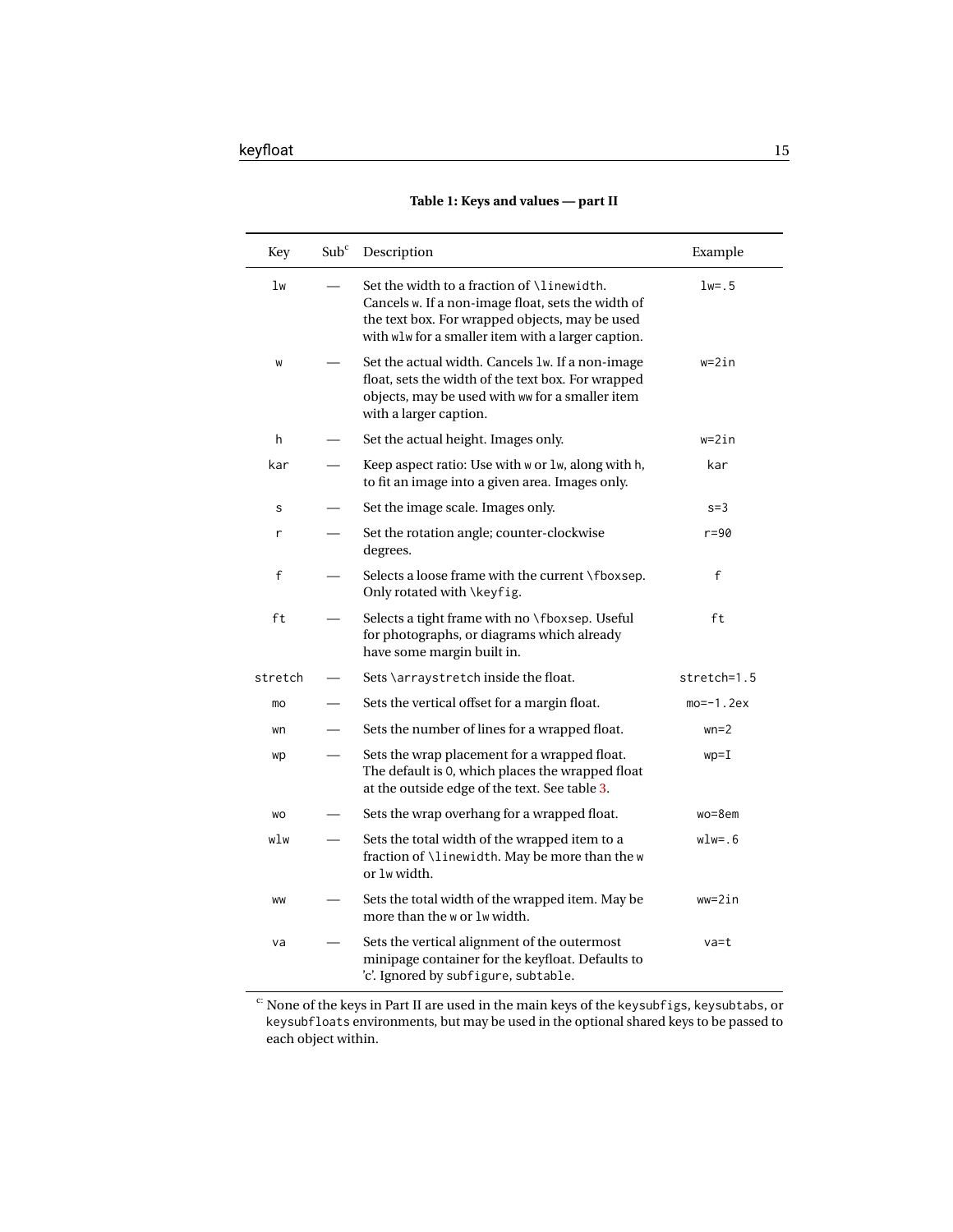<span id="page-14-0"></span>

| Key       | Sub <sup>c</sup> | Description                                                                                                                                                                                                      | Example       |
|-----------|------------------|------------------------------------------------------------------------------------------------------------------------------------------------------------------------------------------------------------------|---------------|
| 1w        |                  | Set the width to a fraction of <i>\linewidth</i> .<br>Cancels w. If a non-image float, sets the width of<br>the text box. For wrapped objects, may be used<br>with wlw for a smaller item with a larger caption. | $1w = .5$     |
| W         |                  | Set the actual width. Cancels 1w. If a non-image<br>float, sets the width of the text box. For wrapped<br>objects, may be used with ww for a smaller item<br>with a larger caption.                              | $w = 2in$     |
| h         |                  | Set the actual height. Images only.                                                                                                                                                                              | w=2in         |
| kar       |                  | Keep aspect ratio: Use with w or lw, along with h,<br>to fit an image into a given area. Images only.                                                                                                            | kar           |
| S         |                  | Set the image scale. Images only.                                                                                                                                                                                | $s = 3$       |
| r         |                  | Set the rotation angle; counter-clockwise<br>degrees.                                                                                                                                                            | $r = 90$      |
| f         |                  | Selects a loose frame with the current \fboxsep.<br>Only rotated with \keyfig.                                                                                                                                   | f             |
| ft        |                  | Selects a tight frame with no \fboxsep. Useful<br>for photographs, or diagrams which already<br>have some margin built in.                                                                                       | ft            |
| stretch   |                  | Sets \arraystretch inside the float.                                                                                                                                                                             | $stretch=1.5$ |
| mo        |                  | Sets the vertical offset for a margin float.                                                                                                                                                                     | $mo=-1.2ex$   |
| wn        |                  | Sets the number of lines for a wrapped float.                                                                                                                                                                    | $wn=2$        |
| wp        |                  | Sets the wrap placement for a wrapped float.<br>The default is 0, which places the wrapped float<br>at the outside edge of the text. See table 3.                                                                | $wp=I$        |
| <b>WO</b> |                  | Sets the wrap overhang for a wrapped float.                                                                                                                                                                      | $wo = 8$ em   |
| wlw       |                  | Sets the total width of the wrapped item to a<br>fraction of \linewidth. May be more than the w<br>or 1w width.                                                                                                  | wlw=.6        |
| WW        |                  | Sets the total width of the wrapped item. May be<br>more than the w or lw width.                                                                                                                                 | $ww=2in$      |
| va        |                  | Sets the vertical alignment of the outermost<br>minipage container for the keyfloat. Defaults to<br>'c'. Ignored by subfigure, subtable.                                                                         | va=t          |

#### **Table 1: Keys and values — part II**

c: None of the keys in Part II are used in the main keys of the keysubfigs, keysubtabs, or keysubfloats environments, but may be used in the optional shared keys to be passed to each object within.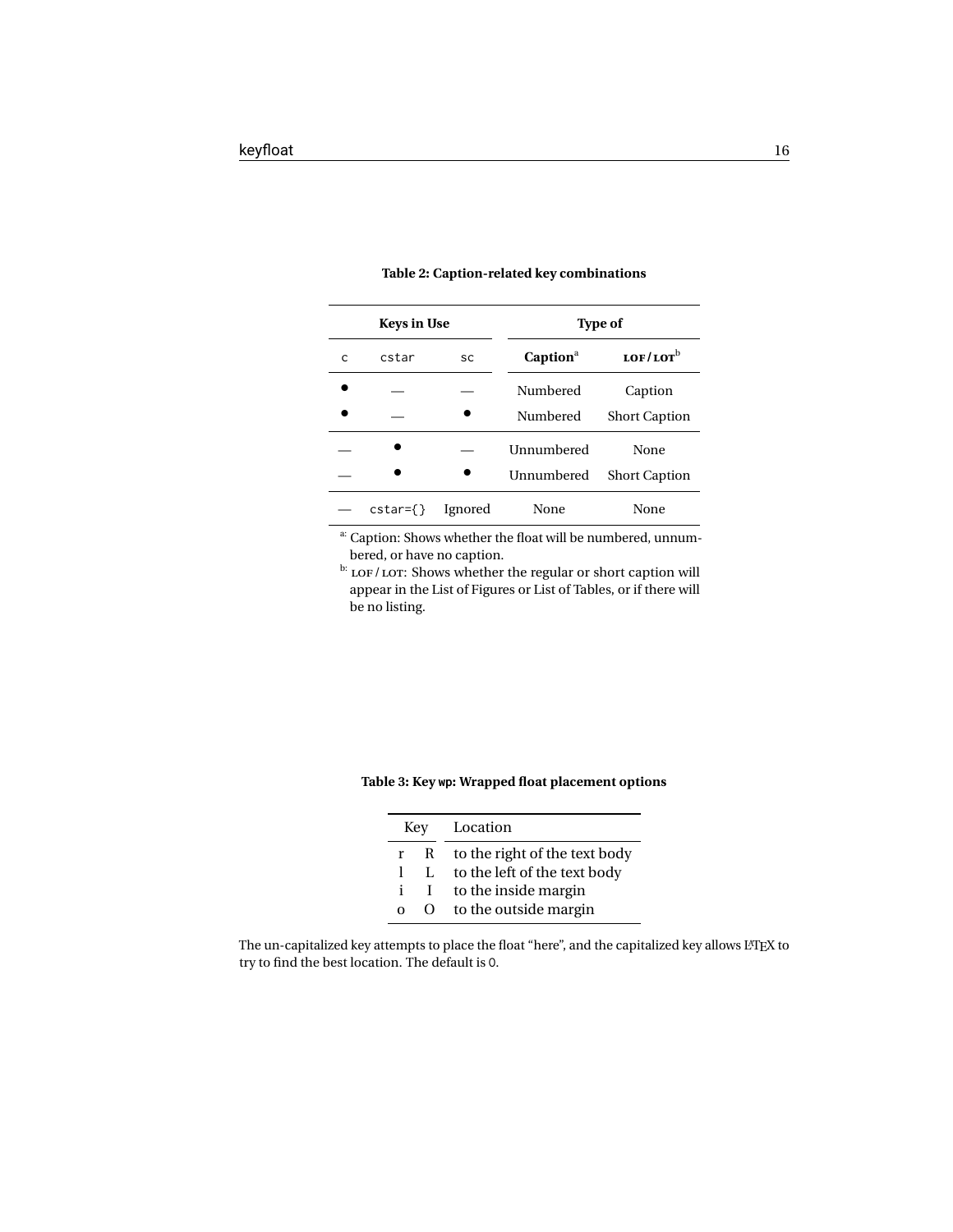<span id="page-15-0"></span>

|   | <b>Keys in Use</b>  |         | <b>Type of</b>    |                      |  |  |
|---|---------------------|---------|-------------------|----------------------|--|--|
| C | cstar               | SC      | $Captiona$        | $LOF/LOT^b$          |  |  |
|   |                     |         | Numbered          | Caption              |  |  |
|   |                     |         | Numbered          | <b>Short Caption</b> |  |  |
|   |                     |         | <b>Unnumbered</b> | None                 |  |  |
|   |                     |         | Unnumbered        | <b>Short Caption</b> |  |  |
|   | $\text{cstar}=\{\}$ | Ignored | None              | None                 |  |  |

#### **Table 2: Caption-related key combinations**

a: Caption: Shows whether the float will be numbered, unnumbered, or have no caption.

 $\frac{b}{c}$  LOF/LOT: Shows whether the regular or short caption will appear in the List of Figures or List of Tables, or if there will be no listing.

#### <span id="page-15-1"></span>**Table 3: Key wp: Wrapped float placement options**

| Key |    | Location                      |
|-----|----|-------------------------------|
| r.  | R  | to the right of the text body |
|     | Ι. | to the left of the text body  |
| i   | L  | to the inside margin          |
| O   | 0  | to the outside margin         |

The un-capitalized key attempts to place the float "here", and the capitalized key allows LATEX to try to find the best location. The default is O.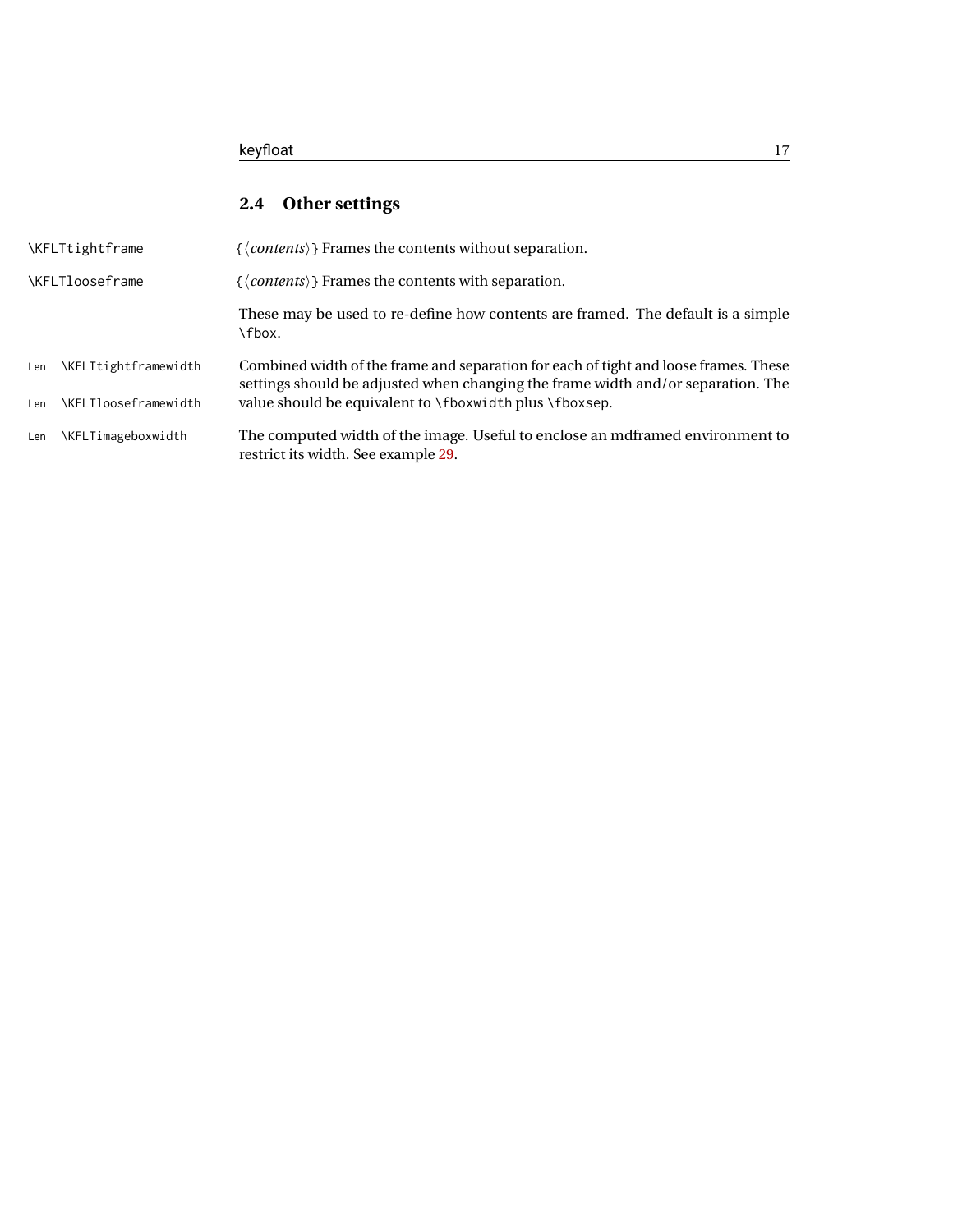## <span id="page-16-0"></span>**2.4 Other settings**

| <b>\KFLTtightframe</b> |                             | $\{\langle \textit{contents} \rangle\}$ Frames the contents without separation.                                                                                          |  |  |  |  |
|------------------------|-----------------------------|--------------------------------------------------------------------------------------------------------------------------------------------------------------------------|--|--|--|--|
| <b>\KFLTlooseframe</b> |                             | $\{\langle \textit{contents} \rangle\}$ Frames the contents with separation.                                                                                             |  |  |  |  |
|                        |                             | These may be used to re-define how contents are framed. The default is a simple<br>\fbox.                                                                                |  |  |  |  |
| Len                    | \KFLTtightframewidth        | Combined width of the frame and separation for each of tight and loose frames. These<br>settings should be adjusted when changing the frame width and/or separation. The |  |  |  |  |
| Len                    | <b>\KFLTlooseframewidth</b> | value should be equivalent to \fboxwidth plus \fboxsep.                                                                                                                  |  |  |  |  |
| Len                    | \KFLTimageboxwidth          | The computed width of the image. Useful to enclose an mdframed environment to<br>restrict its width. See example 29.                                                     |  |  |  |  |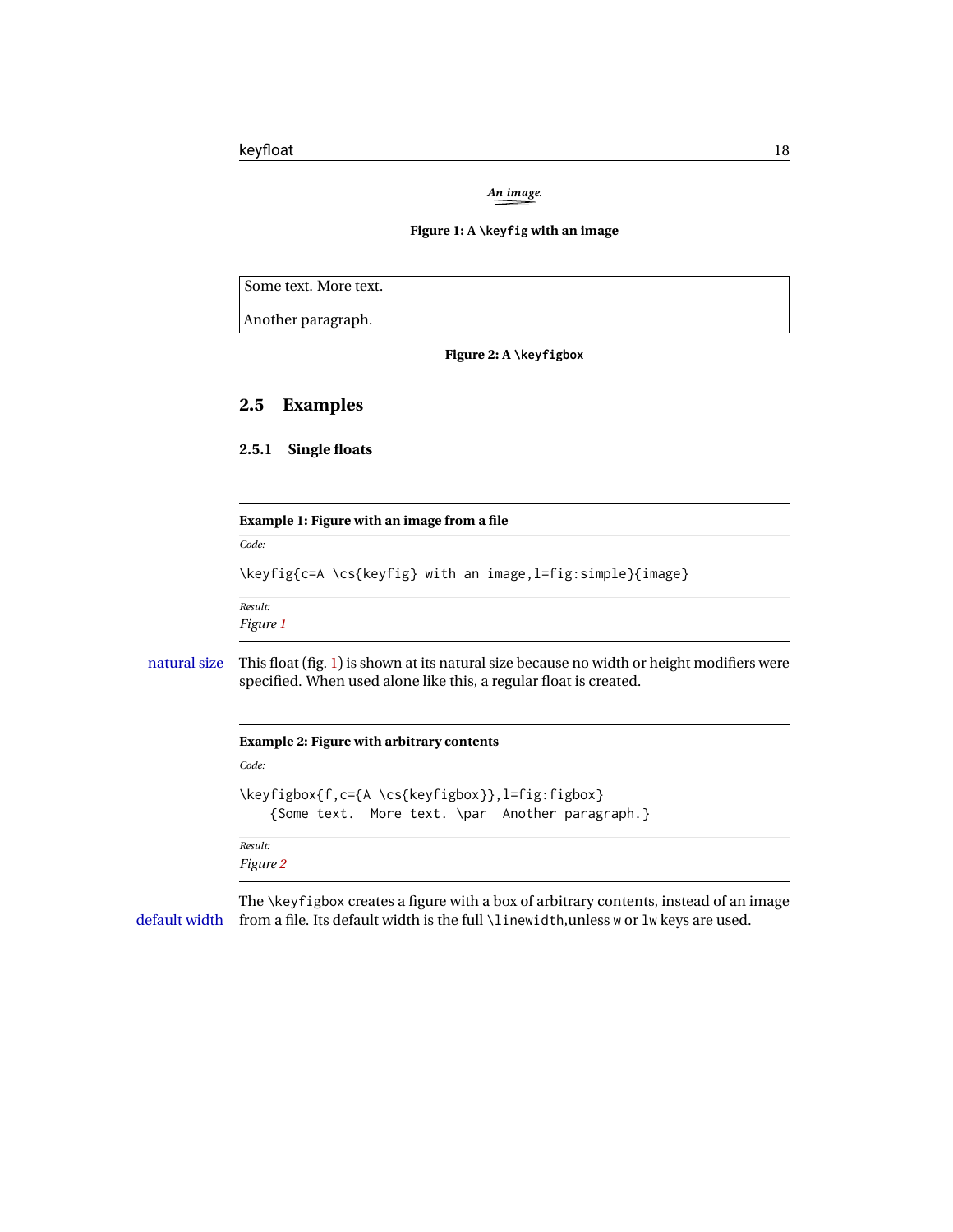*An image.*

#### **Figure 1: A \keyfig with an image**

<span id="page-17-5"></span><span id="page-17-4"></span>Some text. More text.

Another paragraph.

**Figure 2: A \keyfigbox**

### <span id="page-17-0"></span>**2.5 Examples**

<span id="page-17-2"></span><span id="page-17-1"></span>**2.5.1 Single floats**

|              | Example 1: Figure with an image from a file                                                                                                                     |  |  |  |  |
|--------------|-----------------------------------------------------------------------------------------------------------------------------------------------------------------|--|--|--|--|
|              | Code:                                                                                                                                                           |  |  |  |  |
|              | \keyfig{c=A \cs{keyfig} with an image,l=fig:simple}{image}                                                                                                      |  |  |  |  |
|              | Result:                                                                                                                                                         |  |  |  |  |
|              | Figure 1                                                                                                                                                        |  |  |  |  |
| natural size | This float (fig. 1) is shown at its natural size because no width or height modifiers were<br>specified. When used alone like this, a regular float is created. |  |  |  |  |
|              | <b>Example 2: Figure with arbitrary contents</b>                                                                                                                |  |  |  |  |
|              | Code:                                                                                                                                                           |  |  |  |  |
|              | \keyfigbox{f,c={A \cs{keyfigbox}},l=fig:figbox}<br>{Some text. More text. \par Another paragraph.}                                                              |  |  |  |  |
|              | Result:                                                                                                                                                         |  |  |  |  |
|              | Figure 2                                                                                                                                                        |  |  |  |  |

<span id="page-17-3"></span>The \keyfigbox creates a figure with a box of arbitrary contents, instead of an image default width from a file. Its default width is the full \linewidth,unless w or lw keys are used.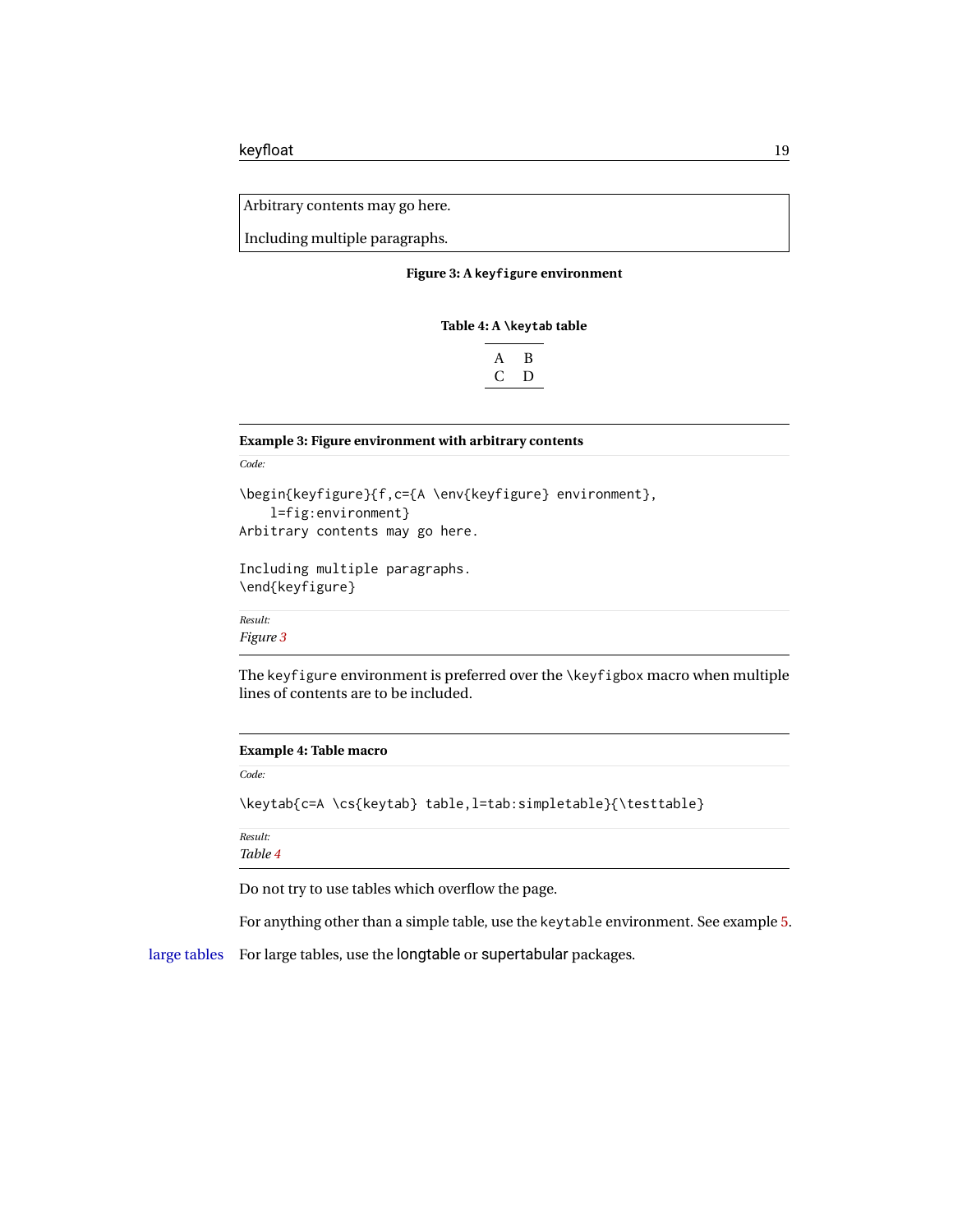<span id="page-18-2"></span>Arbitrary contents may go here.

<span id="page-18-3"></span>Including multiple paragraphs.

**Figure 3: A keyfigure environment**

#### **Table 4: A \keytab table**

|    | ĸ |
|----|---|
| Γ, | Ð |
|    |   |

#### <span id="page-18-0"></span>**Example 3: Figure environment with arbitrary contents**

*Code:*

```
\begin{keyfigure}{f,c={A \env{keyfigure} environment},
    l=fig:environment}
Arbitrary contents may go here.
```
Including multiple paragraphs. \end{keyfigure}

*Result: Figure [3](#page-18-2)*

The keyfigure environment is preferred over the \keyfigbox macro when multiple lines of contents are to be included.

#### <span id="page-18-1"></span>**Example 4: Table macro**

*Code:*

\keytab{c=A \cs{keytab} table,l=tab:simpletable}{\testtable}

*Result:*

*Table [4](#page-18-3)*

Do not try to use tables which overflow the page.

For anything other than a simple table, use the keytable environment. See example [5.](#page-19-0)

large tables For large tables, use the longtable or supertabular packages.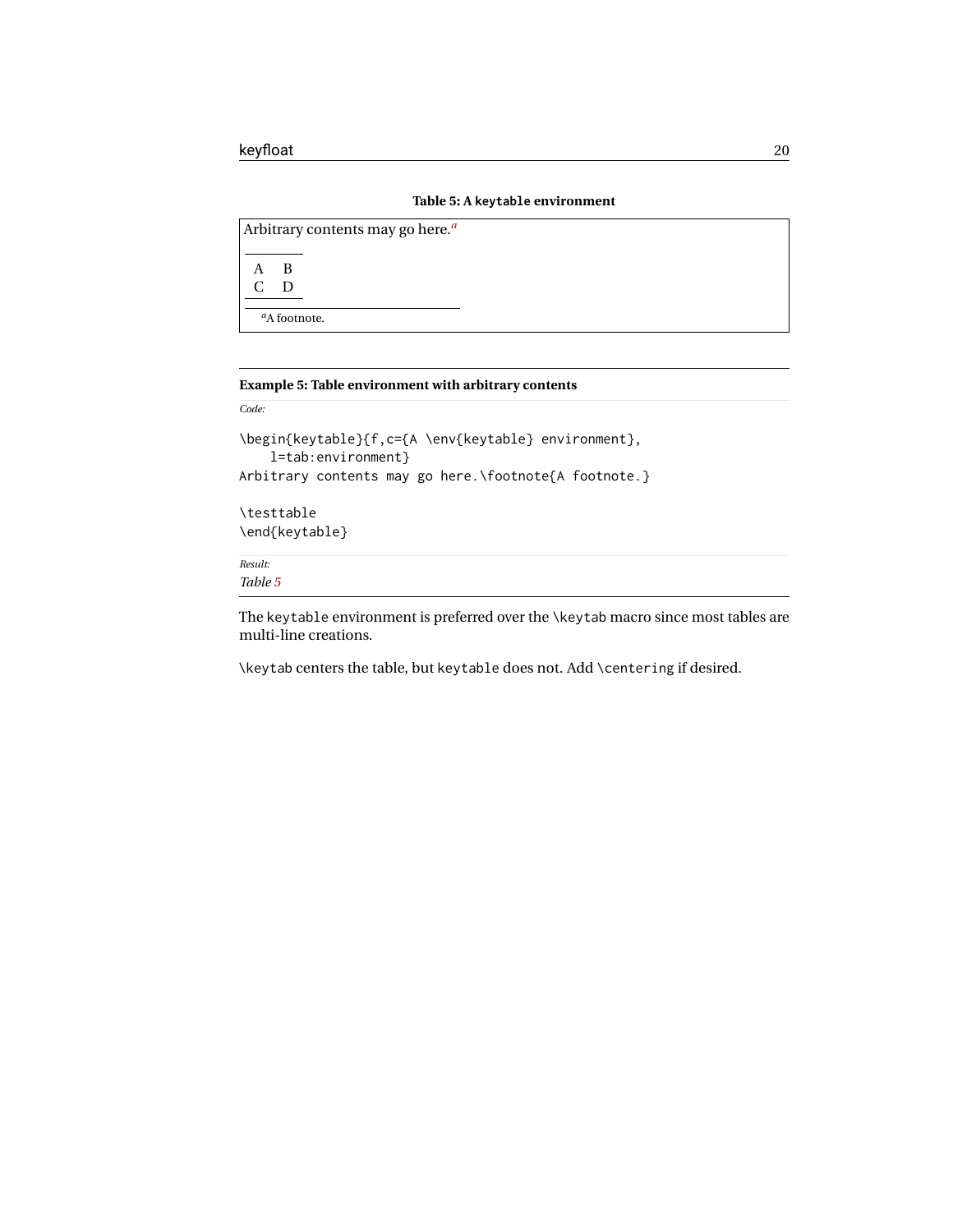|  | Table 5: A keytable environment |  |
|--|---------------------------------|--|
|  |                                 |  |

<span id="page-19-1"></span>

|  |                                 | Arbitrary contents may go here. <sup><i>a</i></sup> |  |  |  |  |  |  |  |
|--|---------------------------------|-----------------------------------------------------|--|--|--|--|--|--|--|
|  | - B                             |                                                     |  |  |  |  |  |  |  |
|  | D                               |                                                     |  |  |  |  |  |  |  |
|  | <sup><i>a</i></sup> A footnote. |                                                     |  |  |  |  |  |  |  |

#### <span id="page-19-2"></span><span id="page-19-0"></span>**Example 5: Table environment with arbitrary contents**

*Code:*

```
\begin{keytable}{f,c={A \env{keytable} environment},
    l=tab:environment}
Arbitrary contents may go here.\footnote{A footnote.}
```
\testtable \end{keytable}

*Result: Table [5](#page-19-1)*

The keytable environment is preferred over the \keytab macro since most tables are multi-line creations.

\keytab centers the table, but keytable does not. Add \centering if desired.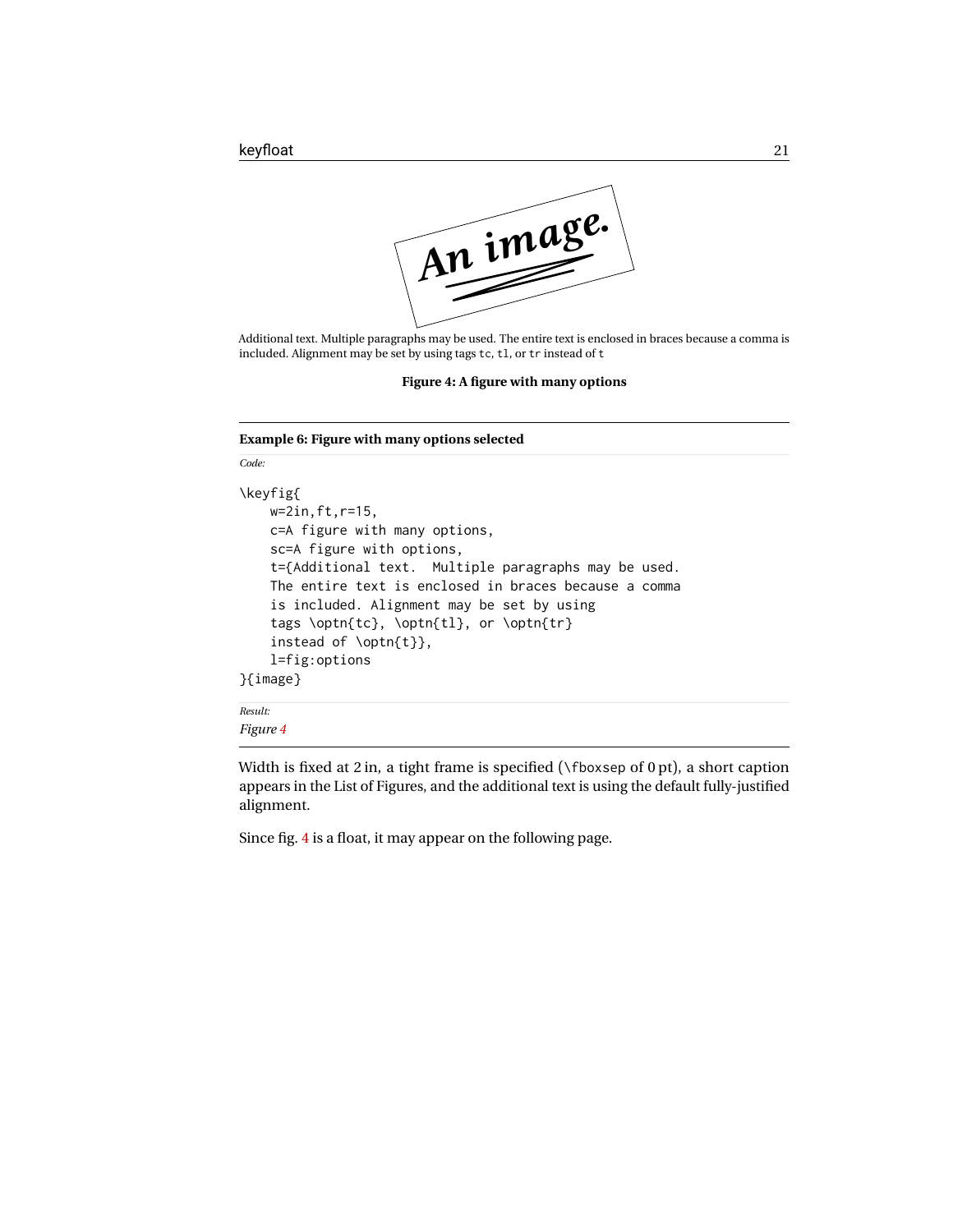<span id="page-20-1"></span>

Additional text. Multiple paragraphs may be used. The entire text is enclosed in braces because a comma is included. Alignment may be set by using tags tc, tl, or tr instead of t

**Figure 4: A figure with many options**

#### <span id="page-20-0"></span>**Example 6: Figure with many options selected**

*Code:*

```
\keyfig{
    w=2in,ft,r=15,
    c=A figure with many options,
    sc=A figure with options,
    t={Additional text. Multiple paragraphs may be used.
    The entire text is enclosed in braces because a comma
    is included. Alignment may be set by using
    tags \optn{tc}, \optn{tl}, or \optn{tr}
    instead of \optn{t}},
    l=fig:options
}{image}
Result:
```
*Figure [4](#page-20-1)*

Width is fixed at 2 in, a tight frame is specified ( $\f$ boxsep of 0 pt), a short caption appears in the List of Figures, and the additional text is using the default fully-justified alignment.

Since fig. [4](#page-20-1) is a float, it may appear on the following page.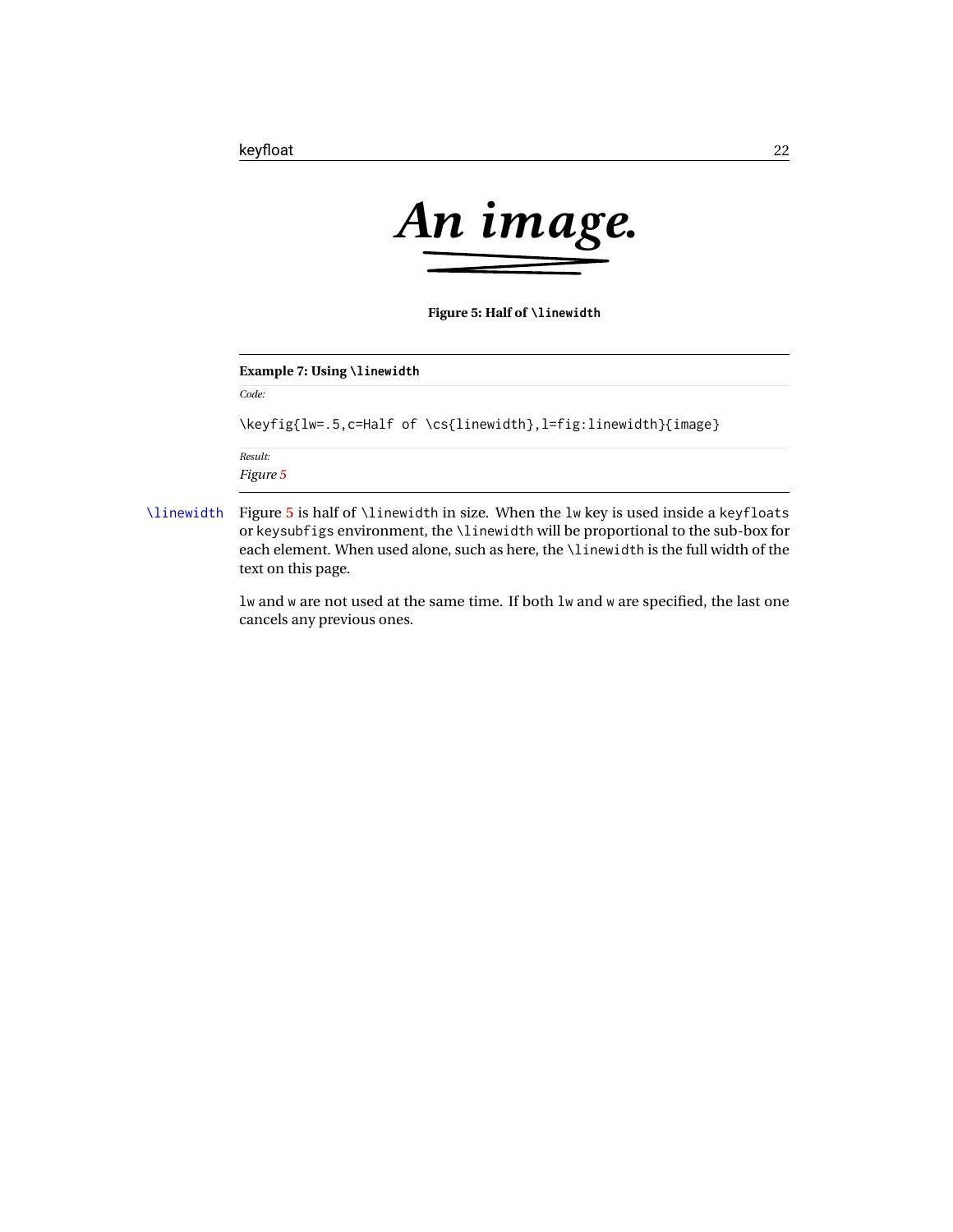<span id="page-21-1"></span>

**Figure 5: Half of \linewidth**

#### <span id="page-21-0"></span>**Example 7: Using \linewidth**

*Code:*

\keyfig{lw=.5,c=Half of \cs{linewidth},l=fig:linewidth}{image}

*Result: Figure [5](#page-21-1)*

\linewidth Figure [5](#page-21-1) is half of \linewidth in size. When the lw key is used inside a keyfloats or keysubfigs environment, the \linewidth will be proportional to the sub-box for each element. When used alone, such as here, the \linewidth is the full width of the text on this page.

> lw and w are not used at the same time. If both lw and w are specified, the last one cancels any previous ones.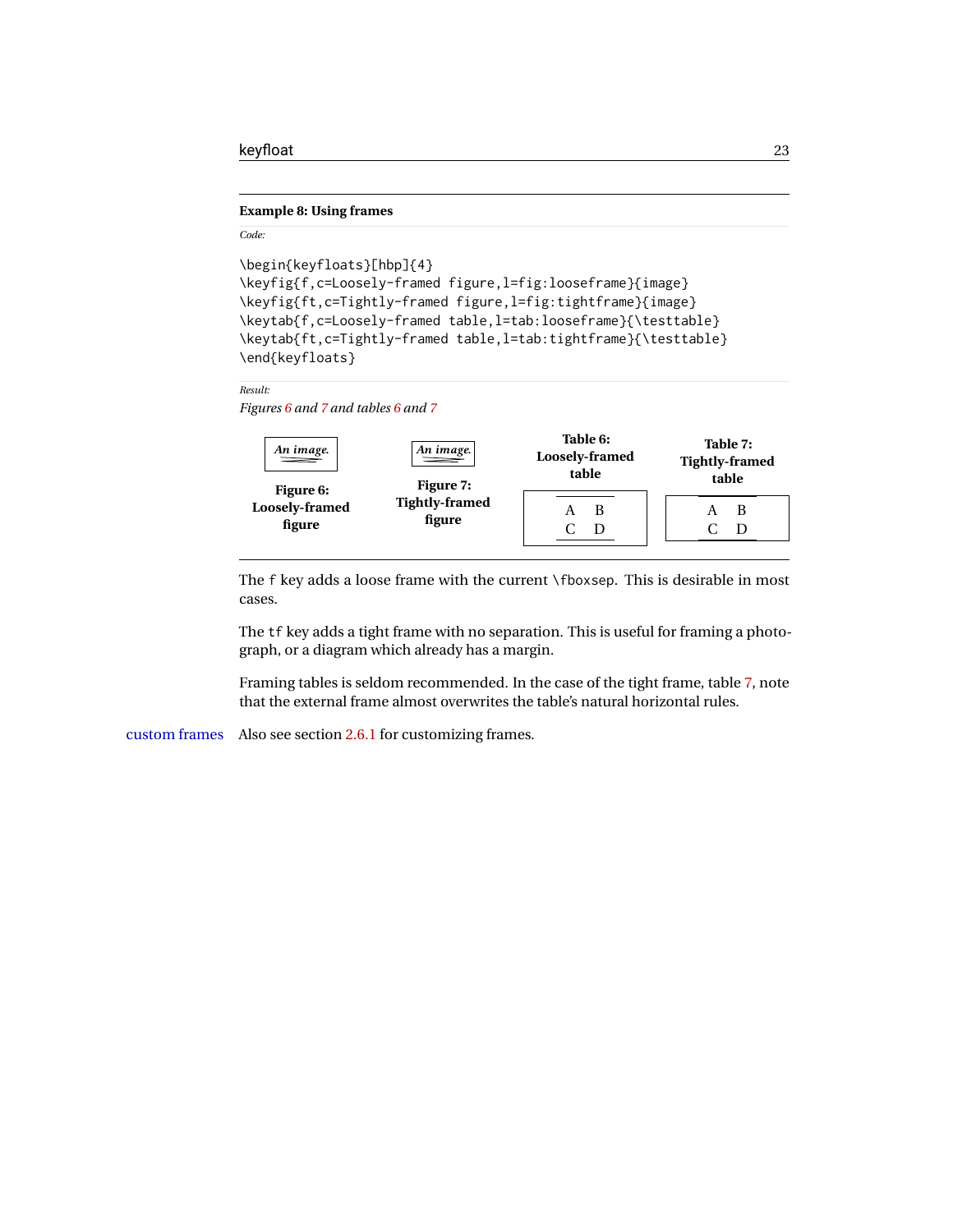#### <span id="page-22-0"></span>**Example 8: Using frames**

#### *Code:*

```
\begin{keyfloats}[hbp]{4}
\keyfig{f,c=Loosely-framed figure,l=fig:looseframe}{image}
\keyfig{ft,c=Tightly-framed figure,l=fig:tightframe}{image}
\keytab{f,c=Loosely-framed table,l=tab:looseframe}{\testtable}
\keytab{ft,c=Tightly-framed table,l=tab:tightframe}{\testtable}
\end{keyfloats}
```
#### *Result:*

<span id="page-22-4"></span><span id="page-22-3"></span><span id="page-22-2"></span>*Figures [6](#page-22-1) and [7](#page-22-2) and tables [6](#page-22-3) and [7](#page-22-4)*

<span id="page-22-1"></span>

The f key adds a loose frame with the current \fboxsep. This is desirable in most cases.

The tf key adds a tight frame with no separation. This is useful for framing a photograph, or a diagram which already has a margin.

Framing tables is seldom recommended. In the case of the tight frame, table [7,](#page-22-4) note that the external frame almost overwrites the table's natural horizontal rules.

custom frames Also see section [2.6.1](#page-45-1) for customizing frames.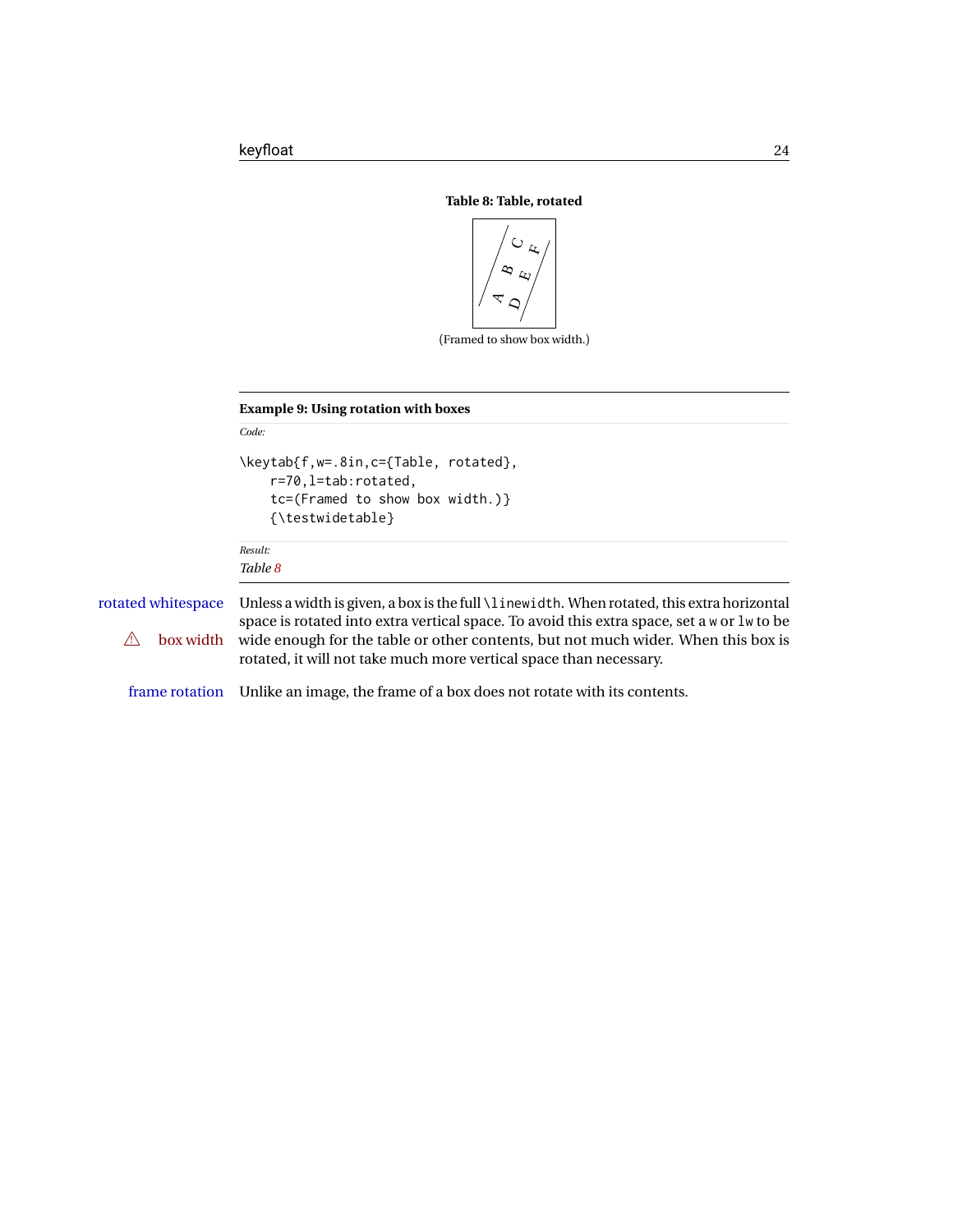<span id="page-23-1"></span>

(Framed to show box width.)

<span id="page-23-0"></span>**Example 9: Using rotation with boxes**

```
Code:
                     \keytab{f,w=.8in,c={Table, rotated},
                          r=70,l=tab:rotated,
                          tc=(Framed to show box width.)}
                          {\testwidetable}
                     Result:
                     Table 8
rotated whitespace Unless a width is given, a box is the full \linewidth. When rotated, this extra horizontal
                     space is rotated into extra vertical space. To avoid this extra space, set a w or lw to be
   \triangle box width wide enough for the table or other contents, but not much wider. When this box is
                     rotated, it will not take much more vertical space than necessary.
    frame rotation Unlike an image, the frame of a box does not rotate with its contents.
```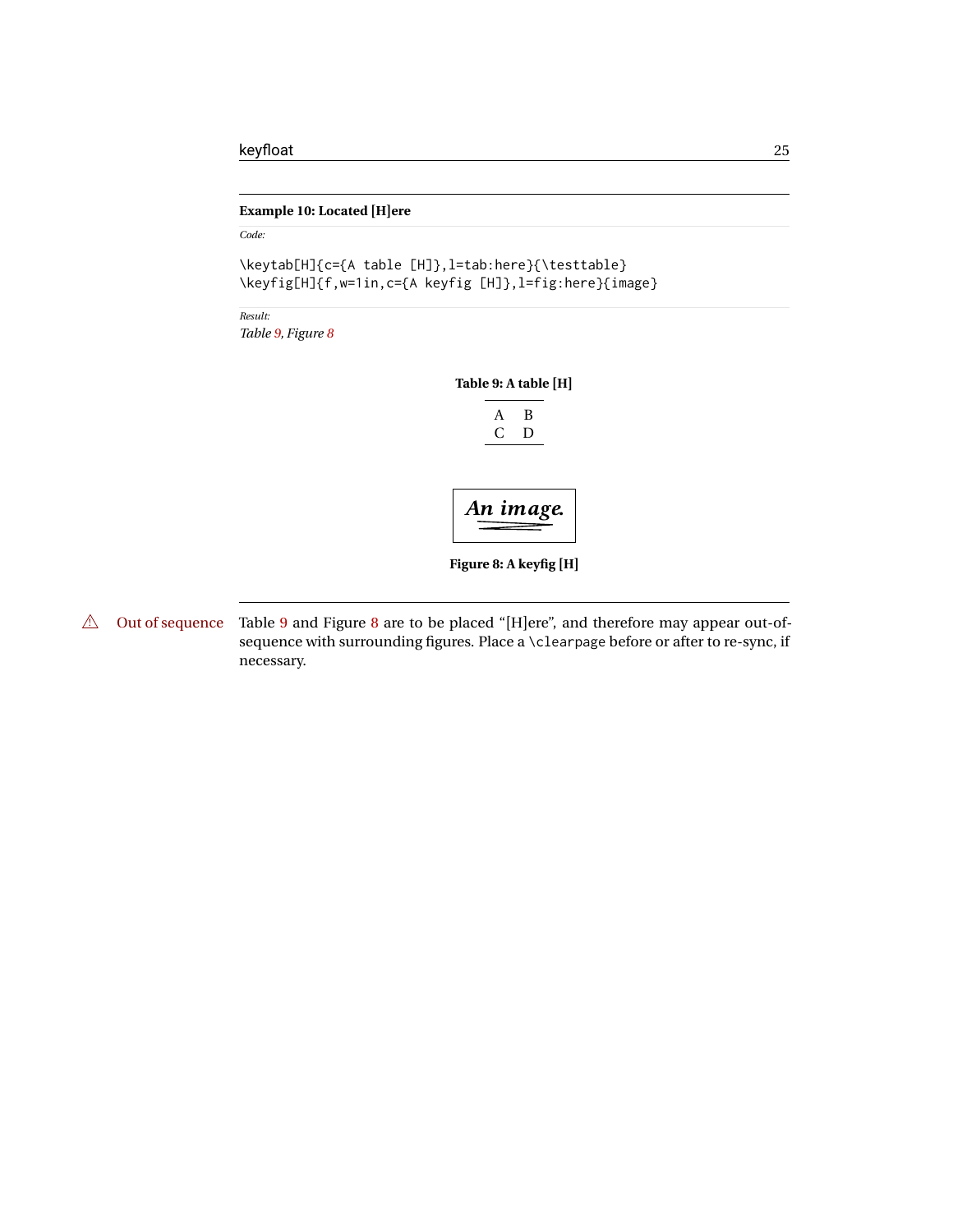#### <span id="page-24-0"></span>**Example 10: Located [H]ere**

*Code:*

\keytab[H]{c={A table [H]},l=tab:here}{\testtable} \keyfig[H]{f,w=1in,c={A keyfig [H]},l=fig:here}{image}

<span id="page-24-2"></span><span id="page-24-1"></span>*Result: Table [9,](#page-24-2) Figure [8](#page-24-1)*

**Table 9: A table [H]**

$$
\begin{array}{cc}A&B\\C&D\end{array}
$$

$$
\underbrace{\text{An image}}.
$$

**Figure 8: A keyfig [H]**

 $\triangle$  Out of sequence Table [9](#page-24-2) and Figure [8](#page-24-1) are to be placed "[H]ere", and therefore may appear out-ofsequence with surrounding figures. Place a \clearpage before or after to re-sync, if necessary.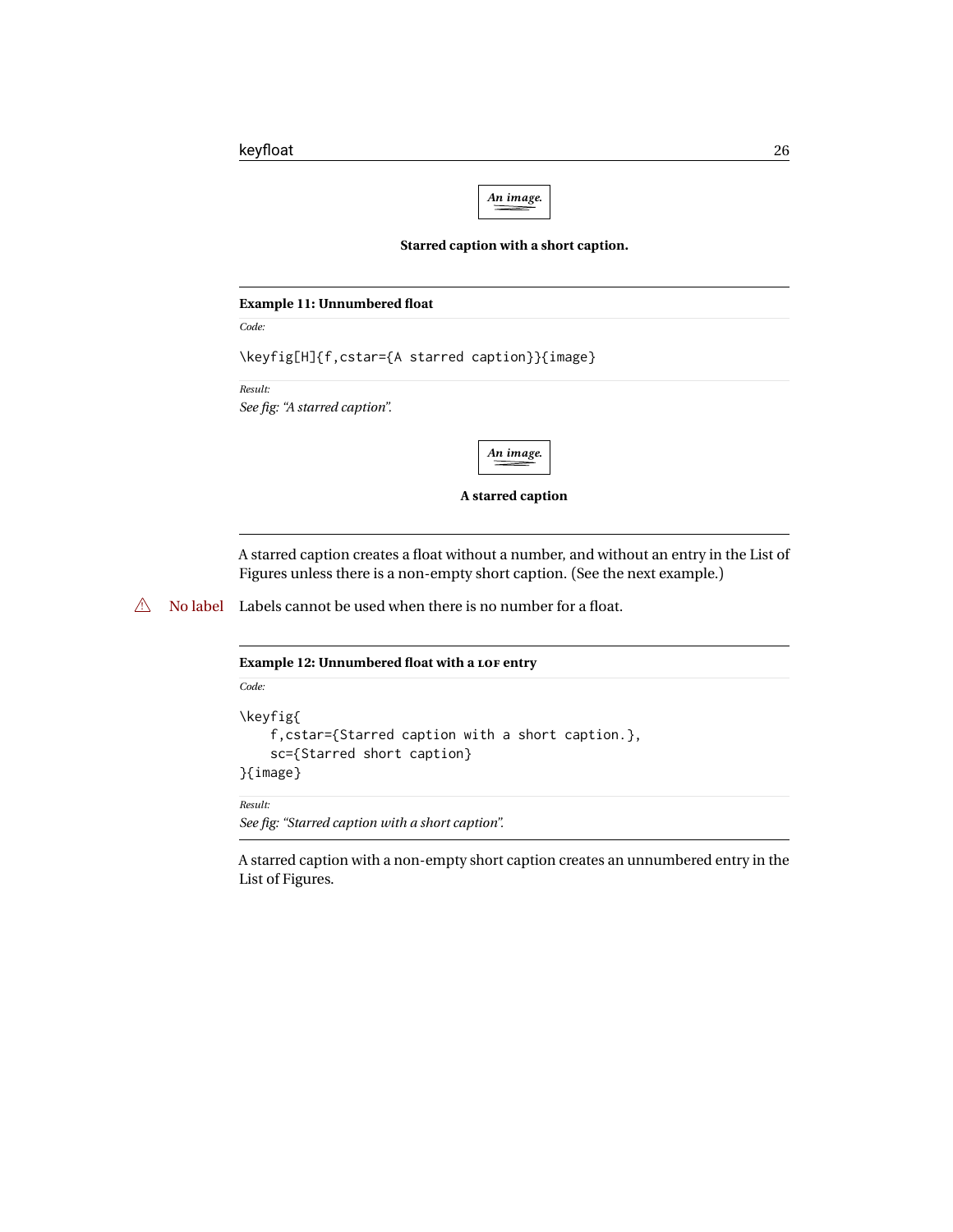

#### **Starred caption with a short caption.**

<span id="page-25-2"></span><span id="page-25-0"></span>

| <b>Example 11: Unnumbered float</b>      |                                                |  |
|------------------------------------------|------------------------------------------------|--|
| Code:                                    |                                                |  |
|                                          | \keyfig[H]{f,cstar={A starred caption}}{image} |  |
| Result:<br>See fig: "A starred caption". |                                                |  |
|                                          | An image.                                      |  |
|                                          | A starred caption                              |  |

A starred caption creates a float without a number, and without an entry in the List of Figures unless there is a non-empty short caption. (See the next example.)

 $\triangle$  No label Labels cannot be used when there is no number for a float.

<span id="page-25-1"></span>

| <b>Example 12: Unnumbered float with a LOF entry</b>                                                    |  |  |  |  |  |
|---------------------------------------------------------------------------------------------------------|--|--|--|--|--|
| Code                                                                                                    |  |  |  |  |  |
| \keyfig{<br>f, cstar={Starred caption with a short caption.},<br>sc={Starred short caption}<br>}{image} |  |  |  |  |  |
| Result:                                                                                                 |  |  |  |  |  |

*See fig: "Starred caption with a short caption".*

A starred caption with a non-empty short caption creates an unnumbered entry in the List of Figures.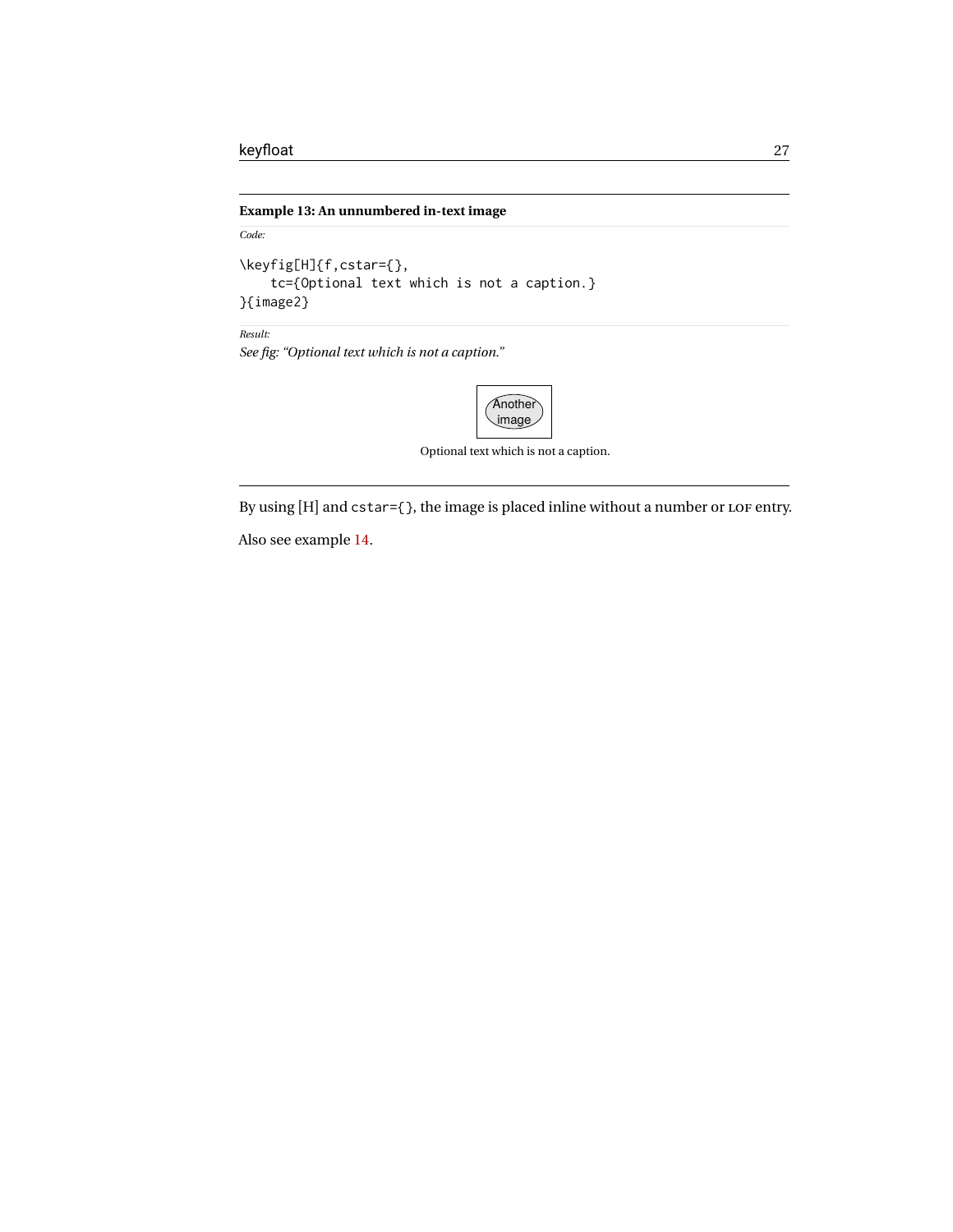#### <span id="page-26-0"></span>**Example 13: An unnumbered in-text image**

*Code:*

```
\keyfig[H]{f,cstar={},
    tc={Optional text which is not a caption.}
}{image2}
```
*Result:*

*See fig: "Optional text which is not a caption."*



Optional text which is not a caption.

By using [H] and cstar={}, the image is placed inline without a number or LOF entry.

Also see example [14.](#page-27-0)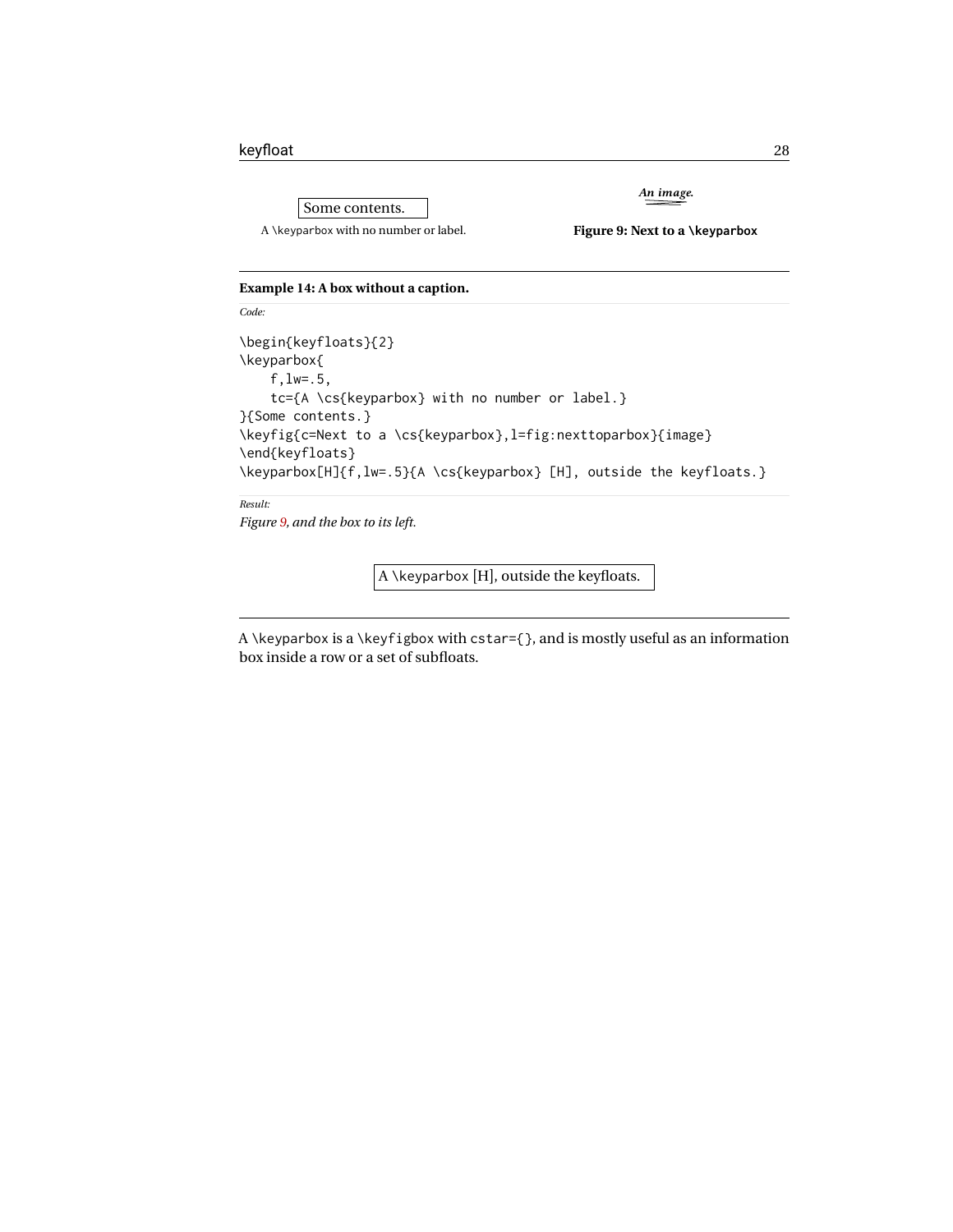Some contents. A \keyparbox with no number or label.

<span id="page-27-1"></span>**Figure 9: Next to a \keyparbox**

*An image.*

#### <span id="page-27-0"></span>**Example 14: A box without a caption.**

```
\begin{keyfloats}{2}
\keyparbox{
    f,lw=.5,
    tc={A \cs{keyparbox} with no number or label.}
}{Some contents.}
\keyfig{c=Next to a \cs{keyparbox},l=fig:nexttoparbox}{image}
\end{keyfloats}
\keyparbox[H]{f,lw=.5}{A \cs{keyparbox} [H], outside the keyfloats.}
```
*Result:*

*Code:*

*Figure [9,](#page-27-1) and the box to its left.*

 $|A \setminus \text{keyparbox}$  [H], outside the keyfloats.

A \keyparbox is a \keyfigbox with cstar={}, and is mostly useful as an information box inside a row or a set of subfloats.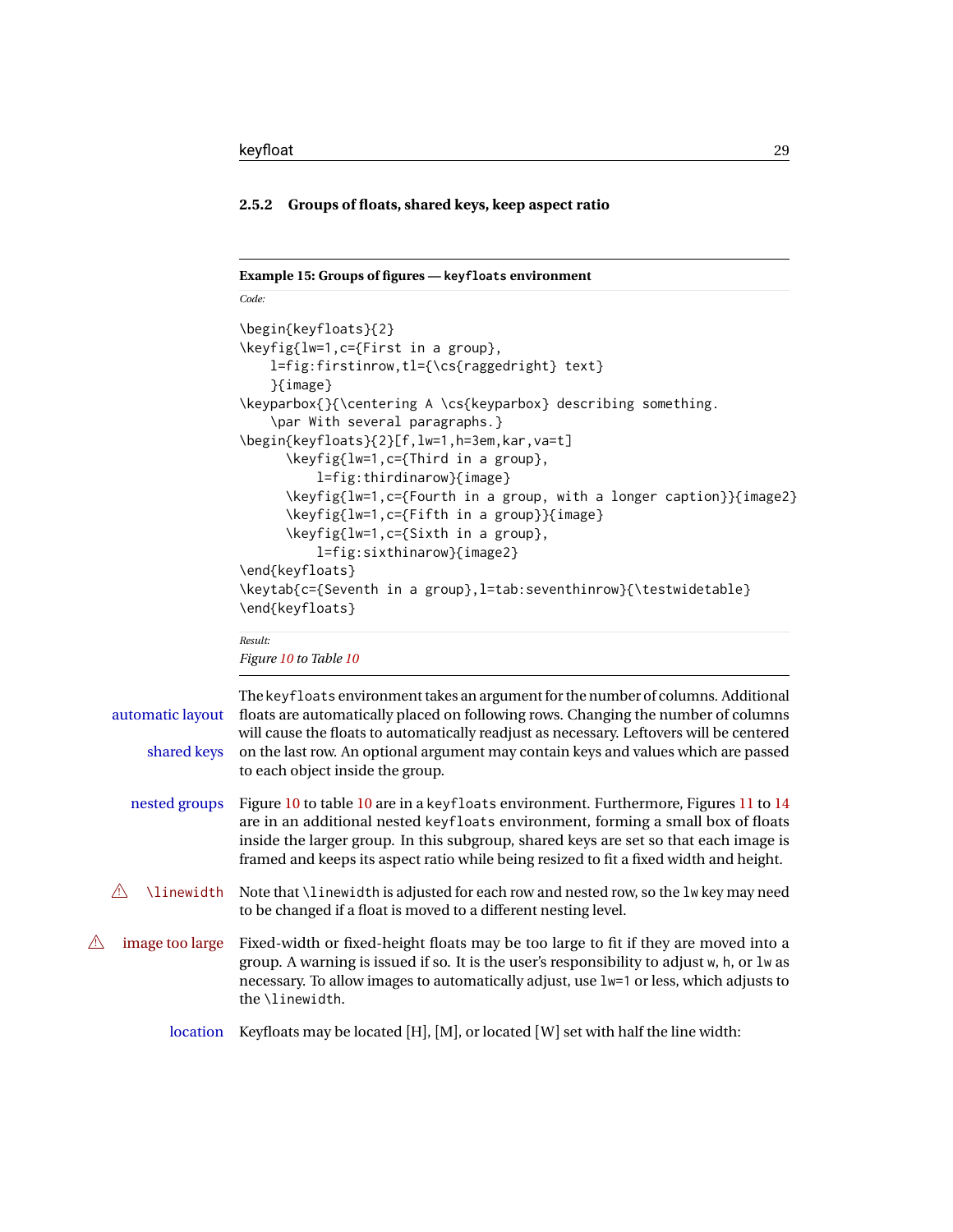#### <span id="page-28-0"></span>**2.5.2 Groups of floats, shared keys, keep aspect ratio**

```
Example 15: Groups of figures — keyfloats environment
Code:
\begin{keyfloats}{2}
\keyfig{lw=1,c={First in a group},
    l=fig:firstinrow,tl={\cs{raggedright} text}
    }{image}
\keyparbox{}{\centering A \cs{keyparbox} describing something.
    \par With several paragraphs.}
\begin{keyfloats}{2}[f,lw=1,h=3em,kar,va=t]
      \keyfig{lw=1,c={Third in a group},
          l=fig:thirdinarow}{image}
      \keyfig{lw=1,c={Fourth in a group, with a longer caption}}{image2}
      \keyfig{lw=1,c={Fifth in a group}}{image}
      \keyfig{lw=1,c={Sixth in a group},
          l=fig:sixthinarow}{image2}
\end{keyfloats}
\keytab{c={Seventh in a group},l=tab:seventhinrow}{\testwidetable}
\end{keyfloats}
```

```
Result:
Figure 10 to Table 10
```

| automatic layout<br>shared keys | The keyfloats environment takes an argument for the number of columns. Additional<br>floats are automatically placed on following rows. Changing the number of columns<br>will cause the floats to automatically readjust as necessary. Leftovers will be centered<br>on the last row. An optional argument may contain keys and values which are passed<br>to each object inside the group. |
|---------------------------------|----------------------------------------------------------------------------------------------------------------------------------------------------------------------------------------------------------------------------------------------------------------------------------------------------------------------------------------------------------------------------------------------|
| nested groups                   | Figure 10 to table 10 are in a keyfloats environment. Furthermore, Figures 11 to 14<br>are in an additional nested keyfloats environment, forming a small box of floats<br>inside the larger group. In this subgroup, shared keys are set so that each image is<br>framed and keeps its aspect ratio while being resized to fit a fixed width and height.                                    |
| <b>\linewidth</b>               | Note that \linewidth is adjusted for each row and nested row, so the lw key may need<br>to be changed if a float is moved to a different nesting level.                                                                                                                                                                                                                                      |
| image too large                 | Fixed-width or fixed-height floats may be too large to fit if they are moved into a<br>group. A warning is issued if so. It is the user's responsibility to adjust w, h, or lw as<br>necessary. To allow images to automatically adjust, use 1w=1 or less, which adjusts to<br>the <i>\linewidth</i> .                                                                                       |
| <i>location</i>                 | Keyfloats may be located [H], [M], or located [W] set with half the line width:                                                                                                                                                                                                                                                                                                              |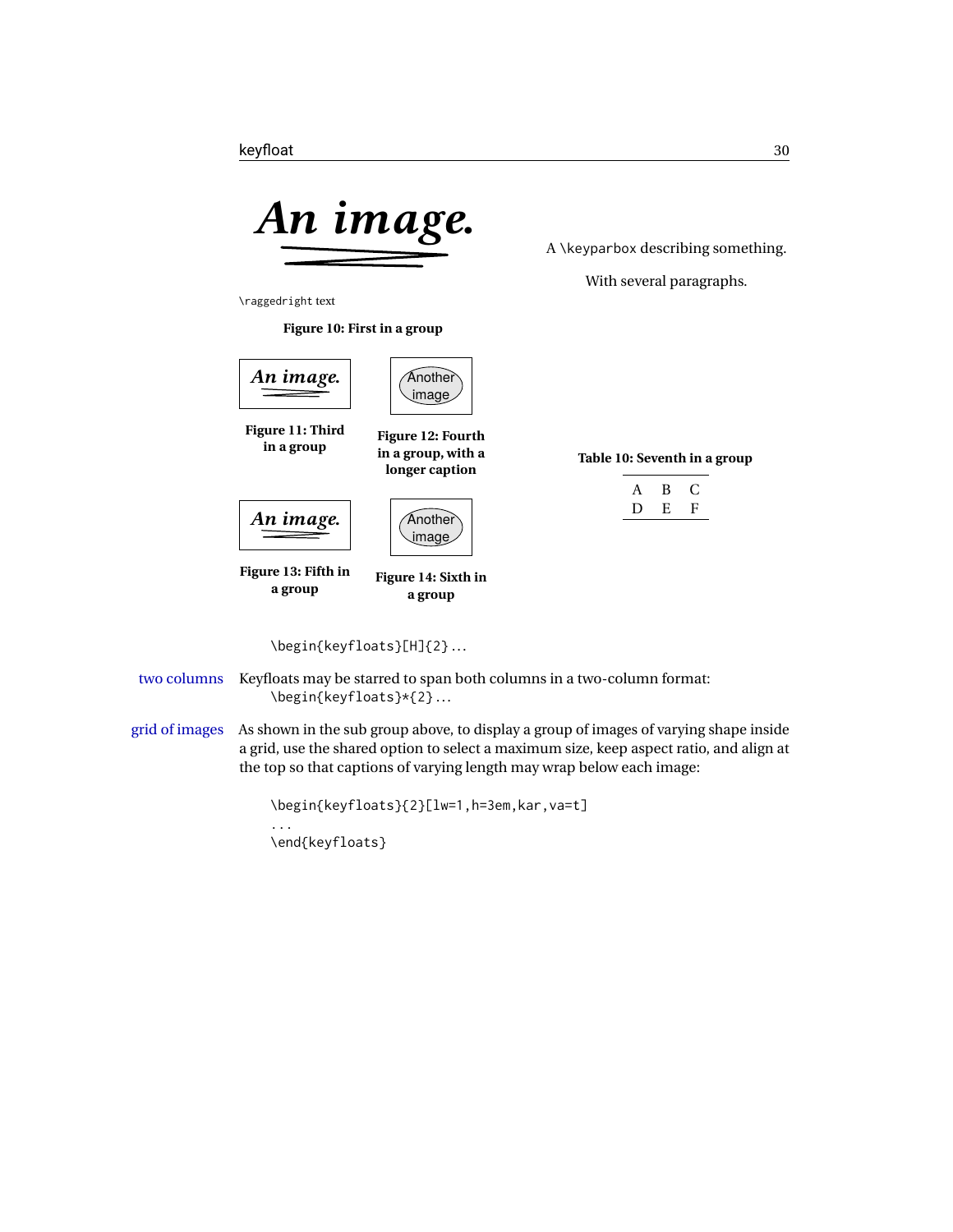<span id="page-29-0"></span>

A \keyparbox describing something.

<span id="page-29-5"></span>With several paragraphs.

\raggedright text

<span id="page-29-2"></span>**Figure 10: First in a group**

<span id="page-29-3"></span><span id="page-29-1"></span>

<span id="page-29-4"></span>

two columns Keyfloats may be starred to span both columns in a two-column format: \begin{keyfloats}\*{2} .. .

grid of images As shown in the sub group above, to display a group of images of varying shape inside a grid, use the shared option to select a maximum size, keep aspect ratio, and align at the top so that captions of varying length may wrap below each image:

```
\begin{keyfloats}{2}[lw=1,h=3em,kar,va=t]
...
\end{keyfloats}
```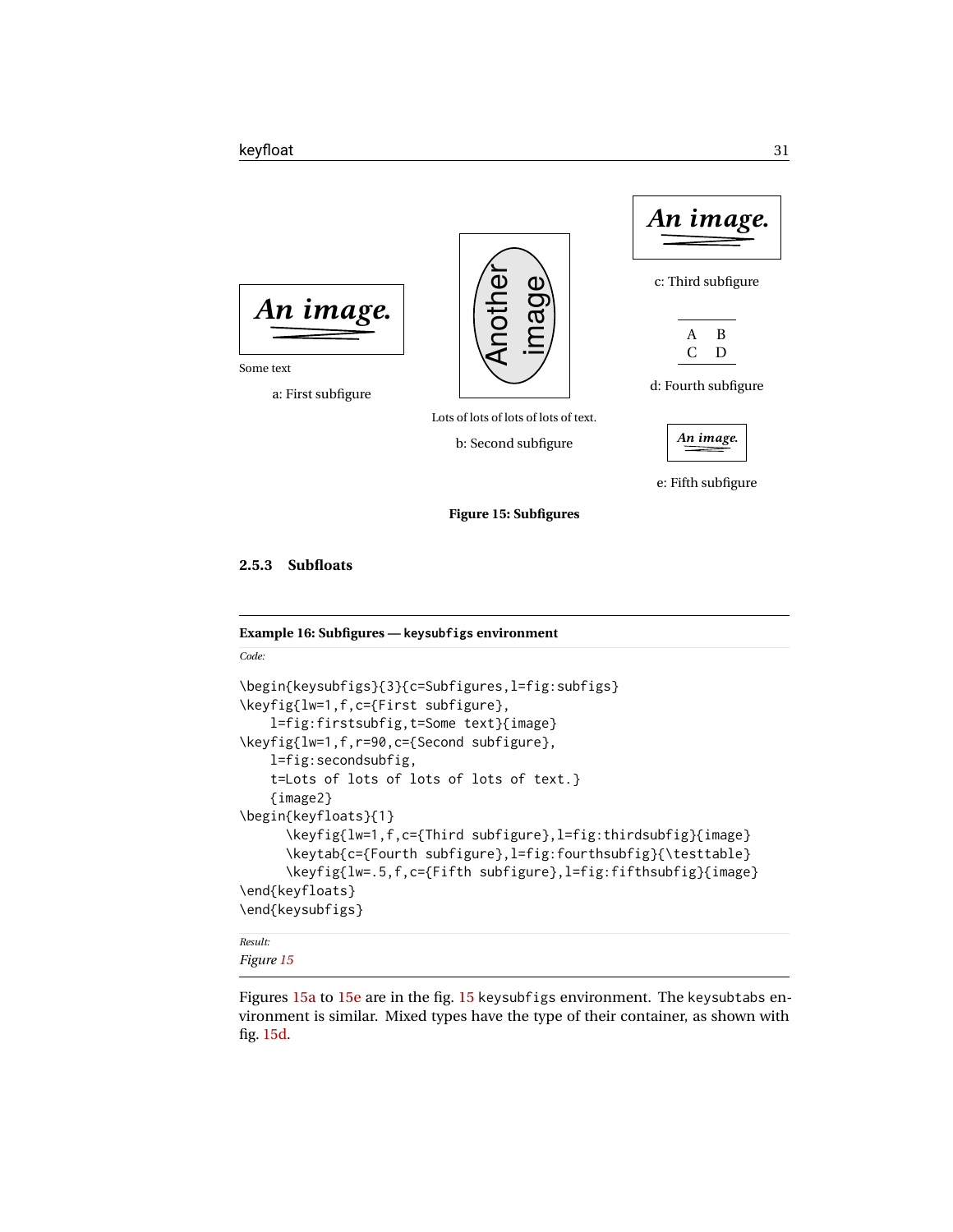<span id="page-30-2"></span>

e: Fifth subfigure

**Figure 15: Subfigures**

<span id="page-30-0"></span>**2.5.3 Subfloats**

<span id="page-30-1"></span>**Example 16: Subfigures — keysubfigs environment**

```
Code:
```

```
\begin{keysubfigs}{3}{c=Subfigures,l=fig:subfigs}
\keyfig{lw=1,f,c={First subfigure},
    l=fig:firstsubfig,t=Some text}{image}
\keyfig{lw=1,f,r=90,c={Second subfigure},
    l=fig:secondsubfig,
    t=Lots of lots of lots of lots of text.}
    {image2}
\begin{keyfloats}{1}
      \keyfig{lw=1,f,c={Third subfigure},l=fig:thirdsubfig}{image}
      \keytab{c={Fourth subfigure},l=fig:fourthsubfig}{\testtable}
      \keyfig{lw=.5,f,c={Fifth subfigure},l=fig:fifthsubfig}{image}
\end{keyfloats}
\end{keysubfigs}
Result:
```
*Figure [15](#page-30-2)*

Figures [15a](#page-30-2) to [15e](#page-30-2) are in the fig. [15](#page-30-2) keysubfigs environment. The keysubtabs environment is similar. Mixed types have the type of their container, as shown with fig. [15d.](#page-30-2)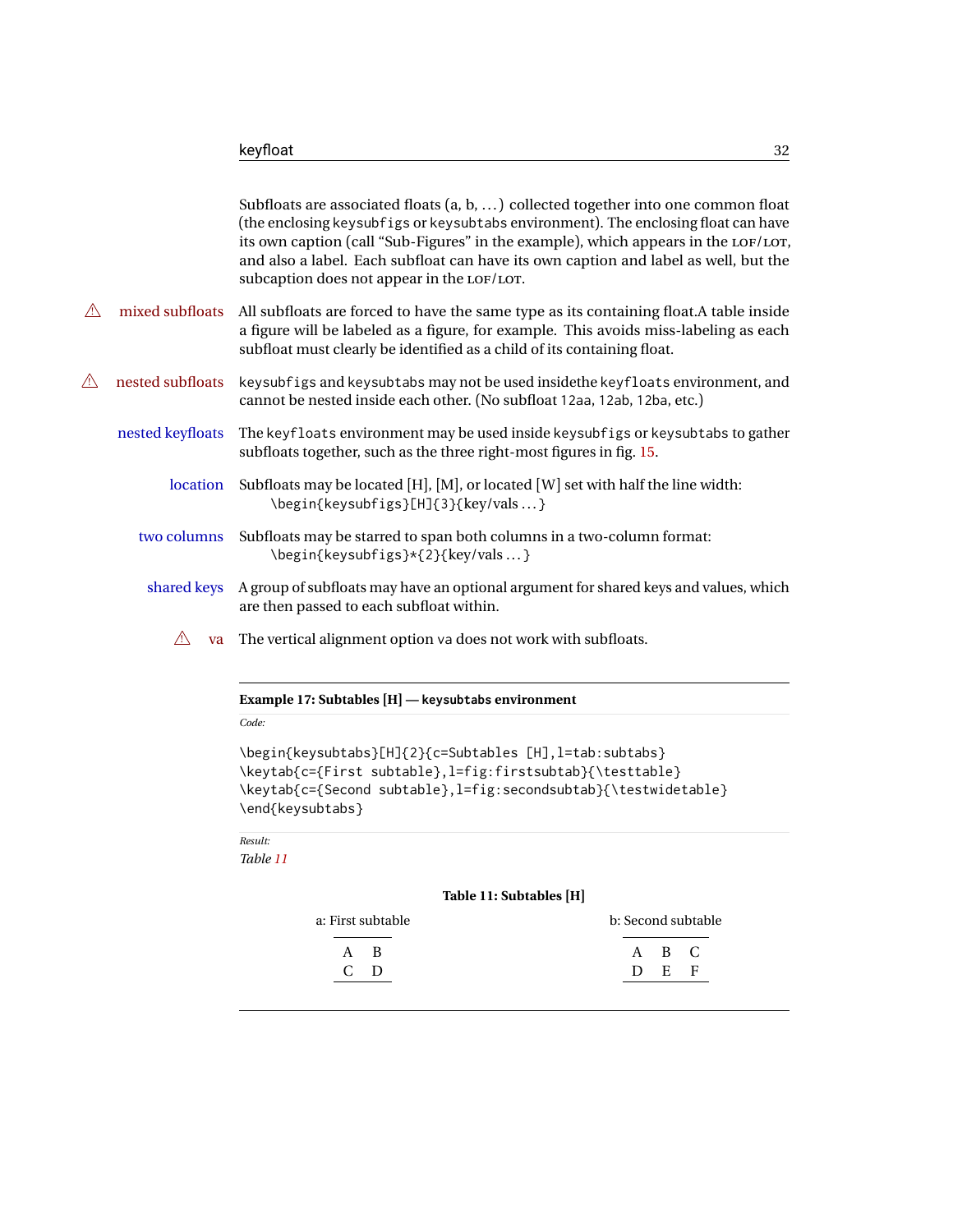|          |                  | Subfloats are associated floats $(a, b, )$ collected together into one common float<br>(the enclosing keysubfigs or keysubtabs environment). The enclosing float can have<br>its own caption (call "Sub-Figures" in the example), which appears in the LOF/LOT,<br>and also a label. Each subfloat can have its own caption and label as well, but the<br>subcaption does not appear in the LOF/LOT. |
|----------|------------------|------------------------------------------------------------------------------------------------------------------------------------------------------------------------------------------------------------------------------------------------------------------------------------------------------------------------------------------------------------------------------------------------------|
| ⚠        | mixed subfloats  | All subfloats are forced to have the same type as its containing float. A table inside<br>a figure will be labeled as a figure, for example. This avoids miss-labeling as each<br>subfloat must clearly be identified as a child of its containing float.                                                                                                                                            |
| <u>A</u> | nested subfloats | keysubfigs and keysubtabs may not be used inside the keyfloats environment, and<br>cannot be nested inside each other. (No subfloat 12aa, 12ab, 12ba, etc.)                                                                                                                                                                                                                                          |
|          | nested keyfloats | The keyfloats environment may be used inside keysubfigs or keysubtabs to gather<br>subfloats together, such as the three right-most figures in fig. 15.                                                                                                                                                                                                                                              |
|          | location         | Subfloats may be located [H], [M], or located [W] set with half the line width:<br>\begin{keysubfigs}[H]{3}{key/vals}                                                                                                                                                                                                                                                                                |
|          | two columns      | Subfloats may be starred to span both columns in a two-column format:<br>\begin{keysubfigs}*{2}{key/vals}                                                                                                                                                                                                                                                                                            |
|          | shared keys      | A group of subfloats may have an optional argument for shared keys and values, which<br>are then passed to each subfloat within.                                                                                                                                                                                                                                                                     |
|          | $\sqrt{N}$       | va The vertical alignment option va does not work with subfloats.                                                                                                                                                                                                                                                                                                                                    |

<span id="page-31-0"></span>

|  |  |  |  |  | Example 17: Subtables [H] — keysubtabs environment |
|--|--|--|--|--|----------------------------------------------------|
|--|--|--|--|--|----------------------------------------------------|

*Code:*

\begin{keysubtabs}[H]{2}{c=Subtables [H], l=tab:subtabs} \keytab{c={First subtable},l=fig:firstsubtab}{\testtable} \keytab{c={Second subtable},l=fig:secondsubtab}{\testwidetable} \end{keysubtabs}

*Result:*

<span id="page-31-1"></span>*Table [11](#page-31-1)*

#### **Table 11: Subtables [H]**

| a: First subtable | b: Second subtable |  |
|-------------------|--------------------|--|
| A R               | A B C              |  |
| $c_{\rm D}$       | D E F              |  |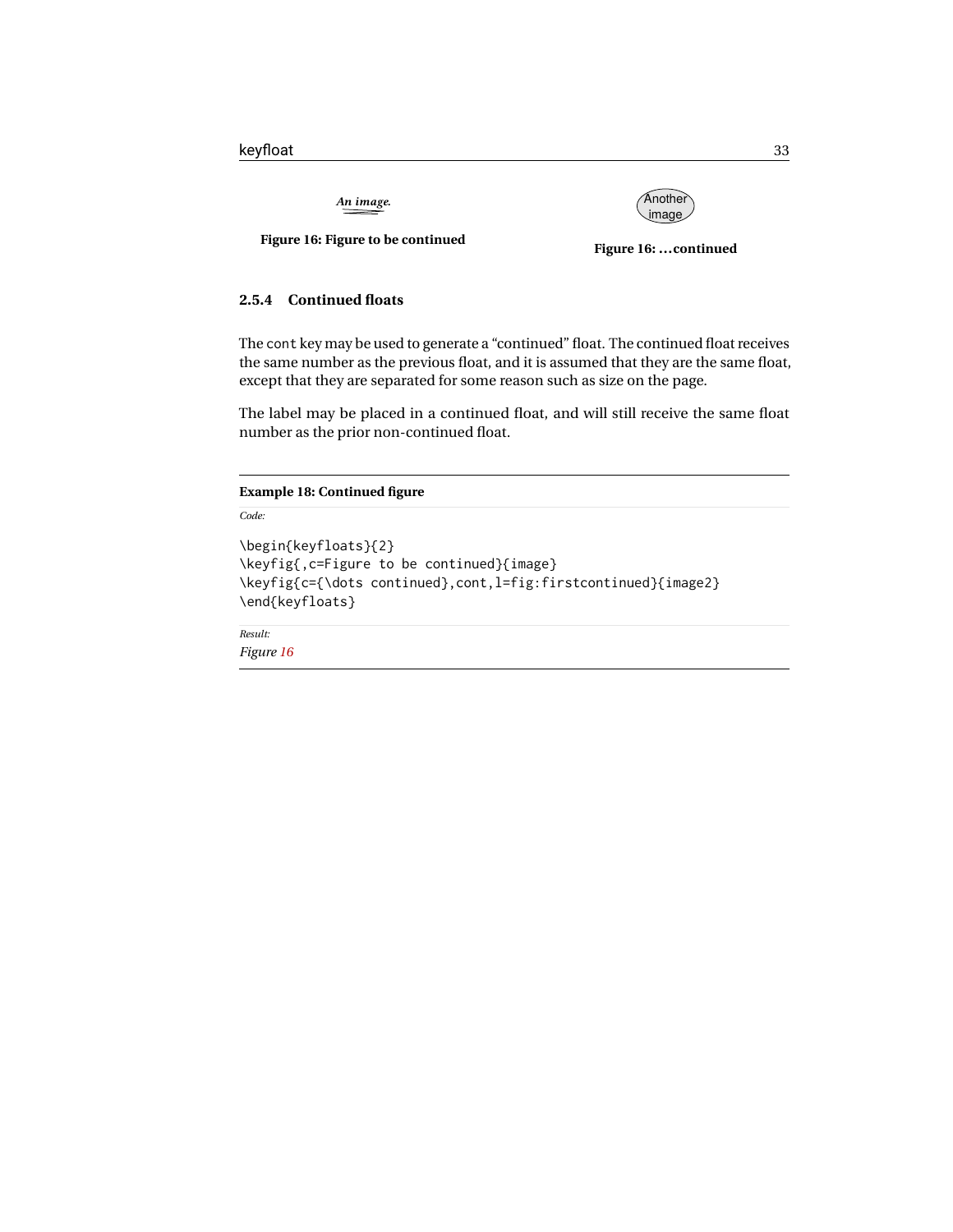*An image.*



<span id="page-32-2"></span>**Figure 16: Figure to be continued**

<span id="page-32-3"></span>**Figure 16: ...continued**

#### <span id="page-32-0"></span>**2.5.4 Continued floats**

The cont key may be used to generate a "continued" float. The continued float receives the same number as the previous float, and it is assumed that they are the same float, except that they are separated for some reason such as size on the page.

The label may be placed in a continued float, and will still receive the same float number as the prior non-continued float.

#### <span id="page-32-1"></span>**Example 18: Continued figure**

```
Code:
\begin{keyfloats}{2}
\keyfig{,c=Figure to be continued}{image}
\keyfig{c={\dots continued},cont,l=fig:firstcontinued}{image2}
\end{keyfloats}
Result:
```
*Figure [16](#page-32-3)*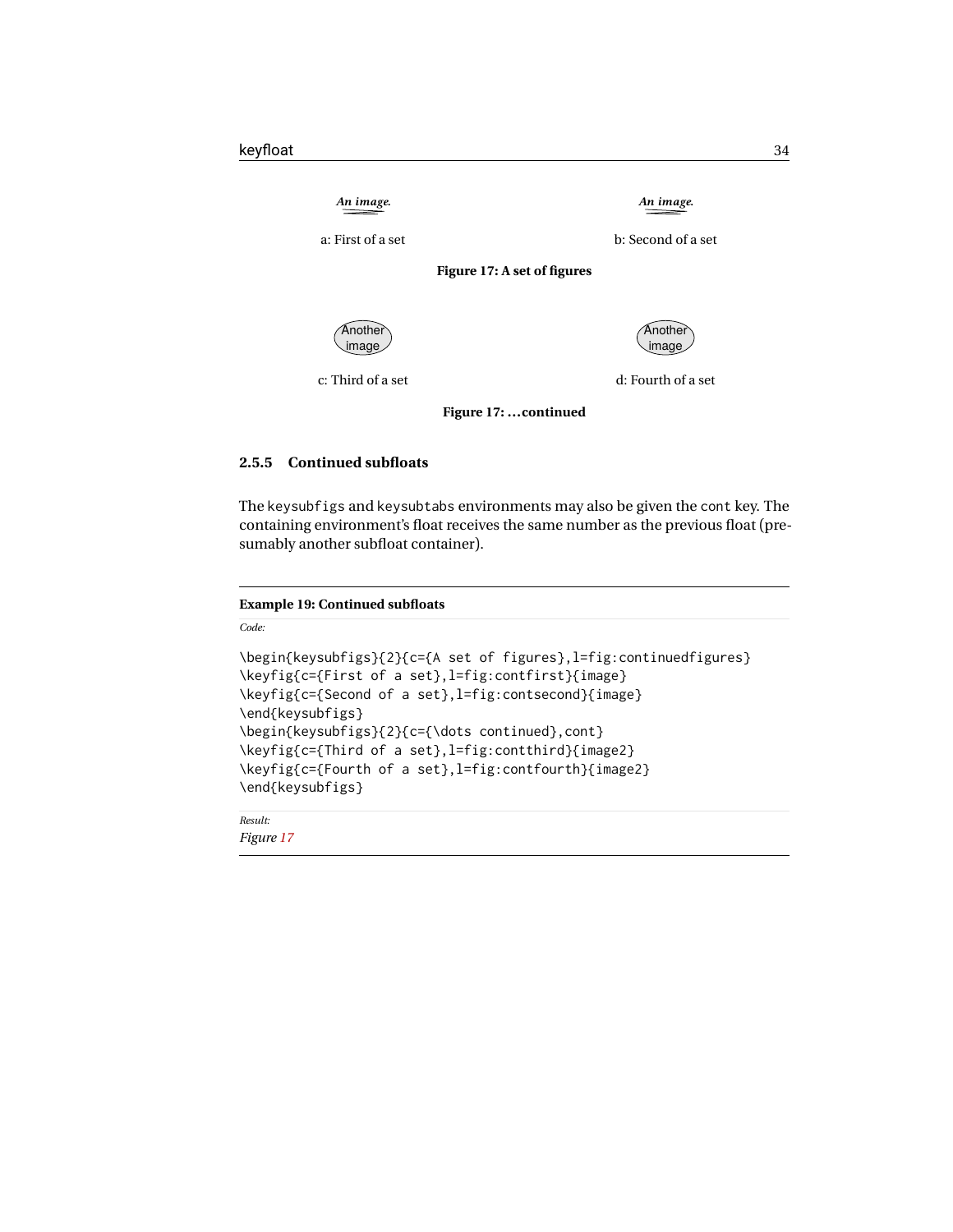<span id="page-33-3"></span><span id="page-33-2"></span>

#### <span id="page-33-0"></span>**2.5.5 Continued subfloats**

The keysubfigs and keysubtabs environments may also be given the cont key. The containing environment's float receives the same number as the previous float (presumably another subfloat container).

#### <span id="page-33-1"></span>**Example 19: Continued subfloats**

*Code:*

```
\begin{keysubfigs}{2}{c={A set of figures},l=fig:continuedfigures}
\keyfig{c={First of a set},l=fig:contfirst}{image}
\keyfig{c={Second of a set},l=fig:contsecond}{image}
\end{keysubfigs}
\begin{keysubfigs}{2}{c={\dots continued},cont}
\keyfig{c={Third of a set},l=fig:contthird}{image2}
\keyfig{c={Fourth of a set},l=fig:contfourth}{image2}
\end{keysubfigs}
```
*Result: Figure [17](#page-33-2)*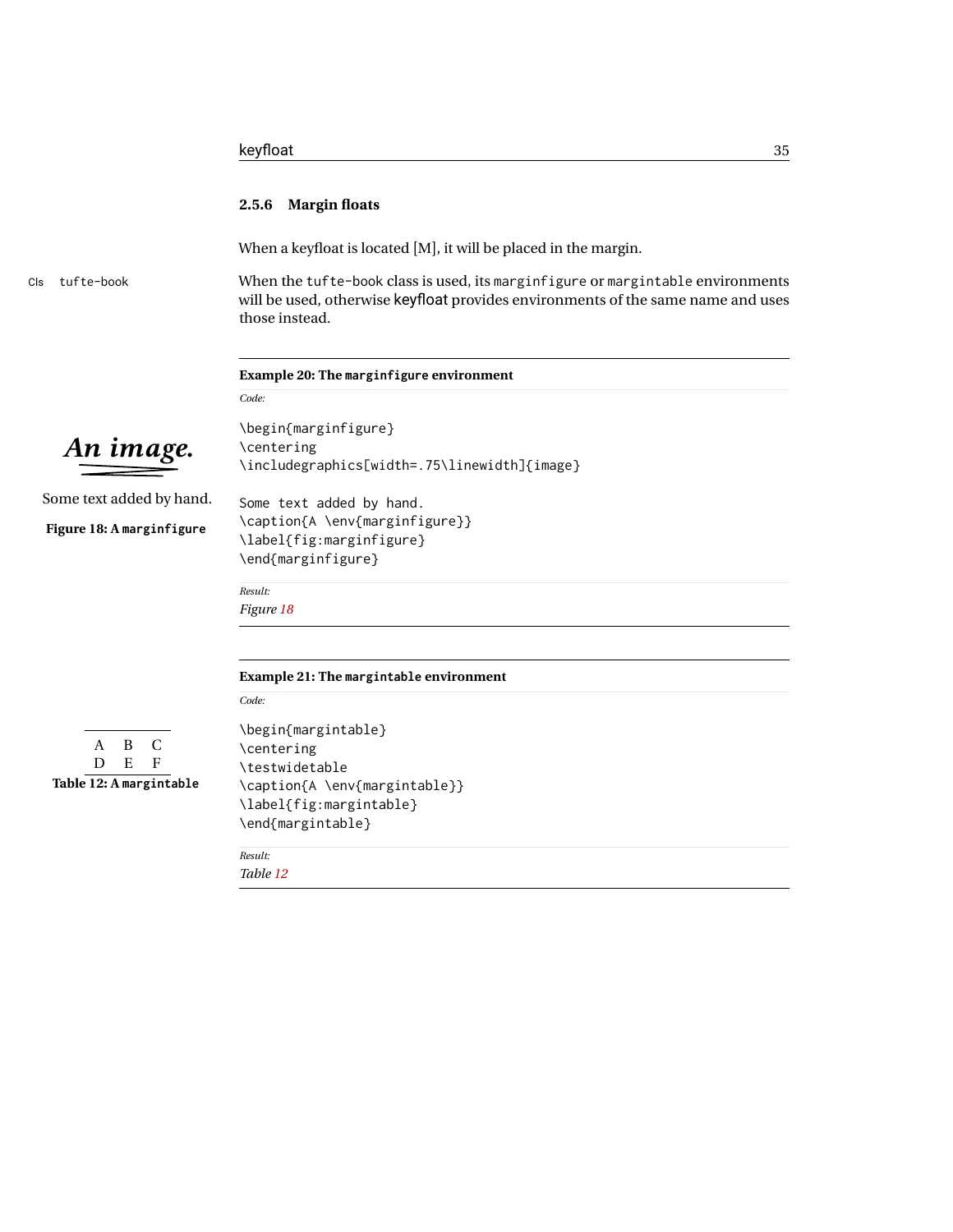<span id="page-34-4"></span><span id="page-34-3"></span><span id="page-34-2"></span><span id="page-34-1"></span><span id="page-34-0"></span>

|                                  | keyfloat<br>35                                                                                                                                                                        |
|----------------------------------|---------------------------------------------------------------------------------------------------------------------------------------------------------------------------------------|
|                                  | 2.5.6 Margin floats                                                                                                                                                                   |
|                                  | When a keyfloat is located [M], it will be placed in the margin.                                                                                                                      |
| tufte-book<br>Cls                | When the tufte-book class is used, its marginfigure or margintable environments<br>will be used, otherwise keyfloat provides environments of the same name and uses<br>those instead. |
|                                  | Example 20: The marginfigure environment                                                                                                                                              |
|                                  | Code:                                                                                                                                                                                 |
|                                  | \begin{marginfigure}                                                                                                                                                                  |
| An image.                        | \centering                                                                                                                                                                            |
|                                  | \includegraphics[width=.75\linewidth]{image}                                                                                                                                          |
| Some text added by hand.         | Some text added by hand.                                                                                                                                                              |
|                                  | \caption{A \env{marginfigure}}                                                                                                                                                        |
| Figure 18: A marginfigure        | \label{fig:marginfigure}                                                                                                                                                              |
|                                  | \end{marginfigure}                                                                                                                                                                    |
|                                  | Result:                                                                                                                                                                               |
|                                  | Figure 18                                                                                                                                                                             |
|                                  |                                                                                                                                                                                       |
|                                  | Example 21: The margintable environment                                                                                                                                               |
|                                  | Code:                                                                                                                                                                                 |
|                                  | \begin{margintable}                                                                                                                                                                   |
| B<br>C<br>A                      | \centering                                                                                                                                                                            |
| $\mathbf E$<br>D<br>$\mathbf{F}$ | \testwidetable                                                                                                                                                                        |
| Table 12: A margintable          | \caption{A \env{margintable}}                                                                                                                                                         |
|                                  | \label{fig:margintable}                                                                                                                                                               |
|                                  | \end{margintable}                                                                                                                                                                     |
|                                  | Result:                                                                                                                                                                               |
|                                  | Table 12                                                                                                                                                                              |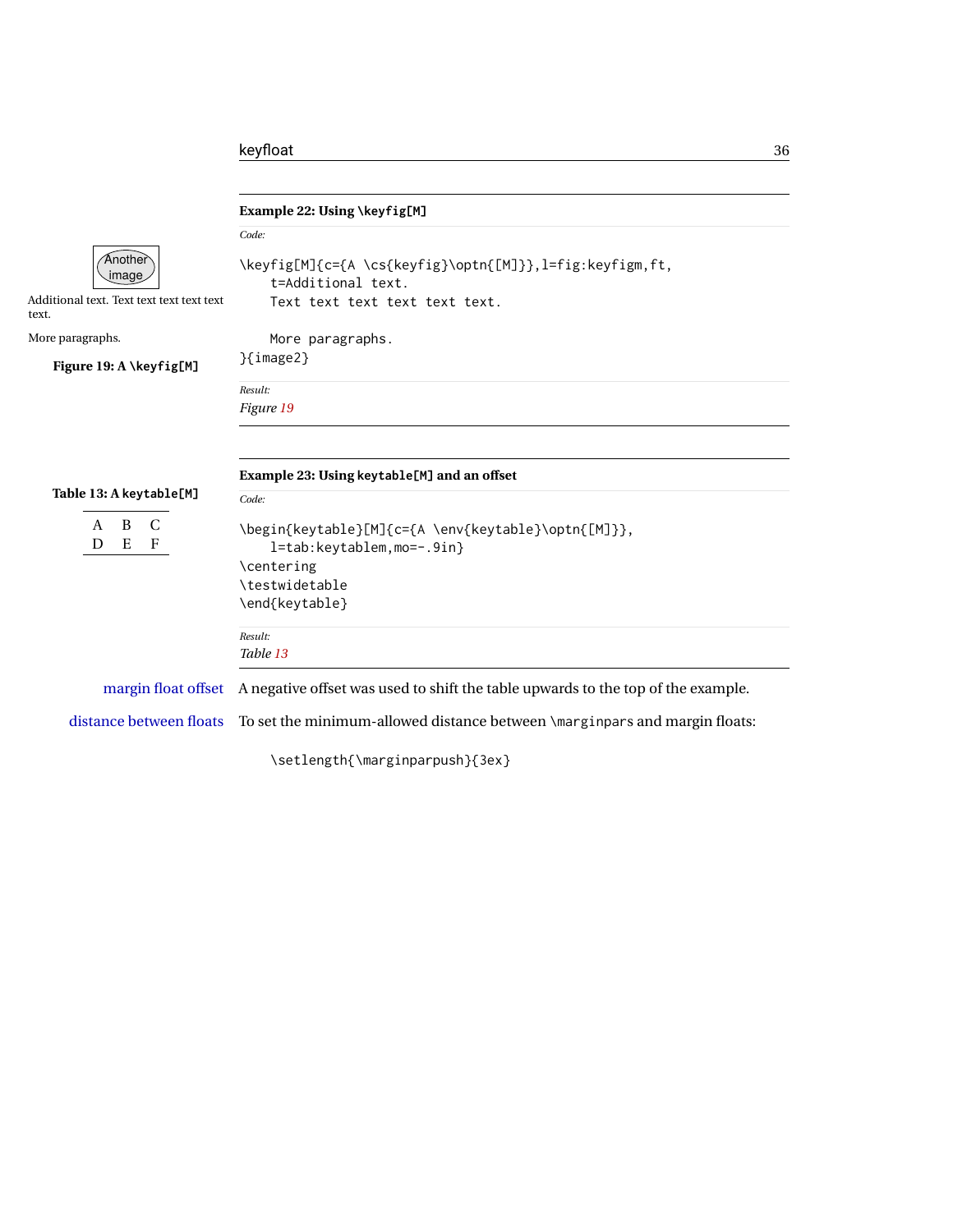<span id="page-35-3"></span><span id="page-35-2"></span><span id="page-35-1"></span><span id="page-35-0"></span>

|                                                                        | Example 22: Using \keyfig[M]                                                                                       |
|------------------------------------------------------------------------|--------------------------------------------------------------------------------------------------------------------|
|                                                                        | Code:                                                                                                              |
| Another<br>image<br>Additional text. Text text text text text<br>text. | \keyfig[M]{c={A \cs{keyfig}\optn{[M]}}, l=fig:keyfigm, ft,<br>t=Additional text.<br>Text text text text text text. |
| More paragraphs.                                                       | More paragraphs.                                                                                                   |
| Figure 19: A \keyfig[M]                                                | $\{image2\}$                                                                                                       |
|                                                                        | Result:<br>Figure 19                                                                                               |
| Table 13: A keytable[M]                                                | Example 23: Using keytable[M] and an offset<br>Code:                                                               |
| C<br>B<br>A<br>E<br>D<br>$\mathbf{F}$                                  | \begin{keytable}[M]{c={A \env{keytable}\optn{[M]}},<br>l=tab:keytablem,mo=-.9in}                                   |
|                                                                        | \centering                                                                                                         |
|                                                                        | \testwidetable                                                                                                     |
|                                                                        | \end{keytable}                                                                                                     |
|                                                                        | Result:                                                                                                            |
|                                                                        | Table 13                                                                                                           |
| margin float offset                                                    | A negative offset was used to shift the table upwards to the top of the example.                                   |
| distance between floats                                                | To set the minimum-allowed distance between \marginpars and margin floats:                                         |
|                                                                        | \setlength{\marginparpush}{3ex}                                                                                    |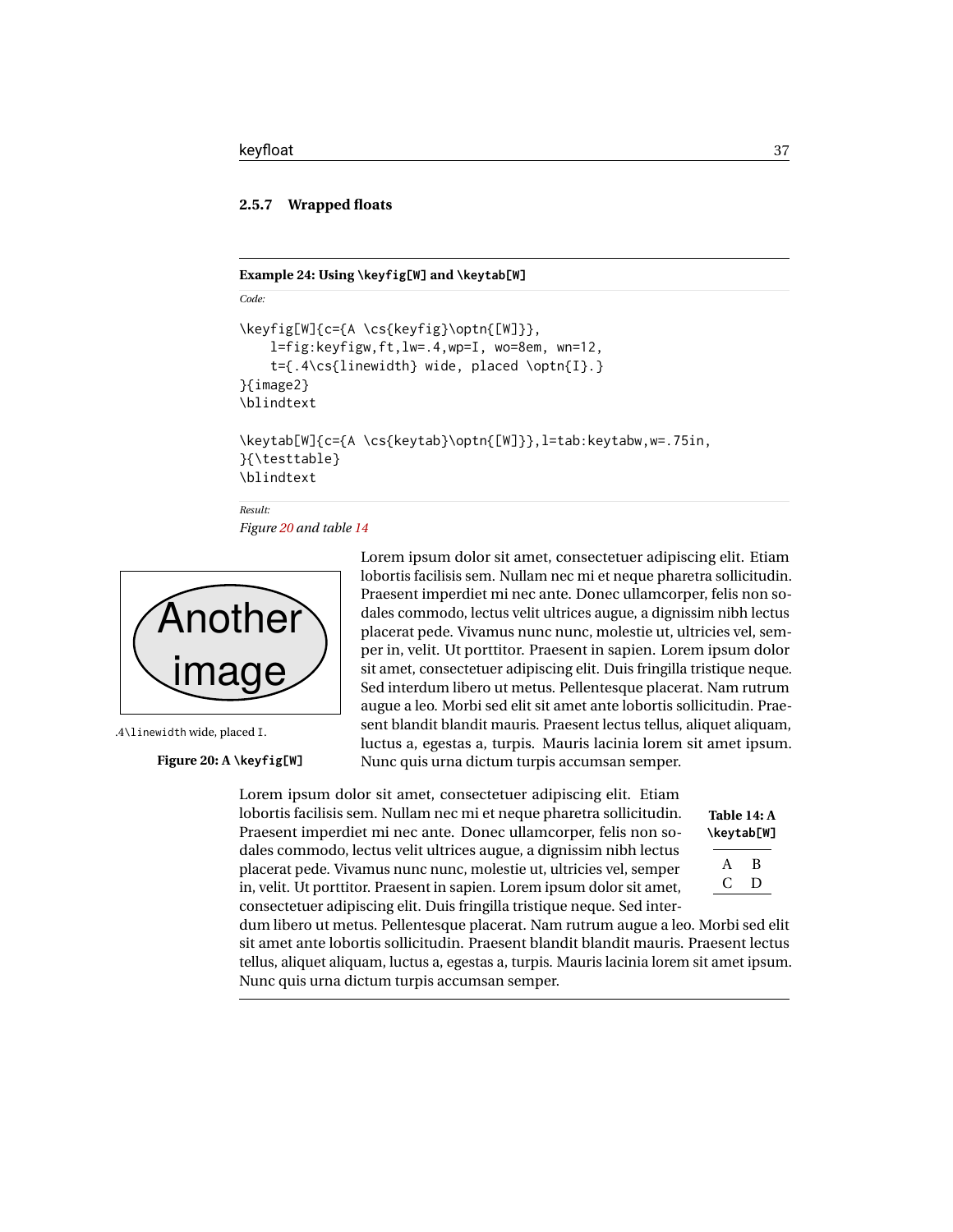*Code:*

*Result:*

### **2.5.7 Wrapped floats**

#### **Example 24: Using \keyfig[W] and \keytab[W]**

```
\keyfig[W]{c={A \cs{keyfig}\optn{[W]}},
    l=fig:keyfigw,ft,lw=.4,wp=I, wo=8em, wn=12,
    t={.4\cs{linewidth} wide, placed \optn{I}.}
}{image2}
\blindtext
```

```
\keytab[W]{c={A \cs{keytab}\optn{[W]}},l=tab:keytabw,w=.75in,
}{\testtable}
\blindtext
```
*Figure [20](#page-36-0) and table [14](#page-36-1)*

<span id="page-36-0"></span>

.4\linewidth wide, placed I.

### **Figure 20: A \keyfig[W]**

Lorem ipsum dolor sit amet, consectetuer adipiscing elit. Etiam lobortis facilisis sem. Nullam nec mi et neque pharetra sollicitudin. Praesent imperdiet mi nec ante. Donec ullamcorper, felis non sodales commodo, lectus velit ultrices augue, a dignissim nibh lectus placerat pede. Vivamus nunc nunc, molestie ut, ultricies vel, semper in, velit. Ut porttitor. Praesent in sapien. Lorem ipsum dolor sit amet, consectetuer adipiscing elit. Duis fringilla tristique neque. Sed interdum libero ut metus. Pellentesque placerat. Nam rutrum augue a leo. Morbi sed elit sit amet ante lobortis sollicitudin. Praesent blandit blandit mauris. Praesent lectus tellus, aliquet aliquam, luctus a, egestas a, turpis. Mauris lacinia lorem sit amet ipsum. Nunc quis urna dictum turpis accumsan semper.

Lorem ipsum dolor sit amet, consectetuer adipiscing elit. Etiam lobortis facilisis sem. Nullam nec mi et neque pharetra sollicitudin. Praesent imperdiet mi nec ante. Donec ullamcorper, felis non sodales commodo, lectus velit ultrices augue, a dignissim nibh lectus placerat pede. Vivamus nunc nunc, molestie ut, ultricies vel, semper in, velit. Ut porttitor. Praesent in sapien. Lorem ipsum dolor sit amet, consectetuer adipiscing elit. Duis fringilla tristique neque. Sed inter-

<span id="page-36-1"></span>

| Table 14: A<br>\keytab[W] |   |
|---------------------------|---|
| A                         | В |
| ι.                        | Ð |

dum libero ut metus. Pellentesque placerat. Nam rutrum augue a leo. Morbi sed elit sit amet ante lobortis sollicitudin. Praesent blandit blandit mauris. Praesent lectus tellus, aliquet aliquam, luctus a, egestas a, turpis. Mauris lacinia lorem sit amet ipsum. Nunc quis urna dictum turpis accumsan semper.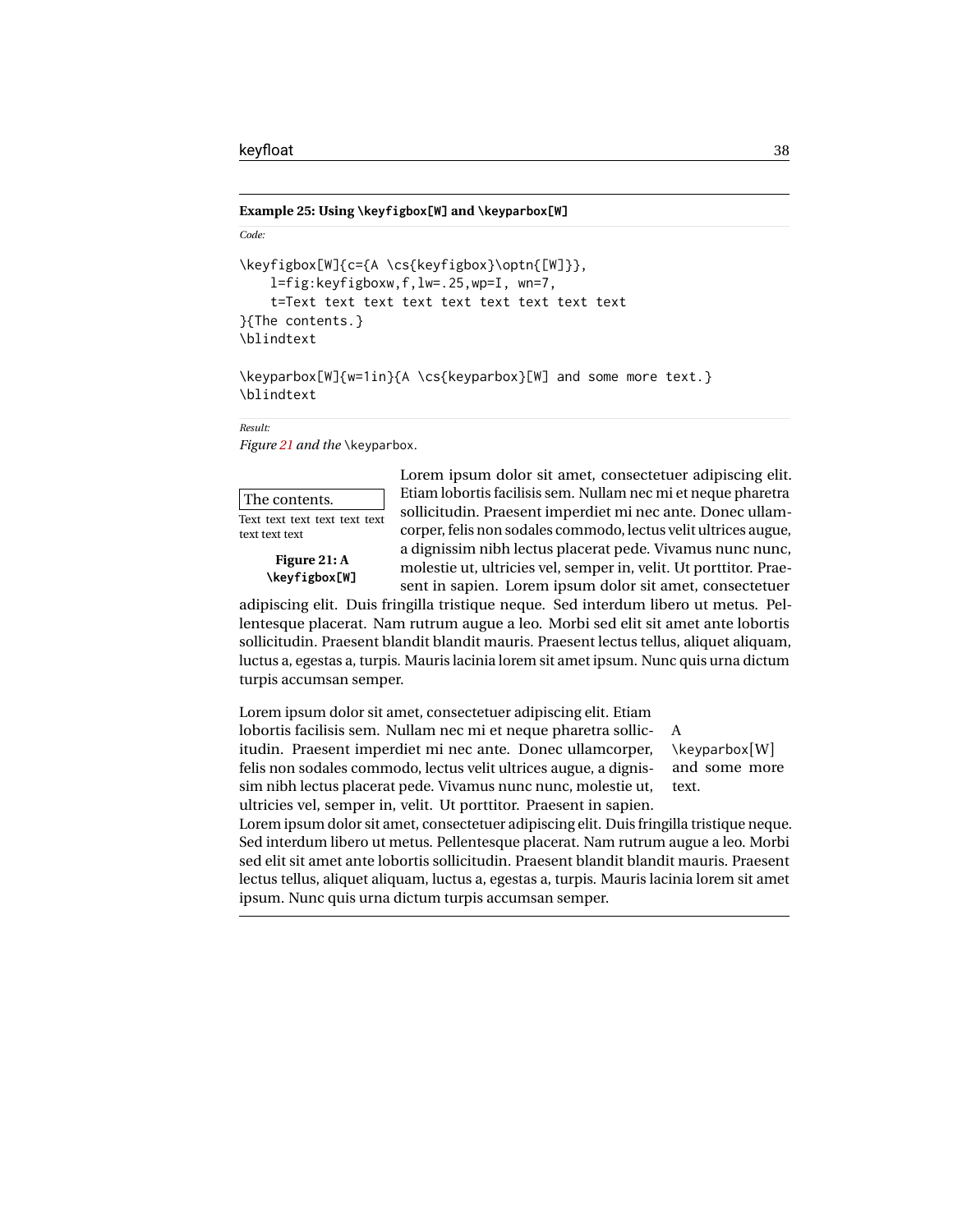#### **Example 25: Using \keyfigbox[W] and \keyparbox[W]**

```
Code:
\keyfigbox[W]{c={A \cs{keyfigbox}\optn{[W]}},
    l=fig:keyfigboxw,f,lw=.25,wp=I, wn=7,
    t=Text text text text text text text text text
}{The contents.}
\blindtext
```

```
\keyparbox[W]{w=1in}{A \cs{keyparbox}[W] and some more text.}
\blindtext
```
*Result:*

*Figure [21](#page-37-0) and the* \keyparbox*.*

<span id="page-37-0"></span>

| The contents.                 |  |
|-------------------------------|--|
| There there there there there |  |

Text text text text text text text text text

> **Figure 21: A \keyfigbox[W]**

Lorem ipsum dolor sit amet, consectetuer adipiscing elit. Etiam lobortis facilisis sem. Nullam nec mi et neque pharetra sollicitudin. Praesent imperdiet mi nec ante. Donec ullamcorper, felis non sodales commodo, lectus velit ultrices augue, a dignissim nibh lectus placerat pede. Vivamus nunc nunc, molestie ut, ultricies vel, semper in, velit. Ut porttitor. Praesent in sapien. Lorem ipsum dolor sit amet, consectetuer

adipiscing elit. Duis fringilla tristique neque. Sed interdum libero ut metus. Pellentesque placerat. Nam rutrum augue a leo. Morbi sed elit sit amet ante lobortis sollicitudin. Praesent blandit blandit mauris. Praesent lectus tellus, aliquet aliquam, luctus a, egestas a, turpis. Mauris lacinia lorem sit amet ipsum. Nunc quis urna dictum turpis accumsan semper.

Lorem ipsum dolor sit amet, consectetuer adipiscing elit. Etiam lobortis facilisis sem. Nullam nec mi et neque pharetra sollicitudin. Praesent imperdiet mi nec ante. Donec ullamcorper, felis non sodales commodo, lectus velit ultrices augue, a dignissim nibh lectus placerat pede. Vivamus nunc nunc, molestie ut, ultricies vel, semper in, velit. Ut porttitor. Praesent in sapien.

A \keyparbox[W] and some more text.

Lorem ipsum dolor sit amet, consectetuer adipiscing elit. Duis fringilla tristique neque. Sed interdum libero ut metus. Pellentesque placerat. Nam rutrum augue a leo. Morbi sed elit sit amet ante lobortis sollicitudin. Praesent blandit blandit mauris. Praesent lectus tellus, aliquet aliquam, luctus a, egestas a, turpis. Mauris lacinia lorem sit amet ipsum. Nunc quis urna dictum turpis accumsan semper.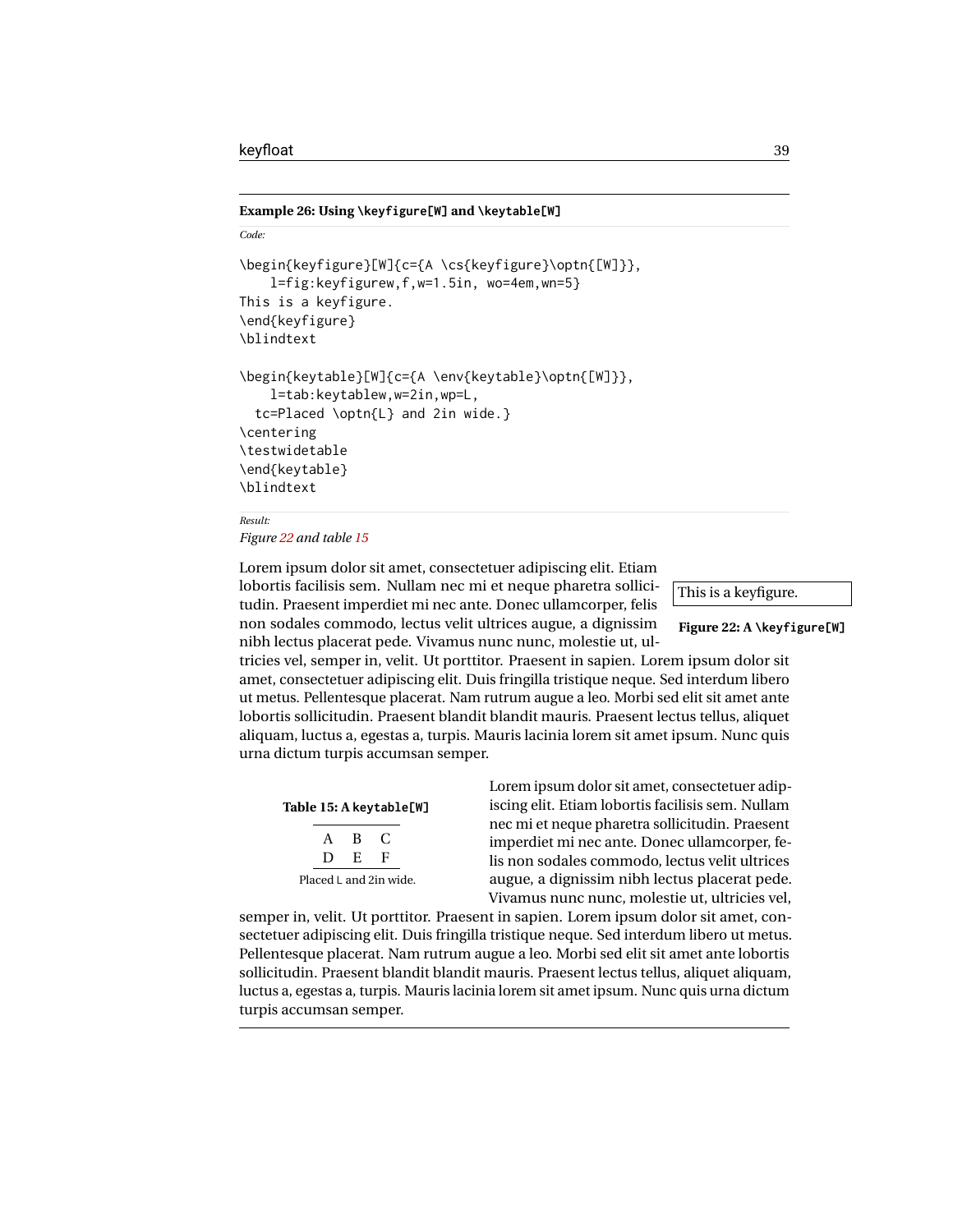#### **Example 26: Using \keyfigure[W] and \keytable[W]**

```
Code:
\begin{keyfigure}[W]{c={A \cs{keyfigure}\optn{[W]}},
    l=fig:keyfigurew,f,w=1.5in, wo=4em,wn=5}
This is a keyfigure.
\end{keyfigure}
\blindtext
\begin{keytable}[W]{c={A \env{keytable}\optn{[W]}},
    l=tab:keytablew,w=2in,wp=L,
  tc=Placed \optn{L} and 2in wide.}
\centering
\testwidetable
\end{keytable}
\blindtext
```
*Result:*

*Figure [22](#page-38-0) and table [15](#page-38-1)*

Lorem ipsum dolor sit amet, consectetuer adipiscing elit. Etiam lobortis facilisis sem. Nullam nec mi et neque pharetra sollicitudin. Praesent imperdiet mi nec ante. Donec ullamcorper, felis non sodales commodo, lectus velit ultrices augue, a dignissim nibh lectus placerat pede. Vivamus nunc nunc, molestie ut, ul-

<span id="page-38-0"></span>



tricies vel, semper in, velit. Ut porttitor. Praesent in sapien. Lorem ipsum dolor sit amet, consectetuer adipiscing elit. Duis fringilla tristique neque. Sed interdum libero ut metus. Pellentesque placerat. Nam rutrum augue a leo. Morbi sed elit sit amet ante lobortis sollicitudin. Praesent blandit blandit mauris. Praesent lectus tellus, aliquet aliquam, luctus a, egestas a, turpis. Mauris lacinia lorem sit amet ipsum. Nunc quis urna dictum turpis accumsan semper.

<span id="page-38-1"></span>

|                        |   |    | Table 15: A keytable[W] |
|------------------------|---|----|-------------------------|
|                        | A | -R | $\mathcal{L}$           |
|                        | D | E  | F                       |
| Placed L and 2in wide. |   |    |                         |

Lorem ipsum dolor sit amet, consectetuer adipiscing elit. Etiam lobortis facilisis sem. Nullam nec mi et neque pharetra sollicitudin. Praesent imperdiet mi nec ante. Donec ullamcorper, felis non sodales commodo, lectus velit ultrices augue, a dignissim nibh lectus placerat pede. Vivamus nunc nunc, molestie ut, ultricies vel,

semper in, velit. Ut porttitor. Praesent in sapien. Lorem ipsum dolor sit amet, consectetuer adipiscing elit. Duis fringilla tristique neque. Sed interdum libero ut metus. Pellentesque placerat. Nam rutrum augue a leo. Morbi sed elit sit amet ante lobortis sollicitudin. Praesent blandit blandit mauris. Praesent lectus tellus, aliquet aliquam, luctus a, egestas a, turpis. Mauris lacinia lorem sit amet ipsum. Nunc quis urna dictum turpis accumsan semper.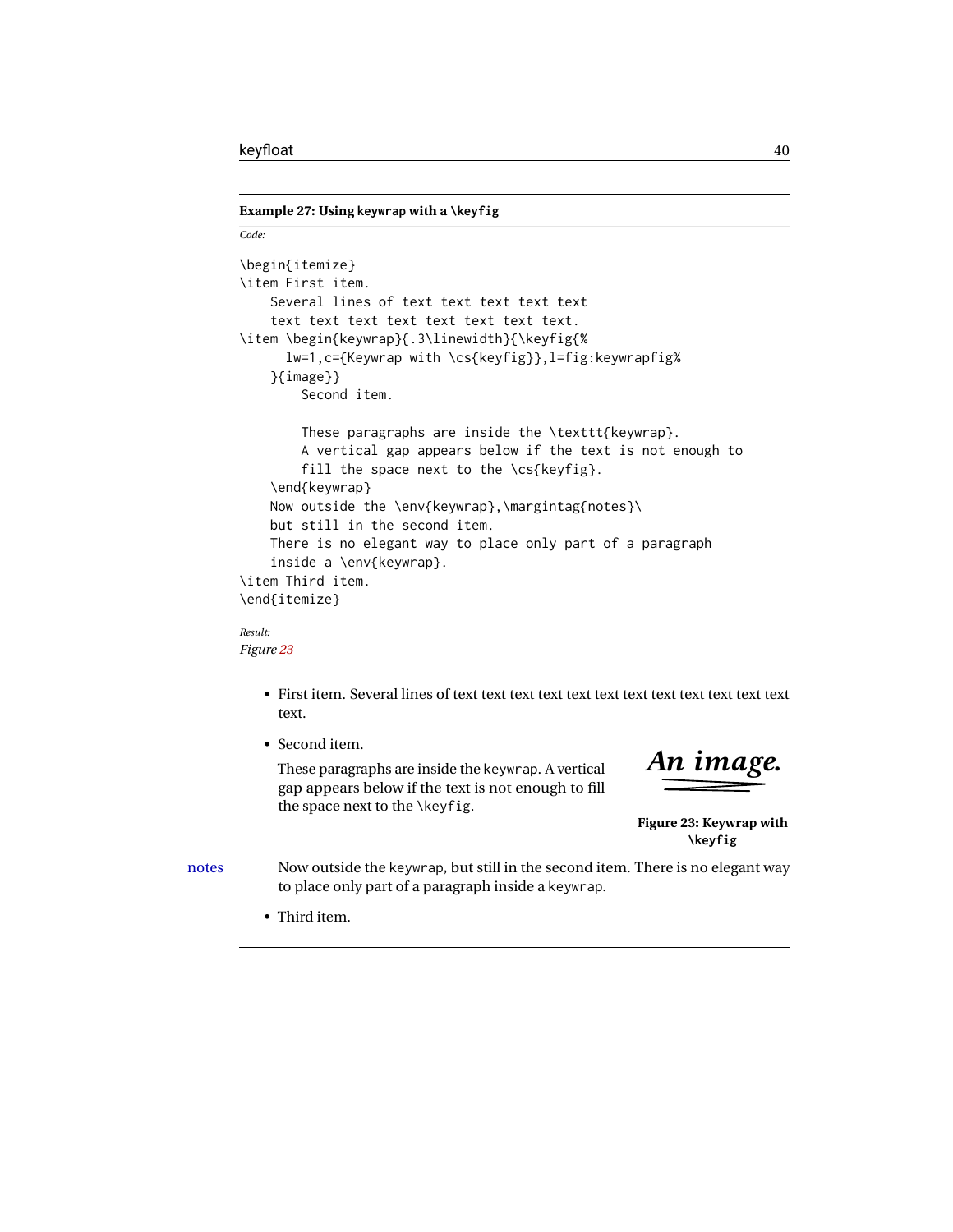```
Example 27: Using keywrap with a \keyfig
```

```
Code:
\begin{itemize}
\item First item.
    Several lines of text text text text text
    text text text text text text text text.
\item \begin{keywrap}{.3\linewidth}{\keyfig{%
      lw=1,c={Keywrap with \cs{keyfig}},l=fig:keywrapfig%
    }{image}}
        Second item.
        These paragraphs are inside the \texttt{keywrap}.
        A vertical gap appears below if the text is not enough to
        fill the space next to the \csc\{keyfig\}.\end{keywrap}
    Now outside the \env{keywrap},\margintag{notes}\
    but still in the second item.
    There is no elegant way to place only part of a paragraph
    inside a \env{keywrap}.
\item Third item.
\end{itemize}
```
### *Result:*

*Figure [23](#page-39-0)*

- First item. Several lines of text text text text text text text text text text text text text.
- Second item.

These paragraphs are inside the keywrap. A vertical gap appears below if the text is not enough to fill the space next to the \keyfig.

<span id="page-39-0"></span>*An image.*

**Figure 23: Keywrap with \keyfig**

notes Now outside the keywrap, but still in the second item. There is no elegant way to place only part of a paragraph inside a keywrap.

• Third item.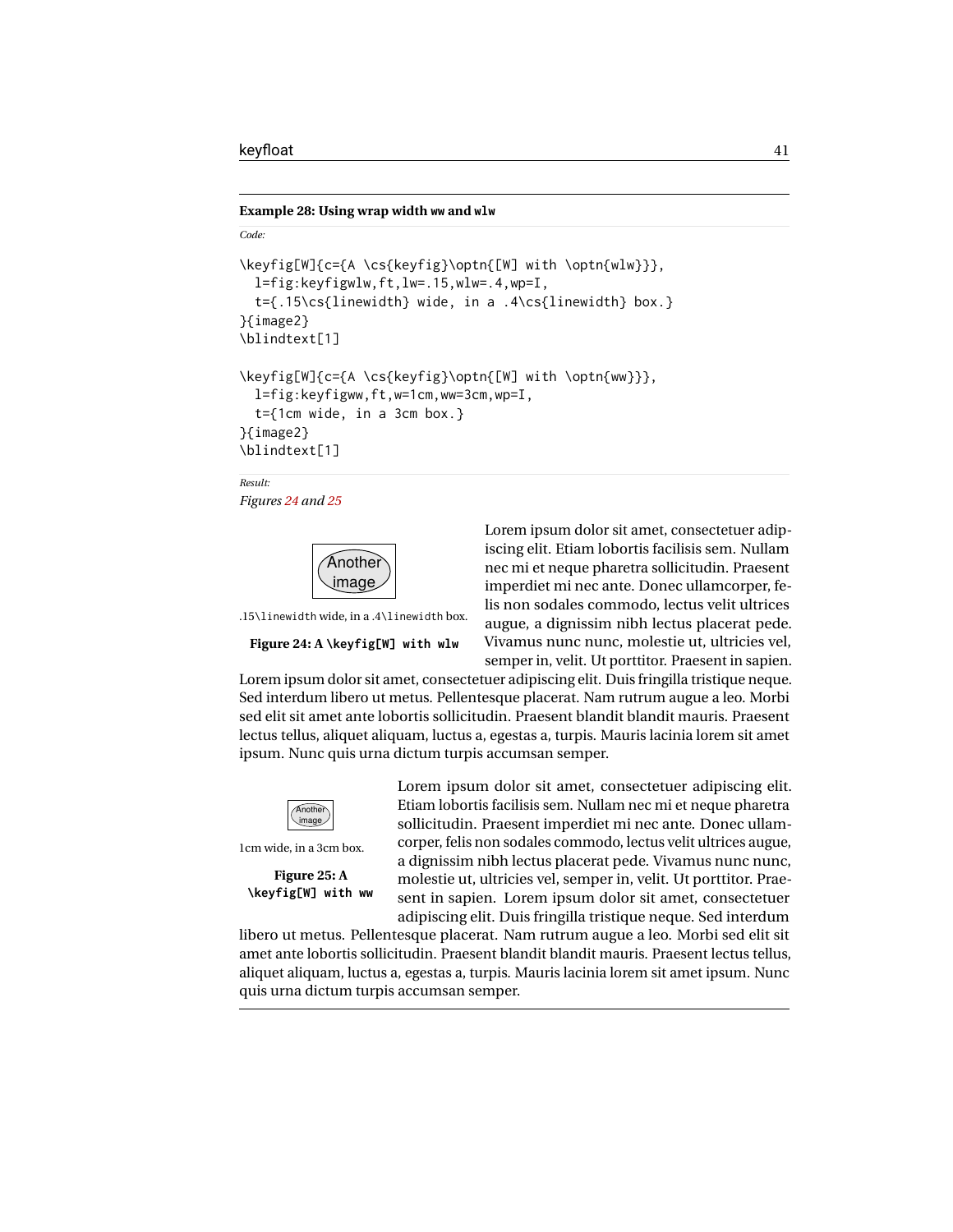*Code:*

#### **Example 28: Using wrap width ww and wlw**

```
\keyfig[W]{c={A \cs{keyfig}\optn{[W] with \optn{wlw}}},
  l=fig:keyfigwlw,ft,lw=.15,wlw=.4,wp=I,
  t={.15\cs{linewidth} wide, in a .4\cs{linewidth} box.}
}{image2}
\blindtext[1]
\keyfig[W]{c={A \cs{keyfig}\optn{[W] with \optn{ww}}},
  l=fig:keyfigww,ft,w=1cm,ww=3cm,wp=I,
  t={1cm wide, in a 3cm box.}
}{image2}
\blindtext[1]
```

```
Result:
```
<span id="page-40-0"></span>*Figures [24](#page-40-0) and [25](#page-40-1)*



.15\linewidth wide, in a .4\linewidth box.

#### **Figure 24: A \keyfig[W] with wlw**

Lorem ipsum dolor sit amet, consectetuer adipiscing elit. Etiam lobortis facilisis sem. Nullam nec mi et neque pharetra sollicitudin. Praesent imperdiet mi nec ante. Donec ullamcorper, felis non sodales commodo, lectus velit ultrices augue, a dignissim nibh lectus placerat pede. Vivamus nunc nunc, molestie ut, ultricies vel, semper in, velit. Ut porttitor. Praesent in sapien.

Lorem ipsum dolor sit amet, consectetuer adipiscing elit. Duis fringilla tristique neque. Sed interdum libero ut metus. Pellentesque placerat. Nam rutrum augue a leo. Morbi sed elit sit amet ante lobortis sollicitudin. Praesent blandit blandit mauris. Praesent lectus tellus, aliquet aliquam, luctus a, egestas a, turpis. Mauris lacinia lorem sit amet ipsum. Nunc quis urna dictum turpis accumsan semper.

<span id="page-40-1"></span>

1cm wide, in a 3cm box.

```
Figure 25: A
\keyfig[W] with ww
```
Lorem ipsum dolor sit amet, consectetuer adipiscing elit. Etiam lobortis facilisis sem. Nullam nec mi et neque pharetra sollicitudin. Praesent imperdiet mi nec ante. Donec ullamcorper, felis non sodales commodo, lectus velit ultrices augue, a dignissim nibh lectus placerat pede. Vivamus nunc nunc, molestie ut, ultricies vel, semper in, velit. Ut porttitor. Praesent in sapien. Lorem ipsum dolor sit amet, consectetuer adipiscing elit. Duis fringilla tristique neque. Sed interdum

libero ut metus. Pellentesque placerat. Nam rutrum augue a leo. Morbi sed elit sit amet ante lobortis sollicitudin. Praesent blandit blandit mauris. Praesent lectus tellus, aliquet aliquam, luctus a, egestas a, turpis. Mauris lacinia lorem sit amet ipsum. Nunc quis urna dictum turpis accumsan semper.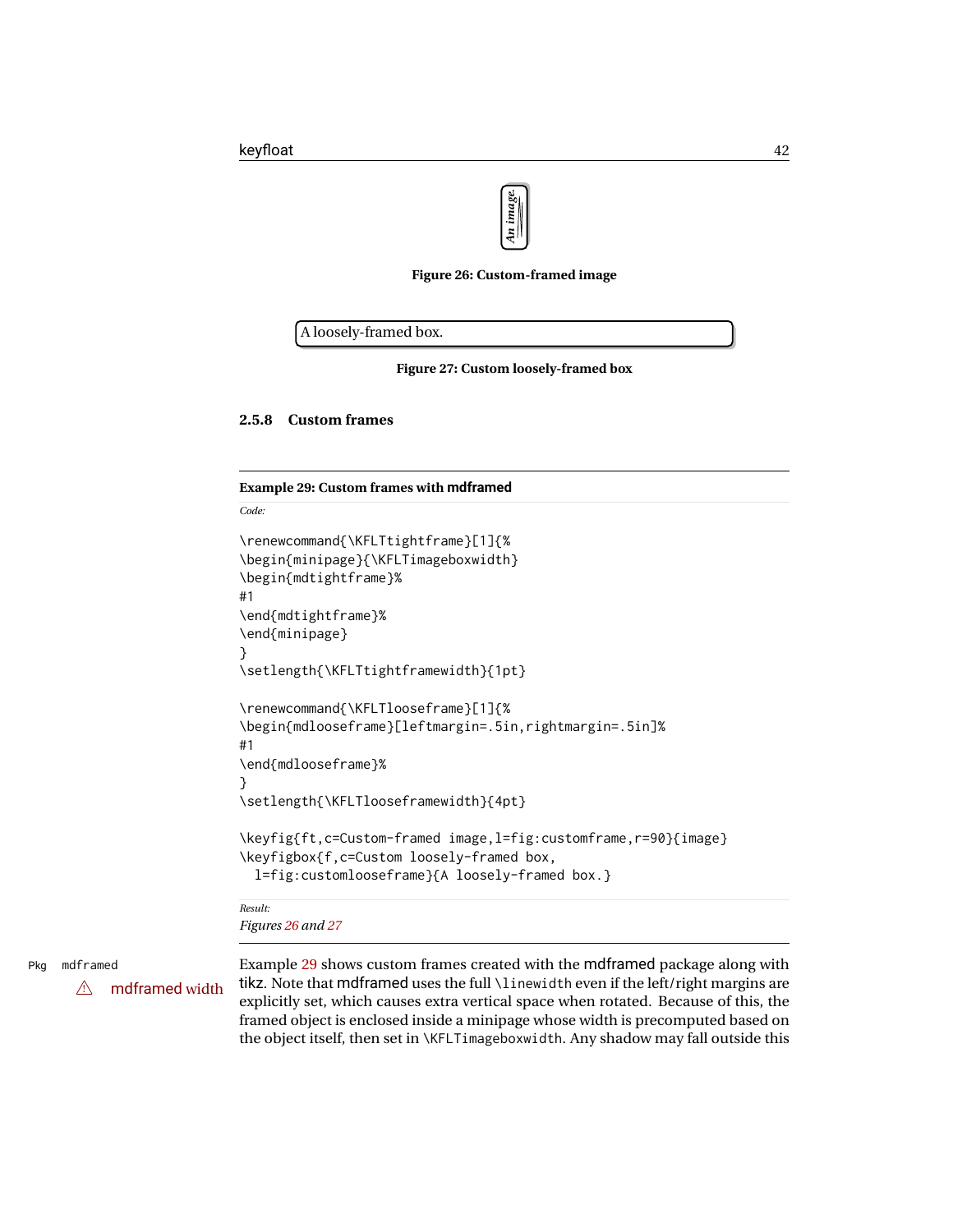

**Figure 26: Custom-framed image**

<span id="page-41-1"></span><span id="page-41-0"></span>A loosely-framed box.

**Figure 27: Custom loosely-framed box**

### **2.5.8 Custom frames**

*Code:*

#### <span id="page-41-2"></span>**Example 29: Custom frames with mdframed**

```
\renewcommand{\KFLTtightframe}[1]{%
\begin{minipage}{\KFLTimageboxwidth}
\begin{mdtightframe}%
#1
\end{mdtightframe}%
\end{minipage}
}
\setlength{\KFLTtightframewidth}{1pt}
\renewcommand{\KFLTlooseframe}[1]{%
\begin{mdlooseframe}[leftmargin=.5in,rightmargin=.5in]%
#1
\end{mdlooseframe}%
}
\setlength{\KFLTlooseframewidth}{4pt}
\keyfig{ft,c=Custom-framed image,l=fig:customframe,r=90}{image}
\keyfigbox{f,c=Custom loosely-framed box,
  l=fig:customlooseframe}{A loosely-framed box.}
Result:
```
*Figures [26](#page-41-0) and [27](#page-41-1)*

Pkg mdframed Example [29](#page-41-2) shows custom frames created with the mdframed package along with  $\triangle$  mdframed width tikz. Note that mdframed uses the full \linewidth even if the left/right margins are explicitly set, which causes extra vertical space when rotated. Because of this, the framed object is enclosed inside a minipage whose width is precomputed based on the object itself, then set in \KFLTimageboxwidth. Any shadow may fall outside this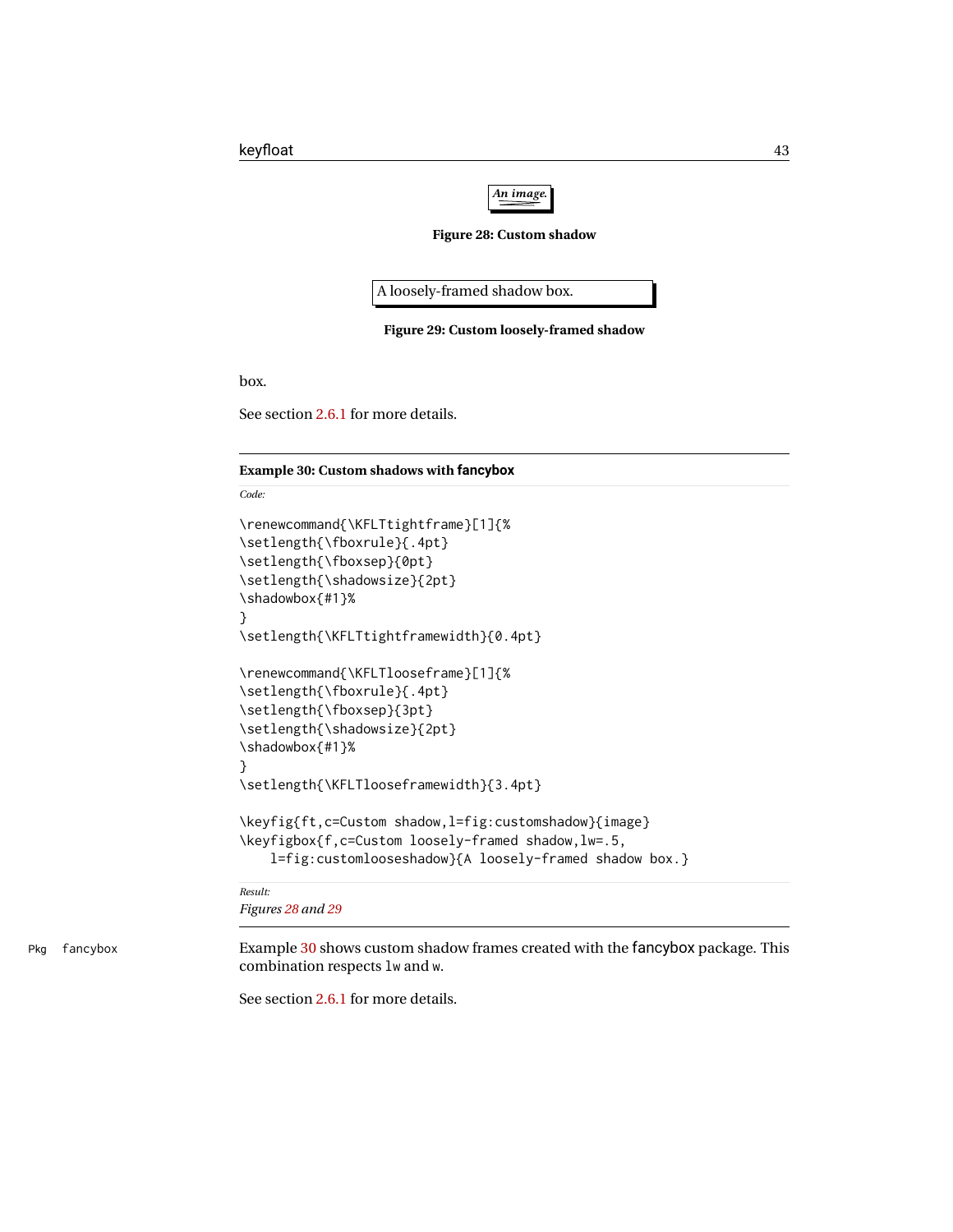

**Figure 28: Custom shadow**

<span id="page-42-0"></span>A loosely-framed shadow box.

**Figure 29: Custom loosely-framed shadow**

<span id="page-42-1"></span>box.

See section [2.6.1](#page-45-0) for more details.

### <span id="page-42-2"></span>**Example 30: Custom shadows with fancybox**

*Code:*

```
\renewcommand{\KFLTtightframe}[1]{%
\setlength{\fboxrule}{.4pt}
\setlength{\fboxsep}{0pt}
\setlength{\shadowsize}{2pt}
\shadowbox{#1}%
}
\setlength{\KFLTtightframewidth}{0.4pt}
\renewcommand{\KFLTlooseframe}[1]{%
\setlength{\fboxrule}{.4pt}
\setlength{\fboxsep}{3pt}
\setlength{\shadowsize}{2pt}
\shadowbox{#1}%
}
\setlength{\KFLTlooseframewidth}{3.4pt}
\keyfig{ft,c=Custom shadow,l=fig:customshadow}{image}
\keyfigbox{f,c=Custom loosely-framed shadow,lw=.5,
   l=fig:customlooseshadow}{A loosely-framed shadow box.}
```
*Result:*

*Figures [28](#page-42-0) and [29](#page-42-1)*

Pkg fancybox Example [30](#page-42-2) shows custom shadow frames created with the fancybox package. This combination respects lw and w.

See section [2.6.1](#page-45-0) for more details.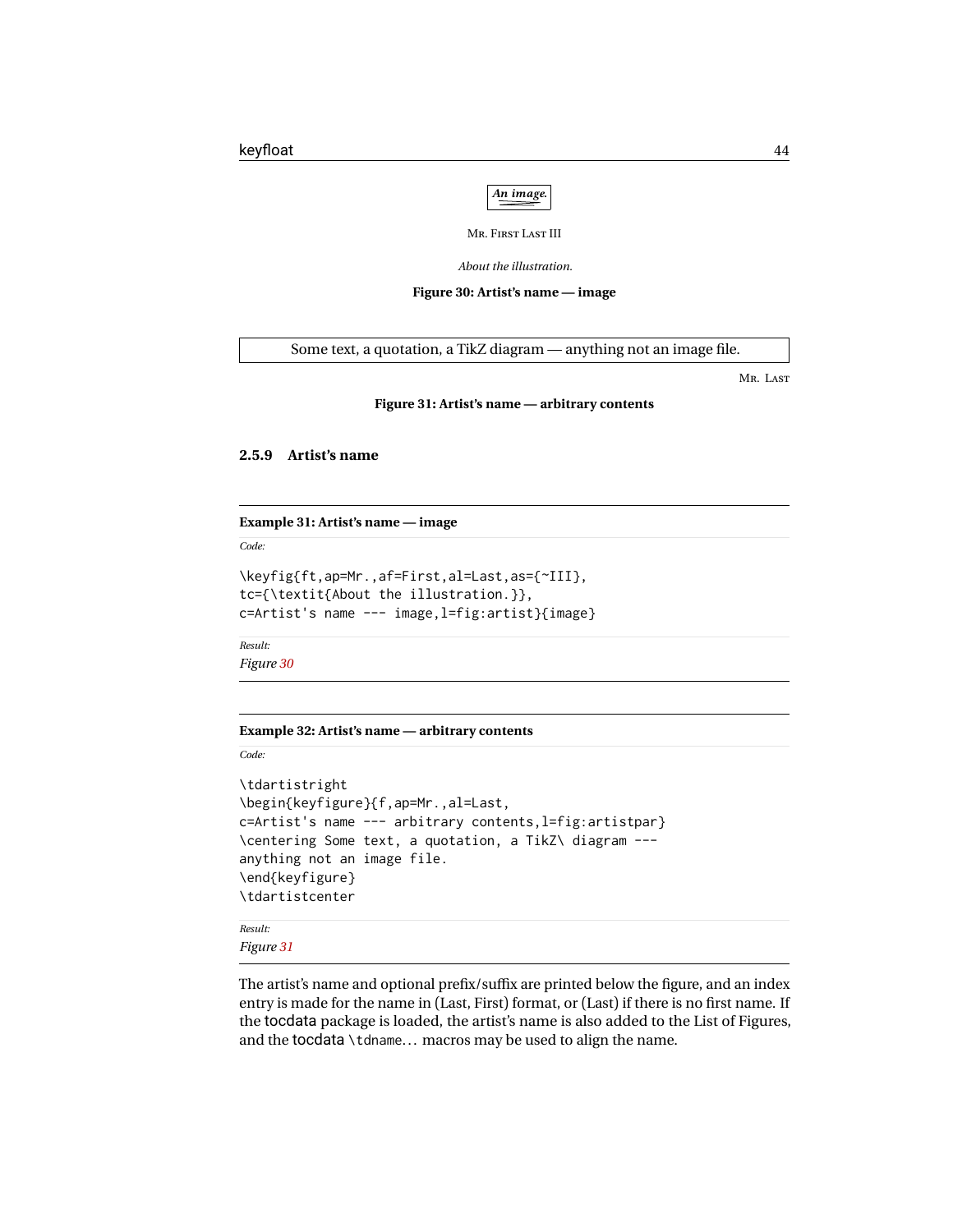

MR. FIRST LAST III

*About the illustration.*

**Figure 30: Artist's name — image**

<span id="page-43-1"></span><span id="page-43-0"></span>Some text, a quotation, a TikZ diagram — anything not an image file.

MR. LAST

#### **Figure 31: Artist's name — arbitrary contents**

#### **2.5.9 Artist's name**

#### **Example 31: Artist's name — image**

*Code:*

```
\keyfig{ft,ap=Mr.,af=First,al=Last,as={~III},
tc={\textit{About the illustration.}},
c=Artist's name --- image,l=fig:artist}{image}
```
*Result: Figure [30](#page-43-0)*

#### **Example 32: Artist's name — arbitrary contents**

*Code:*

```
\tdartistright
\begin{keyfigure}{f,ap=Mr.,al=Last,
c=Artist's name --- arbitrary contents,l=fig:artistpar}
\centering Some text, a quotation, a TikZ\ diagram ---
anything not an image file.
\end{keyfigure}
\tdartistcenter
```
*Result: Figure [31](#page-43-1)*

The artist's name and optional prefix/suffix are printed below the figure, and an index entry is made for the name in (Last, First) format, or (Last) if there is no first name. If the tocdata package is loaded, the artist's name is also added to the List of Figures, and the tocdata \tdname... macros may be used to align the name.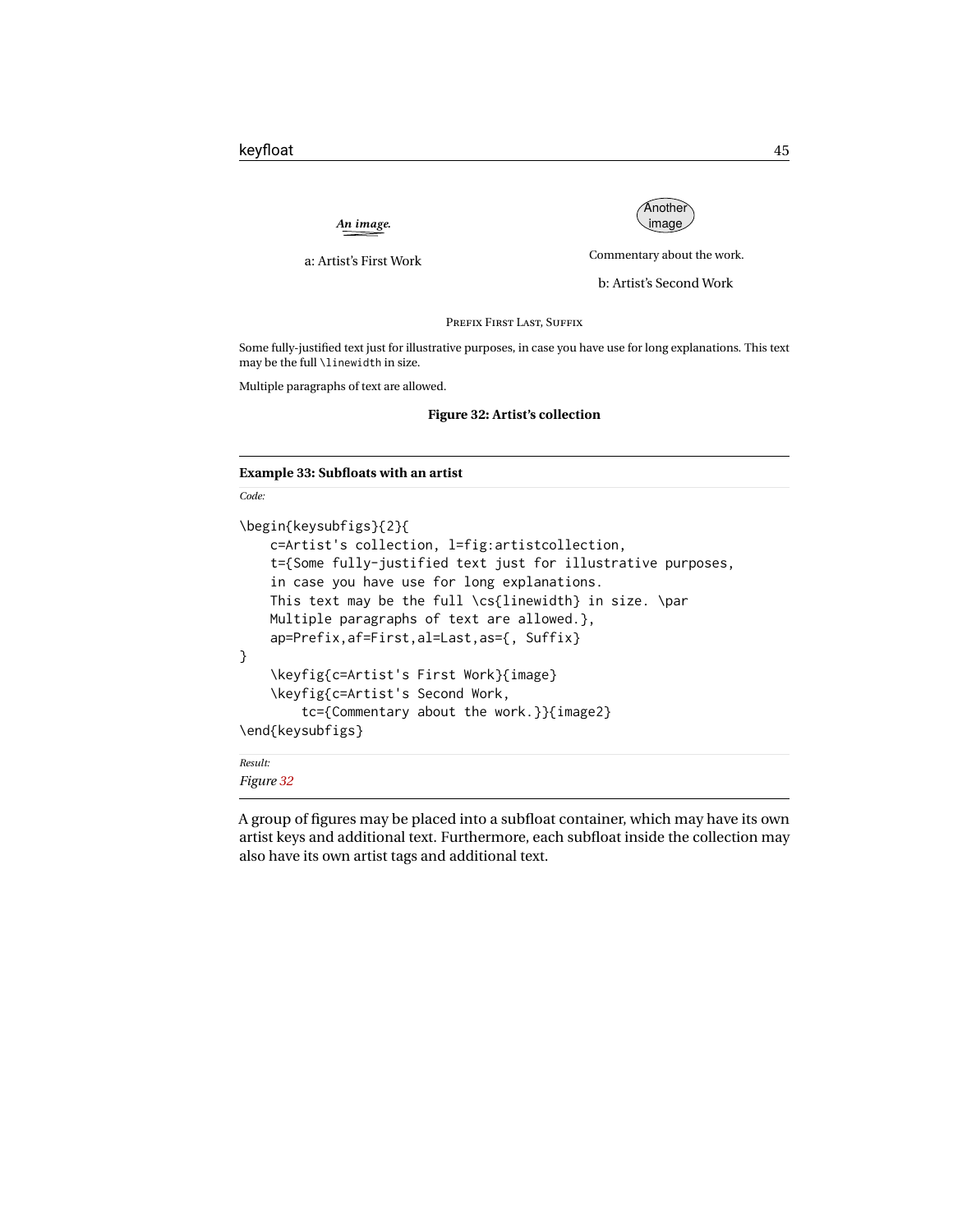*An image.*



<span id="page-44-0"></span>a: Artist's First Work

Commentary about the work.

b: Artist's Second Work

PREFIX FIRST LAST, SUFFIX

Some fully-justified text just for illustrative purposes, in case you have use for long explanations. This text may be the full \linewidth in size.

Multiple paragraphs of text are allowed.

#### **Figure 32: Artist's collection**

#### **Example 33: Subfloats with an artist**

*Code:*

```
\begin{keysubfigs}{2}{
   c=Artist's collection, l=fig:artistcollection,
   t={Some fully-justified text just for illustrative purposes,
   in case you have use for long explanations.
   This text may be the full \cs{linewidth} in size. \par
   Multiple paragraphs of text are allowed.},
   ap=Prefix,af=First,al=Last,as={, Suffix}
}
    \keyfig{c=Artist's First Work}{image}
    \keyfig{c=Artist's Second Work,
        tc={Commentary about the work.}}{image2}
\end{keysubfigs}
```
*Result:*

*Figure [32](#page-44-0)*

A group of figures may be placed into a subfloat container, which may have its own artist keys and additional text. Furthermore, each subfloat inside the collection may also have its own artist tags and additional text.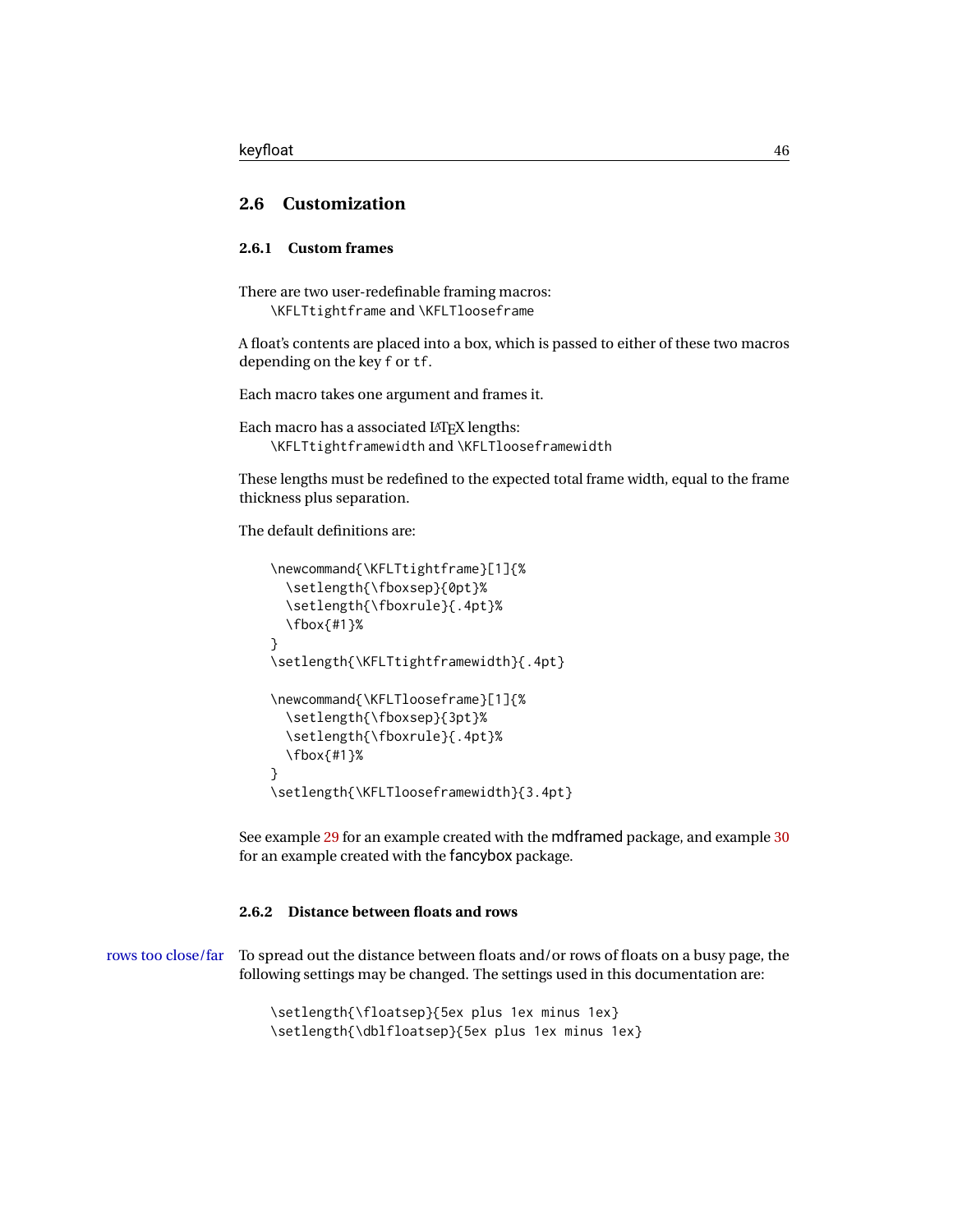### **2.6 Customization**

### <span id="page-45-0"></span>**2.6.1 Custom frames**

There are two user-redefinable framing macros: \KFLTtightframe and \KFLTlooseframe

A float's contents are placed into a box, which is passed to either of these two macros depending on the key f or tf.

Each macro takes one argument and frames it.

```
Each macro has a associated LATEX lengths:
    \KFLTtightframewidth and \KFLTlooseframewidth
```
These lengths must be redefined to the expected total frame width, equal to the frame thickness plus separation.

The default definitions are:

```
\newcommand{\KFLTtightframe}[1]{%
 \setlength{\fboxsep}{0pt}%
  \setlength{\fboxrule}{.4pt}%
 \fbox{#1}%
}
\setlength{\KFLTtightframewidth}{.4pt}
\newcommand{\KFLTlooseframe}[1]{%
  \setlength{\fboxsep}{3pt}%
  \setlength{\fboxrule}{.4pt}%
 \fbox{#1}%
}
\setlength{\KFLTlooseframewidth}{3.4pt}
```
See example [29](#page-41-2) for an example created with the mdframed package, and example [30](#page-42-2) for an example created with the fancybox package.

### **2.6.2 Distance between floats and rows**

rows too close/far To spread out the distance between floats and/or rows of floats on a busy page, the following settings may be changed. The settings used in this documentation are:

> \setlength{\floatsep}{5ex plus 1ex minus 1ex} \setlength{\dblfloatsep}{5ex plus 1ex minus 1ex}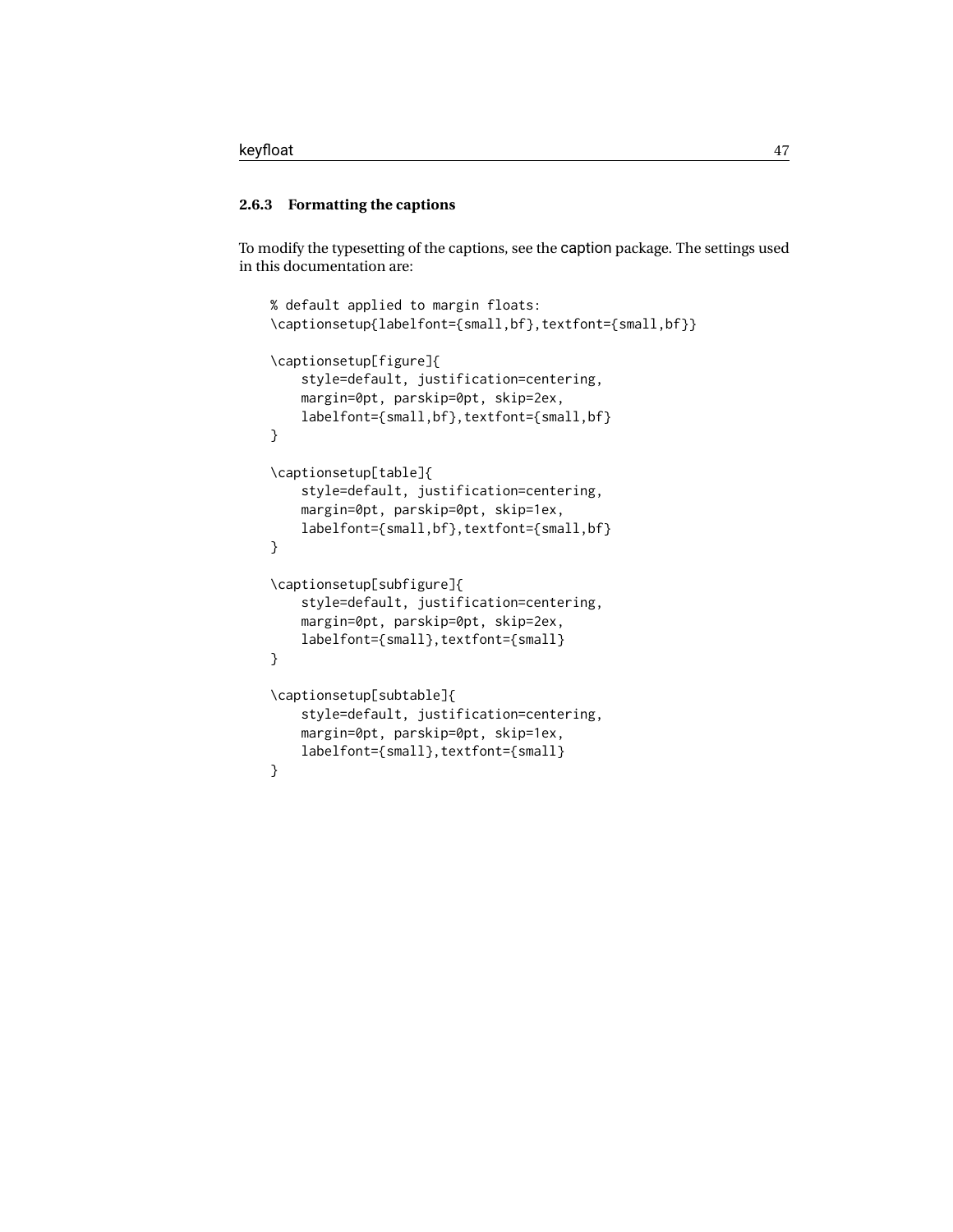### **2.6.3 Formatting the captions**

To modify the typesetting of the captions, see the caption package. The settings used in this documentation are:

```
% default applied to margin floats:
\captionsetup{labelfont={small,bf},textfont={small,bf}}
\captionsetup[figure]{
    style=default, justification=centering,
   margin=0pt, parskip=0pt, skip=2ex,
    labelfont={small,bf},textfont={small,bf}
}
\captionsetup[table]{
    style=default, justification=centering,
    margin=0pt, parskip=0pt, skip=1ex,
    labelfont={small,bf},textfont={small,bf}
}
\captionsetup[subfigure]{
    style=default, justification=centering,
   margin=0pt, parskip=0pt, skip=2ex,
    labelfont={small},textfont={small}
}
\captionsetup[subtable]{
    style=default, justification=centering,
   margin=0pt, parskip=0pt, skip=1ex,
    labelfont={small},textfont={small}
}
```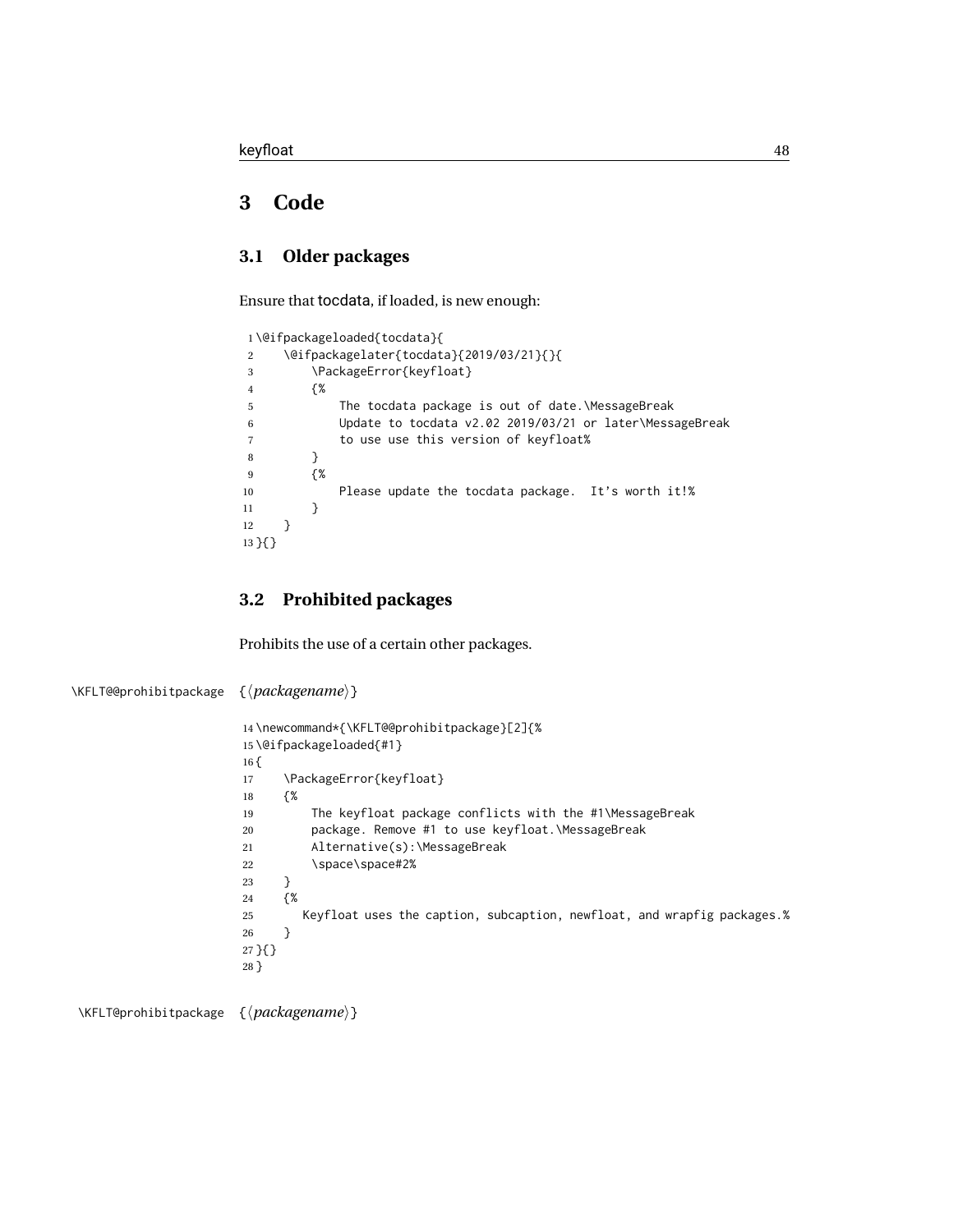## **3 Code**

## **3.1 Older packages**

Ensure that tocdata, if loaded, is new enough:

|                |    | 1\@ifpackageloaded{tocdata}{                             |
|----------------|----|----------------------------------------------------------|
| 2              |    | \@ifpackagelater{tocdata}{2019/03/21}{}{                 |
| 3              |    | \PackageError{keyfloat}                                  |
| $\overline{4}$ | {% |                                                          |
| 5              |    | The tocdata package is out of date.\MessageBreak         |
| 6              |    | Update to tocdata v2.02 2019/03/21 or later\MessageBreak |
|                |    | to use use this version of keyfloat%                     |
| 8              |    |                                                          |
| 9              | f% |                                                          |
| 10             |    | Please update the tocdata package. It's worth it!%       |
| 11             | ł  |                                                          |
| 12             |    |                                                          |
| 13 H }         |    |                                                          |
|                |    |                                                          |

### **3.2 Prohibited packages**

Prohibits the use of a certain other packages.

```
\KFLT@@prohibitpackage {⟨packagename⟩}
                      14 \newcommand*{\KFLT@@prohibitpackage}[2]{%
                      15 \@ifpackageloaded{#1}
                      16 {
                      17 \PackageError{keyfloat}
                      18 {%
                      19 The keyfloat package conflicts with the #1\MessageBreak
                      20 package. Remove #1 to use keyfloat.\MessageBreak
                      21 Alternative(s):\MessageBreak
                      22 \space\space#2%
                      23 }
                      24 {%
                      25 Keyfloat uses the caption, subcaption, newfloat, and wrapfig packages.%
                      26 }
                      27 }{}
                      28 }
```
\KFLT@prohibitpackage {⟨*packagename*⟩}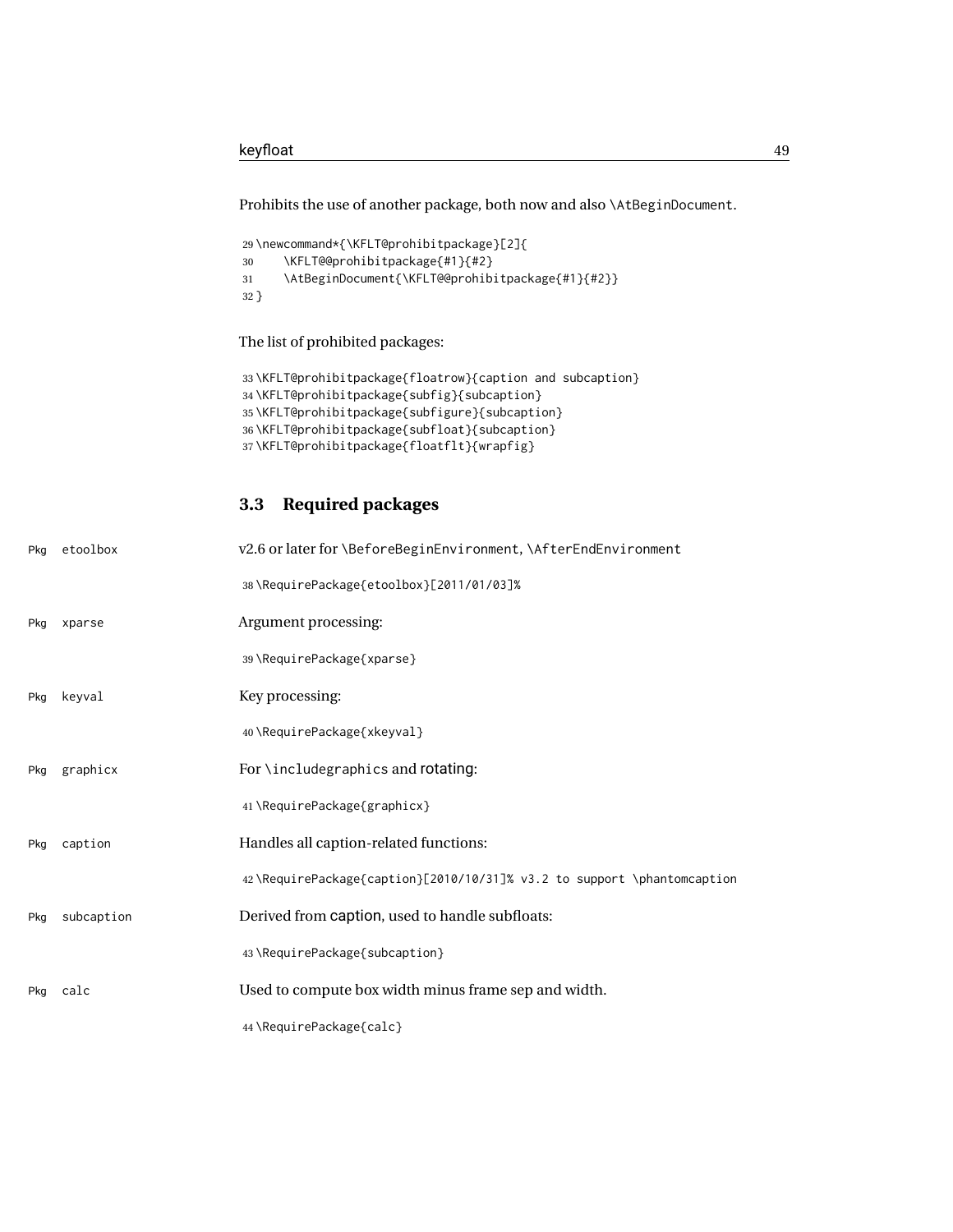Prohibits the use of another package, both now and also \AtBeginDocument.

```
29 \newcommand*{\KFLT@prohibitpackage}[2]{
30 \KFLT@@prohibitpackage{#1}{#2}
31 \AtBeginDocument{\KFLT@@prohibitpackage{#1}{#2}}
32 }
```
The list of prohibited packages:

```
33 \KFLT@prohibitpackage{floatrow}{caption and subcaption}
34 \KFLT@prohibitpackage{subfig}{subcaption}
35 \KFLT@prohibitpackage{subfigure}{subcaption}
36 \KFLT@prohibitpackage{subfloat}{subcaption}
37 \KFLT@prohibitpackage{floatflt}{wrapfig}
```
### **3.3 Required packages**

| Pkg | etoolbox   | v2.6 or later for \BeforeBeginEnvironment, \AfterEndEnvironment         |
|-----|------------|-------------------------------------------------------------------------|
|     |            | 38\RequirePackage{etoolbox}[2011/01/03]%                                |
| Pkg | xparse     | Argument processing:                                                    |
|     |            | 39\RequirePackage{xparse}                                               |
| Pkg | keyval     | Key processing:                                                         |
|     |            | 40\RequirePackage{xkeyval}                                              |
| Pkg | graphicx   | For \includegraphics and rotating:                                      |
|     |            | 41\RequirePackage{graphicx}                                             |
| Pkg | caption    | Handles all caption-related functions:                                  |
|     |            | 42\RequirePackage{caption}[2010/10/31]% v3.2 to support \phantomcaption |
| Pkg | subcaption | Derived from caption, used to handle subfloats:                         |
|     |            | 43 \RequirePackage{subcaption}                                          |
| Pkg | calc       | Used to compute box width minus frame sep and width.                    |
|     |            | 44\RequirePackage{calc}                                                 |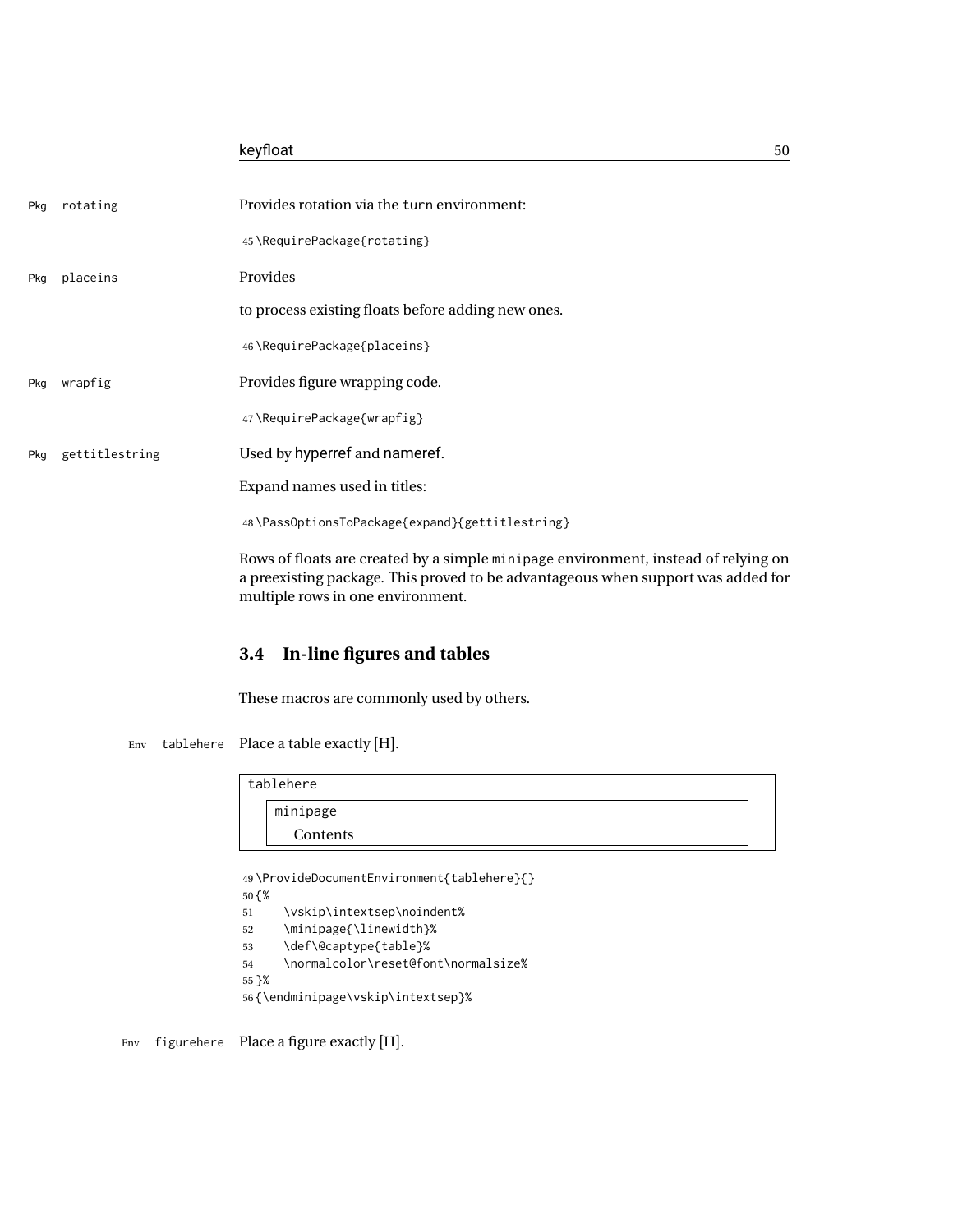|     |                | keyfloat                                                                           | 50 |
|-----|----------------|------------------------------------------------------------------------------------|----|
| Pkg | rotating       | Provides rotation via the turn environment:                                        |    |
|     |                | 45\RequirePackage{rotating}                                                        |    |
| Pkg | placeins       | Provides                                                                           |    |
|     |                | to process existing floats before adding new ones.                                 |    |
|     |                | 46\RequirePackage{placeins}                                                        |    |
| Pkg | wrapfig        | Provides figure wrapping code.                                                     |    |
|     |                | 47\RequirePackage{wrapfig}                                                         |    |
| Pkg | gettitlestring | Used by hyperref and nameref.                                                      |    |
|     |                | Expand names used in titles:                                                       |    |
|     |                | 48\PassOptionsToPackage{expand}{gettitlestring}                                    |    |
|     |                | Rows of floats are created by a simple minipage environment, instead of relying on |    |

a preexisting package. This proved to be advantageous when support was added for multiple rows in one environment.

## **3.4 In-line figures and tables**

These macros are commonly used by others.

Env tablehere Place a table exactly [H].

| tablehere |  |
|-----------|--|
| minipage  |  |
| Contents  |  |

```
49 \ProvideDocumentEnvironment{tablehere}{}
50 {%
51 \vskip\intextsep\noindent%
52 \minipage{\linewidth}%
53 \def\@captype{table}%
54 \normalcolor\reset@font\normalsize%
55 }%
56 {\endminipage\vskip\intextsep}%
```
Env figurehere Place a figure exactly [H].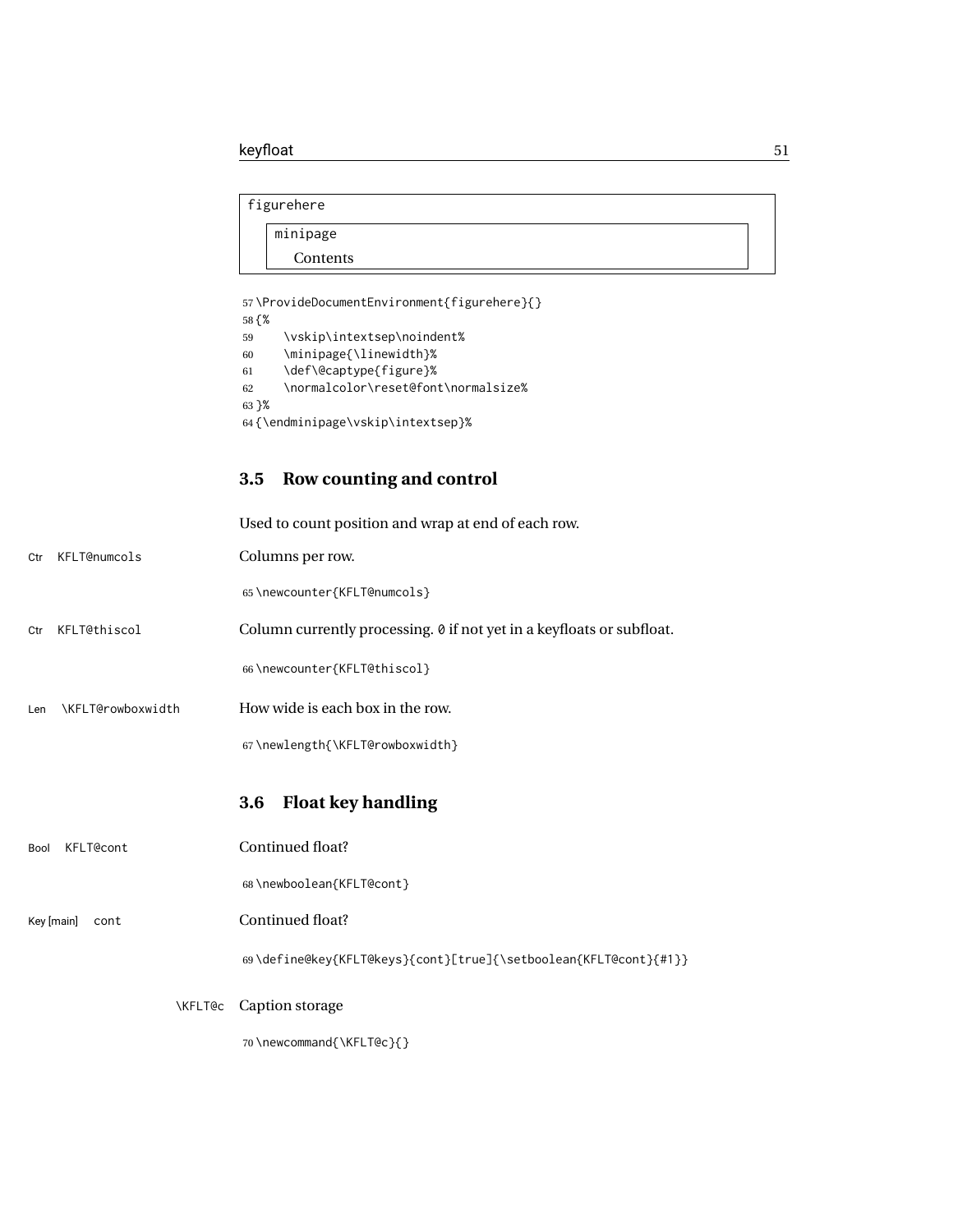```
figurehere
   minipage
```
Contents

57 \ProvideDocumentEnvironment{figurehere}{}

58 {% \vskip\intextsep\noindent% \minipage{\linewidth}% \def\@captype{figure}% \normalcolor\reset@font\normalsize% 63 }% {\endminipage\vskip\intextsep}%

## **3.5 Row counting and control**

|                          | Used to count position and wrap at end of each row.                   |
|--------------------------|-----------------------------------------------------------------------|
| KFLT@numcols<br>Ctr      | Columns per row.                                                      |
|                          | 65\newcounter{KFLT@numcols}                                           |
| KFLT@thiscol<br>Ctr      | Column currently processing. 0 if not yet in a keyfloats or subfloat. |
|                          | 66\newcounter{KFLT@thiscol}                                           |
| \KFLT@rowboxwidth<br>Len | How wide is each box in the row.                                      |
|                          | 67\newlength{\KFLT@rowboxwidth}                                       |
|                          | <b>Float key handling</b><br>3.6                                      |
| <b>KFLT@cont</b><br>Bool | Continued float?                                                      |
|                          |                                                                       |
|                          | 68\newboolean{KFLT@cont}                                              |
| Key [main]<br>cont       | Continued float?                                                      |
|                          | 69\define@key{KFLT@keys}{cont}[true]{\setboolean{KFLT@cont}{#1}}      |
| <b>\KFLT@c</b>           | Caption storage                                                       |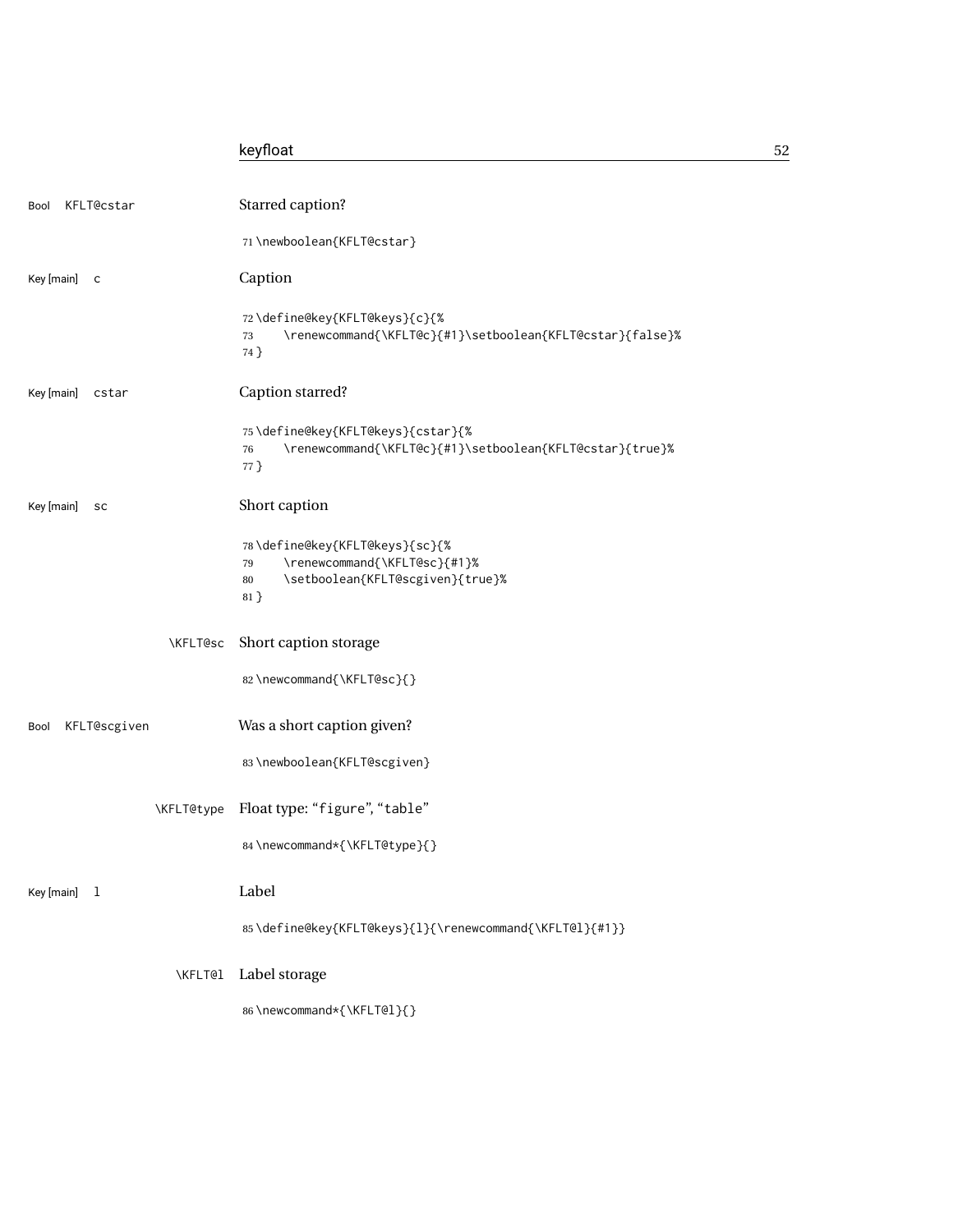## keyfloat 52

| KFLT@cstar<br>Bool         | Starred caption?                                                                                                         |
|----------------------------|--------------------------------------------------------------------------------------------------------------------------|
|                            | 71\newboolean{KFLT@cstar}                                                                                                |
| Key [main]<br>$\mathsf{C}$ | Caption                                                                                                                  |
|                            | 72\define@key{KFLT@keys}{c}{%<br>\renewcommand{\KFLT@c}{#1}\setboolean{KFLT@cstar}{false}%<br>73<br>74 }                 |
| Key [main]<br>cstar        | Caption starred?                                                                                                         |
|                            | 75\define@key{KFLT@keys}{cstar}{%<br>\renewcommand{\KFLT@c}{#1}\setboolean{KFLT@cstar}{true}%<br>76<br>77 }              |
| Key [main]<br>sc           | Short caption                                                                                                            |
|                            | 78\define@key{KFLT@keys}{sc}{%<br>\renewcommand{\KFLT@sc}{#1}%<br>79<br>\setboolean{KFLT@scgiven}{true}%<br>80<br>$81$ } |
| \KFLT@sc                   | Short caption storage                                                                                                    |
|                            | 82\newcommand{\KFLT@sc}{}                                                                                                |
| KFLT@scgiven<br>Bool       | Was a short caption given?                                                                                               |
|                            | 83\newboolean{KFLT@scgiven}                                                                                              |
| <b>\KFLT@type</b>          | Float type: "figure", "table"                                                                                            |
|                            | 84 \newcommand*{\KFLT@type}{}                                                                                            |
| Key [main]<br>1            | Label                                                                                                                    |
|                            | 85\define@key{KFLT@keys}{l}{\renewcommand{\KFLT@l}{#1}}                                                                  |
| \KFLT@l                    | Label storage                                                                                                            |
|                            | 86\newcommand*{\KFLT@l}{}                                                                                                |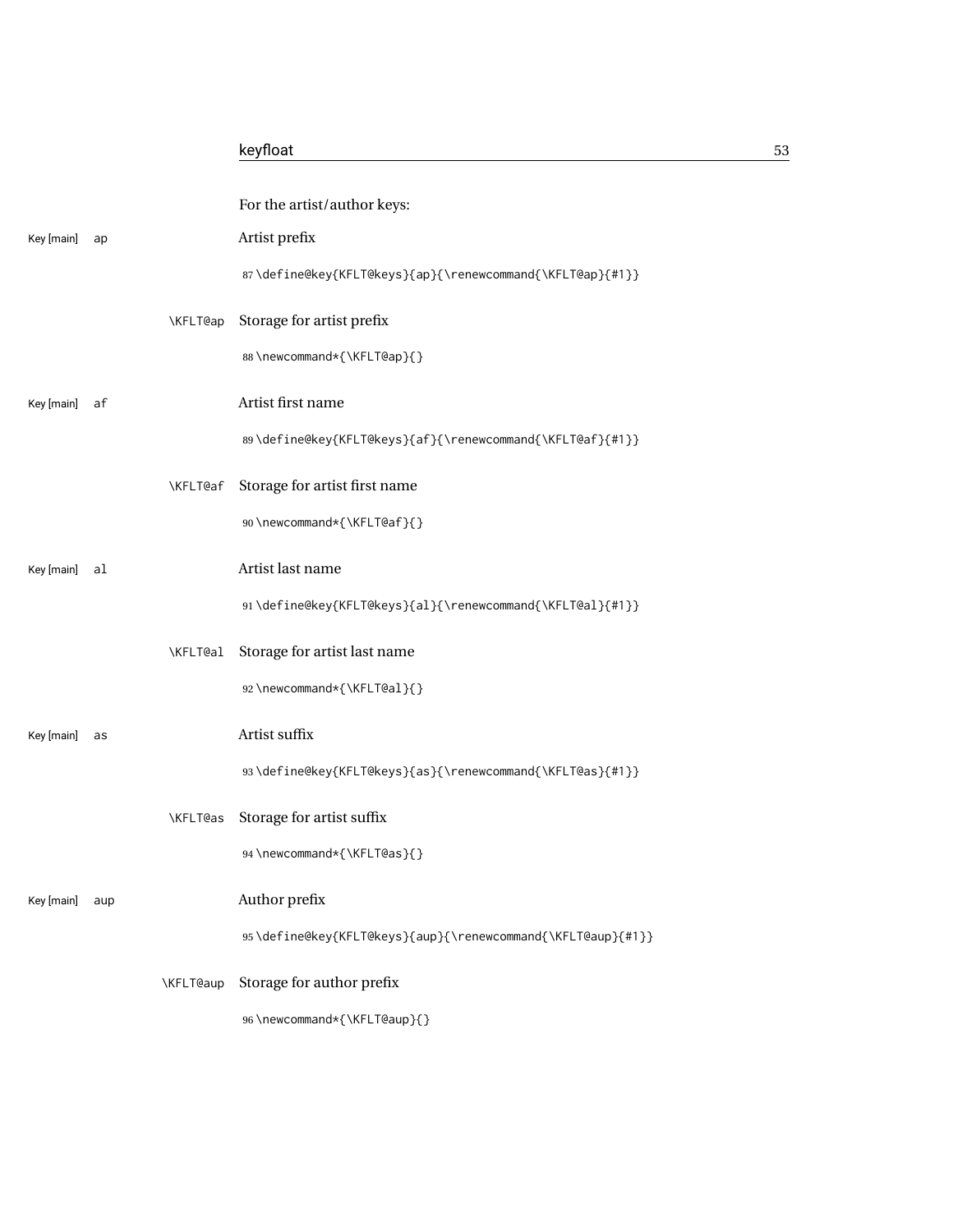|            |     |           | For the artist/author keys:                                 |
|------------|-----|-----------|-------------------------------------------------------------|
| Key [main] | ap  |           | Artist prefix                                               |
|            |     |           | 87\define@key{KFLT@keys}{ap}{\renewcommand{\KFLT@ap}{#1}}   |
|            |     | \KFLT@ap  | Storage for artist prefix                                   |
|            |     |           | 88\newcommand*{\KFLT@ap}{}                                  |
| Key [main] | af  |           | Artist first name                                           |
|            |     |           | 89\define@key{KFLT@keys}{af}{\renewcommand{\KFLT@af}{#1}}   |
|            |     | \KFLT@af  | Storage for artist first name                               |
|            |     |           | 90\newcommand*{\KFLT@af}{}                                  |
| Key [main] | al  |           | Artist last name                                            |
|            |     |           | 91\define@key{KFLT@keys}{al}{\renewcommand{\KFLT@al}{#1}}   |
|            |     | \KFLT@al  | Storage for artist last name                                |
|            |     |           | 92\newcommand*{\KFLT@al}{}                                  |
| Key [main] | as  |           | Artist suffix                                               |
|            |     |           | 93\define@key{KFLT@keys}{as}{\renewcommand{\KFLT@as}{#1}}   |
|            |     | \KFLT@as  | Storage for artist suffix                                   |
|            |     |           | 94 \newcommand*{\KFLT@as}{}                                 |
| Key [main] | aup |           | Author prefix                                               |
|            |     |           | 95\define@key{KFLT@keys}{aup}{\renewcommand{\KFLT@aup}{#1}} |
|            |     | \KFLT@aup | Storage for author prefix                                   |
|            |     |           | 96\newcommand*{\KFLT@aup}{}                                 |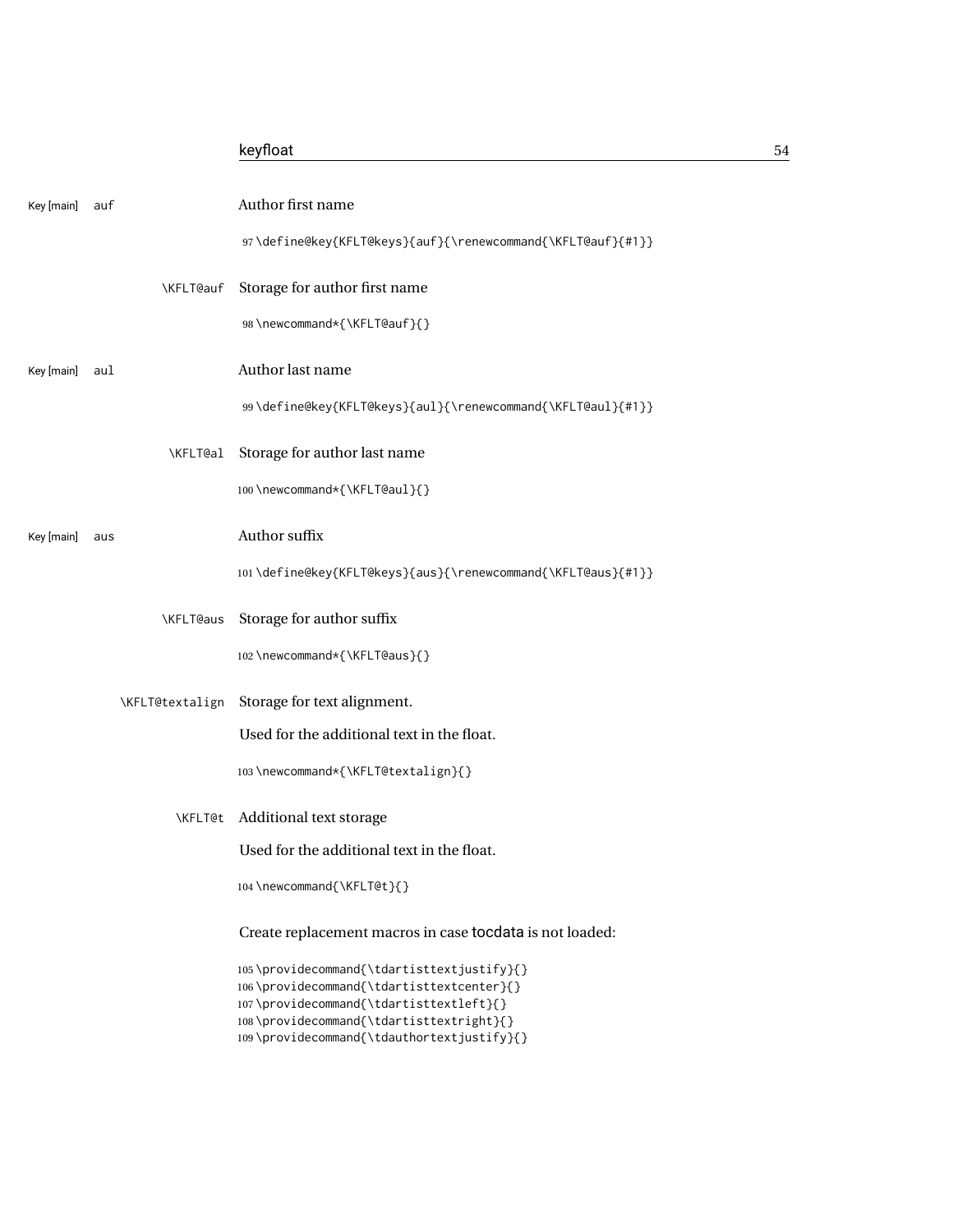|            |                 | keyfloat                                                                                                                                                                                                                     | 54 |
|------------|-----------------|------------------------------------------------------------------------------------------------------------------------------------------------------------------------------------------------------------------------------|----|
| Key [main] | auf             | Author first name<br>97\define@key{KFLT@keys}{auf}{\renewcommand{\KFLT@auf}{#1}}                                                                                                                                             |    |
|            | \KFLT@auf       | Storage for author first name                                                                                                                                                                                                |    |
|            |                 | 98\newcommand*{\KFLT@auf}{}                                                                                                                                                                                                  |    |
| Key [main] | aul             | Author last name                                                                                                                                                                                                             |    |
|            |                 | 99\define@key{KFLT@keys}{aul}{\renewcommand{\KFLT@aul}{#1}}                                                                                                                                                                  |    |
|            | \KFLT@al        | Storage for author last name<br>100\newcommand*{\KFLT@aul}{}                                                                                                                                                                 |    |
| Key [main] | aus             | Author suffix                                                                                                                                                                                                                |    |
|            |                 | 101\define@key{KFLT@keys}{aus}{\renewcommand{\KFLT@aus}{#1}}                                                                                                                                                                 |    |
|            | \KFLT@aus       | Storage for author suffix<br>102 \newcommand*{\KFLT@aus}{}                                                                                                                                                                   |    |
|            | \KFLT@textalign | Storage for text alignment.                                                                                                                                                                                                  |    |
|            |                 | Used for the additional text in the float.                                                                                                                                                                                   |    |
|            |                 | 103\newcommand*{\KFLT@textalign}{}                                                                                                                                                                                           |    |
|            |                 | \KFLT@t Additional text storage<br>Used for the additional text in the float.                                                                                                                                                |    |
|            |                 | 104 \newcommand{\KFLT@t}{}                                                                                                                                                                                                   |    |
|            |                 | Create replacement macros in case tocdata is not loaded:                                                                                                                                                                     |    |
|            |                 | 105\providecommand{\tdartisttextjustify}{}<br>106\providecommand{\tdartisttextcenter}{}<br>107\providecommand{\tdartisttextleft}{}<br>108\providecommand{\tdartisttextright}{}<br>109\providecommand{\tdauthortextjustify}{} |    |
|            |                 |                                                                                                                                                                                                                              |    |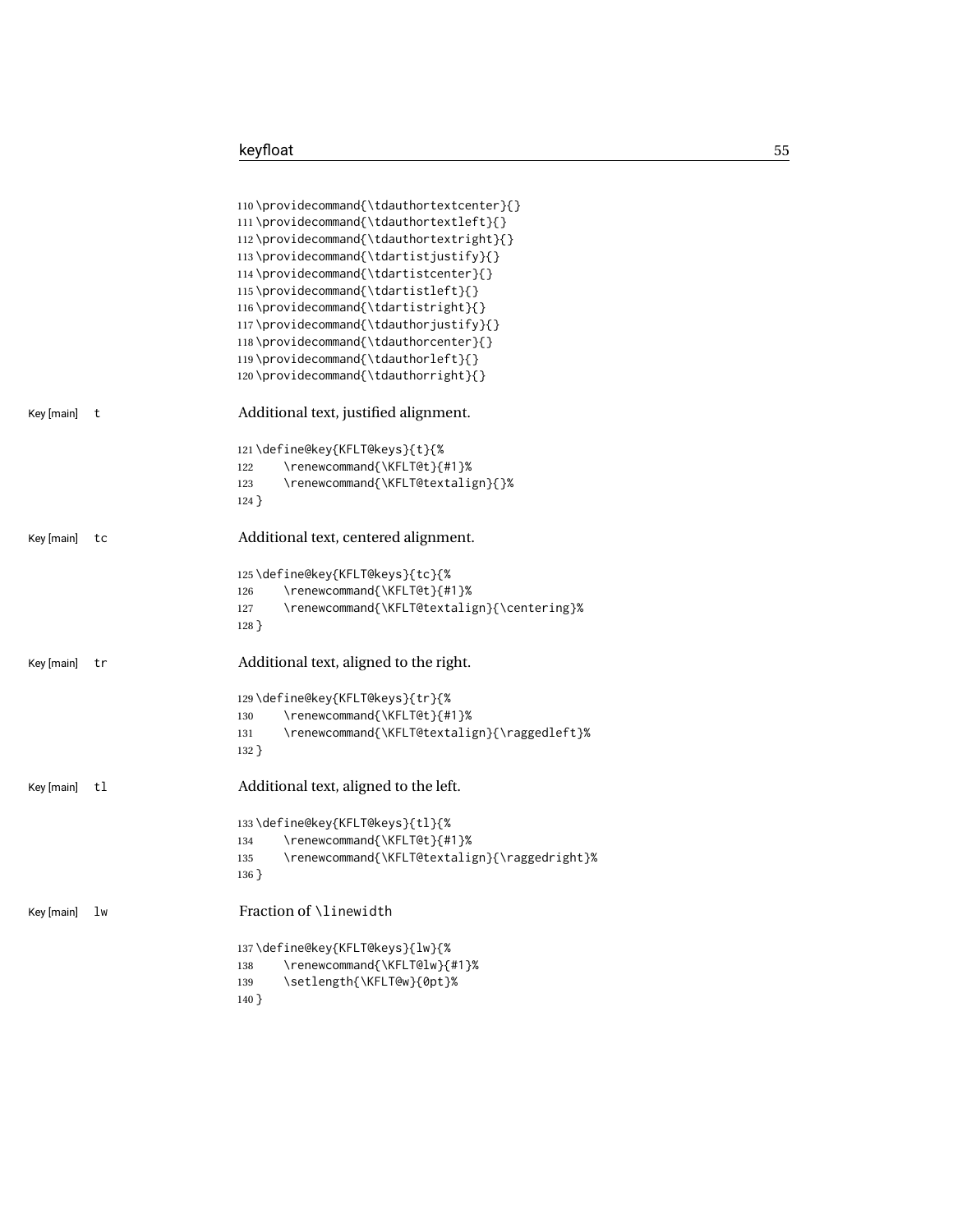|                  | 110\providecommand{\tdauthortextcenter}{}<br>111\providecommand{\tdauthortextleft}{}<br>112\providecommand{\tdauthortextright}{}<br>113\providecommand{\tdartistjustify}{}<br>114\providecommand{\tdartistcenter}{}<br>115\providecommand{\tdartistleft}{}<br>116\providecommand{\tdartistright}{}<br>117\providecommand{\tdauthorjustify}{}<br>118\providecommand{\tdauthorcenter}{}<br>119\providecommand{\tdauthorleft}{}<br>120\providecommand{\tdauthorright}{} |
|------------------|----------------------------------------------------------------------------------------------------------------------------------------------------------------------------------------------------------------------------------------------------------------------------------------------------------------------------------------------------------------------------------------------------------------------------------------------------------------------|
| Key [main]<br>t  | Additional text, justified alignment.                                                                                                                                                                                                                                                                                                                                                                                                                                |
|                  | 121\define@key{KFLT@keys}{t}{%<br>\renewcommand{\KFLT@t}{#1}%<br>122<br>\renewcommand{\KFLT@textalign}{}%<br>123<br>$124$ }                                                                                                                                                                                                                                                                                                                                          |
| Key [main]<br>tc | Additional text, centered alignment.                                                                                                                                                                                                                                                                                                                                                                                                                                 |
|                  | 125\define@key{KFLT@keys}{tc}{%<br>\renewcommand{\KFLT@t}{#1}%<br>126<br>\renewcommand{\KFLT@textalign}{\centering}%<br>127<br>$128$ }                                                                                                                                                                                                                                                                                                                               |
| Key [main]<br>tr | Additional text, aligned to the right.                                                                                                                                                                                                                                                                                                                                                                                                                               |
|                  | 129\define@key{KFLT@keys}{tr}{%<br>\renewcommand{\KFLT@t}{#1}%<br>130<br>\renewcommand{\KFLT@textalign}{\raggedleft}%<br>131<br>$132$ }                                                                                                                                                                                                                                                                                                                              |
| Key [main]<br>tl | Additional text, aligned to the left.                                                                                                                                                                                                                                                                                                                                                                                                                                |
|                  | 133\define@key{KFLT@keys}{tl}{%<br>\renewcommand{\KFLT@t}{#1}%<br>134<br>\renewcommand{\KFLT@textalign}{\raggedright}%<br>135<br>$136$ }                                                                                                                                                                                                                                                                                                                             |
| Key [main]<br>lw | Fraction of \linewidth                                                                                                                                                                                                                                                                                                                                                                                                                                               |
|                  | 137\define@key{KFLT@keys}{lw}{%<br>\renewcommand{\KFLT@lw}{#1}%<br>138<br>\setlength{\KFLT@w}{0pt}%<br>139<br>$140$ }                                                                                                                                                                                                                                                                                                                                                |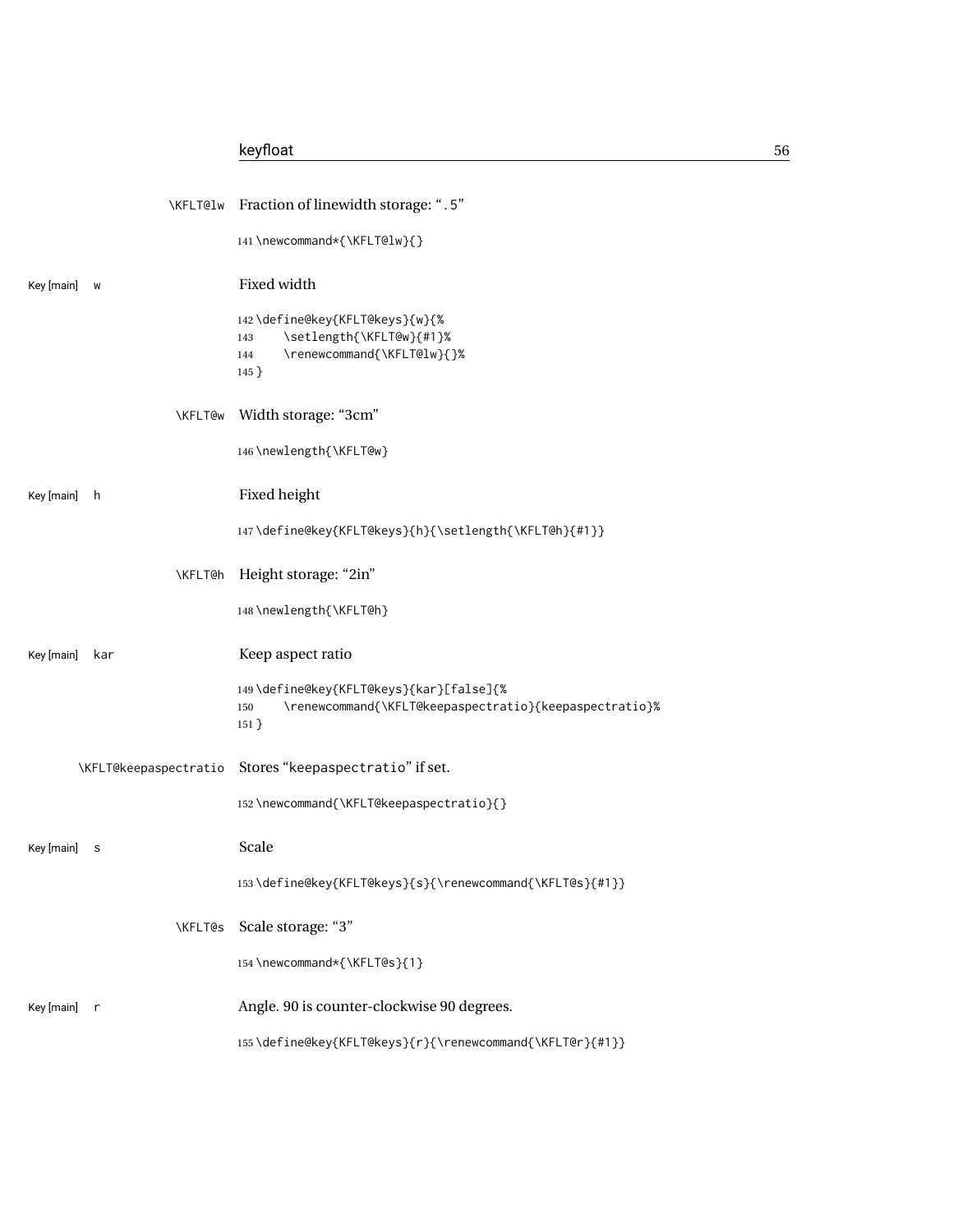|              |                       | \KFLT@lw Fraction of linewidth storage: ".5"                                                                        |
|--------------|-----------------------|---------------------------------------------------------------------------------------------------------------------|
|              |                       | 141\newcommand*{\KFLT@lw}{}                                                                                         |
| Key [main]   | W                     | Fixed width                                                                                                         |
|              |                       | 142\define@key{KFLT@keys}{w}{%<br>\setlength{\KFLT@w}{#1}%<br>143<br>\renewcommand{\KFLT@lw}{}%<br>144<br>$145$ }   |
|              |                       | \KFLT@w Width storage: "3cm"                                                                                        |
|              |                       | 146\newlength{\KFLT@w}                                                                                              |
| Key [main]   | h.                    | Fixed height                                                                                                        |
|              |                       | 147\define@key{KFLT@keys}{h}{\setlength{\KFLT@h}{#1}}                                                               |
|              | <b>\KFLT@h</b>        | Height storage: "2in"                                                                                               |
|              |                       | 148\newlength{\KFLT@h}                                                                                              |
| Key [main]   | kar                   | Keep aspect ratio                                                                                                   |
|              |                       | 149\define@key{KFLT@keys}{kar}[false]{%<br>\renewcommand{\KFLT@keepaspectratio}{keepaspectratio}%<br>150<br>$151$ } |
|              | \KFLT@keepaspectratio | Stores "keepaspectratio" if set.                                                                                    |
|              |                       | 152\newcommand{\KFLT@keepaspectratio}{}                                                                             |
|              |                       |                                                                                                                     |
| Key [main]   | s                     | Scale                                                                                                               |
|              |                       | 153\define@key{KFLT@keys}{s}{\renewcommand{\KFLT@s}{#1}}                                                            |
|              | <b>\KFLT@s</b>        | Scale storage: "3"                                                                                                  |
|              |                       | 154 \newcommand*{\KFLT@s}{1}                                                                                        |
| Key [main] r |                       | Angle. 90 is counter-clockwise 90 degrees.                                                                          |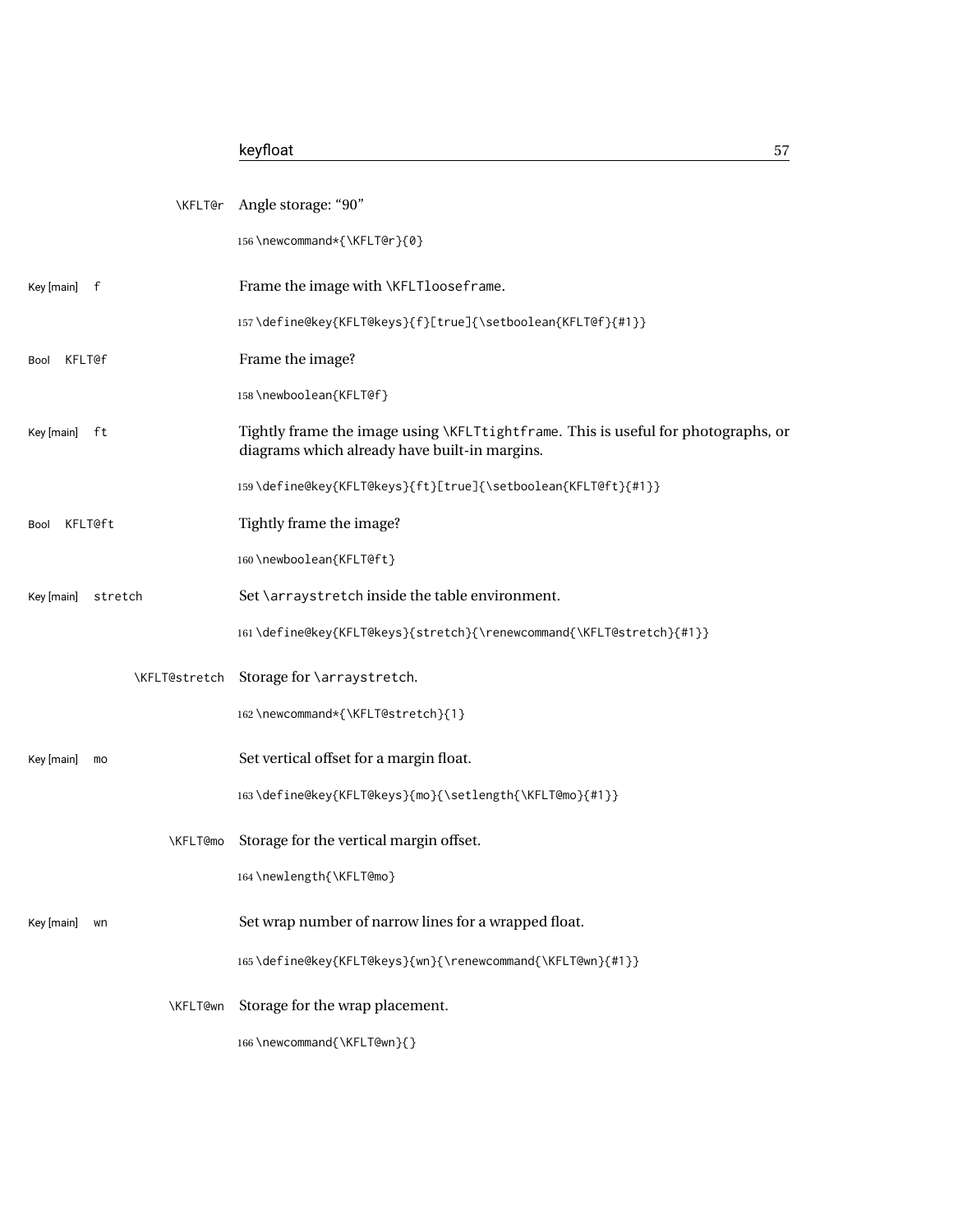## keyfloat 57

| \KFLT@r               | Angle storage: "90"                                                                                                                |
|-----------------------|------------------------------------------------------------------------------------------------------------------------------------|
|                       | 156\newcommand*{\KFLT@r}{0}                                                                                                        |
| Key [main] f          | Frame the image with \KFLTlooseframe.                                                                                              |
|                       | 157\define@key{KFLT@keys}{f}[true]{\setboolean{KFLT@f}{#1}}                                                                        |
| <b>KFLT@f</b><br>Bool | Frame the image?                                                                                                                   |
|                       | 158\newboolean{KFLT@f}                                                                                                             |
| Key [main] ft         | Tightly frame the image using \KFLTtightframe. This is useful for photographs, or<br>diagrams which already have built-in margins. |
|                       | 159\define@key{KFLT@keys}{ft}[true]{\setboolean{KFLT@ft}{#1}}                                                                      |
| KFLT@ft<br>Bool       | Tightly frame the image?                                                                                                           |
|                       | 160\newboolean{KFLT@ft}                                                                                                            |
| Key [main]<br>stretch | Set \arraystretch inside the table environment.                                                                                    |
|                       | 161\define@key{KFLT@keys}{stretch}{\renewcommand{\KFLT@stretch}{#1}}                                                               |
| <b>\KFLT@stretch</b>  | Storage for \arraystretch.                                                                                                         |
|                       | 162\newcommand*{\KFLT@stretch}{1}                                                                                                  |
| Key [main]<br>mo      | Set vertical offset for a margin float.                                                                                            |
|                       | 163\define@key{KFLT@keys}{mo}{\setlength{\KFLT@mo}{#1}}                                                                            |
| <b>\KFLT@mo</b>       | Storage for the vertical margin offset.                                                                                            |
|                       | 164 \newlength{\KFLT@mo}                                                                                                           |
| Key [main]<br>wn      | Set wrap number of narrow lines for a wrapped float.                                                                               |
|                       | 165\define@key{KFLT@keys}{wn}{\renewcommand{\KFLT@wn}{#1}}                                                                         |
| \KFLT@wn              | Storage for the wrap placement.                                                                                                    |
|                       | 166\newcommand{\KFLT@wn}{}                                                                                                         |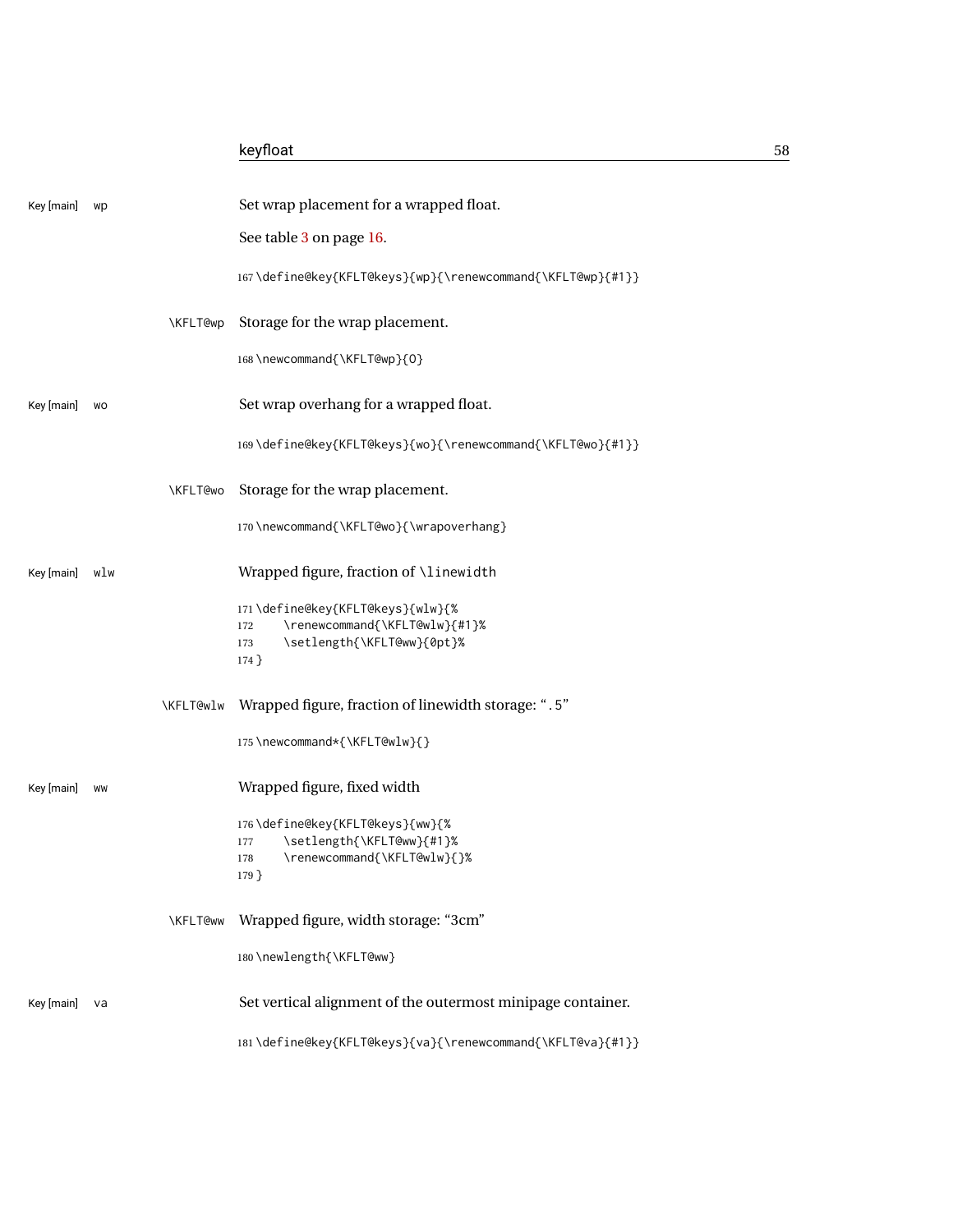| Key [main] | wp  |                 | Set wrap placement for a wrapped float.                                  |
|------------|-----|-----------------|--------------------------------------------------------------------------|
|            |     |                 | See table 3 on page 16.                                                  |
|            |     |                 | 167\define@key{KFLT@keys}{wp}{\renewcommand{\KFLT@wp}{#1}}               |
|            |     | <b>\KFLT@wp</b> | Storage for the wrap placement.                                          |
|            |     |                 | 168\newcommand{\KFLT@wp}{0}                                              |
| Key [main] | WO  |                 | Set wrap overhang for a wrapped float.                                   |
|            |     |                 | 169\define@key{KFLT@keys}{wo}{\renewcommand{\KFLT@wo}{#1}}               |
|            |     | <b>\KFLT@wo</b> | Storage for the wrap placement.                                          |
|            |     |                 | 170 \newcommand{\KFLT@wo}{\wrapoverhang}                                 |
| Key [main] | wlw |                 | Wrapped figure, fraction of \linewidth                                   |
|            |     |                 | 171\define@key{KFLT@keys}{wlw}{%<br>\renewcommand{\KFLT@wlw}{#1}%<br>172 |
|            |     |                 | \setlength{\KFLT@ww}{0pt}%<br>173<br>$174$ }                             |
|            |     | \KFLT@wlw       | Wrapped figure, fraction of linewidth storage: ".5"                      |
|            |     |                 | 175 \newcommand*{\KFLT@wlw}{}                                            |
| Key [main] | WW  |                 | Wrapped figure, fixed width                                              |
|            |     |                 | 176\define@key{KFLT@keys}{ww}{%                                          |
|            |     |                 | \setlength{\KFLT@ww}{#1}%<br>177<br>\renewcommand{\KFLT@wlw}{}%<br>178   |
|            |     |                 | $179$ }                                                                  |
|            |     | <b>KFLT@ww</b>  | Wrapped figure, width storage: "3cm"                                     |
|            |     |                 | 180\newlength{\KFLT@ww}                                                  |
| Key [main] | va  |                 | Set vertical alignment of the outermost minipage container.              |
|            |     |                 | 181\define@key{KFLT@keys}{va}{\renewcommand{\KFLT@va}{#1}}               |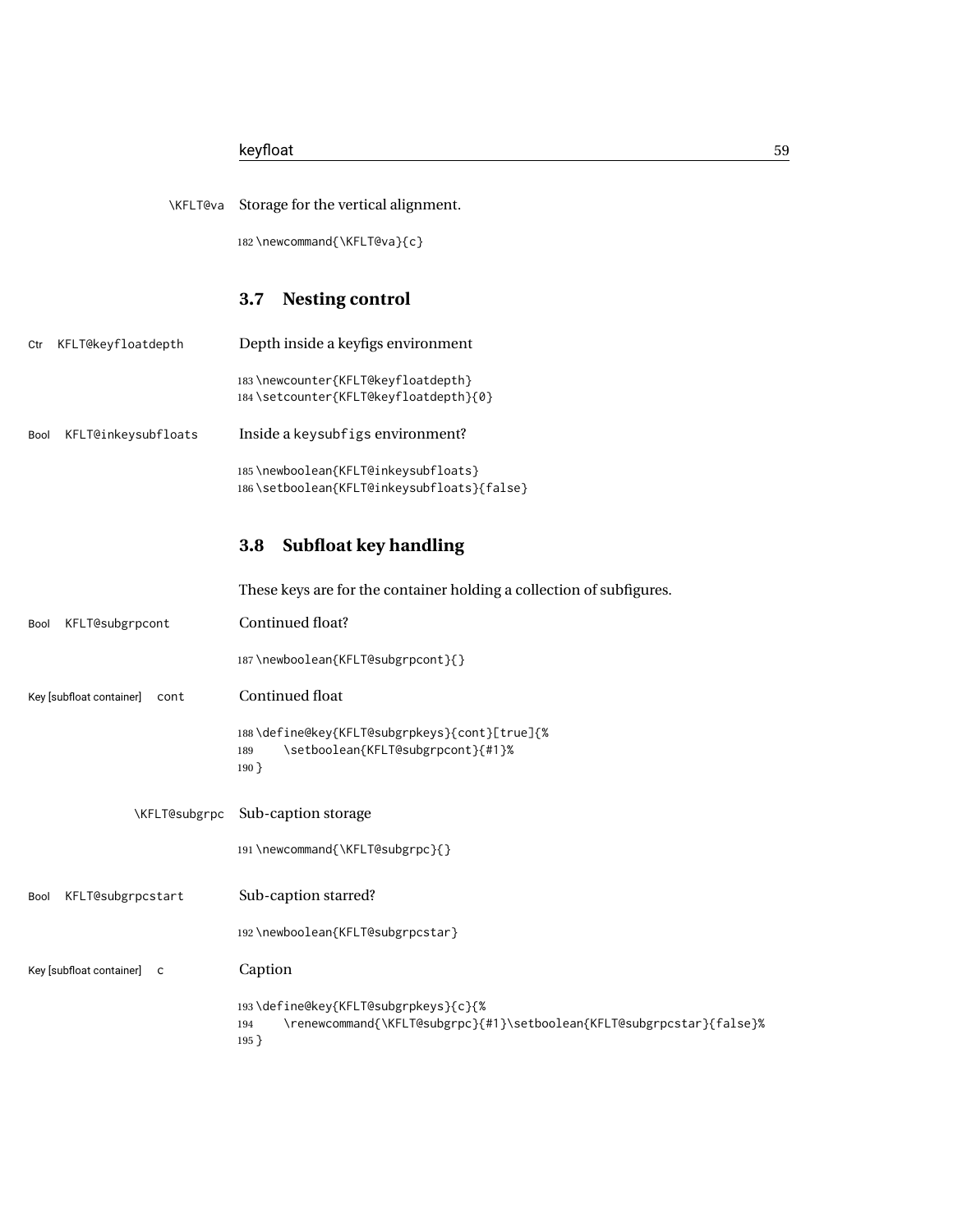182 \newcommand{\KFLT@va}{c}

## **3.7 Nesting control**

| Ctr  | KFLT@keyfloatdepth  | Depth inside a keyfigs environment                                          |
|------|---------------------|-----------------------------------------------------------------------------|
|      |                     | 183\newcounter{KFLT@keyfloatdepth}<br>184\setcounter{KFLT@keyfloatdepth}{0} |
| Bool | KFLT@inkeysubfloats | Inside a keysubfigs environment?                                            |
|      |                     | 185\newboolean{KFLT@inkeysubfloats}                                         |

# **3.8 Subfloat key handling**

186 \setboolean{KFLT@inkeysubfloats}{false}

|                                  | These keys are for the container holding a collection of subfigures.                                                            |
|----------------------------------|---------------------------------------------------------------------------------------------------------------------------------|
| KFLT@subgrpcont<br>Bool          | Continued float?                                                                                                                |
|                                  | 187\newboolean{KFLT@subgrpcont}{}                                                                                               |
| Key [subfloat container]<br>cont | Continued float                                                                                                                 |
|                                  | 188\define@key{KFLT@subgrpkeys}{cont}[true]{%<br>\setboolean{KFLT@subgrpcont}{#1}%<br>189<br>$190$ }                            |
| \KFLT@subgrpc                    | Sub-caption storage                                                                                                             |
|                                  | 191\newcommand{\KFLT@subgrpc}{}                                                                                                 |
| KFLT@subgrpcstart<br>Bool        | Sub-caption starred?                                                                                                            |
|                                  | 192 \newboolean{KFLT@subgrpcstar}                                                                                               |
| Key [subfloat container] C       | Caption                                                                                                                         |
|                                  | 193\define@key{KFLT@subgrpkeys}{c}{%<br>\renewcommand{\KFLT@subgrpc}{#1}\setboolean{KFLT@subgrpcstar}{false}%<br>194<br>$195$ } |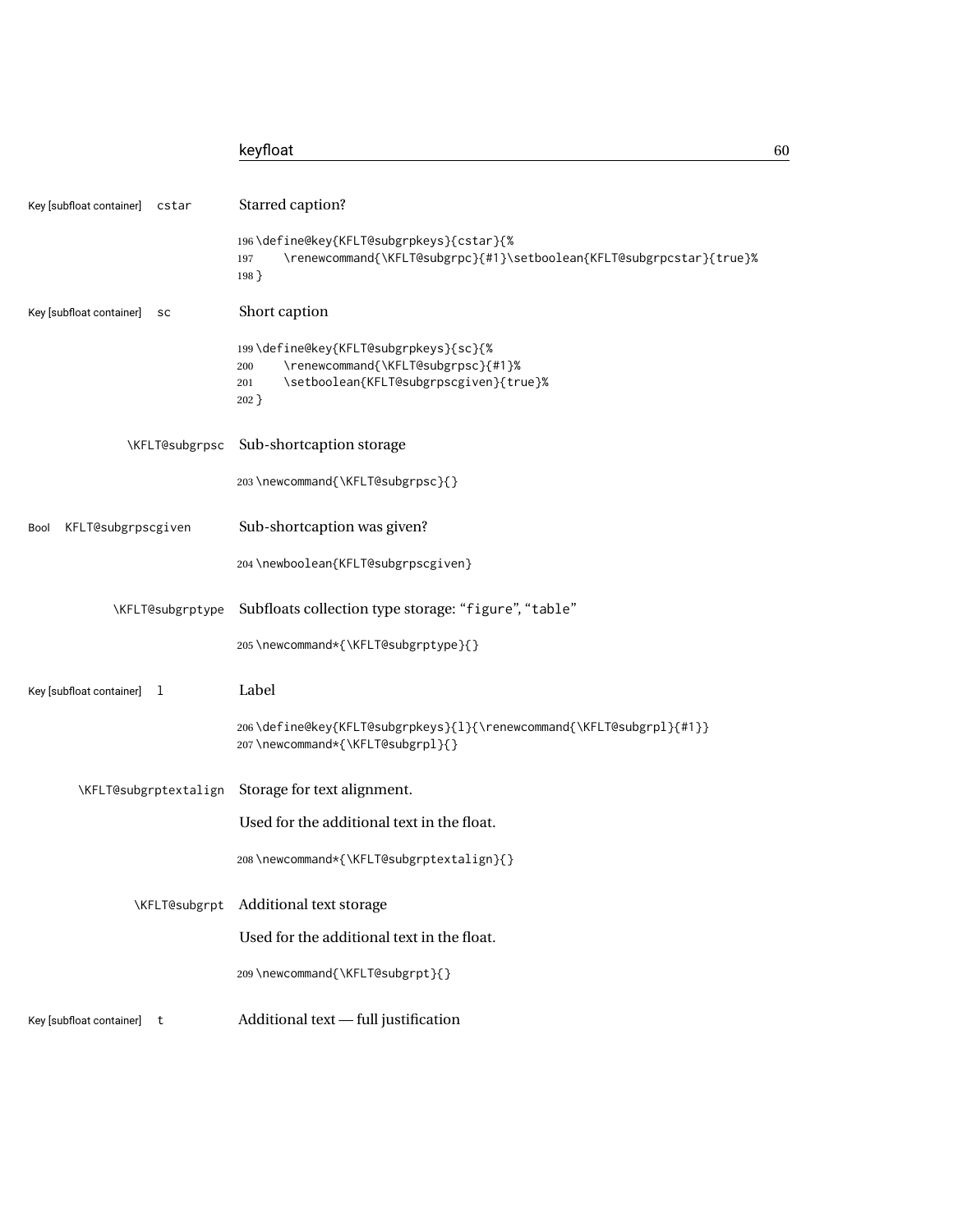|                                   | keyfloat                                                                                                                                       | 60 |
|-----------------------------------|------------------------------------------------------------------------------------------------------------------------------------------------|----|
| Key [subfloat container]<br>cstar | Starred caption?                                                                                                                               |    |
|                                   | 196\define@key{KFLT@subgrpkeys}{cstar}{%<br>\renewcommand{\KFLT@subgrpc}{#1}\setboolean{KFLT@subgrpcstar}{true}%<br>197<br>$198$ }             |    |
| Key [subfloat container]<br>sc    | Short caption                                                                                                                                  |    |
|                                   | 199\define@key{KFLT@subgrpkeys}{sc}{%<br>\renewcommand{\KFLT@subgrpsc}{#1}%<br>200<br>\setboolean{KFLT@subgrpscgiven}{true}%<br>201<br>$202$ } |    |
| \KFLT@subgrpsc                    | Sub-shortcaption storage                                                                                                                       |    |
|                                   | 203\newcommand{\KFLT@subgrpsc}{}                                                                                                               |    |
| KFLT@subgrpscgiven<br>Bool        | Sub-shortcaption was given?                                                                                                                    |    |
|                                   | 204 \newboolean{KFLT@subgrpscgiven}                                                                                                            |    |
| \KFLT@subgrptype                  | Subfloats collection type storage: "figure", "table"                                                                                           |    |
|                                   | 205\newcommand*{\KFLT@subgrptype}{}                                                                                                            |    |
| Key [subfloat container] 1        | Label                                                                                                                                          |    |
|                                   | 206\define@key{KFLT@subgrpkeys}{1}{\renewcommand{\KFLT@subgrpl}{#1}}<br>207\newcommand*{\KFLT@subgrpl}{}                                       |    |
| \KFLT@subgrptextalign             | Storage for text alignment.                                                                                                                    |    |
|                                   | Used for the additional text in the float.                                                                                                     |    |
|                                   | 208\newcommand*{\KFLT@subgrptextalign}{}                                                                                                       |    |
| \KFLT@subgrpt                     | Additional text storage                                                                                                                        |    |
|                                   | Used for the additional text in the float.                                                                                                     |    |
|                                   | 209 \newcommand{\KFLT@subgrpt}{}                                                                                                               |    |
| Key [subfloat container] t        | Additional text - full justification                                                                                                           |    |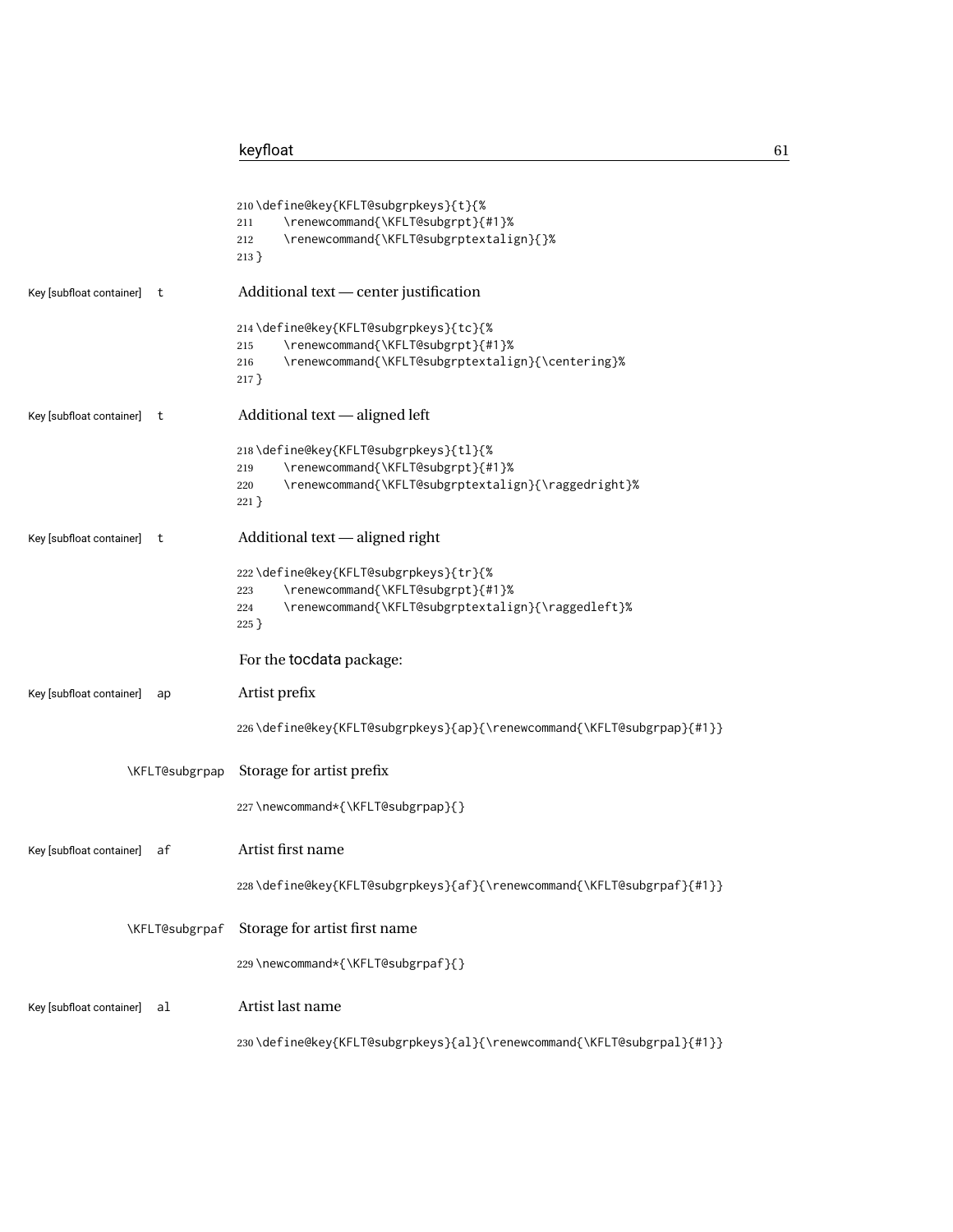|                                | 210\define@key{KFLT@subgrpkeys}{t}{%<br>\renewcommand{\KFLT@subgrpt}{#1}%<br>211<br>\renewcommand{\KFLT@subgrptextalign}{}%<br>212                         |
|--------------------------------|------------------------------------------------------------------------------------------------------------------------------------------------------------|
|                                | $213$ }                                                                                                                                                    |
| Key [subfloat container]<br>t  | Additional text - center justification                                                                                                                     |
|                                | 214\define@key{KFLT@subgrpkeys}{tc}{%<br>\renewcommand{\KFLT@subgrpt}{#1}%<br>215<br>\renewcommand{\KFLT@subgrptextalign}{\centering}%<br>216<br>$217$ }   |
| Key [subfloat container] t     | Additional text - aligned left                                                                                                                             |
|                                | 218\define@key{KFLT@subgrpkeys}{tl}{%<br>\renewcommand{\KFLT@subgrpt}{#1}%<br>219<br>\renewcommand{\KFLT@subgrptextalign}{\raggedright}%<br>220<br>$221$ } |
| Key [subfloat container]<br>t  | Additional text — aligned right                                                                                                                            |
|                                | 222\define@key{KFLT@subgrpkeys}{tr}{%<br>\renewcommand{\KFLT@subgrpt}{#1}%<br>223<br>\renewcommand{\KFLT@subgrptextalign}{\raggedleft}%<br>224<br>$225$ }  |
|                                | For the tocdata package:                                                                                                                                   |
| Key [subfloat container]<br>ap | Artist prefix                                                                                                                                              |
|                                | 226\define@key{KFLT@subgrpkeys}{ap}{\renewcommand{\KFLT@subgrpap}{#1}}                                                                                     |
| \KFLT@subgrpap                 | Storage for artist prefix                                                                                                                                  |
|                                | 227\newcommand*{\KFLT@subgrpap}{}                                                                                                                          |
| Key [subfloat container]<br>af | Artist first name                                                                                                                                          |
|                                | 228\define@key{KFLT@subgrpkeys}{af}{\renewcommand{\KFLT@subgrpaf}{#1}}                                                                                     |
| \KFLT@subgrpaf                 | Storage for artist first name                                                                                                                              |
|                                | 229\newcommand*{\KFLT@subgrpaf}{}                                                                                                                          |
| Key [subfloat container]<br>al | Artist last name                                                                                                                                           |
|                                | 230\define@key{KFLT@subgrpkeys}{al}{\renewcommand{\KFLT@subgrpal}{#1}}                                                                                     |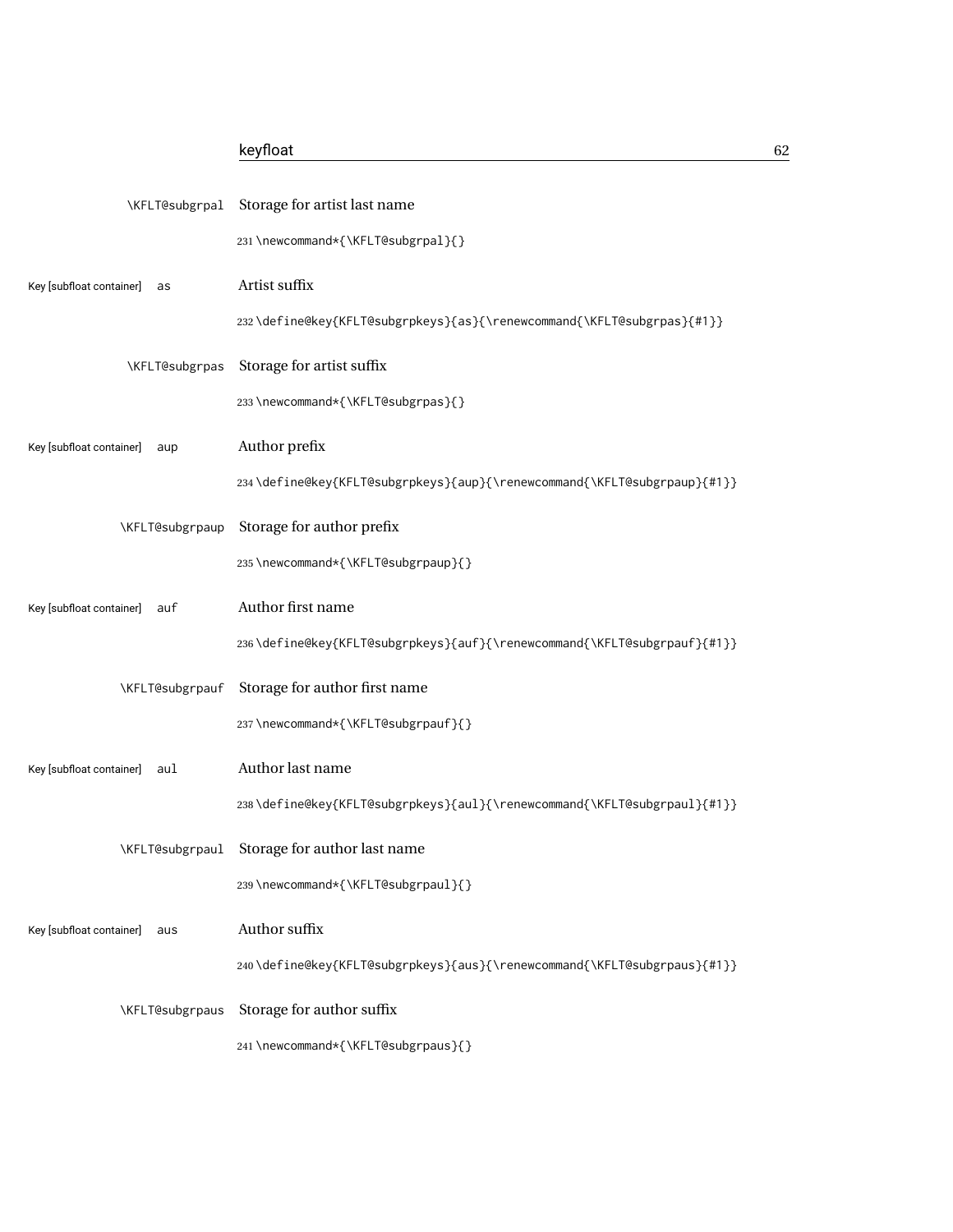|                                 | \KFLT@subgrpal Storage for artist last name                              |
|---------------------------------|--------------------------------------------------------------------------|
|                                 | 231\newcommand*{\KFLT@subgrpal}{}                                        |
| Key [subfloat container]<br>as  | Artist suffix                                                            |
|                                 | 232\define@key{KFLT@subgrpkeys}{as}{\renewcommand{\KFLT@subgrpas}{#1}}   |
| \KFLT@subgrpas                  | Storage for artist suffix                                                |
|                                 | 233\newcommand*{\KFLT@subgrpas}{}                                        |
| Key [subfloat container]<br>aup | Author prefix                                                            |
|                                 | 234\define@key{KFLT@subgrpkeys}{aup}{\renewcommand{\KFLT@subgrpaup}{#1}} |
| \KFLT@subgrpaup                 | Storage for author prefix                                                |
|                                 | 235 \newcommand*{\KFLT@subgrpaup}{}                                      |
| Key [subfloat container]<br>auf | Author first name                                                        |
|                                 | 236\define@key{KFLT@subgrpkeys}{auf}{\renewcommand{\KFLT@subgrpauf}{#1}} |
| \KFLT@subgrpauf                 | Storage for author first name                                            |
|                                 | 237\newcommand*{\KFLT@subgrpauf}{}                                       |
| Key [subfloat container]<br>aul | Author last name                                                         |
|                                 | 238\define@key{KFLT@subgrpkeys}{aul}{\renewcommand{\KFLT@subgrpaul}{#1}} |
| \KFLT@subgrpaul                 | Storage for author last name                                             |
|                                 | 239\newcommand*{\KFLT@subgrpaul}{}                                       |
| Key [subfloat container]<br>aus | Author suffix                                                            |
|                                 | 240\define@key{KFLT@subgrpkeys}{aus}{\renewcommand{\KFLT@subgrpaus}{#1}} |
| \KFLT@subgrpaus                 | Storage for author suffix                                                |
|                                 | 241 \newcommand*{\KFLT@subgrpaus}{}                                      |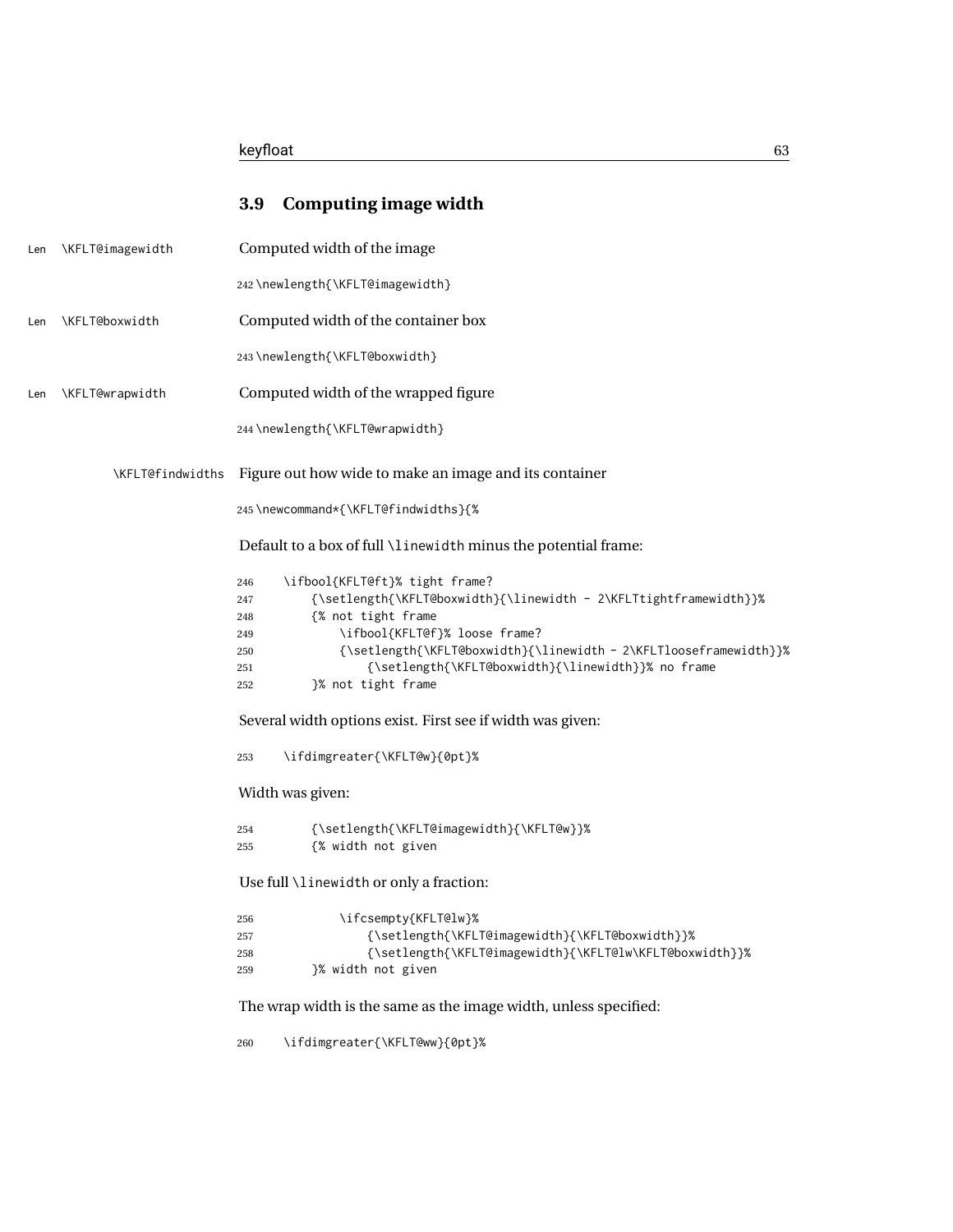|     |                  | <b>Computing image width</b><br>3.9                                                                                                                                                                                                                                                                                                                          |
|-----|------------------|--------------------------------------------------------------------------------------------------------------------------------------------------------------------------------------------------------------------------------------------------------------------------------------------------------------------------------------------------------------|
| Len | \KFLT@imagewidth | Computed width of the image                                                                                                                                                                                                                                                                                                                                  |
|     |                  | 242\newlength{\KFLT@imagewidth}                                                                                                                                                                                                                                                                                                                              |
| Len | \KFLT@boxwidth   | Computed width of the container box                                                                                                                                                                                                                                                                                                                          |
|     |                  | 243\newlength{\KFLT@boxwidth}                                                                                                                                                                                                                                                                                                                                |
| Len | \KFLT@wrapwidth  | Computed width of the wrapped figure                                                                                                                                                                                                                                                                                                                         |
|     |                  | 244 \newlength{\KFLT@wrapwidth}                                                                                                                                                                                                                                                                                                                              |
|     | \KFLT@findwidths | Figure out how wide to make an image and its container                                                                                                                                                                                                                                                                                                       |
|     |                  | 245\newcommand*{\KFLT@findwidths}{%                                                                                                                                                                                                                                                                                                                          |
|     |                  | Default to a box of full \linewidth minus the potential frame:                                                                                                                                                                                                                                                                                               |
|     |                  | \ifbool{KFLT@ft}% tight frame?<br>246<br>{\setlength{\KFLT@boxwidth}{\linewidth - 2\KFLTtightframewidth}}%<br>247<br>{% not tight frame<br>248<br>\ifbool{KFLT@f}% loose frame?<br>249<br>{\setlength{\KFLT@boxwidth}{\linewidth - 2\KFLTlooseframewidth}}%<br>250<br>{\setlength{\KFLT@boxwidth}{\linewidth}}% no frame<br>251<br>}% not tight frame<br>252 |
|     |                  | Several width options exist. First see if width was given:                                                                                                                                                                                                                                                                                                   |
|     |                  | \ifdimgreater{\KFLT@w}{0pt}%<br>253                                                                                                                                                                                                                                                                                                                          |
|     |                  | Width was given:                                                                                                                                                                                                                                                                                                                                             |
|     |                  | {\setlength{\KFLT@imagewidth}{\KFLT@w}}%<br>254<br>{% width not given<br>255                                                                                                                                                                                                                                                                                 |
|     |                  | Use full \linewidth or only a fraction:                                                                                                                                                                                                                                                                                                                      |
|     |                  | \ifcsempty{KFLT@lw}%<br>256<br>{\setlength{\KFLT@imagewidth}{\KFLT@boxwidth}}%<br>257<br>{\setlength{\KFLT@imagewidth}{\KFLT@lw\KFLT@boxwidth}}%<br>258<br>}% width not given<br>259                                                                                                                                                                         |
|     |                  | The wrap width is the same as the image width, unless specified:                                                                                                                                                                                                                                                                                             |
|     |                  | \ifdimgreater{\KFLT@ww}{0pt}%<br>260                                                                                                                                                                                                                                                                                                                         |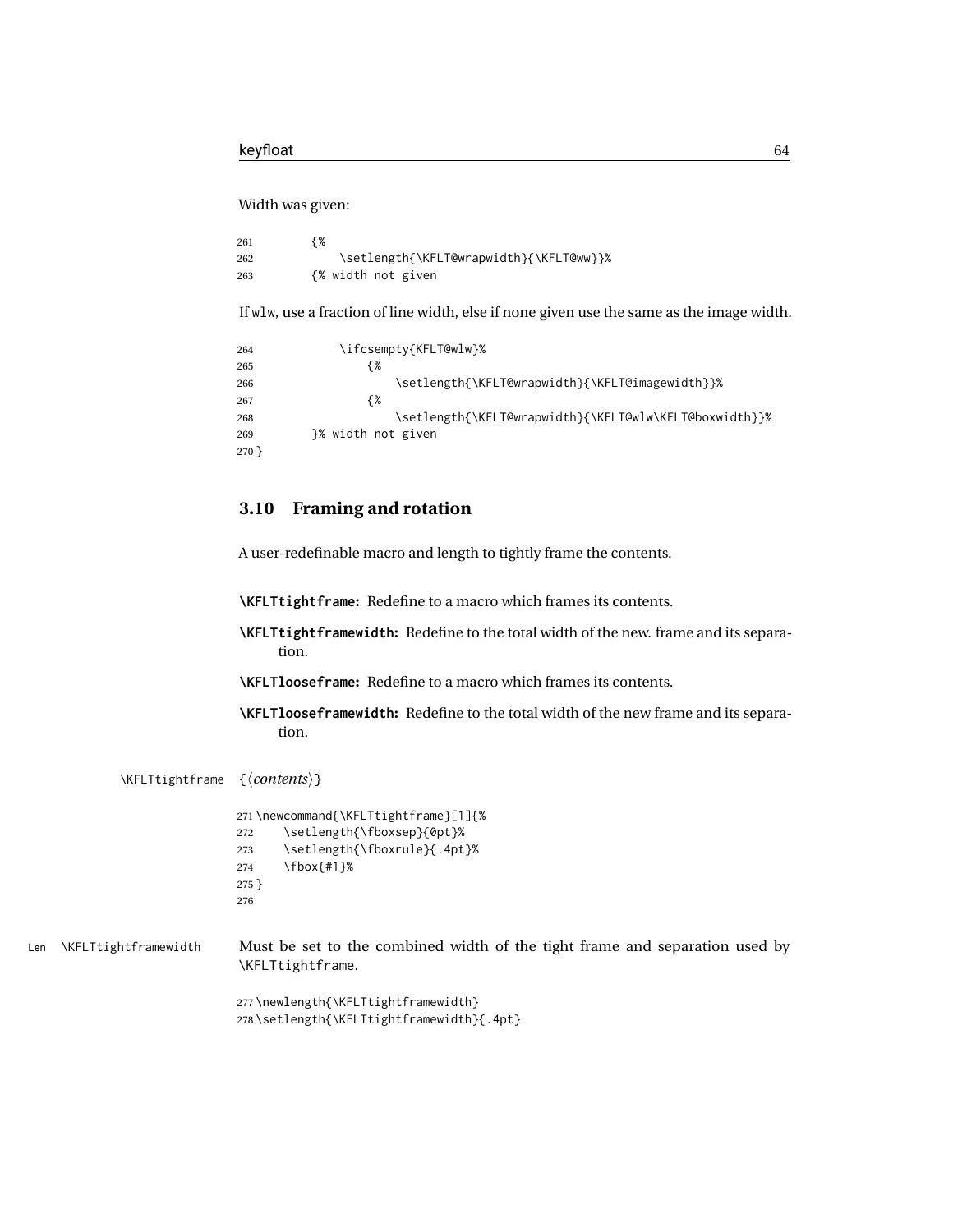### Width was given:

```
261 {%
262 \setlength{\KFLT@wrapwidth}{\KFLT@ww}}%
263 {% width not given
```
If wlw, use a fraction of line width, else if none given use the same as the image width.

```
264 \ifcsempty{KFLT@wlw}%
265 {%
266 \setlength{\KFLT@wrapwidth}{\KFLT@imagewidth}}%
267 {%
268 \setlength{\KFLT@wrapwidth}{\KFLT@wlw\KFLT@boxwidth}}%
269 }% width not given
270 }
```
### **3.10 Framing and rotation**

A user-redefinable macro and length to tightly frame the contents.

**\KFLTtightframe:** Redefine to a macro which frames its contents.

- **\KFLTtightframewidth:** Redefine to the total width of the new. frame and its separation.
- **\KFLTlooseframe:** Redefine to a macro which frames its contents.
- **\KFLTlooseframewidth:** Redefine to the total width of the new frame and its separation.

\KFLTtightframe {⟨*contents*⟩}

```
271 \newcommand{\KFLTtightframe}[1]{%
272 \setlength{\fboxsep}{0pt}%
273 \setlength{\fboxrule}{.4pt}%
274 \fbox{#1}%
275 }
276
```
Len \KFLTtightframewidth Must be set to the combined width of the tight frame and separation used by \KFLTtightframe.

> 277 \newlength{\KFLTtightframewidth} 278 \setlength{\KFLTtightframewidth}{.4pt}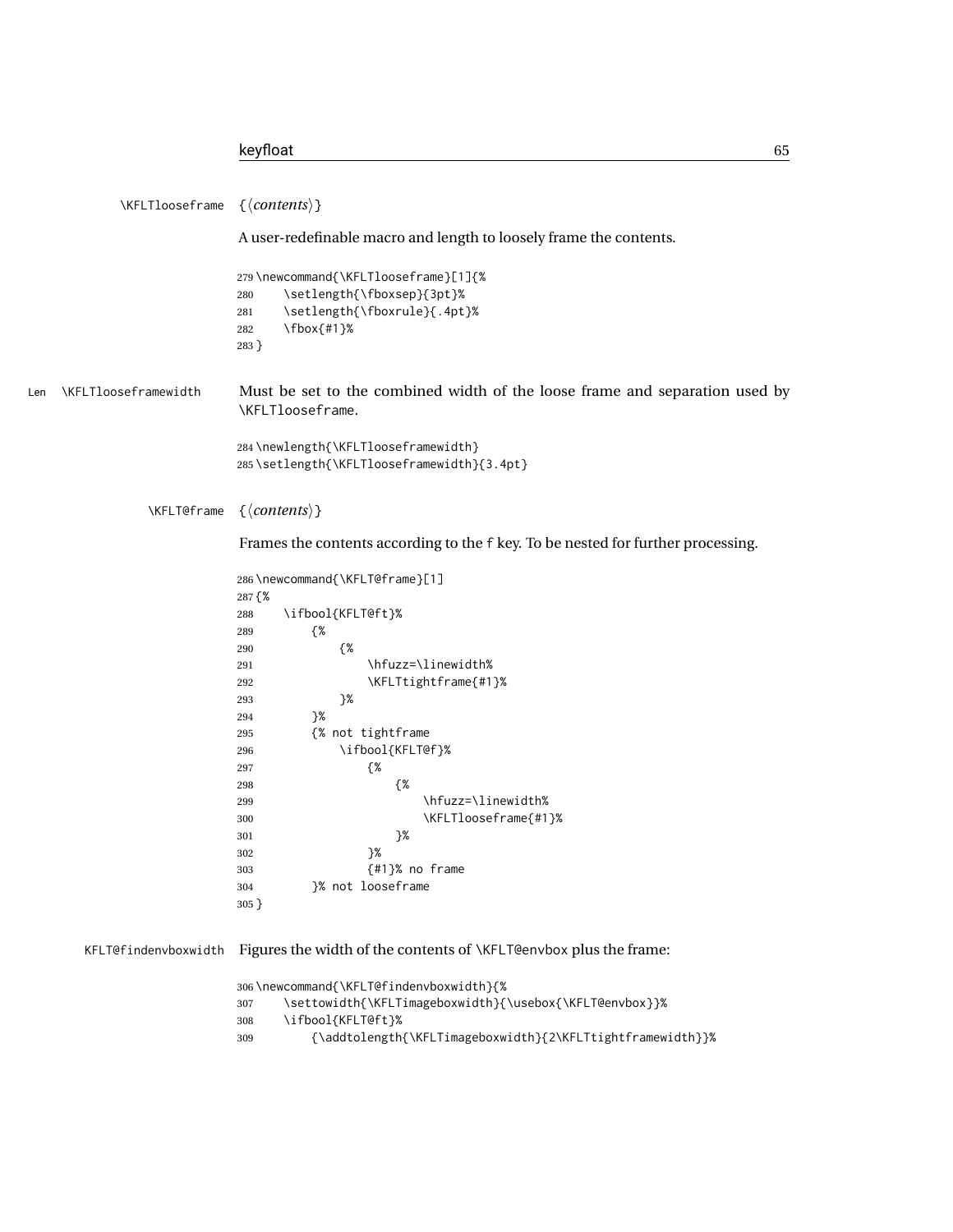```
\KFLTlooseframe {⟨contents⟩}
                         A user-redefinable macro and length to loosely frame the contents.
                         279 \newcommand{\KFLTlooseframe}[1]{%
                         280 \setlength{\fboxsep}{3pt}%
                         281 \setlength{\fboxrule}{.4pt}%
                         282 \fbox{#1}%
                         283 }
Len \KFLTlooseframewidth Must be set to the combined width of the loose frame and separation used by
                         \KFLTlooseframe.
                         284 \newlength{\KFLTlooseframewidth}
                         285 \setlength{\KFLTlooseframewidth}{3.4pt}
              \KFLT@frame {⟨contents⟩}
                         Frames the contents according to the f key. To be nested for further processing.
                         286 \newcommand{\KFLT@frame}[1]
                         287 {%
                         288 \ifbool{KFLT@ft}%
                         289 {%
                         290 {%
                         291 \hfuzz=\linewidth%
                         292 \KFLTtightframe{#1}%
                         293 }%
                         294 }%
                         295 {% not tightframe
                         296 \ifbool{KFLT@f}%
                         297 {%
                         298 {%
                         299 \hfuzz=\linewidth%
                         300 \KFLTlooseframe{#1}%
                         301 }%
                         302 }%
                         303 {#1}% no frame
                         304 }% not looseframe
                         305 }
      KFLT@findenvboxwidth Figures the width of the contents of \KFLT@envbox plus the frame:
                         306 \newcommand{\KFLT@findenvboxwidth}{%
                         307 \settowidth{\KFLTimageboxwidth}{\usebox{\KFLT@envbox}}%
                         308 \ifbool{KFLT@ft}%
                         309 {\addtolength{\KFLTimageboxwidth}{2\KFLTtightframewidth}}%
```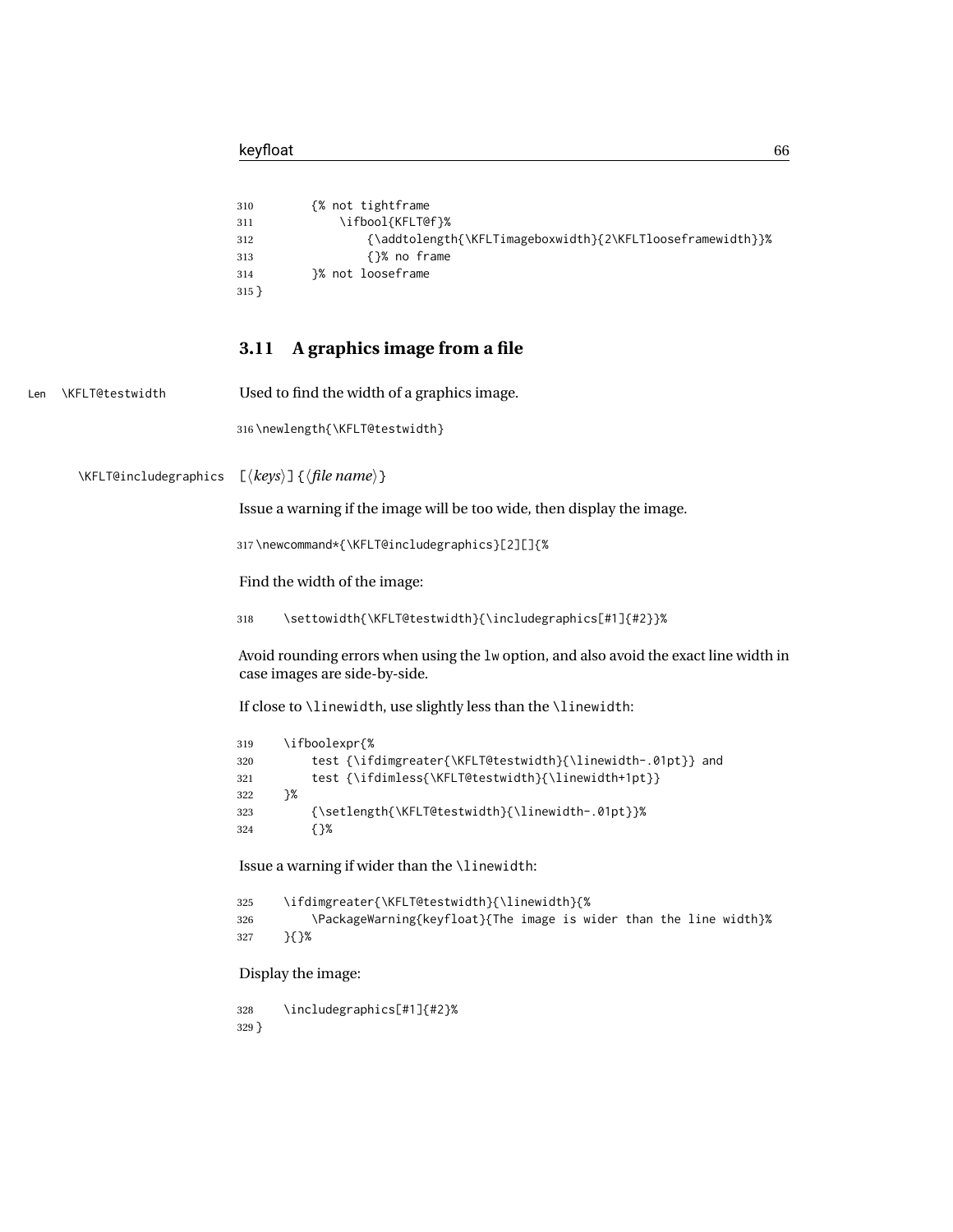Len \KFLT@testwidth

|                       | {% not tightframe<br>310<br>\ifbool{KFLT@f}%<br>311<br>{\addtolength{\KFLTimageboxwidth}{2\KFLTlooseframewidth}}%<br>312<br>{}% no frame<br>313<br>}% not looseframe<br>314<br>$315$ }                                                                                                                                                                                                                                                                             |
|-----------------------|--------------------------------------------------------------------------------------------------------------------------------------------------------------------------------------------------------------------------------------------------------------------------------------------------------------------------------------------------------------------------------------------------------------------------------------------------------------------|
|                       | A graphics image from a file<br>3.11                                                                                                                                                                                                                                                                                                                                                                                                                               |
| FLT@testwidth         | Used to find the width of a graphics image.                                                                                                                                                                                                                                                                                                                                                                                                                        |
|                       | 316\newlength{\KFLT@testwidth}                                                                                                                                                                                                                                                                                                                                                                                                                                     |
| \KFLT@includegraphics | $\lfloor \langle keys \rangle \rfloor$ { $\langle file name \rangle$ }                                                                                                                                                                                                                                                                                                                                                                                             |
|                       | Issue a warning if the image will be too wide, then display the image.                                                                                                                                                                                                                                                                                                                                                                                             |
|                       | 317\newcommand*{\KFLT@includegraphics}[2][]{%                                                                                                                                                                                                                                                                                                                                                                                                                      |
|                       | Find the width of the image:                                                                                                                                                                                                                                                                                                                                                                                                                                       |
|                       | \settowidth{\KFLT@testwidth}{\includegraphics[#1]{#2}}%<br>318                                                                                                                                                                                                                                                                                                                                                                                                     |
|                       | Avoid rounding errors when using the 1w option, and also avoid the exact line width in<br>case images are side-by-side.                                                                                                                                                                                                                                                                                                                                            |
|                       | If close to \linewidth, use slightly less than the \linewidth:                                                                                                                                                                                                                                                                                                                                                                                                     |
|                       | \ifboolexpr{%<br>319<br>test {\ifdimgreater{\KFLT@testwidth}{\linewidth-.01pt}} and<br>320<br>test {\ifdimless{\KFLT@testwidth}{\linewidth+1pt}}<br>321<br>}%<br>322<br>{\setlength{\KFLT@testwidth}{\linewidth-.01pt}}%<br>323<br>$\{ \}$ %<br>324<br>Issue a warning if wider than the \linewidth:<br>\ifdimgreater{\KFLT@testwidth}{\linewidth}{%<br>325<br>\PackageWarning{keyfloat}{The image is wider than the line width}%<br>326<br>$\{$ } $\{$ } %<br>327 |
|                       | Display the image:                                                                                                                                                                                                                                                                                                                                                                                                                                                 |

 \includegraphics[#1]{#2}% }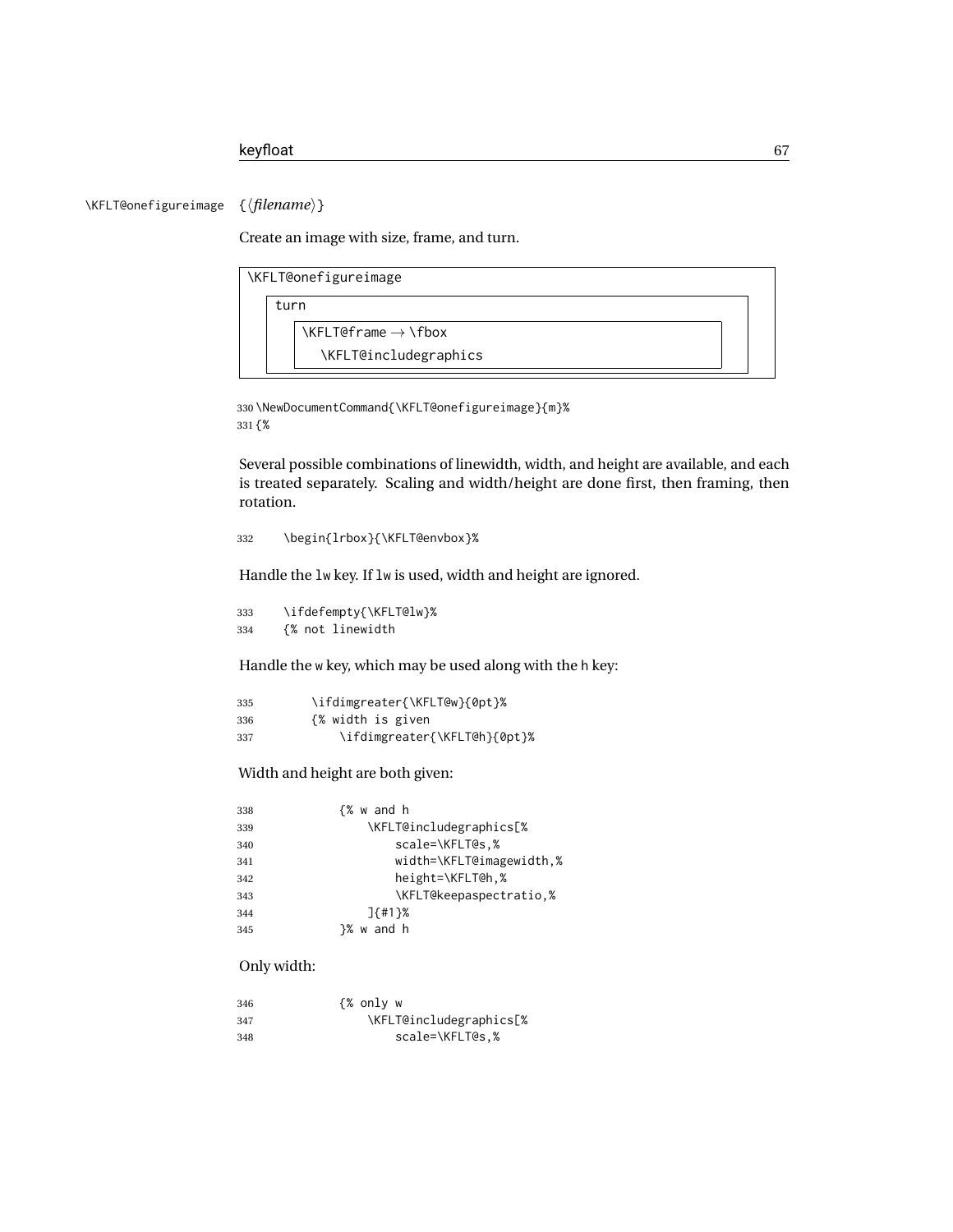\KFLT@onefigureimage {⟨*filename*⟩}

Create an image with size, frame, and turn.

| \KFLT@onefigureimage                                                                                                                                                                                                                                                                                                                                                                                                                                                                    |
|-----------------------------------------------------------------------------------------------------------------------------------------------------------------------------------------------------------------------------------------------------------------------------------------------------------------------------------------------------------------------------------------------------------------------------------------------------------------------------------------|
| turn                                                                                                                                                                                                                                                                                                                                                                                                                                                                                    |
| $\left\{\left(\right) \right\}$ $\leftarrow$ $\left\{\left(\right) \right\}$ $\left\{\left(\right) \right\}$ $\left\{\left(\right) \right\}$ $\left\{\left(\right) \right\}$ $\left\{\left(\right) \right\}$ $\left\{\left(\right) \right\}$ $\left\{\left(\right) \right\}$ $\left\{\left(\right) \right\}$ $\left\{\left(\right) \right\}$ $\left\{\left(\right) \right\}$ $\left\{\left(\right) \right\}$ $\left\{\left(\right) \right\}$ $\left\{\left(\right) \right\}$ $\left\{\$ |
| \KFLT@includegraphics                                                                                                                                                                                                                                                                                                                                                                                                                                                                   |

330 \NewDocumentCommand{\KFLT@onefigureimage}{m}% 331 {%

Several possible combinations of linewidth, width, and height are available, and each is treated separately. Scaling and width/height are done first, then framing, then rotation.

332 \begin{lrbox}{\KFLT@envbox}%

Handle the lw key. If lw is used, width and height are ignored.

333 \ifdefempty{\KFLT@lw}% 334 {% not linewidth

Handle the w key, which may be used along with the h key:

| 335 | \ifdimgreater{\KFLT@w}{0pt}% |
|-----|------------------------------|
| 336 | <i>{%</i> width is given     |
| 337 | \ifdimgreater{\KFLT@h}{0pt}% |

Width and height are both given:

| 338 | {% w and h               |
|-----|--------------------------|
| 339 | \KFLT@includegraphics[%  |
| 340 | scale=\KFLT@s.%          |
| 341 | width=\KFLT@imagewidth,% |
| 342 | height=\KFLT@h,%         |
| 343 | \KFLT@keepaspectratio,%  |
| 344 | $7f$ #1 }%               |
| 345 | }% w and h               |

### Only width:

| 346 | {% only w               |
|-----|-------------------------|
| 347 | \KFLT@includegraphics[% |
| 348 | scale=\KFLT@s.%         |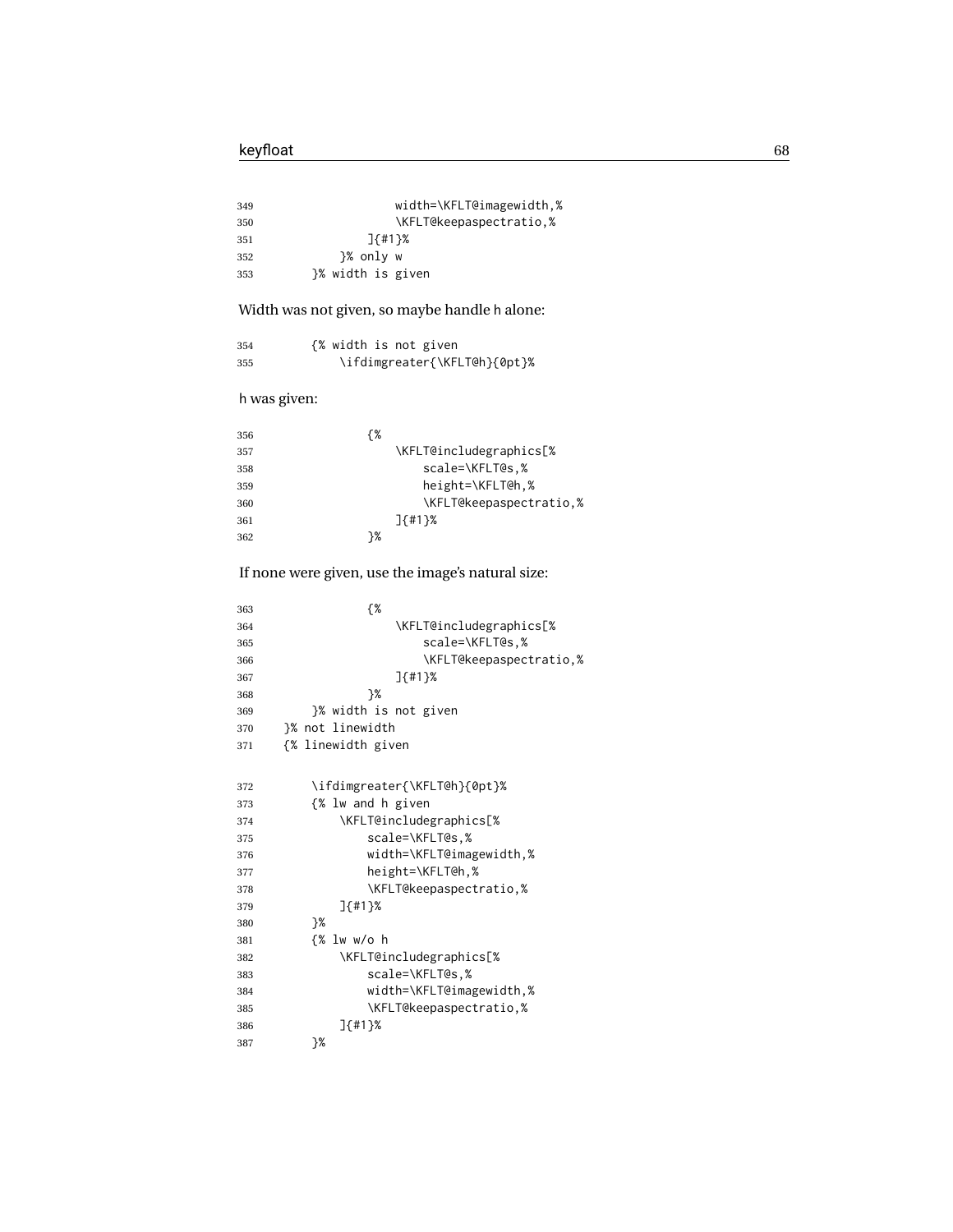| 349 | width=\KFLT@imagewidth,% |
|-----|--------------------------|
| 350 | \KFLT@keepaspectratio,%  |
| 351 | $7f$ #1}%                |
| 352 | }% only w                |
| 353 | }% width is given        |

Width was not given, so maybe handle h alone:

| 354 | {% width is not given        |
|-----|------------------------------|
| 355 | \ifdimgreater{\KFLT@h}{0pt}% |

h was given:

| 356 | {% |                         |
|-----|----|-------------------------|
| 357 |    | \KFLT@includegraphics[% |
| 358 |    | scale=\KFLT@s.%         |
| 359 |    | height=\KFLT@h,%        |
| 360 |    | \KFLT@keepaspectratio.% |
| 361 |    | $7f$ #1 }%              |
| 362 | ን% |                         |
|     |    |                         |

### If none were given, use the image's natural size:

| 363 | {%                           |
|-----|------------------------------|
| 364 | \KFLT@includegraphics[%      |
| 365 | scale=\KFLT@s.%              |
| 366 | \KFLT@keepaspectratio,%      |
| 367 | $J$ {#1}%                    |
| 368 | ን%                           |
| 369 | }% width is not given        |
| 370 | }% not linewidth             |
| 371 | {% linewidth given           |
|     |                              |
| 372 | \ifdimgreater{\KFLT@h}{0pt}% |
| 373 | {% lw and h given            |
| 374 | \KFLT@includegraphics[%      |
| 375 | scale=\KFLT@s.%              |
| 376 | width=\KFLT@imagewidth,%     |

| 376 | width=\KFLT@imagewidth,% |
|-----|--------------------------|
| 377 | height=\KFLT@h.%         |
| 378 | \KFLT@keepaspectratio,%  |
| 379 | $7f$ #1 }%               |
| 380 | ን%                       |
| 381 | {% lw w/o h              |
| 382 | \KFLT@includegraphics[%  |
| 383 | scale=\KFLT@s.%          |
| 384 | width=\KFLT@imagewidth,% |
| 385 | \KFLT@keepaspectratio,%  |
| 386 | $1\{$ #1 $\}$ %          |
| 387 | ን%                       |
|     |                          |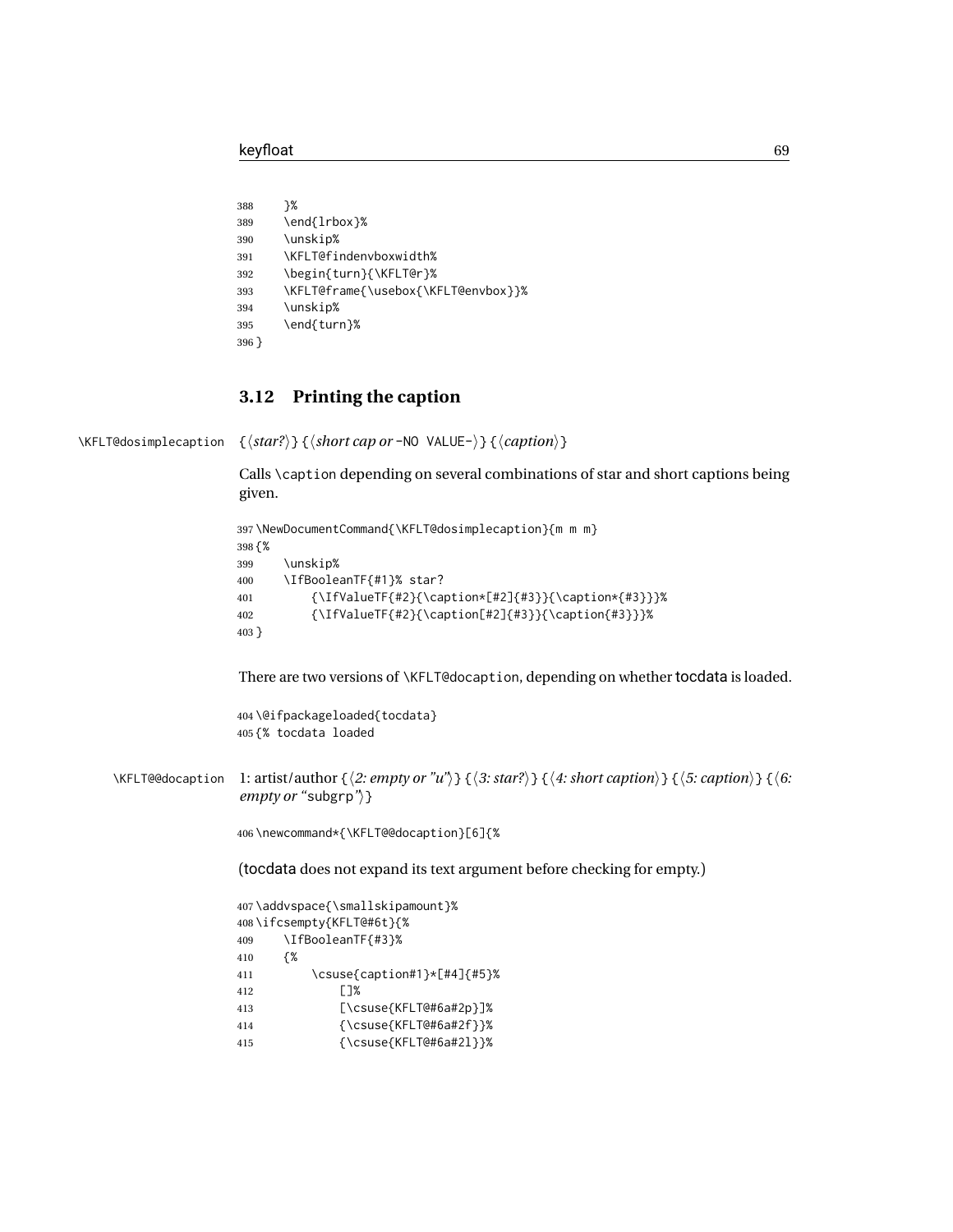```
388 }%
389 \end{lrbox}%
390 \unskip%
391 \KFLT@findenvboxwidth%
392 \begin{turn}{\KFLT@r}%
393 \KFLT@frame{\usebox{\KFLT@envbox}}%
394 \unskip%
395 \end{turn}%
396 }
```
### **3.12 Printing the caption**

\KFLT@dosimplecaption {⟨*star?*⟩} {⟨*short cap or* -NO VALUE-⟩} {⟨*caption*⟩}

Calls \caption depending on several combinations of star and short captions being given.

```
397 \NewDocumentCommand{\KFLT@dosimplecaption}{m m m}
398 {%
399 \unskip%
400 \IfBooleanTF{#1}% star?
401 {\IfValueTF{#2}{\caption*[#2]{#3}}{\caption*{#3}}}%
402 {\IfValueTF{#2}{\caption[#2]{#3}}{\caption{#3}}}%
403 }
```
There are two versions of \KFLT@docaption, depending on whether tocdata is loaded.

 \@ifpackageloaded{tocdata} {% tocdata loaded

\KFLT@@docaption 1: artist/author {⟨*2: empty or "u"*⟩} {⟨*3: star?*⟩} {⟨*4: short caption*⟩} {⟨*5: caption*⟩} {⟨*6: empty or "*subgrp*"*⟩}

\newcommand\*{\KFLT@@docaption}[6]{%

(tocdata does not expand its text argument before checking for empty.)

```
407 \addvspace{\smallskipamount}%
408 \ifcsempty{KFLT@#6t}{%
409 \IfBooleanTF{#3}%
410 {%
411 \csuse{caption#1}*[#4]{#5}%
412 []%
413 [\csuse{KFLT@#6a#2p}]%
414 {\csuse{KFLT@#6a#2f}}%
415 {\csuse{KFLT@#6a#2l}}%
```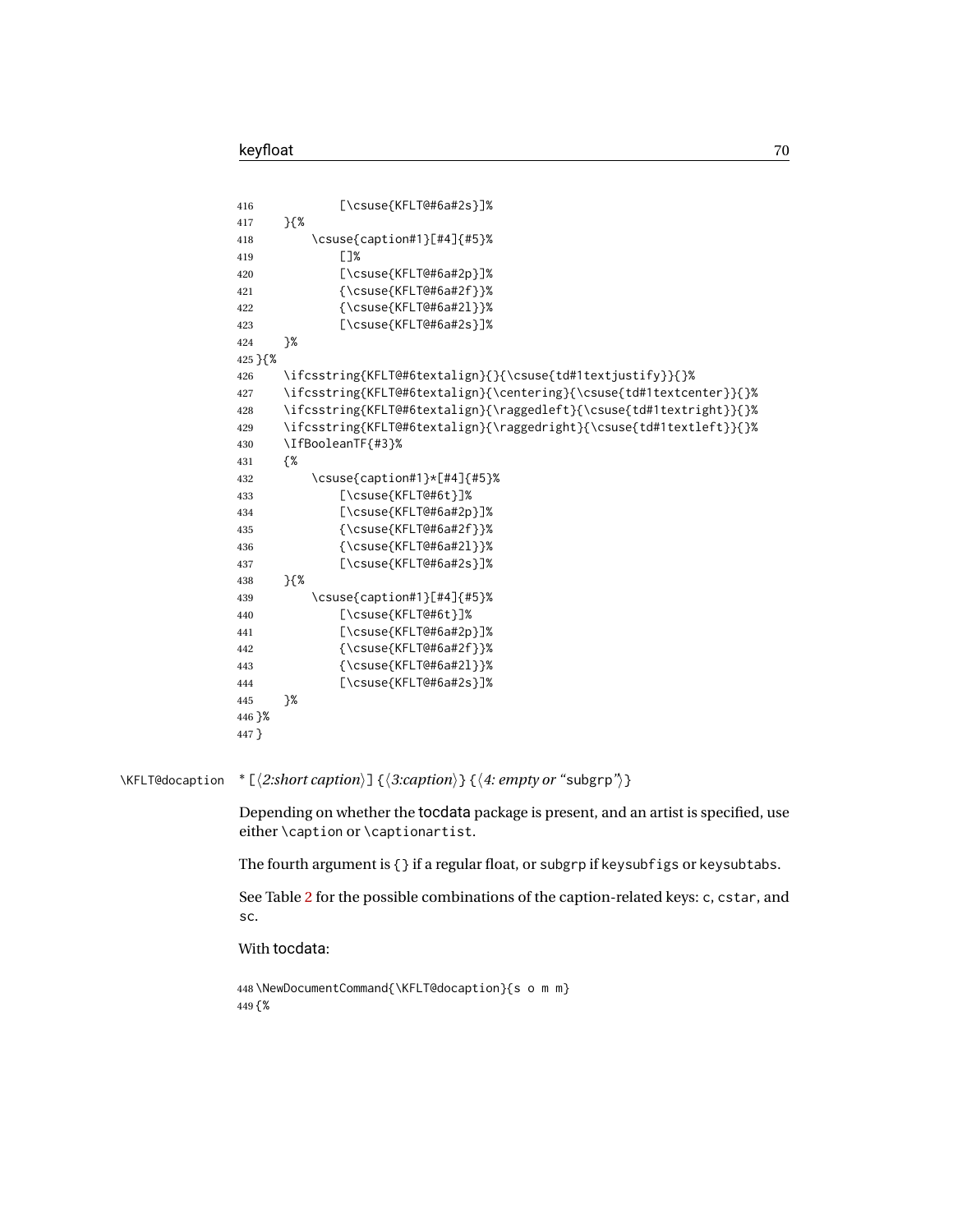|                 | $[\text{Suse}(\text{KFLT@#6a#2s}]\$<br>416                                                                                                                                                                                                                                                                                                                                                                            |
|-----------------|-----------------------------------------------------------------------------------------------------------------------------------------------------------------------------------------------------------------------------------------------------------------------------------------------------------------------------------------------------------------------------------------------------------------------|
|                 | $\}$ {%<br>417                                                                                                                                                                                                                                                                                                                                                                                                        |
|                 | \csuse{caption#1}[#4]{#5}%<br>418                                                                                                                                                                                                                                                                                                                                                                                     |
|                 | []%<br>419                                                                                                                                                                                                                                                                                                                                                                                                            |
|                 | $[\text{Suse}(\text{KFLT@#6a#2p}]$ %<br>420                                                                                                                                                                                                                                                                                                                                                                           |
|                 | $\{\text{Csuse}\{\text{KFLT@#6a#2f}\}\}\$<br>421                                                                                                                                                                                                                                                                                                                                                                      |
|                 | $\{\text{KFLT@#6a#2l}\}\$<br>422                                                                                                                                                                                                                                                                                                                                                                                      |
|                 | $[\text{SUSe}$ [ $\text{KFLT@#6a#2s}$ ]%<br>423                                                                                                                                                                                                                                                                                                                                                                       |
|                 | }%<br>424                                                                                                                                                                                                                                                                                                                                                                                                             |
|                 | 425 } {%                                                                                                                                                                                                                                                                                                                                                                                                              |
|                 | \ifcsstring{KFLT@#6textalign}{}{\csuse{td#1textjustify}}{}%<br>426                                                                                                                                                                                                                                                                                                                                                    |
|                 | \ifcsstring{KFLT@#6textalign}{\centering}{\csuse{td#1textcenter}}{}%<br>427                                                                                                                                                                                                                                                                                                                                           |
|                 | \ifcsstring{KFLT@#6textalign}{\raggedleft}{\csuse{td#1textright}}{}%<br>428                                                                                                                                                                                                                                                                                                                                           |
|                 | \ifcsstring{KFLT@#6textalign}{\raggedright}{\csuse{td#1textleft}}{}%<br>429                                                                                                                                                                                                                                                                                                                                           |
|                 | \IfBooleanTF{#3}%<br>430                                                                                                                                                                                                                                                                                                                                                                                              |
|                 | {%<br>431                                                                                                                                                                                                                                                                                                                                                                                                             |
|                 | \csuse{caption#1}*[#4]{#5}%<br>432                                                                                                                                                                                                                                                                                                                                                                                    |
|                 | [\csuse{KFLT@#6t}]%<br>433                                                                                                                                                                                                                                                                                                                                                                                            |
|                 | $[\text{Suse}\{KFLT@#6a#2p\}]\$<br>434                                                                                                                                                                                                                                                                                                                                                                                |
|                 | $\{\text{Csuse}\$ KFLT@#6a#2f}}%<br>435                                                                                                                                                                                                                                                                                                                                                                               |
|                 | ${\sc}$ csuse ${\sc}$ KFLT@#6a#2 $1$ }}%<br>436                                                                                                                                                                                                                                                                                                                                                                       |
|                 | $[\text{SUSe}$ [ $\text{KFLT@#6a#2s}$ ]%<br>437                                                                                                                                                                                                                                                                                                                                                                       |
|                 | $\}$ {%<br>438                                                                                                                                                                                                                                                                                                                                                                                                        |
|                 | \csuse{caption#1}[#4]{#5}%<br>439                                                                                                                                                                                                                                                                                                                                                                                     |
|                 | $[\text{Suse}(\text{KFLT@#6t})]$<br>440                                                                                                                                                                                                                                                                                                                                                                               |
|                 | $[\text{S} \text{S} \text{K} \text{F} \text{S} \text{A} \text{H} \text{S} \text{A} \text{A} \text{A} \text{B} \text{C} \text{S} \text{A} \text{A} \text{A} \text{A} \text{B} \text{C} \text{A} \text{A} \text{A} \text{A} \text{B} \text{A} \text{A} \text{B} \text{C} \text{A} \text{A} \text{A} \text{B} \text{A} \text{A} \text{B} \text{C} \text{A} \text{A} \text{A} \text{A} \text{B} \text{A} \text{A}$<br>441 |
|                 | $\{\text{KFLT@#6a#2f}\}\$<br>442                                                                                                                                                                                                                                                                                                                                                                                      |
|                 | $\{\text{KFLT@#6a#2l}\}\$<br>443                                                                                                                                                                                                                                                                                                                                                                                      |
|                 | $[\text{S} \text{S} \text{KFLT@#6a#2s}]$ %<br>444                                                                                                                                                                                                                                                                                                                                                                     |
|                 | }%<br>445                                                                                                                                                                                                                                                                                                                                                                                                             |
|                 | 446 }%                                                                                                                                                                                                                                                                                                                                                                                                                |
|                 | 447 }                                                                                                                                                                                                                                                                                                                                                                                                                 |
|                 |                                                                                                                                                                                                                                                                                                                                                                                                                       |
| \KFLT@docaption | * [ $\langle 2:short\;caption$ ] { $\langle 3:caption$ } { $\langle 4:empty\; or\; "subgrp"\rangle$ }                                                                                                                                                                                                                                                                                                                 |
|                 | Depending on whether the tocdata package is present, and an artist is specified, use<br>either \caption or \captionartist.                                                                                                                                                                                                                                                                                            |
|                 | The fourth argument is $\{\}$ if a regular float, or subgrp if keysubfigs or keysubtabs.                                                                                                                                                                                                                                                                                                                              |
|                 | See Table 2 for the possible combinations of the caption-related keys: c, cstar, and<br>SC.                                                                                                                                                                                                                                                                                                                           |
|                 | With tocdata:                                                                                                                                                                                                                                                                                                                                                                                                         |

```
448 \NewDocumentCommand{\KFLT@docaption}{s o m m}
449 {%
```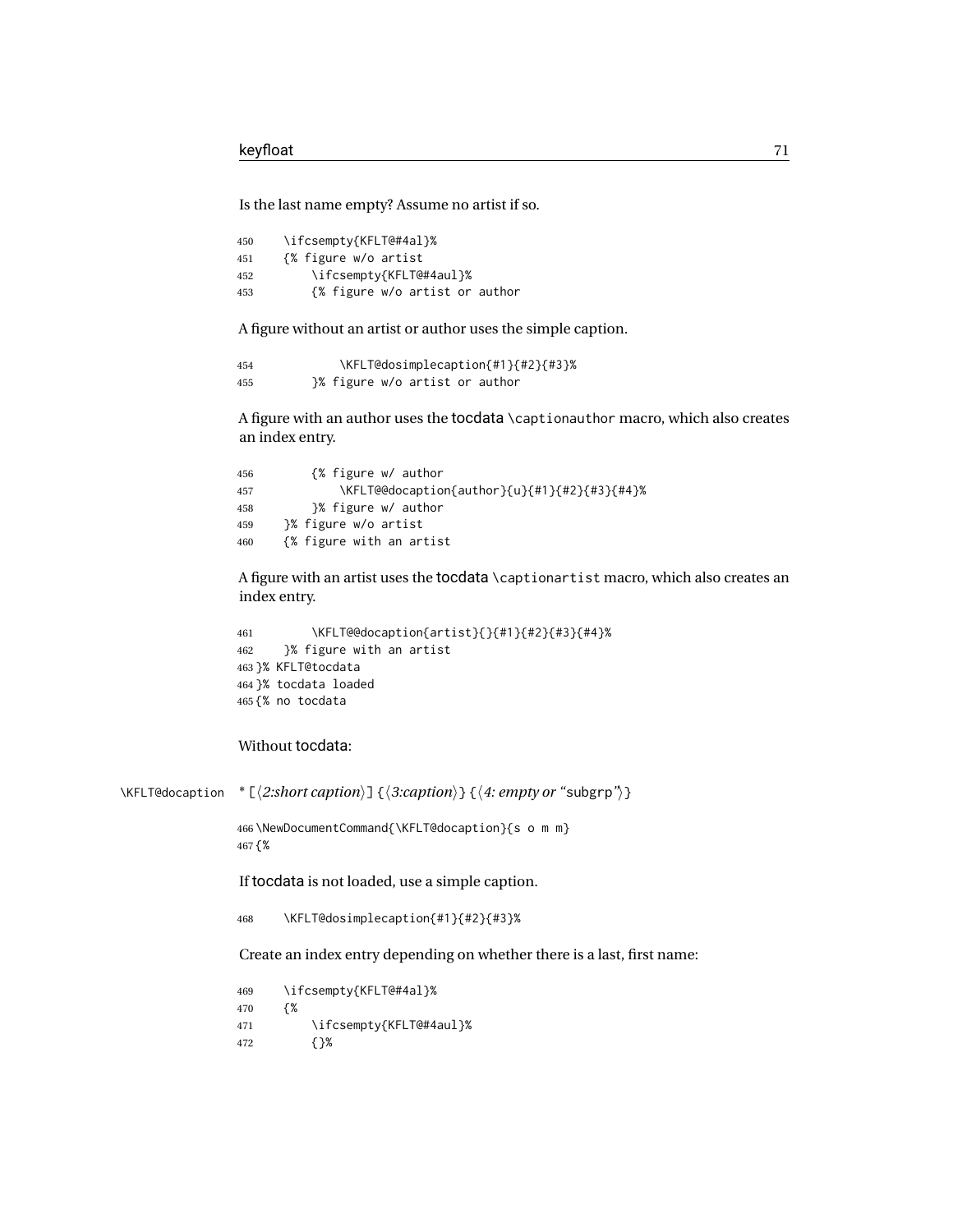Is the last name empty? Assume no artist if so.

 \ifcsempty{KFLT@#4al}% {% figure w/o artist \ifcsempty{KFLT@#4aul}% {% figure w/o artist or author

A figure without an artist or author uses the simple caption.

 \KFLT@dosimplecaption{#1}{#2}{#3}% }% figure w/o artist or author

A figure with an author uses the tocdata \captionauthor macro, which also creates an index entry.

| 456 | {% figure w/ author                          |
|-----|----------------------------------------------|
| 457 | \KFLT@@docaption{author}{u}{#1}{#2}{#3}{#4}% |
| 458 | }% figure w/ author                          |
| 459 | }% figure w/o artist                         |
| 460 | {% figure with an artist                     |

A figure with an artist uses the tocdata \captionartist macro, which also creates an index entry.

```
461 \KFLT@@docaption{artist}{}{#1}{#2}{#3}{#4}%
462 }% figure with an artist
463 }% KFLT@tocdata
464 }% tocdata loaded
465 {% no tocdata
```
### Without tocdata:

```
\KFLT@docaption * [⟨2:short caption⟩] {⟨3:caption⟩} {⟨4: empty or "subgrp"⟩}
```
 \NewDocumentCommand{\KFLT@docaption}{s o m m} {%

If tocdata is not loaded, use a simple caption.

\KFLT@dosimplecaption{#1}{#2}{#3}%

Create an index entry depending on whether there is a last, first name:

 \ifcsempty{KFLT@#4al}% {% \ifcsempty{KFLT@#4aul}% {}%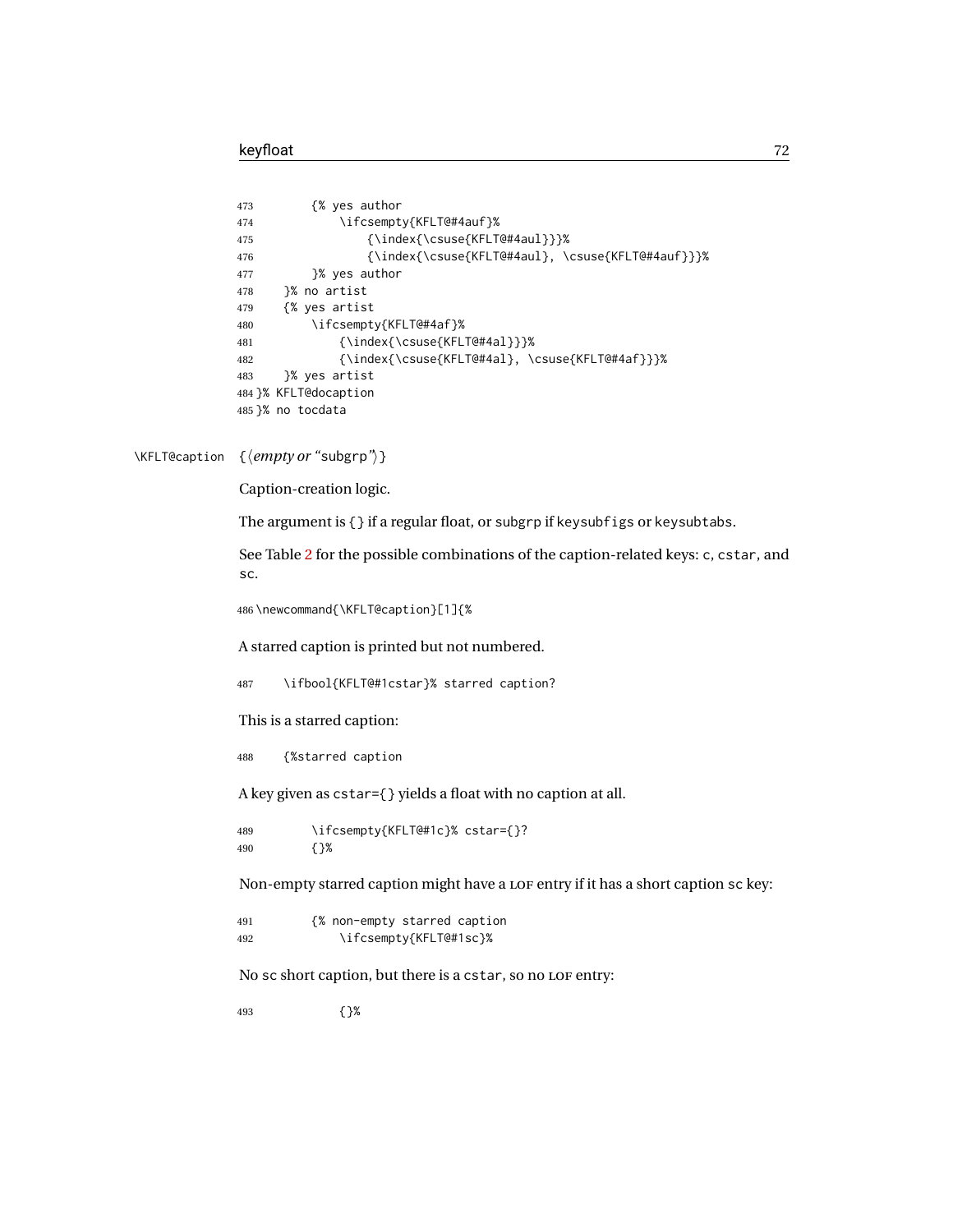```
473 {% yes author
474 \ifcsempty{KFLT@#4auf}%
475 {\index{\csuse{KFLT@#4aul}}}%
476 {\index{\csuse{KFLT@#4aul}, \csuse{KFLT@#4auf}}}%
477 }% yes author
478 }% no artist
479 {% yes artist
480 \ifcsempty{KFLT@#4af}%
481 {\index{\csuse{KFLT@#4al}}}%
482 {\index{\csuse{KFLT@#4al}, \csuse{KFLT@#4af}}}%
483 }% yes artist
484 }% KFLT@docaption
485 }% no tocdata
```
#### \KFLT@caption {⟨*empty or "*subgrp*"*⟩}

Caption-creation logic.

The argument is {} if a regular float, or subgrp if keysubfigs or keysubtabs.

See Table [2](#page-15-1) for the possible combinations of the caption-related keys: c, cstar, and sc.

\newcommand{\KFLT@caption}[1]{%

A starred caption is printed but not numbered.

\ifbool{KFLT@#1cstar}% starred caption?

This is a starred caption:

{%starred caption

A key given as cstar={} yields a float with no caption at all.

 \ifcsempty{KFLT@#1c}% cstar={}? {}%

Non-empty starred caption might have a LOF entry if it has a short caption sc key:

```
491 {% non-empty starred caption
492 \ifcsempty{KFLT@#1sc}%
```
No sc short caption, but there is a cstar, so no LOF entry:

{}%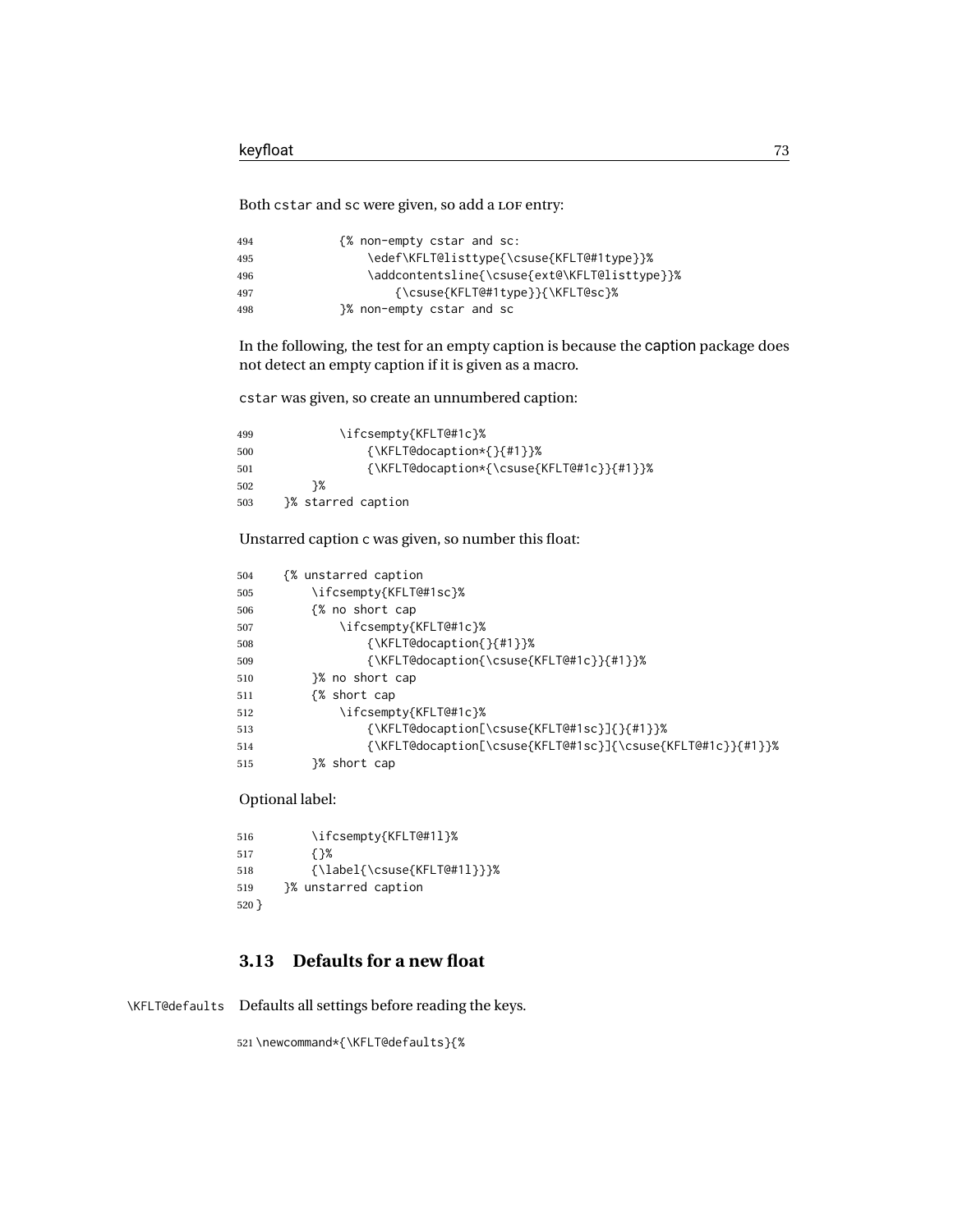Both cstar and sc were given, so add a LOF entry:

| 494 | {% non-empty cstar and sc:                    |
|-----|-----------------------------------------------|
| 495 | \edef\KFLT@listtype{\csuse{KFLT@#1type}}%     |
| 496 | \addcontentsline{\csuse{ext@\KFLT@listtype}}% |
| 497 | $\{\text{KFLT@#1type}\}\$                     |
| 498 | 3% non-empty cstar and sc                     |

In the following, the test for an empty caption is because the caption package does not detect an empty caption if it is given as a macro.

cstar was given, so create an unnumbered caption:

| 499 | \ifcsempty{KFLT@#1c}%                        |
|-----|----------------------------------------------|
| 500 | {\KFLT@docaption*{}{#1}}%                    |
| 501 | $\{ \KFLT@dcaption*\{\csc\{ KFLT@#1c\} \} \$ |
| 502 | ን%                                           |
| 503 | }% starred caption                           |

Unstarred caption c was given, so number this float:

| 504 | {% unstarred caption                                        |
|-----|-------------------------------------------------------------|
| 505 | \ifcsempty{KFLT@#1sc}%                                      |
| 506 | {% no short cap                                             |
| 507 | \ifcsempty{KFLT@#1c}%                                       |
| 508 | $\{\K{KFLT@documention\} \}$                                |
| 509 | {\KFLT@docaption{\csuse{KFLT@#1c}}{#1}}%                    |
| 510 | }% no short cap                                             |
| 511 | {% short cap                                                |
| 512 | \ifcsempty{KFLT@#1c}%                                       |
| 513 | {\KFLT@docaption[\csuse{KFLT@#1sc}]{}{#1}}%                 |
| 514 | {\KFLT@docaption[\csuse{KFLT@#1sc}]{\csuse{KFLT@#1c}}{#1}}% |
| 515 | }% short cap                                                |

Optional label:

```
516 \ifcsempty{KFLT@#1l}%
517 {}%
518 {\label{\csuse{KFLT@#1l}}}%
519 }% unstarred caption
520 }
```
## **3.13 Defaults for a new float**

\KFLT@defaults Defaults all settings before reading the keys.

\newcommand\*{\KFLT@defaults}{%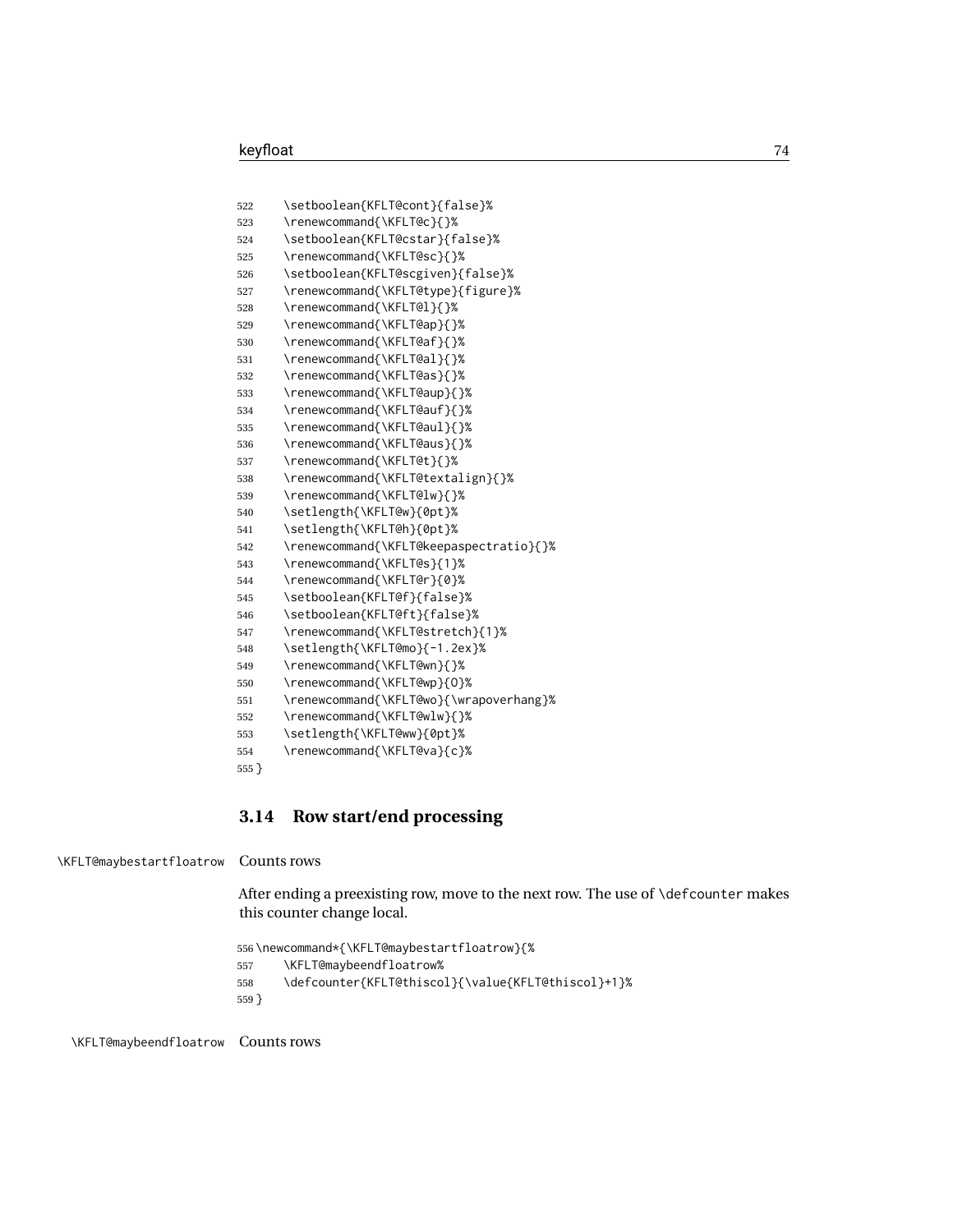```
522 \setboolean{KFLT@cont}{false}%
523 \renewcommand{\KFLT@c}{}%
524 \setboolean{KFLT@cstar}{false}%
525 \renewcommand{\KFLT@sc}{}%
526 \setboolean{KFLT@scgiven}{false}%
527 \renewcommand{\KFLT@type}{figure}%
528 \renewcommand{\KFLT@l}{}%
529 \renewcommand{\KFLT@ap}{}%
530 \renewcommand{\KFLT@af}{}%
531 \renewcommand{\KFLT@al}{}%
532 \renewcommand{\KFLT@as}{}%
533 \renewcommand{\KFLT@aup}{}%
534 \renewcommand{\KFLT@auf}{}%
535 \renewcommand{\KFLT@aul}{}%
536 \renewcommand{\KFLT@aus}{}%
537 \renewcommand{\KFLT@t}{}%
538 \renewcommand{\KFLT@textalign}{}%
539 \renewcommand{\KFLT@lw}{}%
540 \setlength{\KFLT@w}{0pt}%
541 \setlength{\KFLT@h}{0pt}%
542 \renewcommand{\KFLT@keepaspectratio}{}%
543 \renewcommand{\KFLT@s}{1}%
544 \renewcommand{\KFLT@r}{0}%
545 \setboolean{KFLT@f}{false}%
546 \setboolean{KFLT@ft}{false}%
547 \renewcommand{\KFLT@stretch}{1}%
548 \setlength{\KFLT@mo}{-1.2ex}%
549 \renewcommand{\KFLT@wn}{}%
550 \renewcommand{\KFLT@wp}{O}%
551 \renewcommand{\KFLT@wo}{\wrapoverhang}%
552 \renewcommand{\KFLT@wlw}{}%
553 \setlength{\KFLT@ww}{0pt}%
554 \renewcommand{\KFLT@va}{c}%
555 }
```
### **3.14 Row start/end processing**

\KFLT@maybestartfloatrow Counts rows

After ending a preexisting row, move to the next row. The use of \defcounter makes this counter change local.

```
556 \newcommand*{\KFLT@maybestartfloatrow}{%
557 \KFLT@maybeendfloatrow%
558 \defcounter{KFLT@thiscol}{\value{KFLT@thiscol}+1}%
559 }
```
\KFLT@maybeendfloatrow Counts rows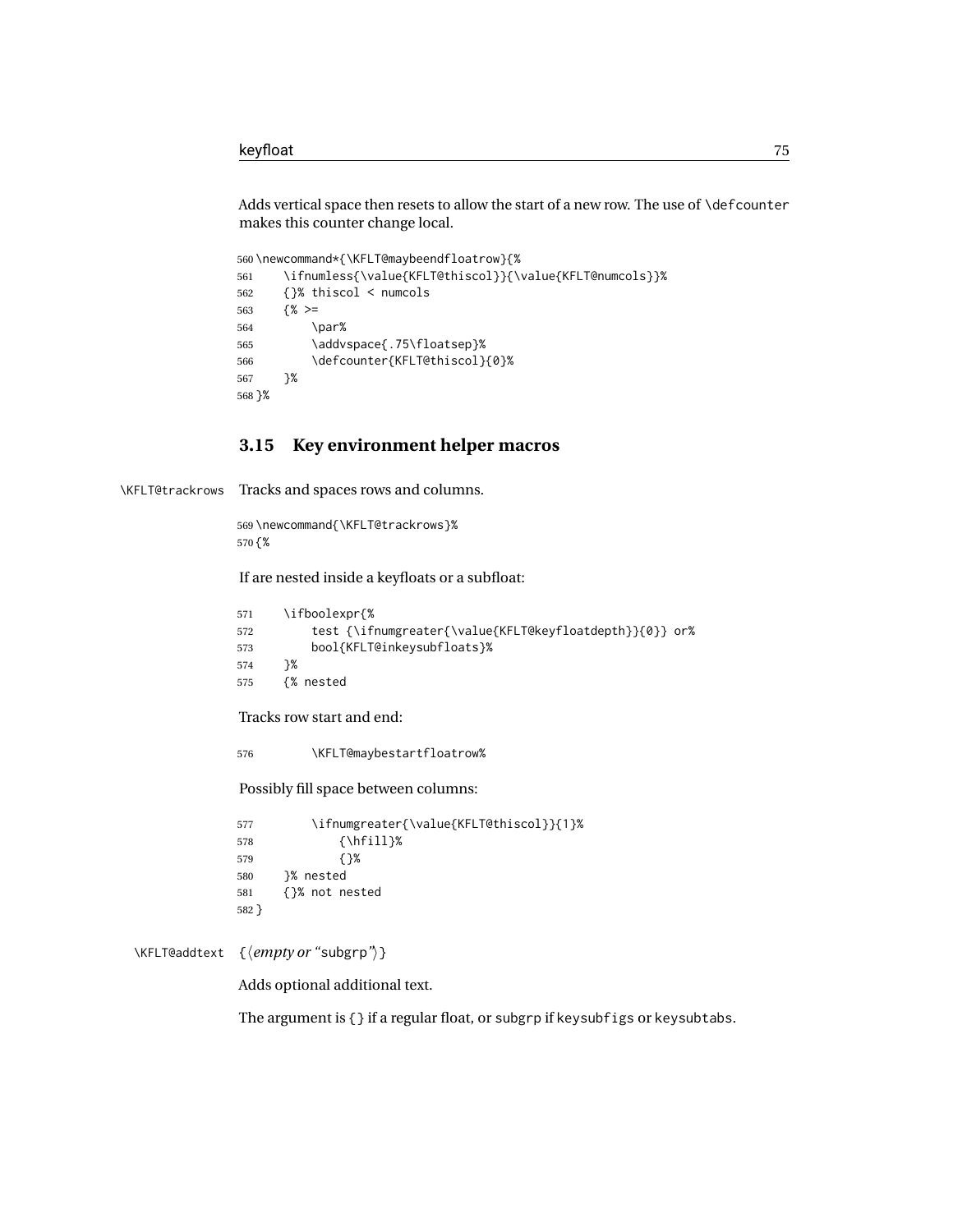Adds vertical space then resets to allow the start of a new row. The use of \defcounter makes this counter change local.

```
560 \newcommand*{\KFLT@maybeendfloatrow}{%
561 \ifnumless{\value{KFLT@thiscol}}{\value{KFLT@numcols}}%
562 {}% thiscol < numcols
563 {% >=
564 \par%
565 \addvspace{.75\floatsep}%
566 \defcounter{KFLT@thiscol}{0}%
567 }%
568 }%
```
## **3.15 Key environment helper macros**

\KFLT@trackrows Tracks and spaces rows and columns.

 \newcommand{\KFLT@trackrows}% {%

If are nested inside a keyfloats or a subfloat:

```
571 \ifboolexpr{%
572 test {\ifnumgreater{\value{KFLT@keyfloatdepth}}{0}} or%
573 bool{KFLT@inkeysubfloats}%
574 }%
575 {% nested
```
Tracks row start and end:

\KFLT@maybestartfloatrow%

Possibly fill space between columns:

 \ifnumgreater{\value{KFLT@thiscol}}{1}% {\hfill}% {}% }% nested {}% not nested }

#### \KFLT@addtext {⟨*empty or "*subgrp*"*⟩}

Adds optional additional text.

The argument is {} if a regular float, or subgrp if keysubfigs or keysubtabs.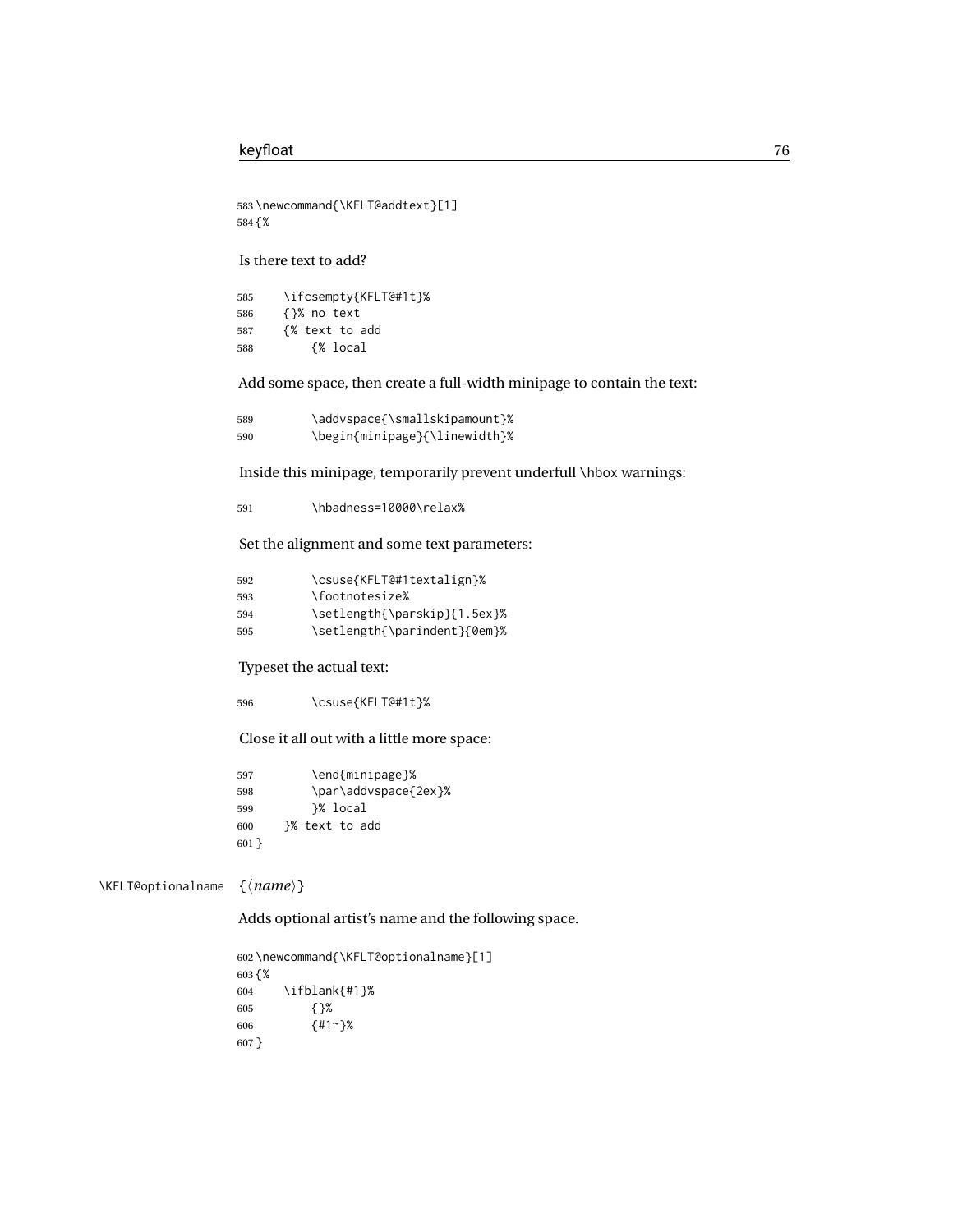```
583 \newcommand{\KFLT@addtext}[1]
584 {%
```
Is there text to add?

| 585 | \ifcsempty{KFLT@#1t}% |
|-----|-----------------------|
| 586 | {}% no text           |
| 587 | {% text to add        |
| 588 | {% local              |

Add some space, then create a full-width minipage to contain the text:

| 589 | \addvspace{\smallskipamount}% |
|-----|-------------------------------|
| 590 | \begin{minipage}{\linewidth}% |

Inside this minipage, temporarily prevent underfull \hbox warnings:

\hbadness=10000\relax%

Set the alignment and some text parameters:

| 592 | \csuse{KFLT@#1textalign}%    |
|-----|------------------------------|
| 593 | \footnotesize%               |
| 594 | \setlength{\parskip}{1.5ex}% |
| 595 | \setlength{\parindent}{0em}% |

Typeset the actual text:

\csuse{KFLT@#1t}%

Close it all out with a little more space:

```
597 \end{minipage}%
598 \par\addvspace{2ex}%
599 }% local
600 }% text to add
601 }
```
\KFLT@optionalname {⟨*name*⟩}

Adds optional artist's name and the following space.

```
602 \newcommand{\KFLT@optionalname}[1]
603 {%
604 \ifblank{#1}%
605 {}%
606 {#1~}%
607 }
```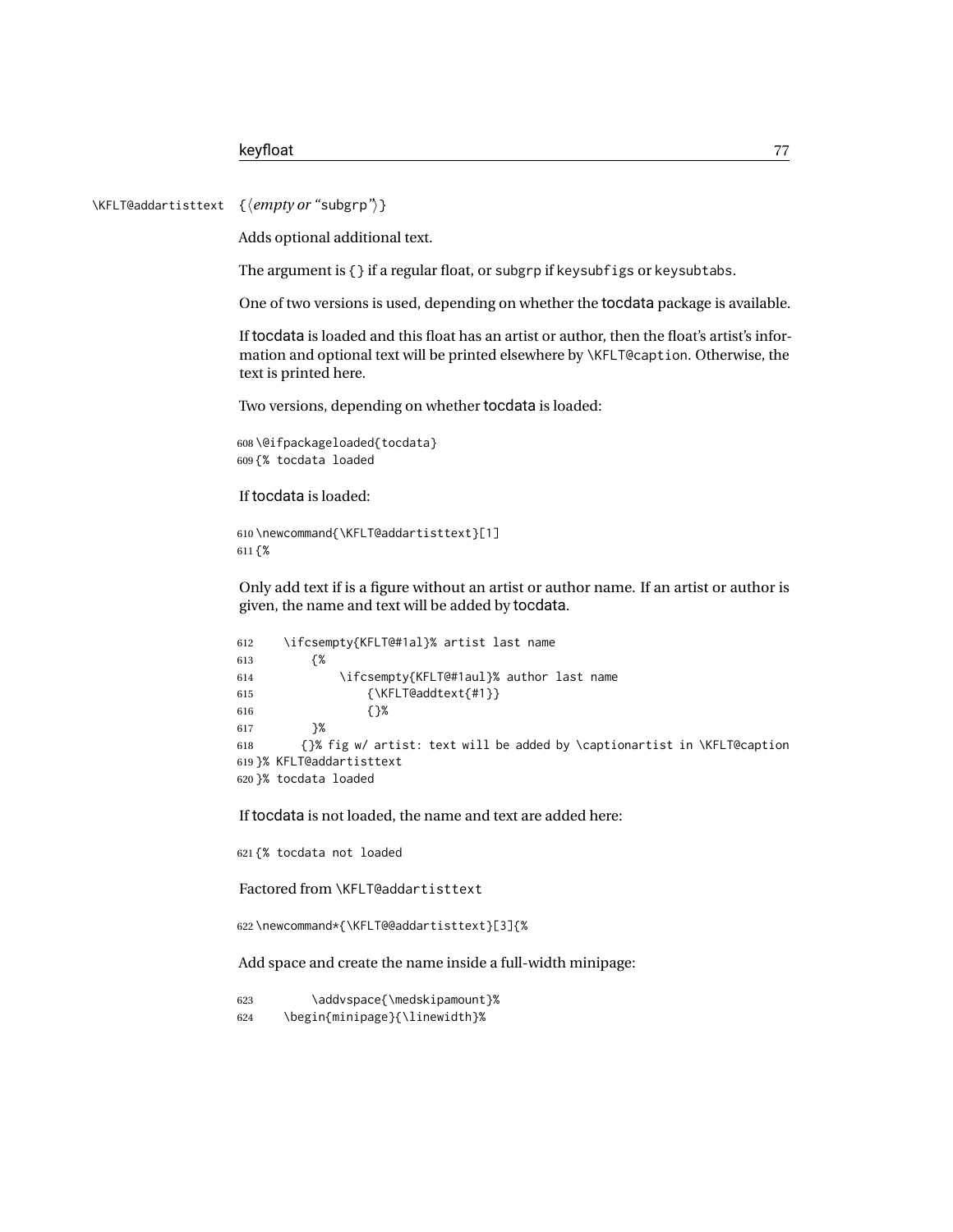\KFLT@addartisttext {⟨*empty or "*subgrp*"*⟩}

Adds optional additional text.

The argument is {} if a regular float, or subgrp if keysubfigs or keysubtabs.

One of two versions is used, depending on whether the tocdata package is available.

If tocdata is loaded and this float has an artist or author, then the float's artist's information and optional text will be printed elsewhere by \KFLT@caption. Otherwise, the text is printed here.

Two versions, depending on whether tocdata is loaded:

```
608 \@ifpackageloaded{tocdata}
609 {% tocdata loaded
```
If tocdata is loaded:

```
610 \newcommand{\KFLT@addartisttext}[1]
611 {%
```
Only add text if is a figure without an artist or author name. If an artist or author is given, the name and text will be added by tocdata.

```
612 \ifcsempty{KFLT@#1al}% artist last name
613 {%
614 \ifcsempty{KFLT@#1aul}% author last name
615 {\KFLT@addtext{#1}}
616 {}%
617 }%
618 {}% fig w/ artist: text will be added by \captionartist in \KFLT@caption
619 }% KFLT@addartisttext
620 }% tocdata loaded
```
If tocdata is not loaded, the name and text are added here:

621 {% tocdata not loaded

Factored from \KFLT@addartisttext

622 \newcommand\*{\KFLT@@addartisttext}[3]{%

Add space and create the name inside a full-width minipage:

623 \addvspace{\medskipamount}% 624 \begin{minipage}{\linewidth}%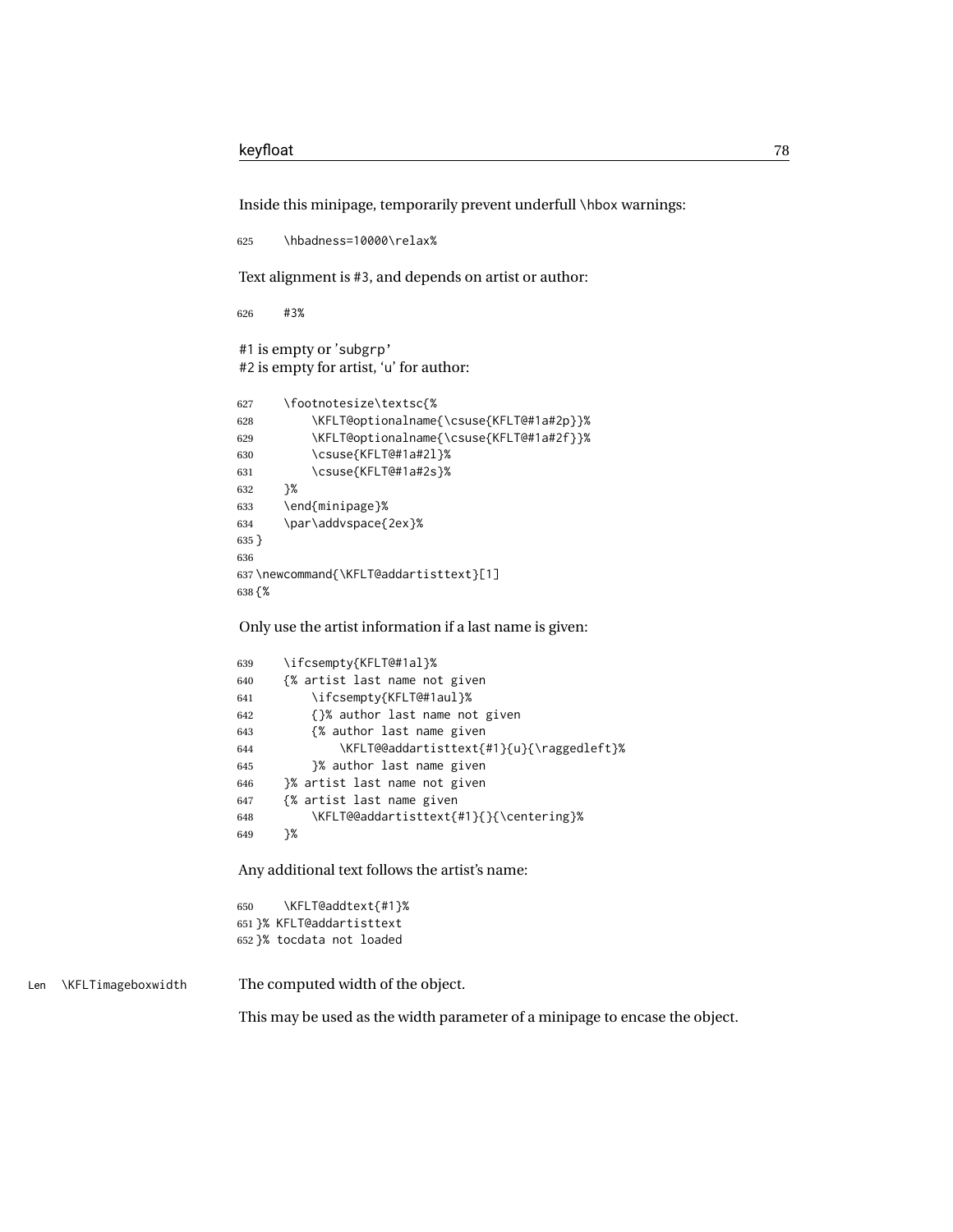Inside this minipage, temporarily prevent underfull \hbox warnings:

```
625 \hbadness=10000\relax%
Text alignment is #3, and depends on artist or author:
626 #3%
#1 is empty or 'subgrp'
#2 is empty for artist, 'u' for author:
627 \footnotesize\textsc{%
628 \KFLT@optionalname{\csuse{KFLT@#1a#2p}}%
629 \KFLT@optionalname{\csuse{KFLT@#1a#2f}}%
630 \csuse{KFLT@#1a#2l}%
631 \csuse{KFLT@#1a#2s}%
632 }%
633 \end{minipage}%
634 \par\addvspace{2ex}%
```

```
635 }
636
637 \newcommand{\KFLT@addartisttext}[1]
638 {%
```
Only use the artist information if a last name is given:

```
639 \ifcsempty{KFLT@#1al}%
640 {% artist last name not given
641 \ifcsempty{KFLT@#1aul}%
642 {}% author last name not given
643 {% author last name given
644 \KFLT@@addartisttext{#1}{u}{\raggedleft}%
645 }% author last name given
646 }% artist last name not given
647 {% artist last name given
648 \KFLT@@addartisttext{#1}{}{\centering}%
649 }%
```
Any additional text follows the artist's name:

 \KFLT@addtext{#1}% }% KFLT@addartisttext }% tocdata not loaded

Len \KFLTimageboxwidth The computed width of the object.

This may be used as the width parameter of a minipage to encase the object.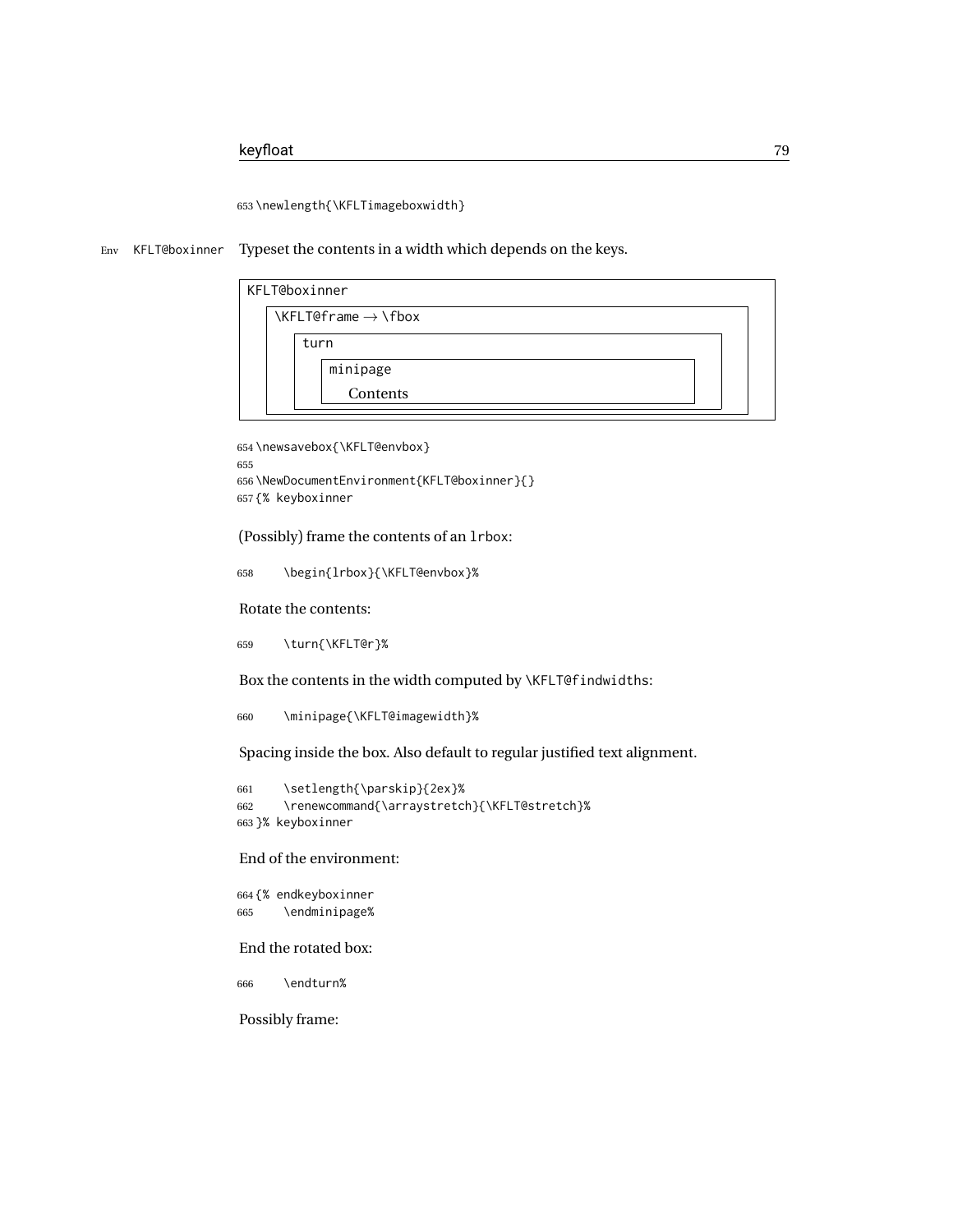653 \newlength{\KFLTimageboxwidth}

Env KFLT@boxinner Typeset the contents in a width which depends on the keys.

|  |      | KFLT@boxinner                                                           |  |
|--|------|-------------------------------------------------------------------------|--|
|  |      | $\left\{\text{KFLT@frame}\rightarrow\left\{\text{fbox}\right\}\right\}$ |  |
|  | turn |                                                                         |  |
|  |      | minipage                                                                |  |
|  |      | Contents                                                                |  |
|  |      |                                                                         |  |

```
654 \newsavebox{\KFLT@envbox}
655
656 \NewDocumentEnvironment{KFLT@boxinner}{}
657 {% keyboxinner
```
(Possibly) frame the contents of an lrbox:

658 \begin{lrbox}{\KFLT@envbox}%

Rotate the contents:

659 \turn{\KFLT@r}%

Box the contents in the width computed by \KFLT@findwidths:

660 \minipage{\KFLT@imagewidth}%

Spacing inside the box. Also default to regular justified text alignment.

```
661 \setlength{\parskip}{2ex}%
662 \renewcommand{\arraystretch}{\KFLT@stretch}%
663 }% keyboxinner
```
End of the environment:

664 {% endkeyboxinner 665 \endminipage%

End the rotated box:

666 \endturn%

Possibly frame: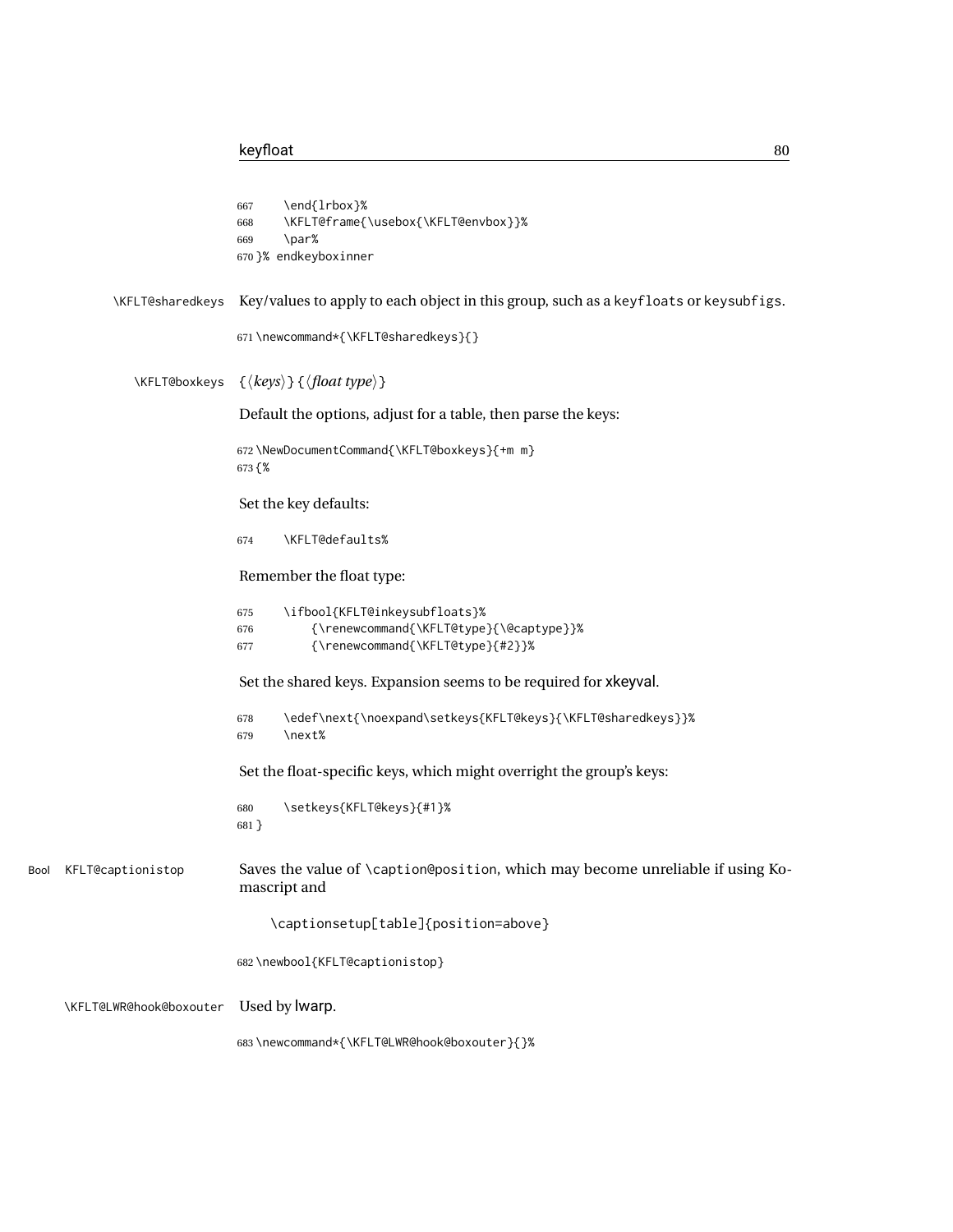```
667 \end{lrbox}%
                             668 \KFLT@frame{\usebox{\KFLT@envbox}}%
                             669 \par%
                             670 }% endkeyboxinner
            \KFLT@sharedkeys Key/values to apply to each object in this group, such as a keyfloats or keysubfigs.
                             671 \newcommand*{\KFLT@sharedkeys}{}
               \KFLT@boxkeys {⟨keys⟩} {⟨float type⟩}
                              Default the options, adjust for a table, then parse the keys:
                             672 \NewDocumentCommand{\KFLT@boxkeys}{+m m}
                             673 {%
                              Set the key defaults:
                             674 \KFLT@defaults%
                              Remember the float type:
                             675 \ifbool{KFLT@inkeysubfloats}%
                             676 {\renewcommand{\KFLT@type}{\@captype}}%
                             677 {\renewcommand{\KFLT@type}{#2}}%
                             Set the shared keys. Expansion seems to be required for xkeyval.
                             678 \edef\next{\noexpand\setkeys{KFLT@keys}{\KFLT@sharedkeys}}%
                             679 \next%
                              Set the float-specific keys, which might overright the group's keys:
                             680 \setkeys{KFLT@keys}{#1}%
                             681 }
Bool KFLT@captionistop Saves the value of \caption@position, which may become unreliable if using Ko-
                              mascript and
                                  \captionsetup[table]{position=above}
                             682 \newbool{KFLT@captionistop}
     \KFLT@LWR@hook@boxouter Used by lwarp.
                             683 \newcommand*{\KFLT@LWR@hook@boxouter}{}%
```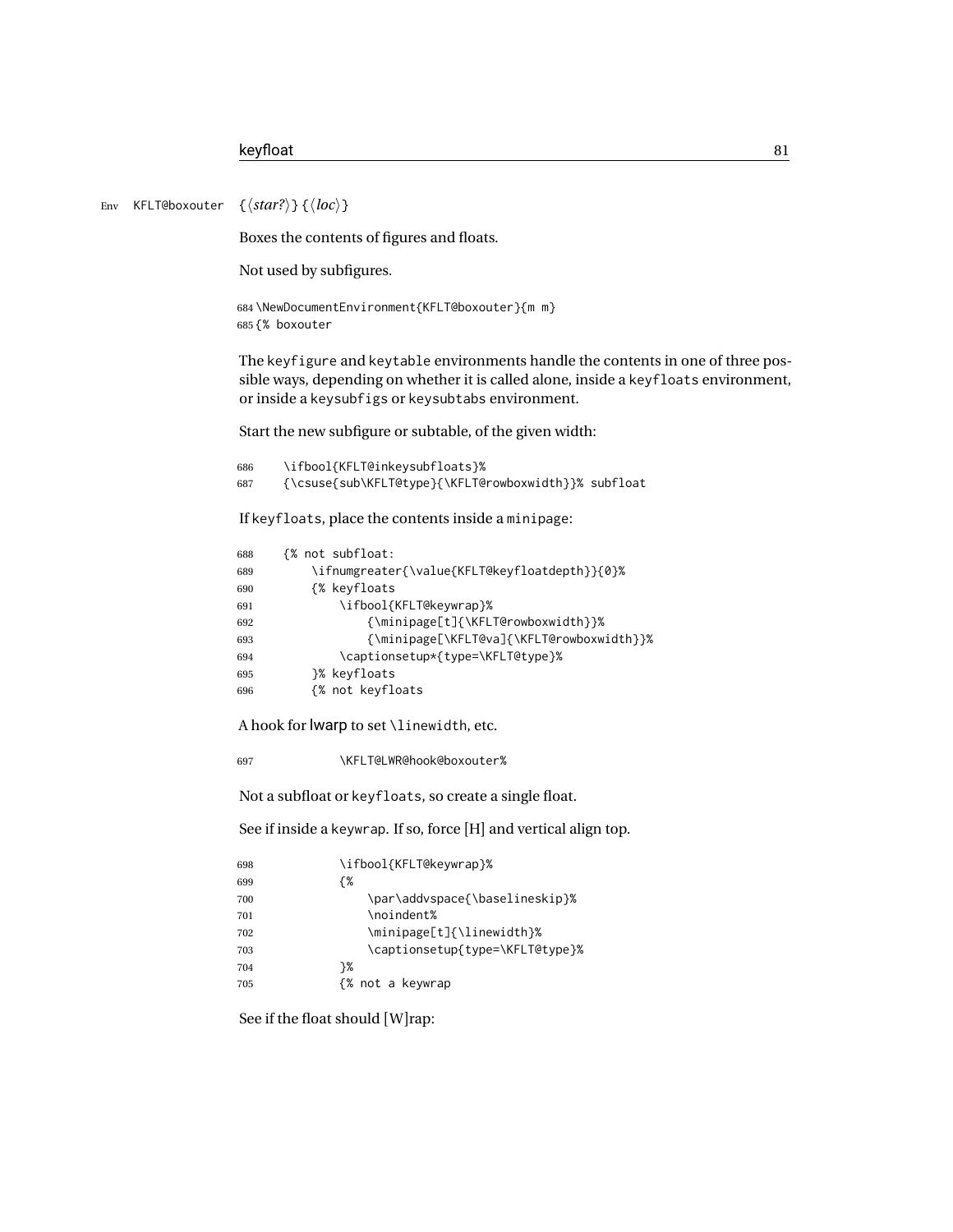Env KFLT@boxouter {⟨*star?*⟩} {⟨*loc*⟩}

Boxes the contents of figures and floats.

Not used by subfigures.

```
684 \NewDocumentEnvironment{KFLT@boxouter}{m m}
685 {% boxouter
```
The keyfigure and keytable environments handle the contents in one of three possible ways, depending on whether it is called alone, inside a keyfloats environment, or inside a keysubfigs or keysubtabs environment.

Start the new subfigure or subtable, of the given width:

```
686 \ifbool{KFLT@inkeysubfloats}%
687 {\csuse{sub\KFLT@type}{\KFLT@rowboxwidth}}% subfloat
```
If keyfloats, place the contents inside a minipage:

| 688 | {% not subfloat:                              |
|-----|-----------------------------------------------|
| 689 | \ifnumgreater{\value{KFLT@keyfloatdepth}}{0}% |
| 690 | {% keyfloats                                  |
| 691 | \ifbool{KFLT@keywrap}%                        |
| 692 | {\minipage[t]{\KFLT@rowboxwidth}}%            |
| 693 | {\minipage[\KFLT@va]{\KFLT@rowboxwidth}}%     |
| 694 | \captionsetup*{type=\KFLT@type}%              |
| 695 | }% keyfloats                                  |
| 696 | {% not keyfloats                              |

A hook for lwarp to set \linewidth, etc.

\KFLT@LWR@hook@boxouter%

Not a subfloat or keyfloats, so create a single float.

See if inside a keywrap. If so, force [H] and vertical align top.

| 698 | \ifbool{KFLT@keywrap}%          |
|-----|---------------------------------|
| 699 | {%                              |
| 700 | \par\addvspace{\baselineskip}%  |
| 701 | \noindent%                      |
| 702 | \minipage[t]{\linewidth}%       |
| 703 | \captionsetup{type=\KFLT@type}% |
| 704 | ን%                              |
| 705 | {% not a keywrap                |
|     |                                 |

See if the float should [W]rap: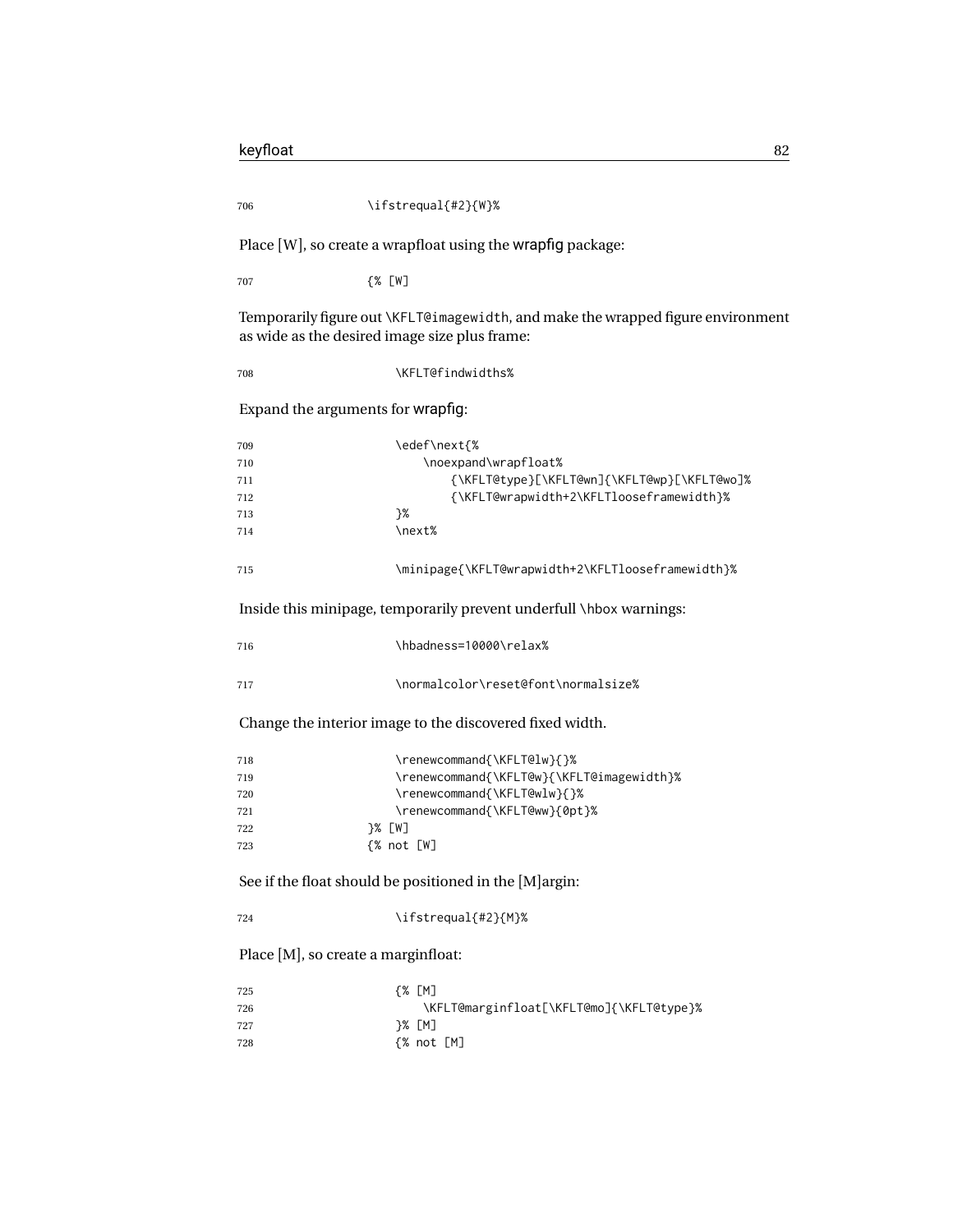\ifstrequal{#2}{W}%

Place [W], so create a wrapfloat using the wrapfig package:

{% [W]

Temporarily figure out \KFLT@imagewidth, and make the wrapped figure environment as wide as the desired image size plus frame:

708 \KFLT@findwidths%

Expand the arguments for wrapfig:

| 709 | \edef\next{%                                      |
|-----|---------------------------------------------------|
| 710 | \noexpand\wrapfloat%                              |
| 711 | {\KFLT@type}[\KFLT@wn]{\KFLT@wp}[\KFLT@wo]%       |
| 712 | {\KFLT@wrapwidth+2\KFLTlooseframewidth}%          |
| 713 | ን%                                                |
| 714 | \next%                                            |
| 715 | \minipage{\KFLT@wrapwidth+2\KFLTlooseframewidth}% |

Inside this minipage, temporarily prevent underfull \hbox warnings:

| 716 | \hbadness=10000\relax%              |
|-----|-------------------------------------|
| 717 | \normalcolor\reset@font\normalsize% |

Change the interior image to the discovered fixed width.

| 718 | \renewcommand{\KFLT@lw}{}%                |
|-----|-------------------------------------------|
| 719 | \renewcommand{\KFLT@w}{\KFLT@imagewidth}% |
| 720 | \renewcommand{\KFLT@wlw}{}%               |
| 721 | \renewcommand{\KFLT@ww}{0pt}%             |
| 722 | 7% [W]                                    |
| 723 | {% not [W]                                |

See if the float should be positioned in the [M]argin:

\ifstrequal{#2}{M}%

Place [M], so create a marginfloat:

| 725 | {% [M]                                   |
|-----|------------------------------------------|
| 726 | \KFLT@marginfloat[\KFLT@mo]{\KFLT@type}% |
| 727 | 7% [M]                                   |
| 728 | {% not [M]                               |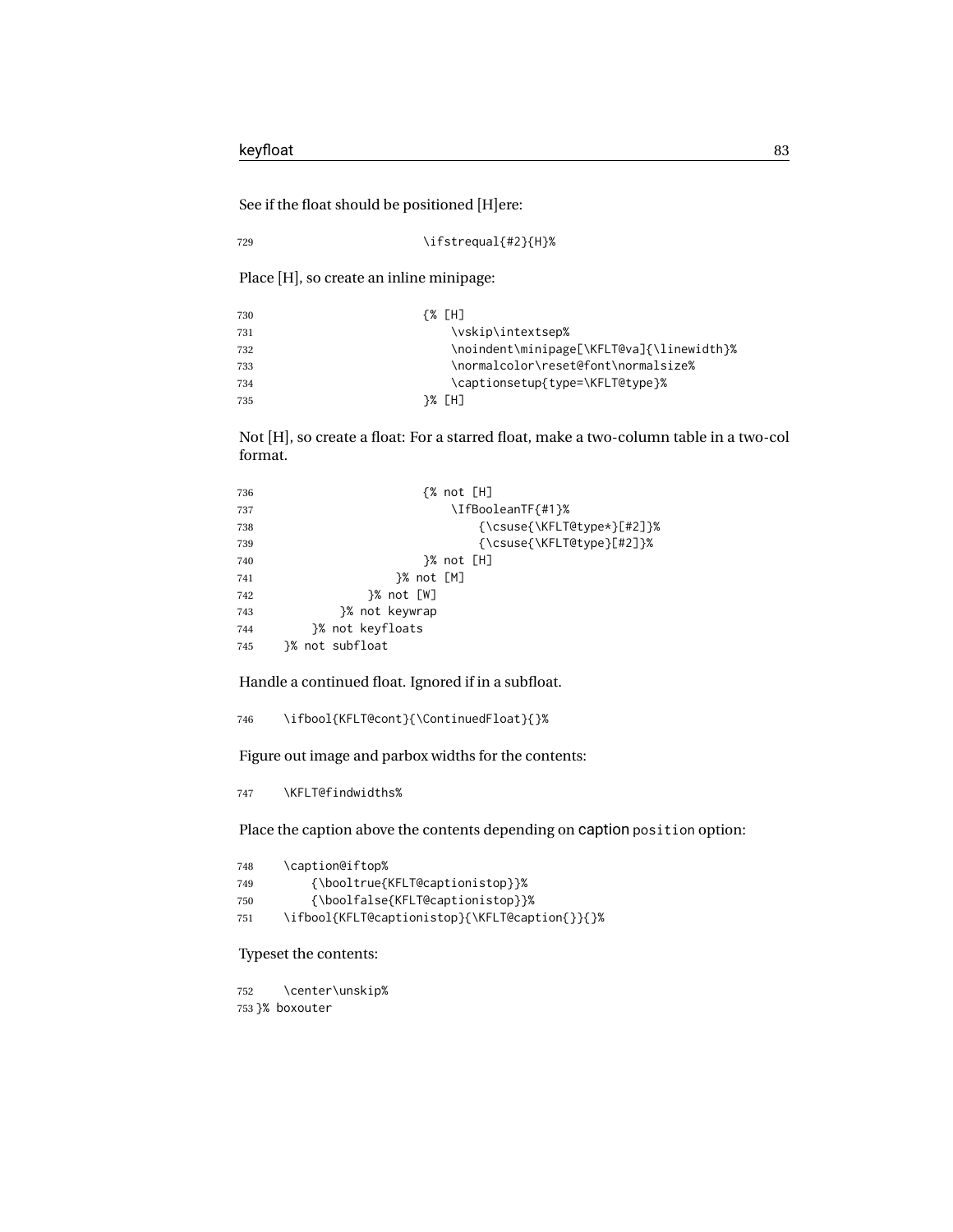See if the float should be positioned [H]ere:

729 \ifstrequal{#2}{H}%

Place [H], so create an inline minipage:

| 730 | {% [H]                                    |
|-----|-------------------------------------------|
| 731 | \vskip\intextsep%                         |
| 732 | \noindent\minipage[\KFLT@va]{\linewidth}% |
| 733 | \normalcolor\reset@font\normalsize%       |
| 734 | \captionsetup{type=\KFLT@type}%           |
| 735 | 7% [H]                                    |
|     |                                           |

Not [H], so create a float: For a starred float, make a two-column table in a two-col format.

```
736 {% not [H]
737 \land 1 \land 1 \land 1 \land 1 \land 1 \land 1 \land 1 \land 1 \land 1 \land 1 \land 1 \land 1 \land 1 \land 1 \land 1 \land 1 \land 1 \land 1 \land 1 \land 1 \land 1 \land 1 \land 1 \land 1 \land 1 \land 1 \land 1 \l
738 {\csuse{\KFLT@type*}[#2]}%
739 {\csuse{\KFLT@type}[#2]}%
740 }% not [H]
741 }% not [M]
742 }% not [W]
743 }% not keywrap
744 }% not keyfloats
745 }% not subfloat
```
Handle a continued float. Ignored if in a subfloat.

\ifbool{KFLT@cont}{\ContinuedFloat}{}%

Figure out image and parbox widths for the contents:

\KFLT@findwidths%

Place the caption above the contents depending on caption position option:

| \caption@iftop%                                |
|------------------------------------------------|
| {\booltrue{KFLT@captionistop}}%                |
| {\boolfalse{KFLT@captionistop}}%               |
| \ifbool{KFLT@captionistop}{\KFLT@caption{}}{}% |
|                                                |

Typeset the contents:

 \center\unskip% }% boxouter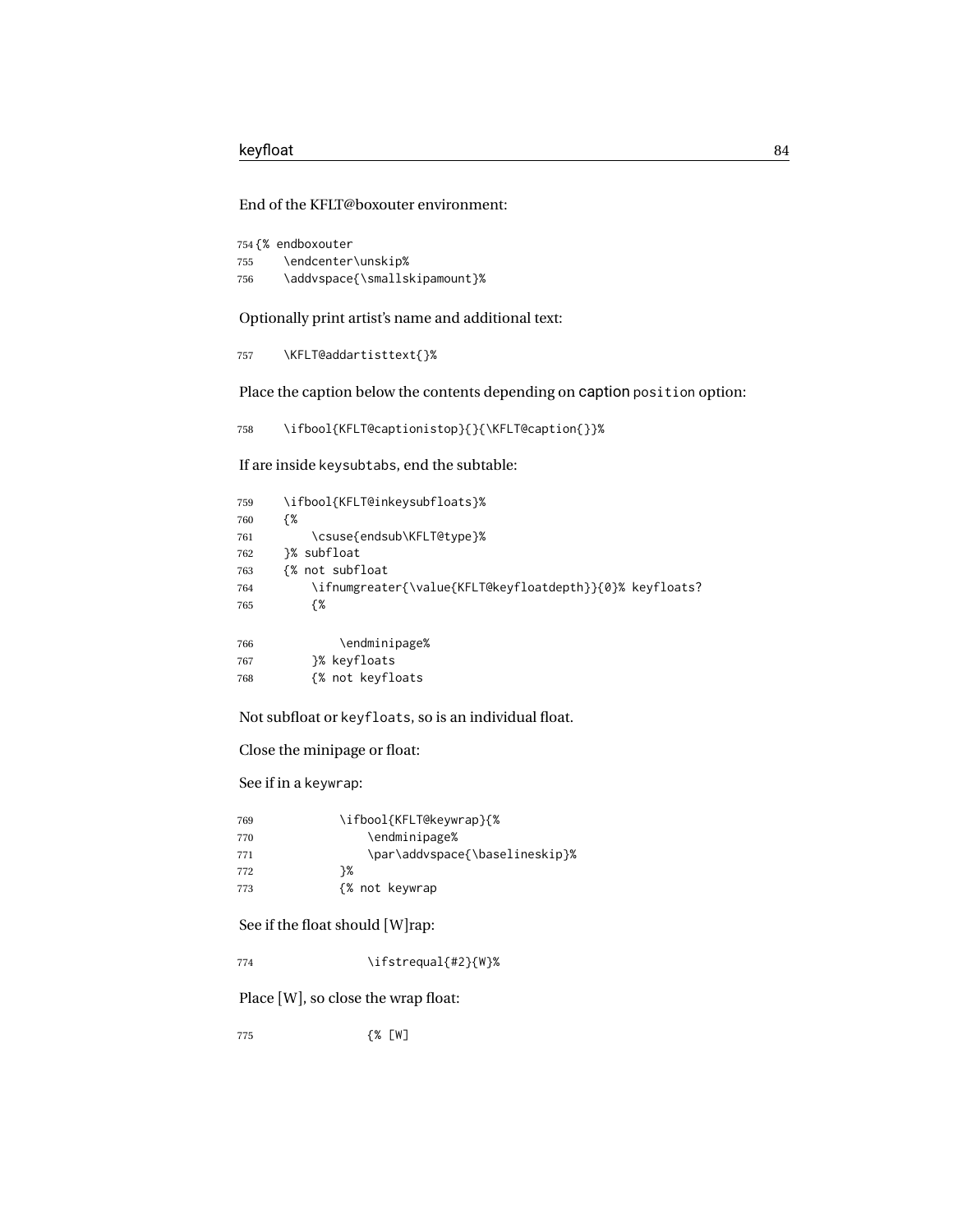End of the KFLT@boxouter environment:

|     | 754 <i>f</i> % endboxouter    |
|-----|-------------------------------|
| 755 | \endcenter\unskip%            |
| 756 | \addvspace{\smallskipamount}% |

Optionally print artist's name and additional text:

\KFLT@addartisttext{}%

Place the caption below the contents depending on caption position option:

\ifbool{KFLT@captionistop}{}{\KFLT@caption{}}%

If are inside keysubtabs, end the subtable:

| 759 | \ifbool{KFLT@inkeysubfloats}%                            |
|-----|----------------------------------------------------------|
| 760 | {%                                                       |
| 761 | \csuse{endsub\KFLT@type}%                                |
| 762 | }% subfloat                                              |
| 763 | {% not subfloat                                          |
| 764 | \ifnumgreater{\value{KFLT@keyfloatdepth}}{0}% keyfloats? |
| 765 | {%                                                       |
|     |                                                          |
| 766 | \endminipage%                                            |
| 767 | }% keyfloats                                             |
| 768 | {% not keyfloats                                         |

Not subfloat or keyfloats, so is an individual float.

Close the minipage or float:

See if in a keywrap:

| 769 | \ifbool{KFLT@keywrap}{%        |
|-----|--------------------------------|
| 770 | \endminipage%                  |
| 771 | \par\addvspace{\baselineskip}% |
| 772 | ን%                             |
| 773 | {% not keywrap                 |

See if the float should [W]rap:

\ifstrequal{#2}{W}%

Place [W], so close the wrap float:

{% [W]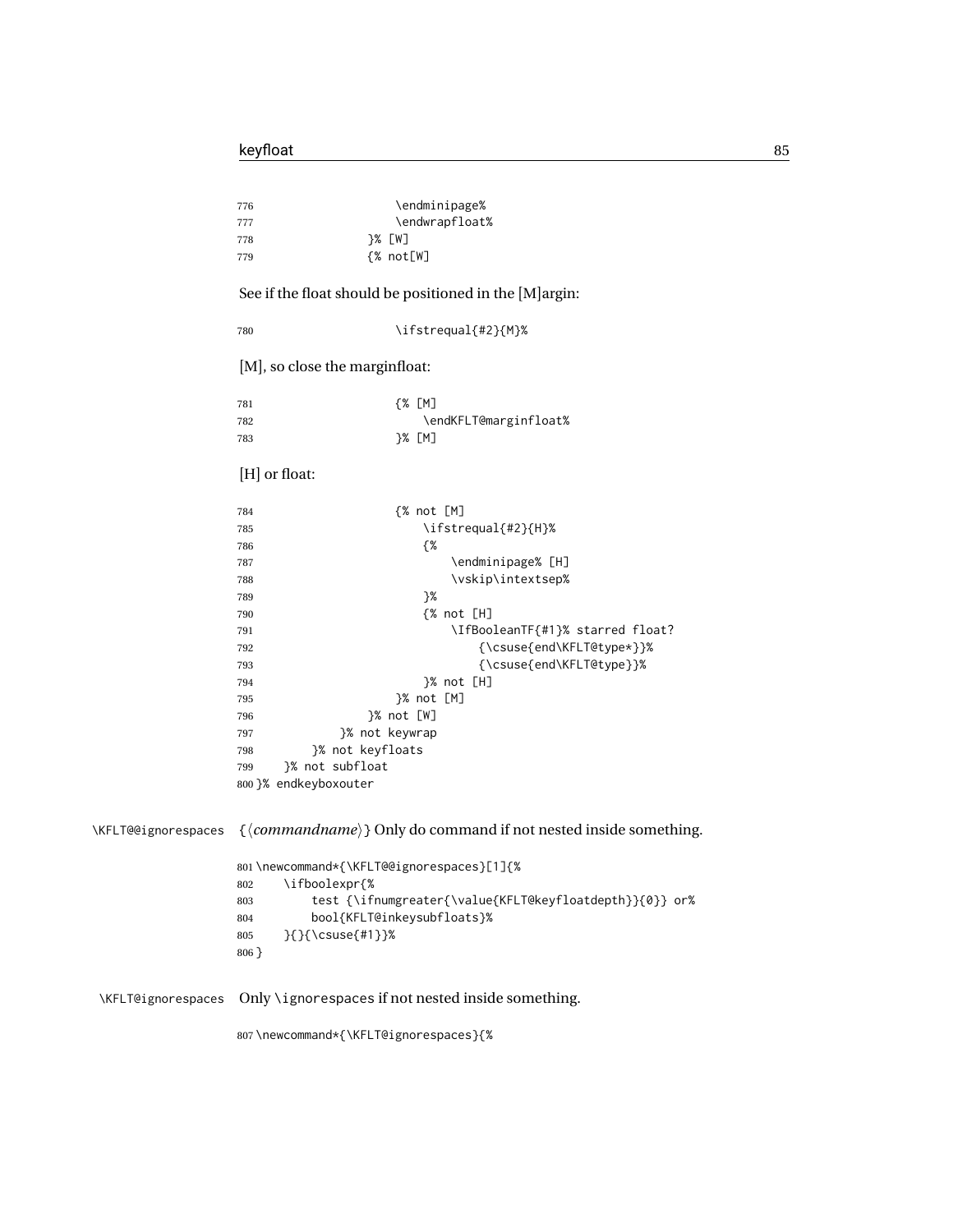|                     | \endminipage%<br>776<br>\endwrapfloat%<br>777<br>}% [W]<br>778<br>{% not[W]<br>779                  |
|---------------------|-----------------------------------------------------------------------------------------------------|
|                     | See if the float should be positioned in the [M] argin:                                             |
|                     | \ifstrequal{#2}{M}%<br>780                                                                          |
|                     | [M], so close the marginfloat:                                                                      |
|                     | ${8}$ [M]<br>781<br>\endKFLT@marginfloat%<br>782                                                    |
|                     | }% [M]<br>783                                                                                       |
|                     | [H] or float:                                                                                       |
|                     | ${% not }[M]$<br>784<br>\ifstrequal{#2}{H}%<br>785                                                  |
|                     | {%<br>786<br>\endminipage% [H]<br>787                                                               |
|                     | \vskip\intextsep%<br>788                                                                            |
|                     | }%<br>789                                                                                           |
|                     | {% not [H]<br>790                                                                                   |
|                     | \IfBooleanTF{#1}% starred float?<br>791<br>{\csuse{end\KFLT@type*}}%<br>792                         |
|                     | {\csuse{end\KFLT@type}}%<br>793                                                                     |
|                     | }% not [H]<br>794                                                                                   |
|                     | }% not [M]<br>795                                                                                   |
|                     | }% not [W]<br>796                                                                                   |
|                     | }% not keywrap<br>797                                                                               |
|                     | }% not keyfloats<br>798                                                                             |
|                     | }% not subfloat<br>799                                                                              |
|                     | 800 }% endkeyboxouter                                                                               |
| \KFLT@@ignorespaces | { $\langle commandname \rangle$ } Only do command if not nested inside something.                   |
|                     | 801\newcommand*{\KFLT@@ignorespaces}[1]{%<br>\ifboolexpr{%<br>802                                   |
|                     | test {\ifnumgreater{\value{KFLT@keyfloatdepth}}{0}} or%<br>803<br>bool{KFLT@inkeysubfloats}%<br>804 |
|                     | }{}{\csuse{#1}}%<br>805<br>$806$ }                                                                  |
| \KFLT@ignorespaces  | Only \ignorespaces if not nested inside something.                                                  |

\newcommand\*{\KFLT@ignorespaces}{%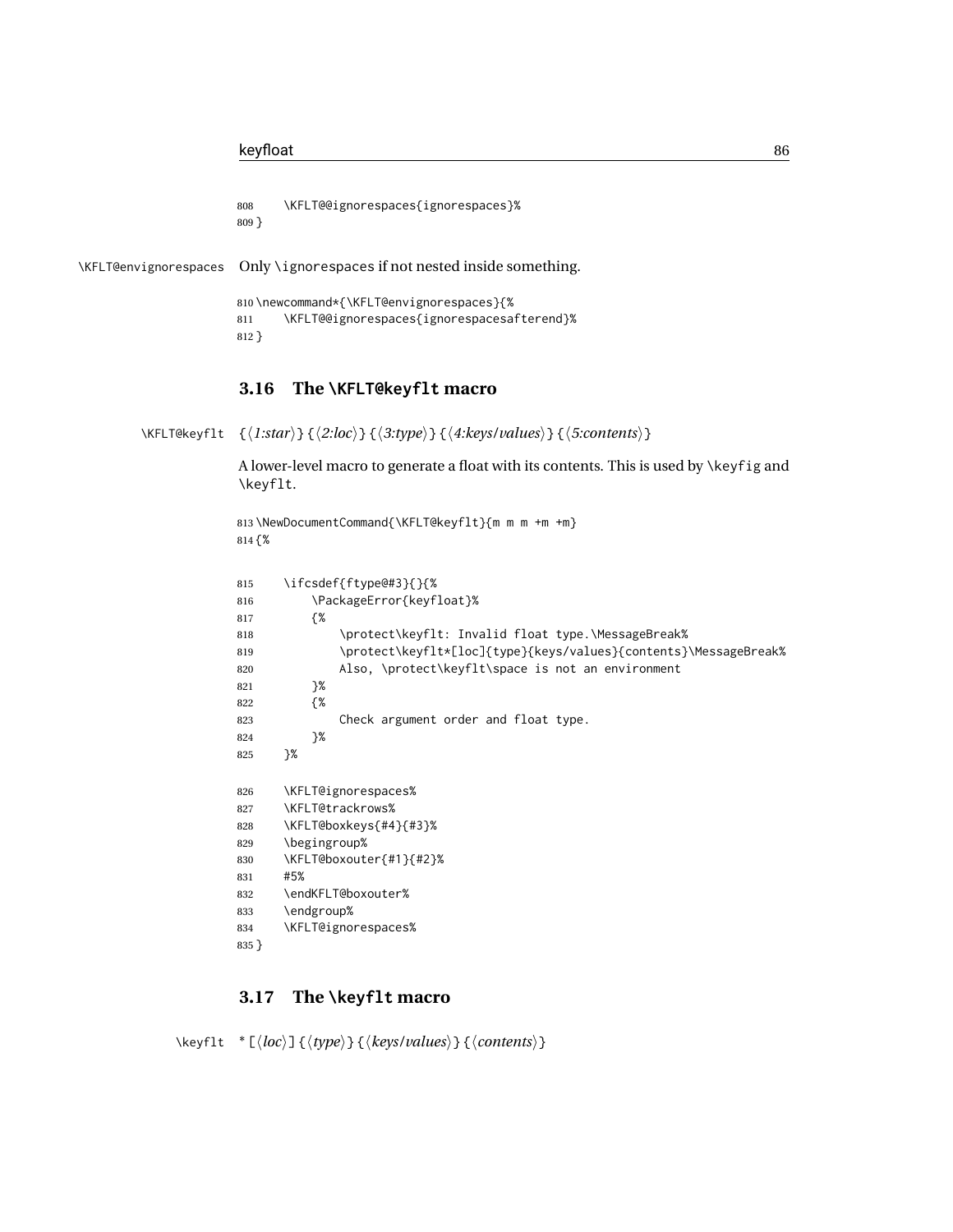```
808 \KFLT@@ignorespaces{ignorespaces}%
809 }
```
\KFLT@envignorespaces Only \ignorespaces if not nested inside something.

```
810 \newcommand*{\KFLT@envignorespaces}{%
811 \KFLT@@ignorespaces{ignorespacesafterend}%
812 }
```
### **3.16 The \KFLT@keyflt macro**

\KFLT@keyflt {⟨*1:star*⟩} {⟨*2:loc*⟩} {⟨*3:type*⟩} {⟨*4:keys/values*⟩} {⟨*5:contents*⟩}

A lower-level macro to generate a float with its contents. This is used by \keyfig and \keyflt.

```
813 \NewDocumentCommand{\KFLT@keyflt}{m m m +m +m}
814 {%
815 \ifcsdef{ftype@#3}{}{%
816 \PackageError{keyfloat}%
817 {%
818 \protect\keyflt: Invalid float type.\MessageBreak%
819 \protect\keyflt*[loc]{type}{keys/values}{contents}\MessageBreak%
820 Also, \protect\keyflt\space is not an environment
821 }%
822 {%
823 Check argument order and float type.
824 }%
825 }%
826 \KFLT@ignorespaces%
827 \KFLT@trackrows%
828 \KFLT@boxkeys{#4}{#3}%
829 \begingroup%
830 \KFLT@boxouter{#1}{#2}%
831 #5%
832 \endKFLT@boxouter%
833 \endgroup%
834 \KFLT@ignorespaces%
835 }
```
### **3.17 The \keyflt macro**

\keyflt \* [⟨*loc*⟩] {⟨*type*⟩} {⟨*keys/values*⟩} {⟨*contents*⟩}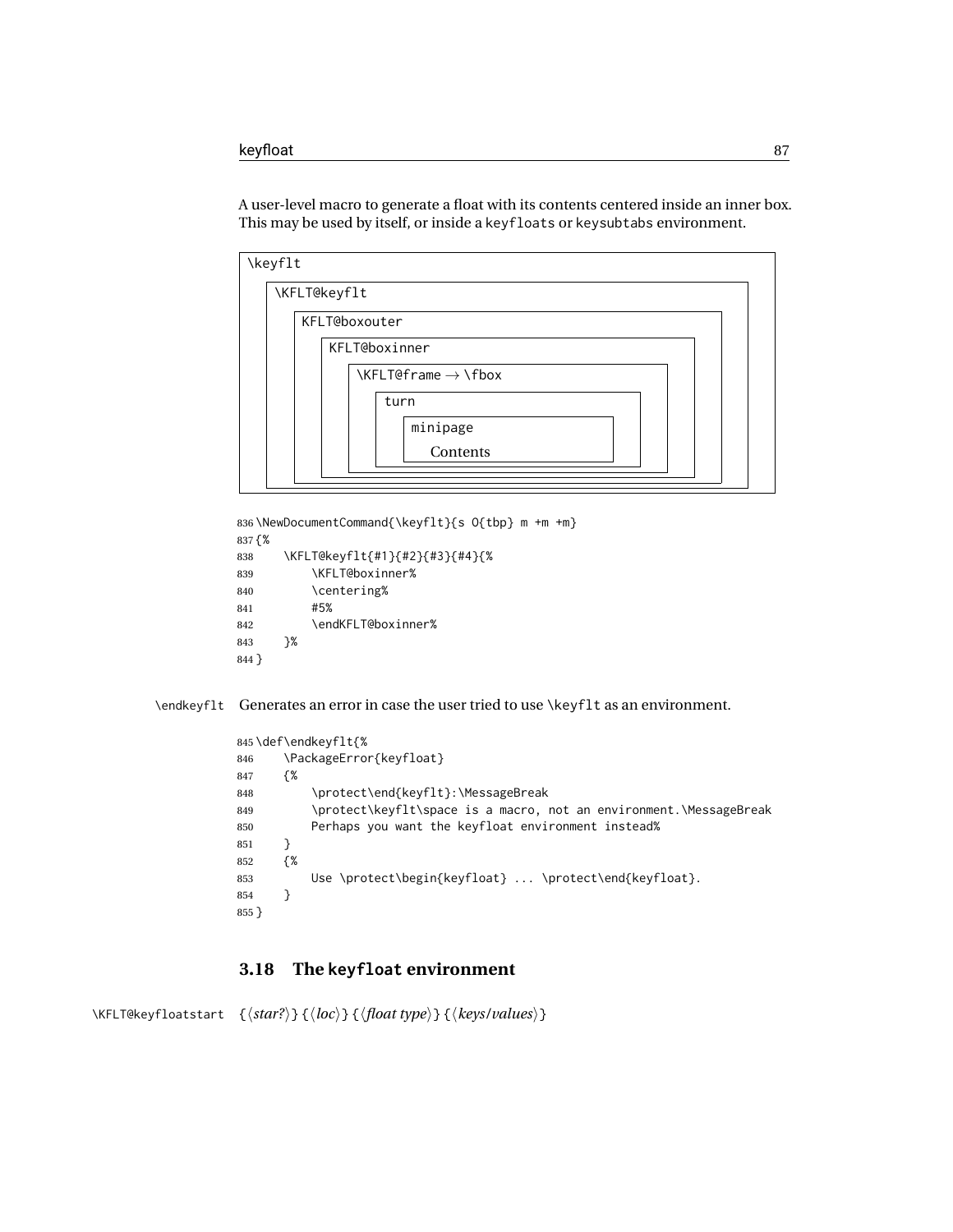A user-level macro to generate a float with its contents centered inside an inner box. This may be used by itself, or inside a keyfloats or keysubtabs environment.

| \keyflt      |                                                                          |
|--------------|--------------------------------------------------------------------------|
| \KFLT@keyflt |                                                                          |
|              | <b>KFLT@boxouter</b>                                                     |
|              | KFLT@boxinner                                                            |
|              | $\left\{\text{KFLT@frame} \rightarrow \left\{\text{box}\right\}\right\}$ |
|              | turn                                                                     |
|              | minipage                                                                 |
|              | Contents                                                                 |
|              |                                                                          |

```
836 \NewDocumentCommand{\keyflt}{s O{tbp} m +m +m}
837 {%
838 \KFLT@keyflt{#1}{#2}{#3}{#4}{%
839 \KFLT@boxinner%
840 \centering%
841 #5%
842 \endKFLT@boxinner%
843 }%
844 }
```
\endkeyflt Generates an error in case the user tried to use \keyflt as an environment.

```
845 \def\endkeyflt{%
846 \PackageError{keyfloat}
847 {%
848 \protect\end{keyflt}:\MessageBreak
849 \protect\keyflt\space is a macro, not an environment.\MessageBreak
850 Perhaps you want the keyfloat environment instead%
851 }
852 {%
853 Use \protect\begin{keyfloat} ... \protect\end{keyfloat}.
854 }
855 }
```
### **3.18 The keyfloat environment**

\KFLT@keyfloatstart {⟨*star?*⟩} {⟨*loc*⟩} {⟨*float type*⟩} {⟨*keys/values*⟩}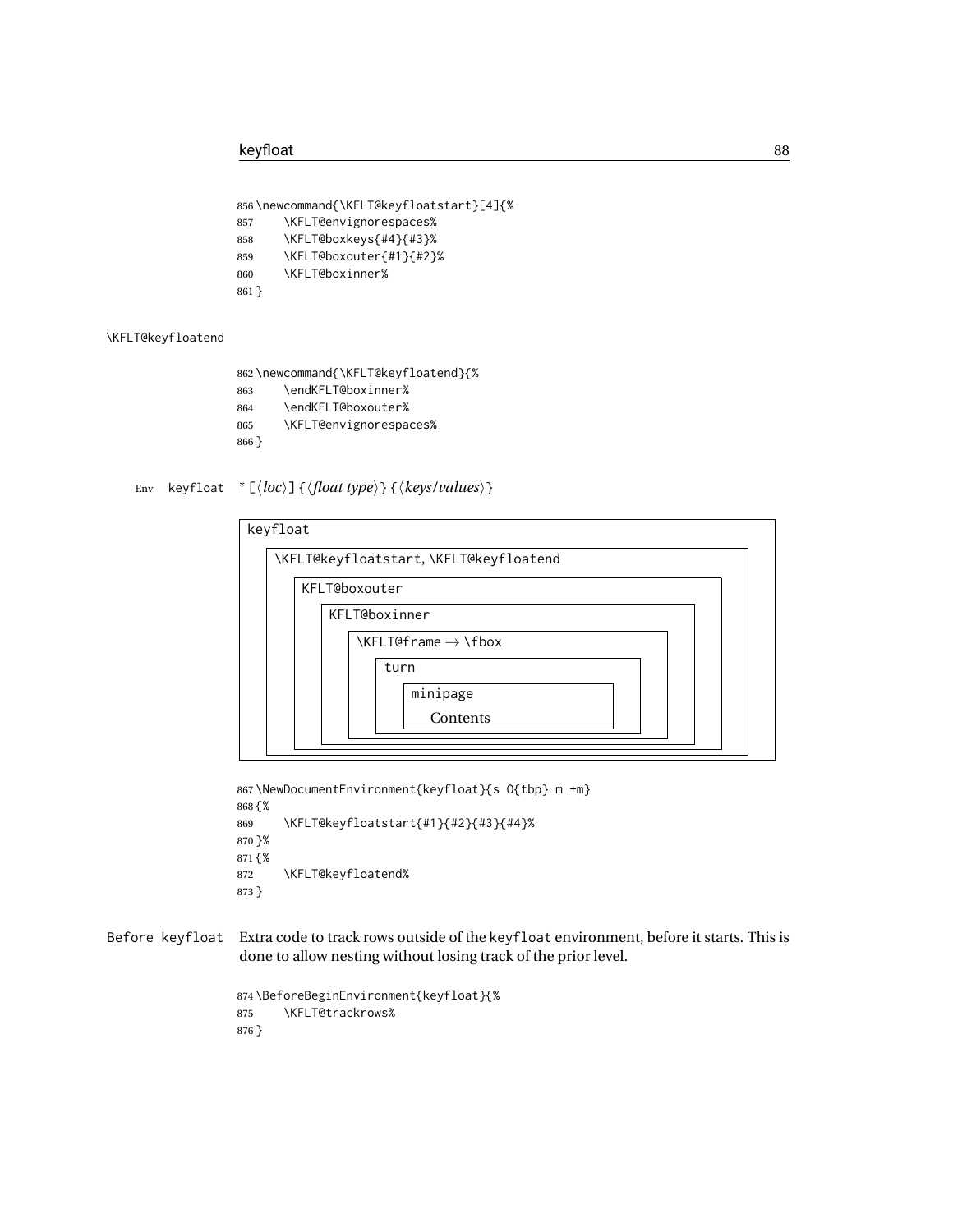```
856 \newcommand{\KFLT@keyfloatstart}[4]{%
857 \KFLT@envignorespaces%
858 \KFLT@boxkeys{#4}{#3}%
859 \KFLT@boxouter{#1}{#2}%
860 \KFLT@boxinner%
861 }
```
#### \KFLT@keyfloatend

```
862 \newcommand{\KFLT@keyfloatend}{%
863 \endKFLT@boxinner%
864 \endKFLT@boxouter%
865 \KFLT@envignorespaces%
866 }
```
Env keyfloat \* [⟨*loc*⟩] {⟨*float type*⟩} {⟨*keys/values*⟩}

| keyfloat |               |                                                                         |  |
|----------|---------------|-------------------------------------------------------------------------|--|
|          |               | \KFLT@keyfloatstart,\KFLT@keyfloatend                                   |  |
|          | KFLT@boxouter |                                                                         |  |
|          |               | KFLT@boxinner                                                           |  |
|          |               | $\left\{\text{KFLT@frame}\rightarrow\left\{\text{fbox}\right\}\right\}$ |  |
|          |               | turn                                                                    |  |
|          |               | minipage                                                                |  |
|          |               | Contents                                                                |  |
|          |               |                                                                         |  |

```
867 \NewDocumentEnvironment{keyfloat}{s O{tbp} m +m}
868 {%
869 \KFLT@keyfloatstart{#1}{#2}{#3}{#4}%
870 }%
871 {%
872 \KFLT@keyfloatend%
873 }
```
Before keyfloat Extra code to track rows outside of the keyfloat environment, before it starts. This is done to allow nesting without losing track of the prior level.

```
874 \BeforeBeginEnvironment{keyfloat}{%
875 \KFLT@trackrows%
876 }
```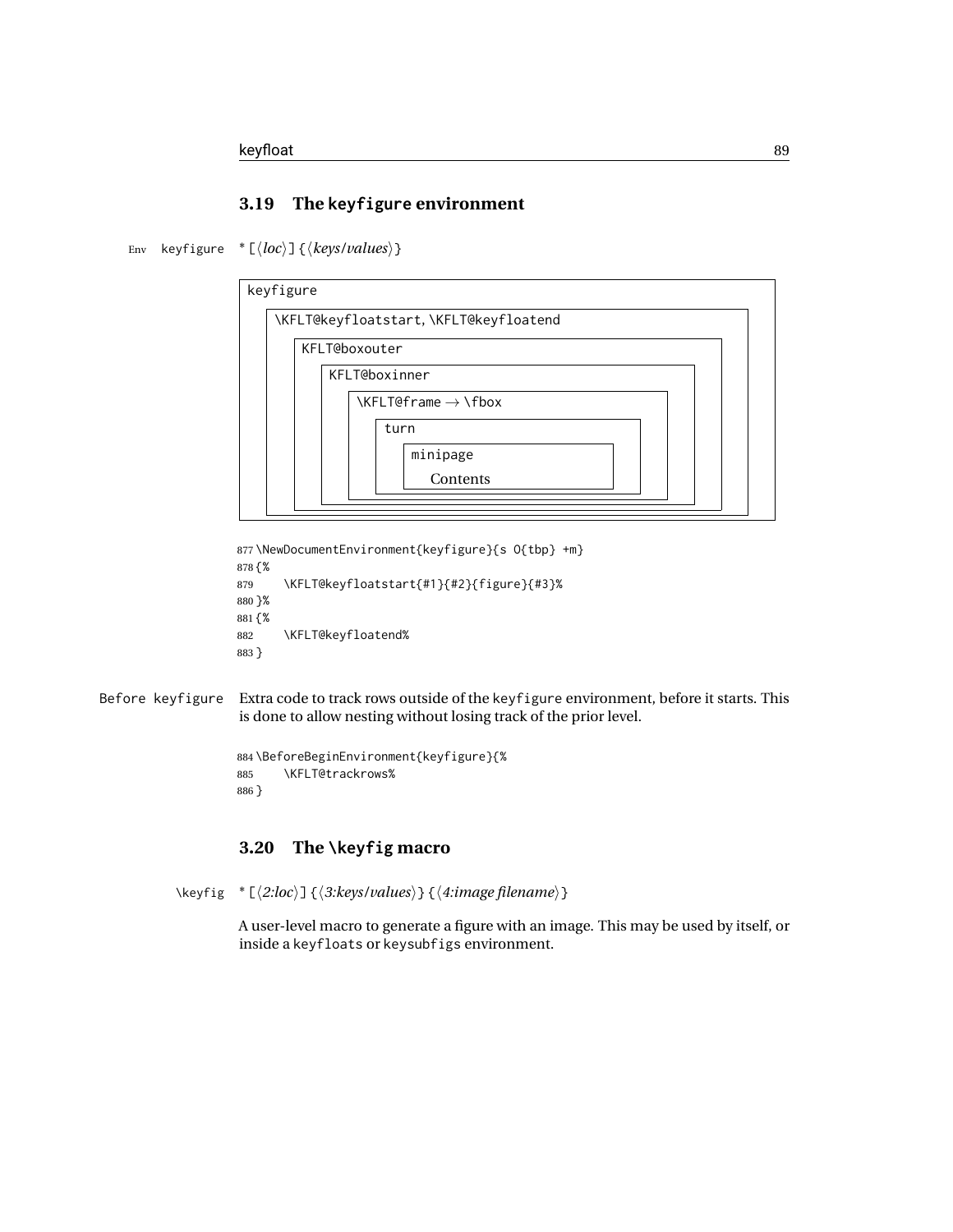### **3.19 The keyfigure environment**

Env keyfigure \* [⟨*loc*⟩] {⟨*keys/values*⟩}

| keyfigure |                                         |
|-----------|-----------------------------------------|
|           | \KFLT@keyfloatstart,\KFLT@keyfloatend   |
|           | KFLT@boxouter                           |
|           | KFLT@boxinner                           |
|           | $\kappa$ FLT@frame $\rightarrow \kappa$ |
|           | turn                                    |
|           | minipage                                |
|           | Contents                                |
|           |                                         |

```
877 \NewDocumentEnvironment{keyfigure}{s O{tbp} +m}
878 {%
879 \KFLT@keyfloatstart{#1}{#2}{figure}{#3}%
880 }%
881 {%
882 \KFLT@keyfloatend%
883 }
```

```
Before keyfigure Extra code to track rows outside of the keyfigure environment, before it starts. This
                     is done to allow nesting without losing track of the prior level.
```

```
884 \BeforeBeginEnvironment{keyfigure}{%
885 \KFLT@trackrows%
886 }
```
## **3.20 The \keyfig macro**

```
\keyfig * [⟨2:loc⟩] {⟨3:keys/values⟩} {⟨4:image filename⟩}
```
A user-level macro to generate a figure with an image. This may be used by itself, or inside a keyfloats or keysubfigs environment.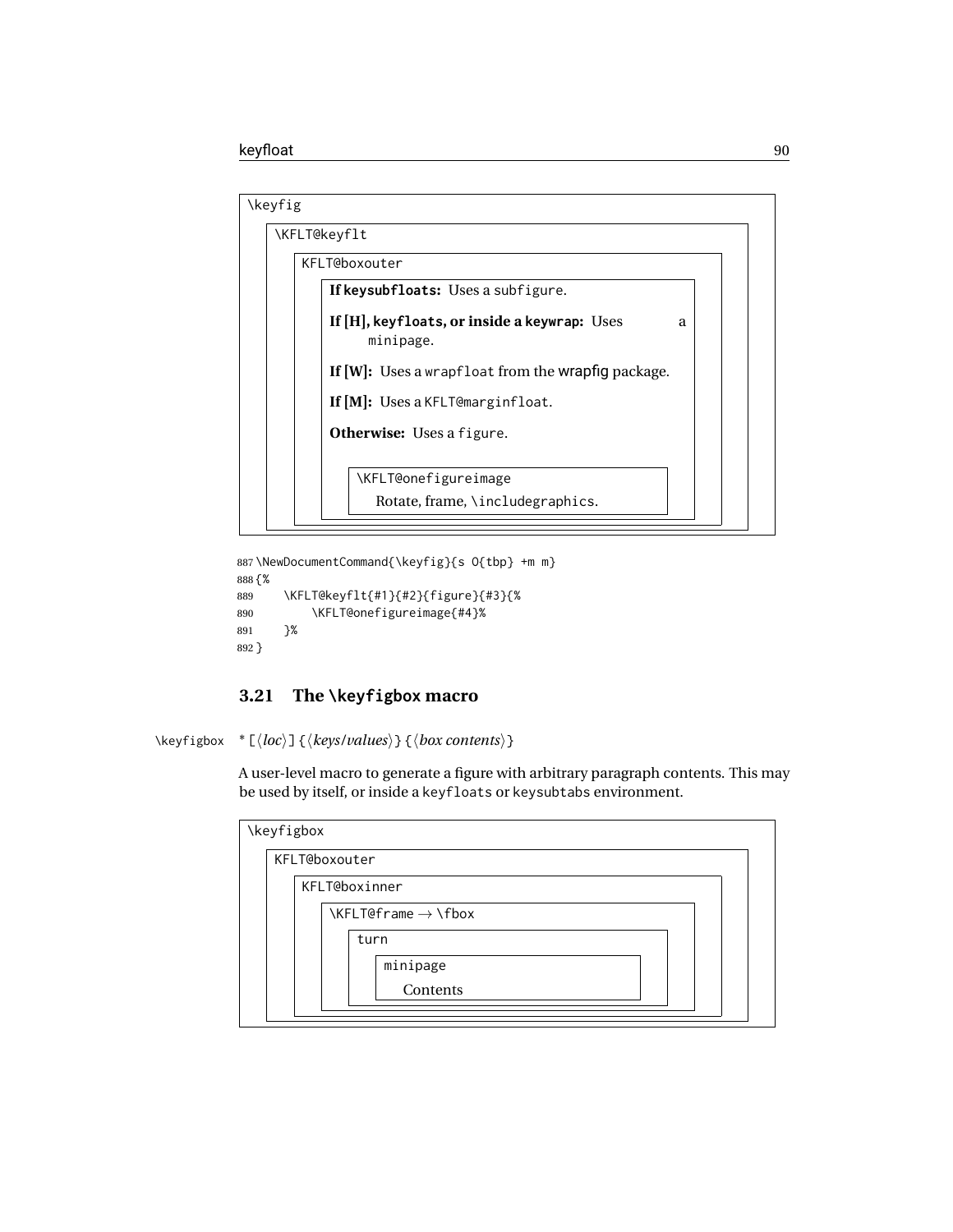| \keyfig              |                                                       |   |
|----------------------|-------------------------------------------------------|---|
| \KFLT@keyflt         |                                                       |   |
| <b>KFLT@boxouter</b> |                                                       |   |
|                      | If keysubfloats: Uses a subfigure.                    |   |
| minipage.            | If $[H]$ , keyfloats, or inside a keywrap: Uses       | a |
|                      | If $[W]$ : Uses a wrapfloat from the wrapfig package. |   |
|                      | If [M]: Uses a KFLT@marginfloat.                      |   |
|                      | <b>Otherwise:</b> Uses a figure.                      |   |
|                      | \KFLT@onefigureimage                                  |   |
|                      | Rotate, frame, \includegraphics.                      |   |

887 \NewDocumentCommand{\keyfig}{s O{tbp} +m m}

```
888 {%
889 \KFLT@keyflt{#1}{#2}{figure}{#3}{%
890 \KFLT@onefigureimage{#4}%
891 }%
892 }
```
# **3.21 The \keyfigbox macro**

\keyfigbox \* [⟨*loc*⟩] {⟨*keys/values*⟩} {⟨*box contents*⟩}

A user-level macro to generate a figure with arbitrary paragraph contents. This may be used by itself, or inside a keyfloats or keysubtabs environment.

| \keyfigbox |                                                                         |
|------------|-------------------------------------------------------------------------|
|            | <b>KFLT@boxouter</b>                                                    |
|            | KFLT@boxinner                                                           |
|            | $\left\{\text{KFLT@frame}\rightarrow\left\{\text{fbox}\right\}\right\}$ |
|            | turn                                                                    |
|            | minipage                                                                |
|            | Contents                                                                |
|            |                                                                         |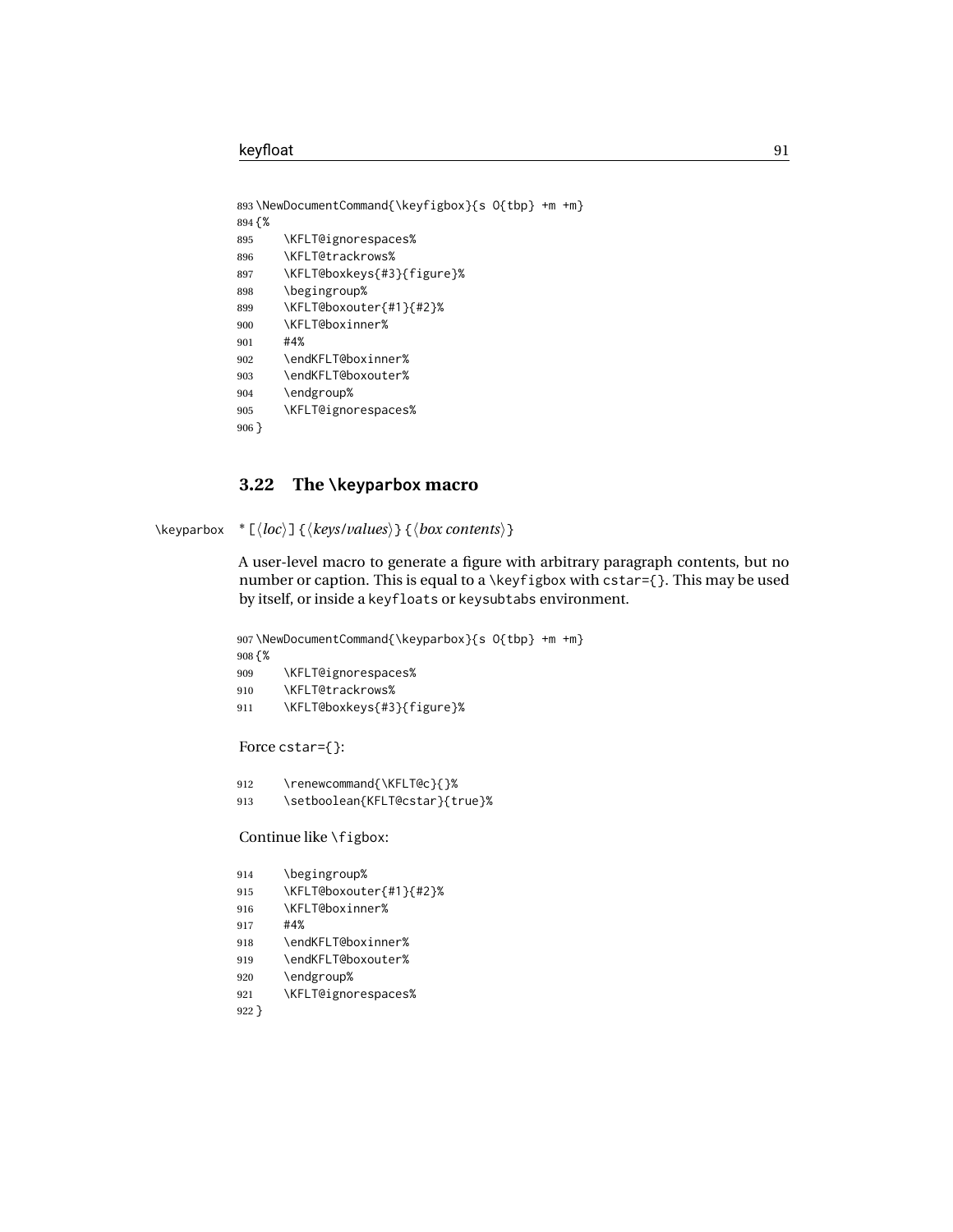```
893 \NewDocumentCommand{\keyfigbox}{s O{tbp} +m +m}
894 {%
895 \KFLT@ignorespaces%
896 \KFLT@trackrows%
897 \KFLT@boxkeys{#3}{figure}%
898 \begingroup%
899 \KFLT@boxouter{#1}{#2}%
900 \KFLT@boxinner%
901 #4%
902 \endKFLT@boxinner%
903 \endKFLT@boxouter%
904 \endgroup%
905 \KFLT@ignorespaces%
906 }
```
#### **3.22 The \keyparbox macro**

```
\keyparbox * [⟨loc⟩] {⟨keys/values⟩} {⟨box contents⟩}
```
A user-level macro to generate a figure with arbitrary paragraph contents, but no number or caption. This is equal to a \keyfigbox with cstar={}. This may be used by itself, or inside a keyfloats or keysubtabs environment.

```
907 \NewDocumentCommand{\keyparbox}{s O{tbp} +m +m}
908 {%
909 \KFLT@ignorespaces%
910 \KFLT@trackrows%
911 \KFLT@boxkeys{#3}{figure}%
Force cstar={}:
912 \renewcommand{\KFLT@c}{}%
913 \setboolean{KFLT@cstar}{true}%
Continue like \figbox:
914 \begingroup%
```

```
915 \KFLT@boxouter{#1}{#2}%
916 \KFLT@boxinner%
917 #4%
918 \endKFLT@boxinner%
919 \endKFLT@boxouter%
920 \endgroup%
921 \KFLT@ignorespaces%
922 }
```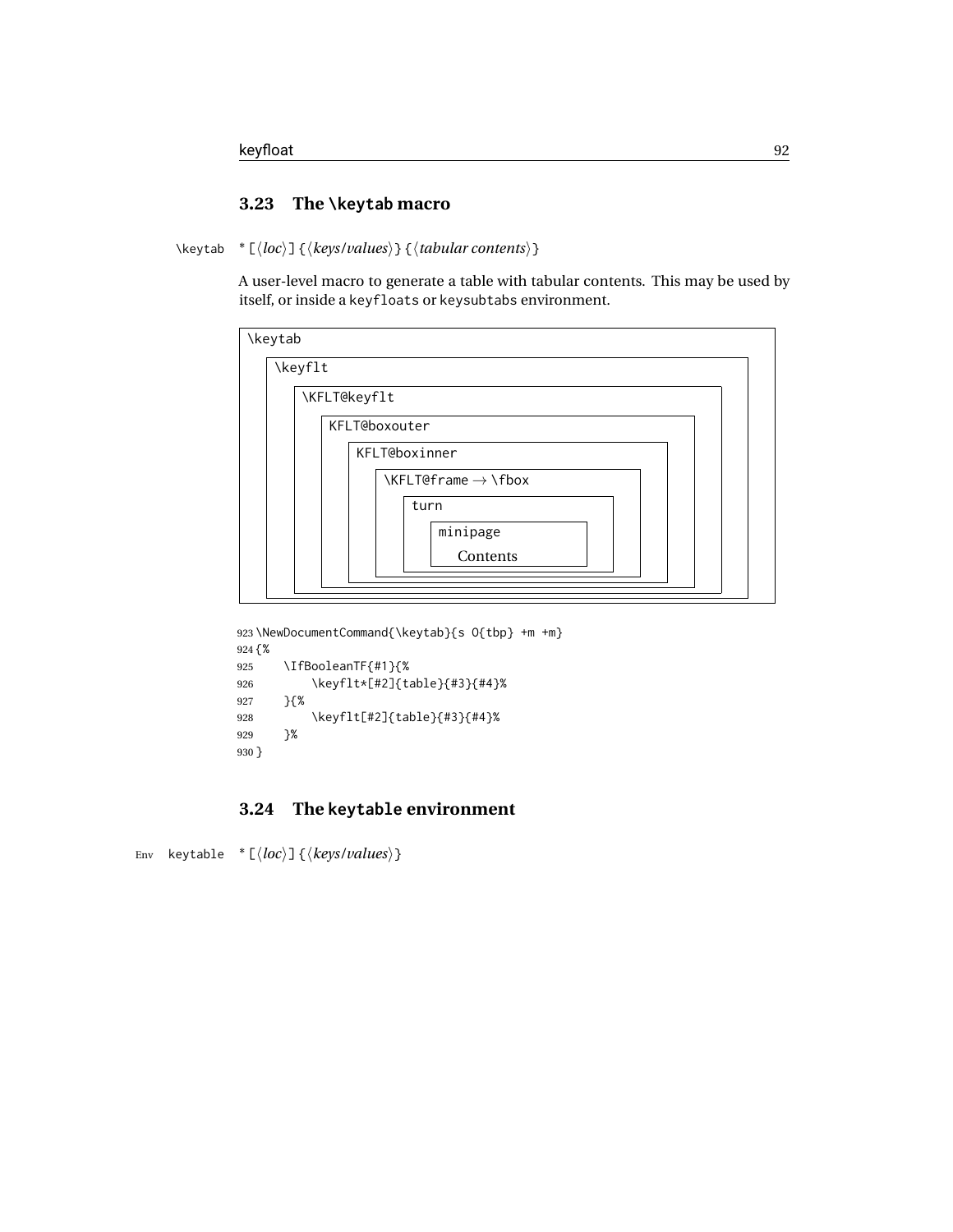### **3.23 The \keytab macro**

\keytab \* [⟨*loc*⟩] {⟨*keys/values*⟩} {⟨*tabular contents*⟩}

A user-level macro to generate a table with tabular contents. This may be used by itself, or inside a keyfloats or keysubtabs environment.

| \keytab |                                                                           |
|---------|---------------------------------------------------------------------------|
| \keyflt |                                                                           |
|         | \KFLT@keyflt                                                              |
|         | <b>KFLT@boxouter</b>                                                      |
|         | KFLT@boxinner                                                             |
|         | $\left\{\text{KFLT@frame} \rightarrow \left\{\text{fbox}\right\}\right\}$ |
|         | turn                                                                      |
|         | minipage                                                                  |
|         | Contents                                                                  |
|         |                                                                           |

```
923 \NewDocumentCommand{\keytab}{s O{tbp} +m +m}
924 {%
925 \IfBooleanTF{#1}{%
926 \keyflt*[#2]{table}{#3}{#4}%
927 }{%
928 \keyflt[#2]{table}{#3}{#4}%
929 }%
930 }
```
## **3.24 The keytable environment**

```
Env keytable * [⟨loc⟩] {⟨keys/values⟩}
```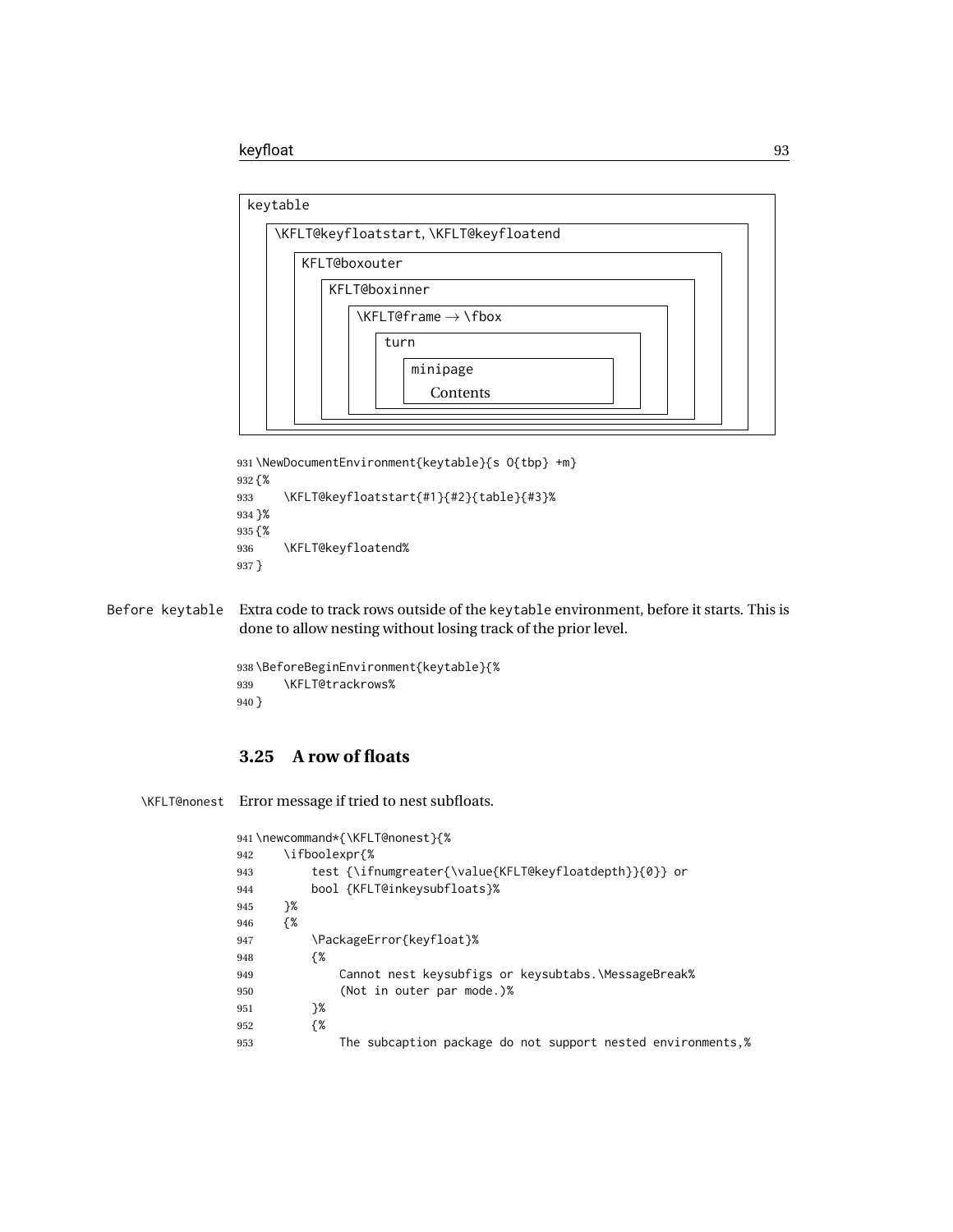

```
931 \NewDocumentEnvironment{keytable}{s O{tbp} +m}
932 {%
933 \KFLT@keyfloatstart{#1}{#2}{table}{#3}%
934 }%
935 {%
936 \KFLT@keyfloatend%
937 }
```
Before keytable Extra code to track rows outside of the keytable environment, before it starts. This is done to allow nesting without losing track of the prior level.

```
938 \BeforeBeginEnvironment{keytable}{%
939 \KFLT@trackrows%
940 }
```
## **3.25 A row of floats**

\KFLT@nonest Error message if tried to nest subfloats.

|     |               | 941\newcommand*{\KFLT@nonest}{%                              |
|-----|---------------|--------------------------------------------------------------|
| 942 | \ifboolexpr{% |                                                              |
| 943 |               | test {\ifnumgreater{\value{KFLT@keyfloatdepth}}{0}} or       |
| 944 |               | bool {KFLT@inkeysubfloats}%                                  |
| 945 | }%            |                                                              |
| 946 | {%            |                                                              |
| 947 |               | \PackageError{keyfloat}%                                     |
| 948 | {%            |                                                              |
| 949 |               | Cannot nest keysubfigs or keysubtabs. MessageBreak%          |
| 950 |               | (Not in outer par mode.)%                                    |
| 951 | }%            |                                                              |
| 952 | {%            |                                                              |
| 953 |               | The subcaption package do not support nested environments, % |
|     |               |                                                              |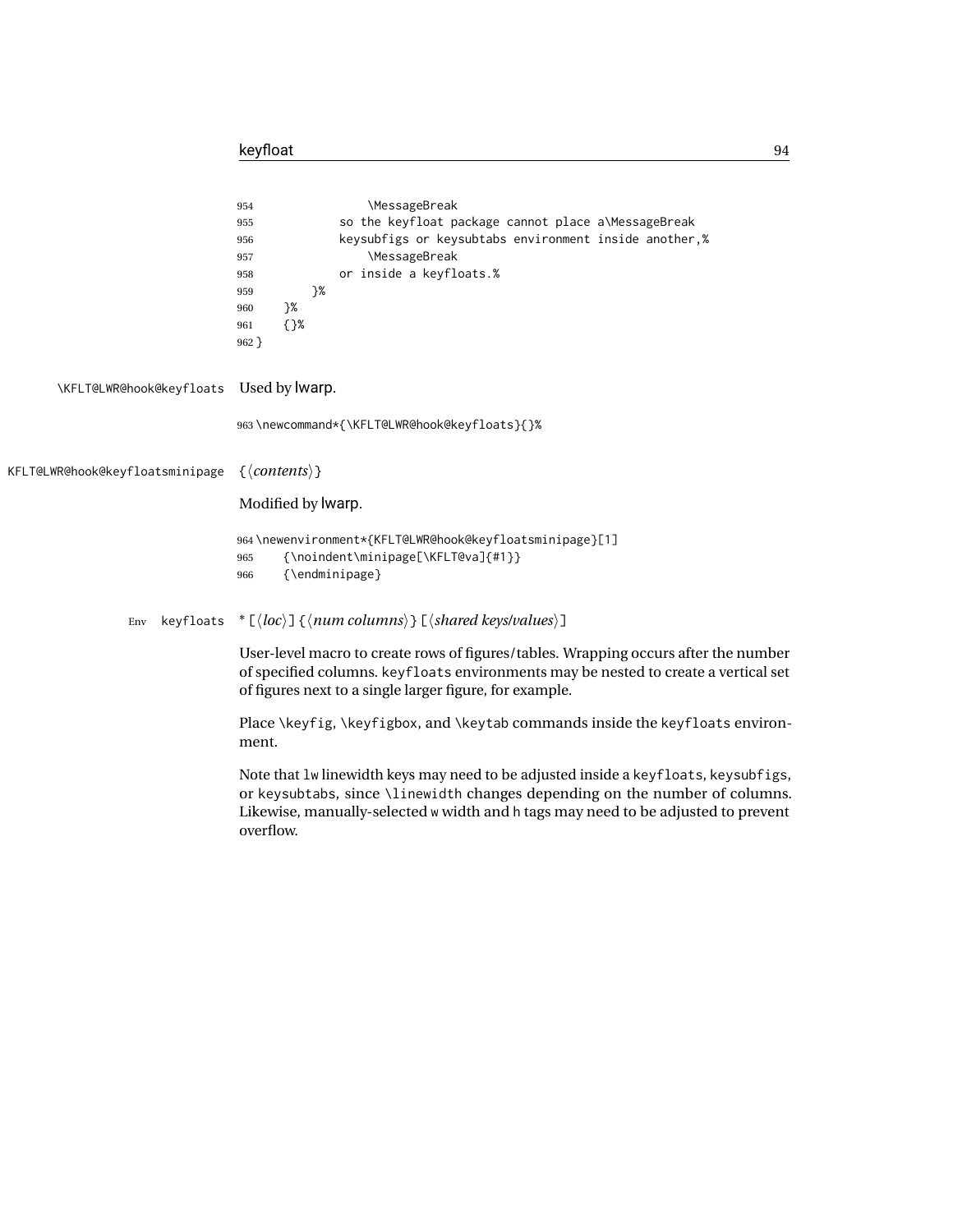|                                 | <b>\MessageBreak</b><br>954<br>so the keyfloat package cannot place a\MessageBreak<br>955<br>keysubfigs or keysubtabs environment inside another,%<br>956<br><b>\MessageBreak</b><br>957<br>or inside a keyfloats.%<br>958<br>}%<br>959<br>}%<br>960<br>$\{$ }%<br>961<br>$962$ } |
|---------------------------------|-----------------------------------------------------------------------------------------------------------------------------------------------------------------------------------------------------------------------------------------------------------------------------------|
| \KFLT@LWR@hook@keyfloats        | Used by Iwarp.                                                                                                                                                                                                                                                                    |
|                                 | 963\newcommand*{\KFLT@LWR@hook@keyfloats}{}%                                                                                                                                                                                                                                      |
| KFLT@LWR@hook@keyfloatsminipage | $\{\langle contents \rangle\}$                                                                                                                                                                                                                                                    |
|                                 | Modified by lwarp.                                                                                                                                                                                                                                                                |
|                                 | 964\newenvironment*{KFLT@LWR@hook@keyfloatsminipage}[1]<br>{\noindent\minipage[\KFLT@va]{#1}}<br>965<br>{\endminipage}<br>966                                                                                                                                                     |
| keyfloats<br>Env                | * $\lceil \langle \text{loc} \rangle \rceil$ { $\langle \text{num columns} \rangle$ } $\lceil \langle \text{shared keys/values} \rangle \rceil$                                                                                                                                   |
|                                 | User-level macro to create rows of figures/tables. Wrapping occurs after the number<br>of specified columns. keyfloats environments may be nested to create a vertical set<br>of figures next to a single larger figure, for example.                                             |
|                                 | Place \keyfig, \keyfigbox, and \keytab commands inside the keyfloats environ-<br>ment.                                                                                                                                                                                            |
|                                 | Note that lw linewidth keys may need to be adjusted inside a keyfloats, keysubfigs,<br>or keysubtabs, since \linewidth changes depending on the number of columns.<br>Likewise, manually-selected w width and h tags may need to be adjusted to prevent<br>overflow.              |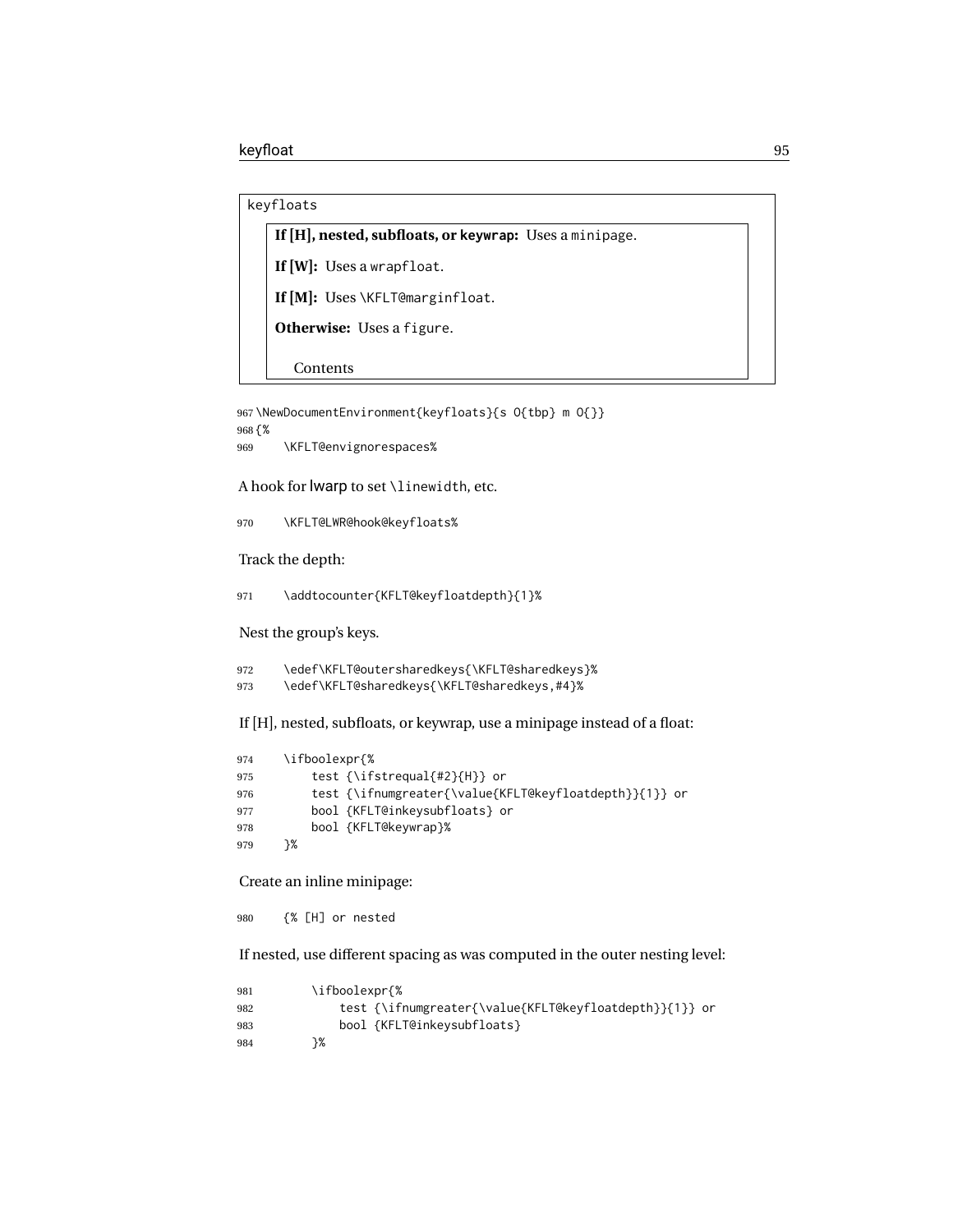```
keyfloats
```
### **If [H], nested, subfloats, or keywrap:** Uses a minipage.

**If [W]:** Uses a wrapfloat.

**If [M]:** Uses \KFLT@marginfloat.

**Otherwise:** Uses a figure.

Contents

```
967 \NewDocumentEnvironment{keyfloats}{s O{tbp} m O{}}
968 {%
969 \KFLT@envignorespaces%
```
A hook for lwarp to set \linewidth, etc.

970 \KFLT@LWR@hook@keyfloats%

Track the depth:

971 \addtocounter{KFLT@keyfloatdepth}{1}%

Nest the group's keys.

```
972 \edef\KFLT@outersharedkeys{\KFLT@sharedkeys}%
973 \edef\KFLT@sharedkeys{\KFLT@sharedkeys,#4}%
```
If [H], nested, subfloats, or keywrap, use a minipage instead of a float:

```
974 \ifboolexpr{%
975 test {\ifstrequal{#2}{H}} or
976 test {\ifnumgreater{\value{KFLT@keyfloatdepth}}{1}} or
977 bool {KFLT@inkeysubfloats} or
978 bool {KFLT@keywrap}%
979 }%
```
Create an inline minipage:

980 {% [H] or nested

If nested, use different spacing as was computed in the outer nesting level:

```
981 \ifboolexpr{%
982 test {\ifnumgreater{\value{KFLT@keyfloatdepth}}{1}} or
983 bool {KFLT@inkeysubfloats}
984 }%
```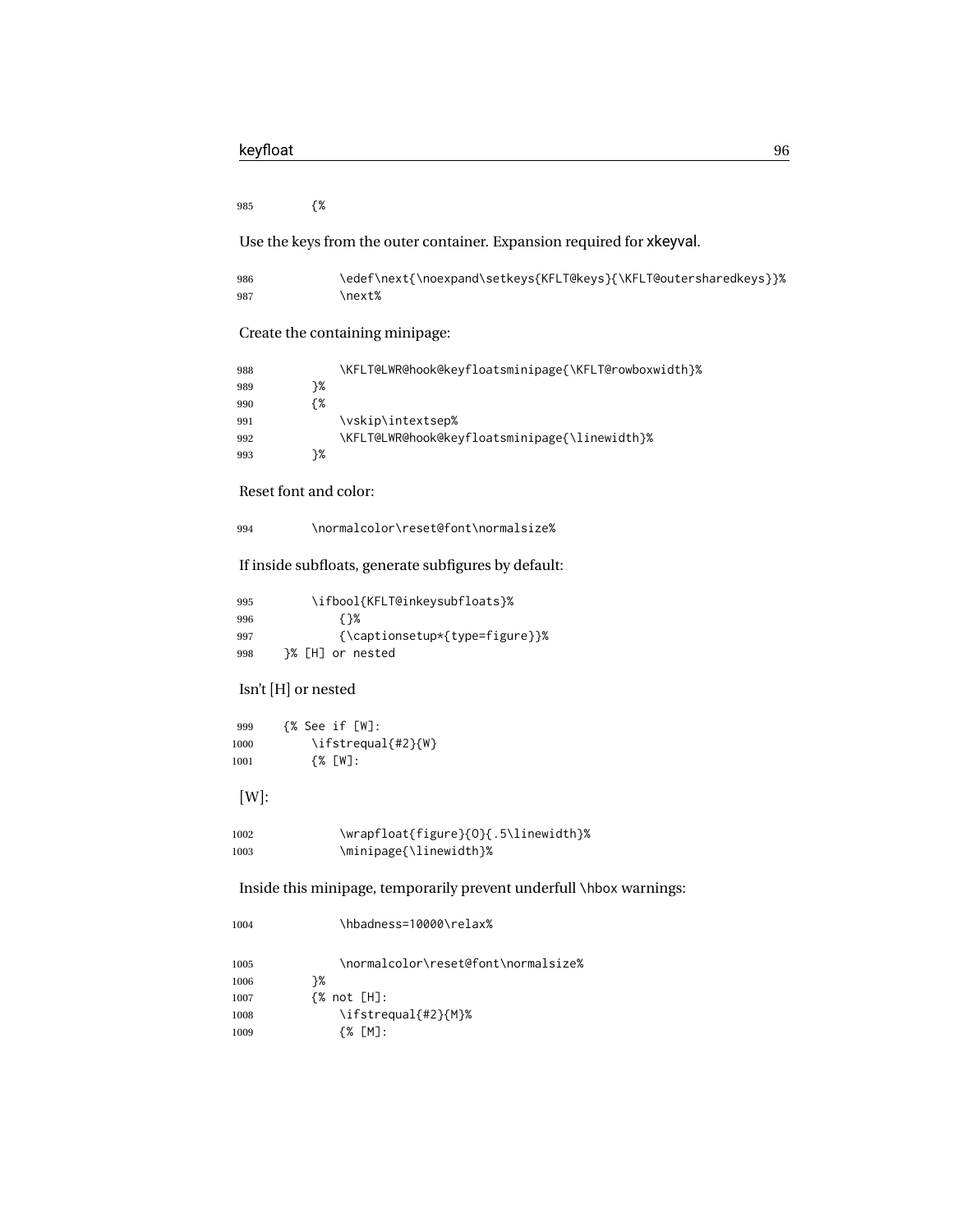{%

Use the keys from the outer container. Expansion required for xkeyval.

| 986 | \edef\next{\noexpand\setkeys{KFLT@keys}{\KFLT@outersharedkeys}}% |
|-----|------------------------------------------------------------------|
| 987 | \next%                                                           |

Create the containing minipage:

| 988 |    | \KFLT@LWR@hook@keyfloatsminipage{\KFLT@rowboxwidth}% |
|-----|----|------------------------------------------------------|
| 989 | ን% |                                                      |
| 990 | {% |                                                      |
| 991 |    | \vskip\intextsep%                                    |
| 992 |    | \KFLT@LWR@hook@keyfloatsminipage{\linewidth}%        |
| 993 | ኑ% |                                                      |

Reset font and color:

\normalcolor\reset@font\normalsize%

If inside subfloats, generate subfigures by default:

| 995 | \ifbool{KFLT@inkeysubfloats}%  |
|-----|--------------------------------|
| 996 | {}%                            |
| 997 | {\captionsetup*{type=figure}}% |
| 998 | }% [H] or nested               |

### Isn't [H] or nested

| 999  | {% See if [W]:     |
|------|--------------------|
| 1000 | \ifstrequal{#2}{W} |
| 1001 | $\{%$ [W]:         |

[W]:

```
1002 \wrapfloat{figure}{O}{.5\linewidth}%
1003 \minipage{\linewidth}%
```
Inside this minipage, temporarily prevent underfull \hbox warnings:

| 1004 | \hbadness=10000\relax%              |
|------|-------------------------------------|
| 1005 | \normalcolor\reset@font\normalsize% |
| 1006 | ን%                                  |
| 1007 | $\frac{8}{10}$ not [H]:             |
| 1008 | \ifstrequal{#2}{M}%                 |
| 1009 | {% [M]:                             |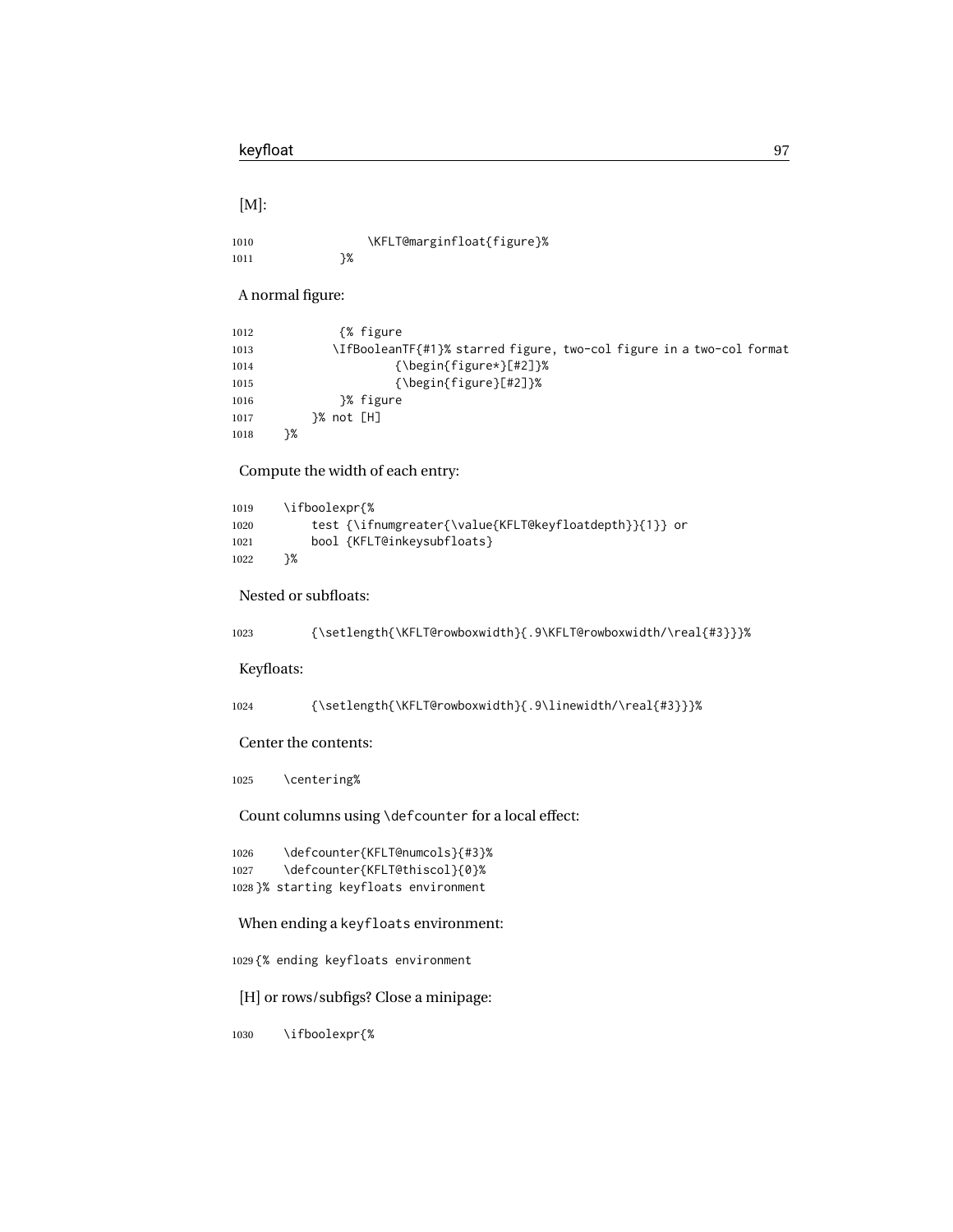[M]:

| 1010 |    | \KFLT@marginfloat{figure}% |
|------|----|----------------------------|
| 1011 | ን% |                            |

A normal figure:

| 1012 | {% figure}                                                           |  |
|------|----------------------------------------------------------------------|--|
| 1013 | \IfBooleanTF{#1}% starred figure, two-col figure in a two-col format |  |
| 1014 | $\{\begin{matrix} \text{figure*} \end{matrix} \}$                    |  |
| 1015 | $\{\begin{matrix} \text{figure} \end{matrix} \}$                     |  |
| 1016 | }% figure                                                            |  |
| 1017 |                                                                      |  |
| 1018 | }%                                                                   |  |

Compute the width of each entry:

| 1019 | \ifboolexpr{%                                          |
|------|--------------------------------------------------------|
| 1020 | test {\ifnumgreater{\value{KFLT@keyfloatdepth}}{1}} or |
| 1021 | bool {KFLT@inkeysubfloats}                             |
| 1022 | ን%                                                     |

Nested or subfloats:

| 1023 | {\setlength{\KFLT@rowboxwidth}{.9\KFLT@rowboxwidth/\real{#3}}}% |  |
|------|-----------------------------------------------------------------|--|
|------|-----------------------------------------------------------------|--|

Keyfloats:

```
1024 {\setlength{\KFLT@rowboxwidth}{.9\linewidth/\real{#3}}}%
```
Center the contents:

\centering%

Count columns using \defcounter for a local effect:

 \defcounter{KFLT@numcols}{#3}% \defcounter{KFLT@thiscol}{0}% }% starting keyfloats environment

When ending a keyfloats environment:

{% ending keyfloats environment

[H] or rows/subfigs? Close a minipage:

\ifboolexpr{%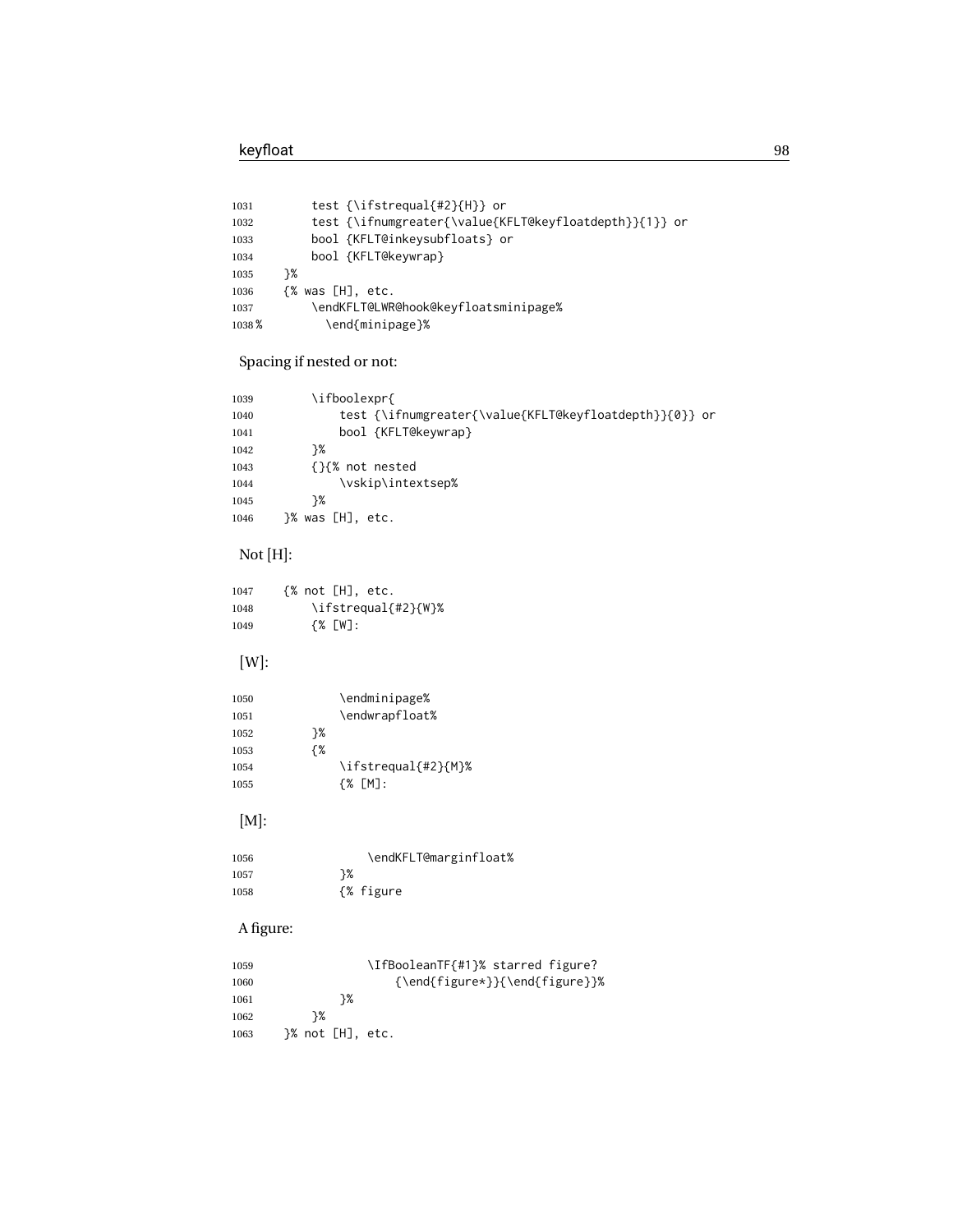| test {\ifstrequal{#2}{H}} or                           |
|--------------------------------------------------------|
| test {\ifnumgreater{\value{KFLT@keyfloatdepth}}{1}} or |
| bool {KFLT@inkeysubfloats} or                          |
| bool {KFLT@keywrap}                                    |
| ን%                                                     |
| $\{%$ was $[H]$ , etc.                                 |
| \endKFLT@LWR@hook@keyfloatsminipage%                   |
| \end{minipage}%                                        |
|                                                        |

## Spacing if nested or not:

| 1039 | \ifboolexpr{                                           |
|------|--------------------------------------------------------|
| 1040 | test {\ifnumgreater{\value{KFLT@keyfloatdepth}}{0}} or |
| 1041 | bool {KFLT@keywrap}                                    |
| 1042 | ን%                                                     |
| 1043 | {}{% not nested                                        |
| 1044 | \vskip\intextsep%                                      |
| 1045 | ን%                                                     |
| 1046 | }% was [H], etc.                                       |
|      |                                                        |

## Not [H]:

| 1047 | $\{% not [H], etc.$ |
|------|---------------------|
| 1048 | \ifstrequal{#2}{W}% |
| 1049 | $\{%$ [W]:          |

## [W]:

| 1050 |    | \endminipage%       |
|------|----|---------------------|
| 1051 |    | \endwrapfloat%      |
| 1052 | ን% |                     |
| 1053 | {% |                     |
| 1054 |    | \ifstrequal{#2}{M}% |
| 1055 |    | {% [M]:             |

## [M]:

| 1056 | \endKFLT@marginfloat% |
|------|-----------------------|
| 1057 | ን%                    |
| 1058 | {% figure}            |

## A figure:

| 1059 | \IfBooleanTF{#1}% starred figure? |
|------|-----------------------------------|
| 1060 | {\end{figure*}}{\end{figure}}%    |
| 1061 | ን%                                |
| 1062 | ን%                                |
| 1063 |                                   |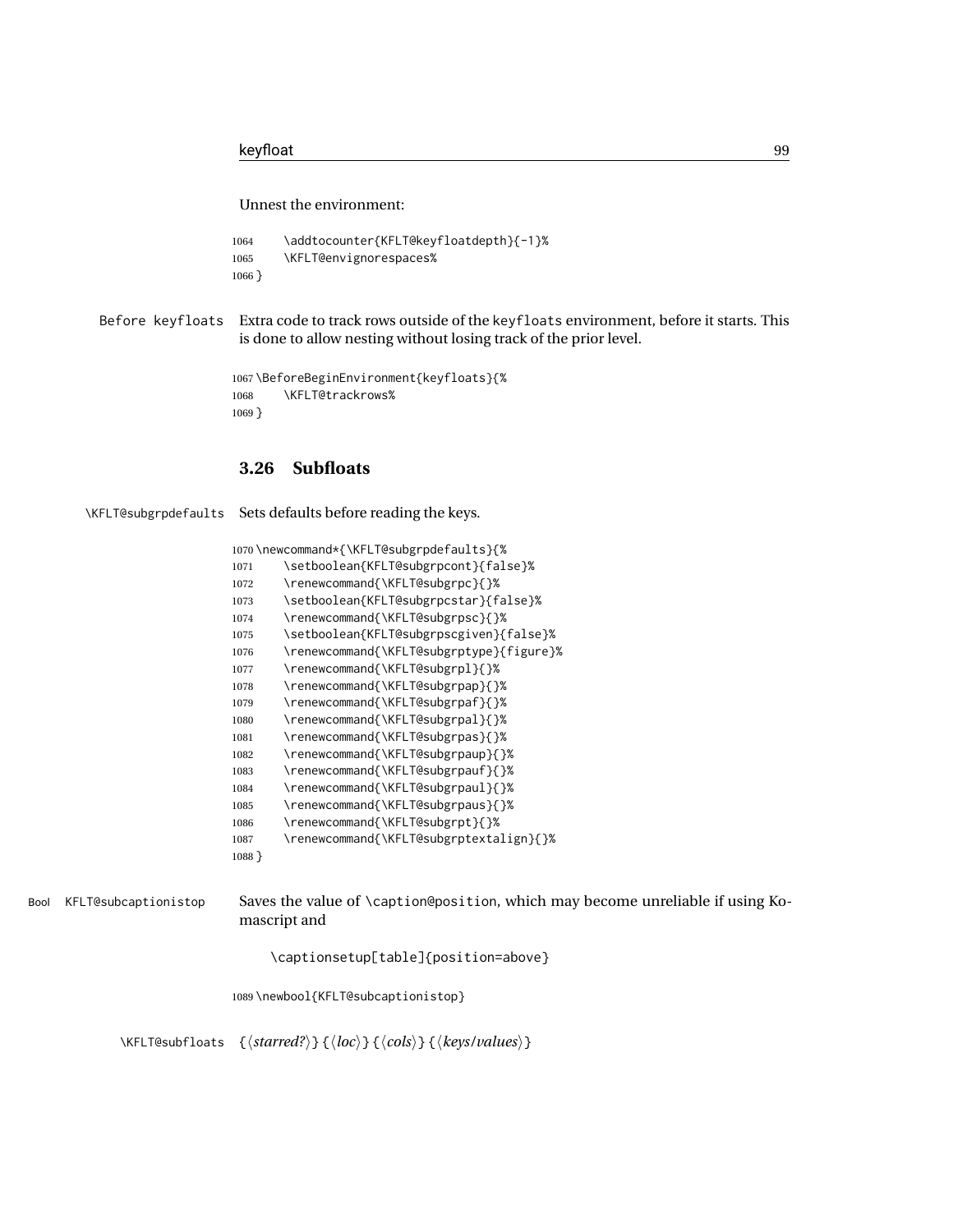Unnest the environment:

```
1064 \addtocounter{KFLT@keyfloatdepth}{-1}%
1065 \KFLT@envignorespaces%
1066 }
```
Before keyfloats Extra code to track rows outside of the keyfloats environment, before it starts. This is done to allow nesting without losing track of the prior level.

```
1067 \BeforeBeginEnvironment{keyfloats}{%
1068 \KFLT@trackrows%
1069 }
```
### **3.26 Subfloats**

```
\KFLT@subgrpdefaults Sets defaults before reading the keys.
```

|          | 1070\newcommand*{\KFLT@subgrpdefaults}{% |
|----------|------------------------------------------|
| 1071     | \setboolean{KFLT@subgrpcont}{false}%     |
| 1072     | \renewcommand{\KFLT@subgrpc}{}%          |
| 1073     | \setboolean{KFLT@subgrpcstar}{false}%    |
| 1074     | \renewcommand{\KFLT@subgrpsc}{}%         |
| 1075     | \setboolean{KFLT@subgrpscgiven}{false}%  |
| 1076     | \renewcommand{\KFLT@subgrptype}{figure}% |
| 1077     | \renewcommand{\KFLT@subgrpl}{}%          |
| 1078     | \renewcommand{\KFLT@subgrpap}{}%         |
| 1079     | \renewcommand{\KFLT@subgrpaf}{}%         |
| 1080     | \renewcommand{\KFLT@subgrpal}{}%         |
| 1081     | \renewcommand{\KFLT@subgrpas}{}%         |
| 1082     | \renewcommand{\KFLT@subgrpaup}{}%        |
| 1083     | \renewcommand{\KFLT@subgrpauf}{}%        |
| 1084     | \renewcommand{\KFLT@subgrpaul}{}%        |
| 1085     | \renewcommand{\KFLT@subgrpaus}{}%        |
| 1086     | \renewcommand{\KFLT@subgrpt}{}%          |
| 1087     | \renewcommand{\KFLT@subgrptextalign}{}%  |
| $1088$ } |                                          |

Bool KFLT@subcaptionistop Saves the value of \caption@position, which may become unreliable if using Komascript and

```
\captionsetup[table]{position=above}
```
\newbool{KFLT@subcaptionistop}

\KFLT@subfloats {⟨*starred?*⟩} {⟨*loc*⟩} {⟨*cols*⟩} {⟨*keys/values*⟩}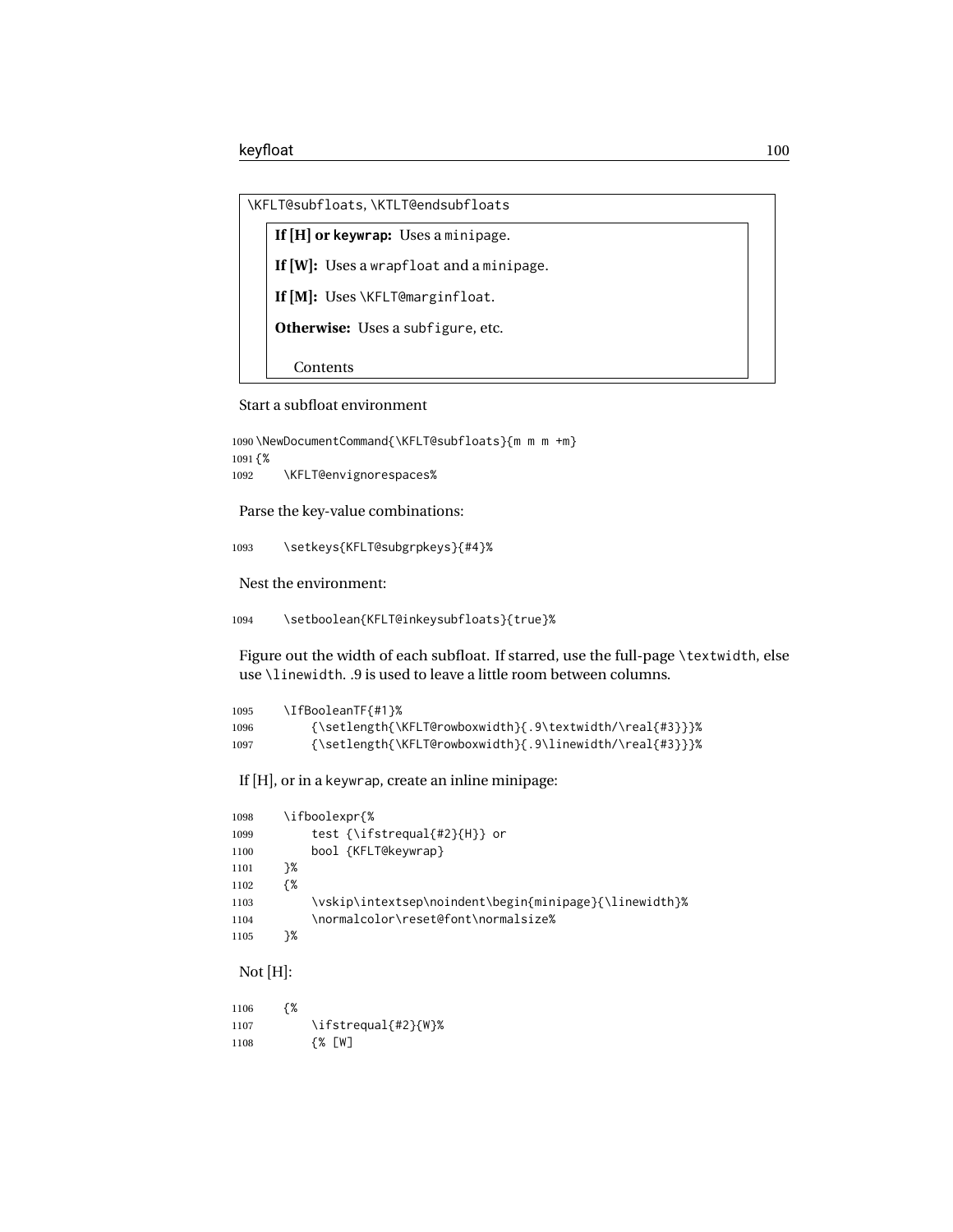```
\KFLT@subfloats, \KTLT@endsubfloats
```
**If [H] or keywrap:** Uses a minipage. **If [W]:** Uses a wrapfloat and a minipage. **If [M]:** Uses \KFLT@marginfloat. **Otherwise:** Uses a subfigure, etc. Contents

Start a subfloat environment

```
1090 \NewDocumentCommand{\KFLT@subfloats}{m m m +m}
1091 {%
1092 \KFLT@envignorespaces%
```
Parse the key-value combinations:

1093 \setkeys{KFLT@subgrpkeys}{#4}%

Nest the environment:

1094 \setboolean{KFLT@inkeysubfloats}{true}%

Figure out the width of each subfloat. If starred, use the full-page \textwidth, else use \linewidth. .9 is used to leave a little room between columns.

| 1095 | \IfBooleanTF{#1}%                                        |
|------|----------------------------------------------------------|
| 1096 | {\setlength{\KFLT@rowboxwidth}{.9\textwidth/\real{#3}}}% |
| 1097 | {\setlength{\KFLT@rowboxwidth}{.9\linewidth/\real{#3}}}% |

If [H], or in a keywrap, create an inline minipage:

| 1098 | \ifboolexpr{%                                          |
|------|--------------------------------------------------------|
| 1099 | test {\ifstrequal{#2}{H}} or                           |
| 1100 | bool {KFLT@keywrap}                                    |
| 1101 | ን%                                                     |
| 1102 | {%                                                     |
| 1103 | \vskip\intextsep\noindent\begin{minipage}{\linewidth}% |
| 1104 | \normalcolor\reset@font\normalsize%                    |
| 1105 | ን%                                                     |
|      |                                                        |

Not [H]:

| 1106 | {% |                     |
|------|----|---------------------|
| 1107 |    | \ifstrequal{#2}{W}% |
| 1108 |    | {% [W]              |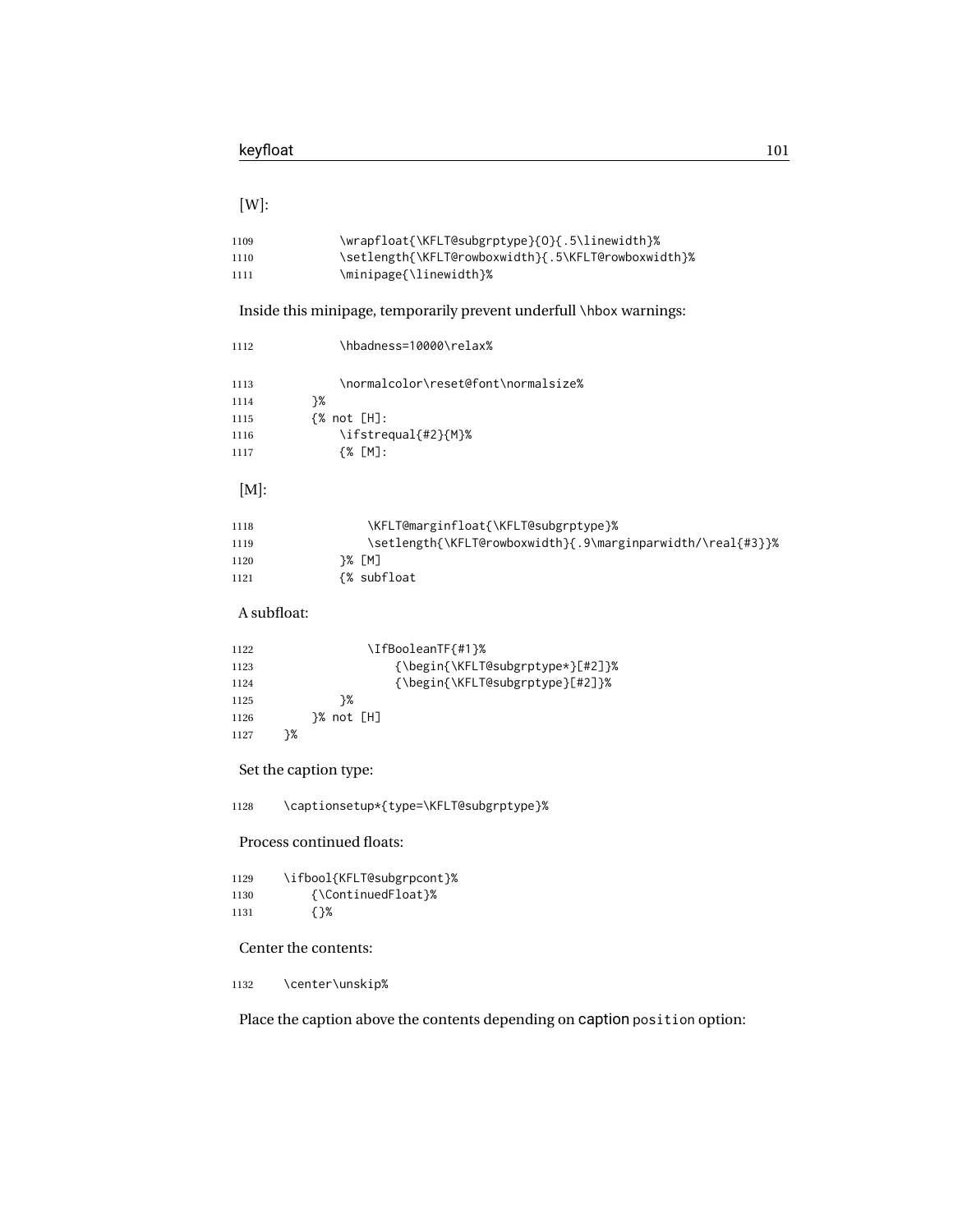### [W]:

| 1109  | \wrapfloat{\KFLT@subgrptype}{0}{.5\linewidth}%      |
|-------|-----------------------------------------------------|
| 1110  | \setlength{\KFLT@rowboxwidth}{.5\KFLT@rowboxwidth}% |
| -1111 | \minipage{\linewidth}%                              |

Inside this minipage, temporarily prevent underfull \hbox warnings:

| 1112 | \hbadness=10000\relax%                                      |
|------|-------------------------------------------------------------|
| 1113 | \normalcolor\reset@font\normalsize%                         |
| 1114 | }%                                                          |
| 1115 | $\frac{8}{10}$ not [H]:                                     |
| 1116 | \ifstrequal{#2}{M}%                                         |
| 1117 | ${8}$ $[M]:$                                                |
| [M]: |                                                             |
| 1118 | \KFLT@marginfloat{\KFLT@subgrptype}%                        |
| 1119 | \setlength{\KFLT@rowboxwidth}{.9\marginparwidth/\real{#3}}% |
| 1120 | 7% [M]                                                      |
| 1121 | {% subfloat                                                 |

### A subfloat:

| 1122 |    |    | \IfBooleanTF{#1}%                |
|------|----|----|----------------------------------|
| 1123 |    |    | {\begin{\KFLT@subgrptype*}[#2]}% |
| 1124 |    |    | {\begin{\KFLT@subgrptype}[#2]}%  |
| 1125 |    | ን% |                                  |
| 1126 |    |    |                                  |
| 1127 | ን% |    |                                  |

### Set the caption type:

\captionsetup\*{type=\KFLT@subgrptype}%

#### Process continued floats:

| 1129 | \ifbool{KFLT@subgrpcont}% |
|------|---------------------------|
| 1130 | {\ContinuedFloat}%        |
| 1131 | { }%                      |

#### Center the contents:

\center\unskip%

Place the caption above the contents depending on caption position option: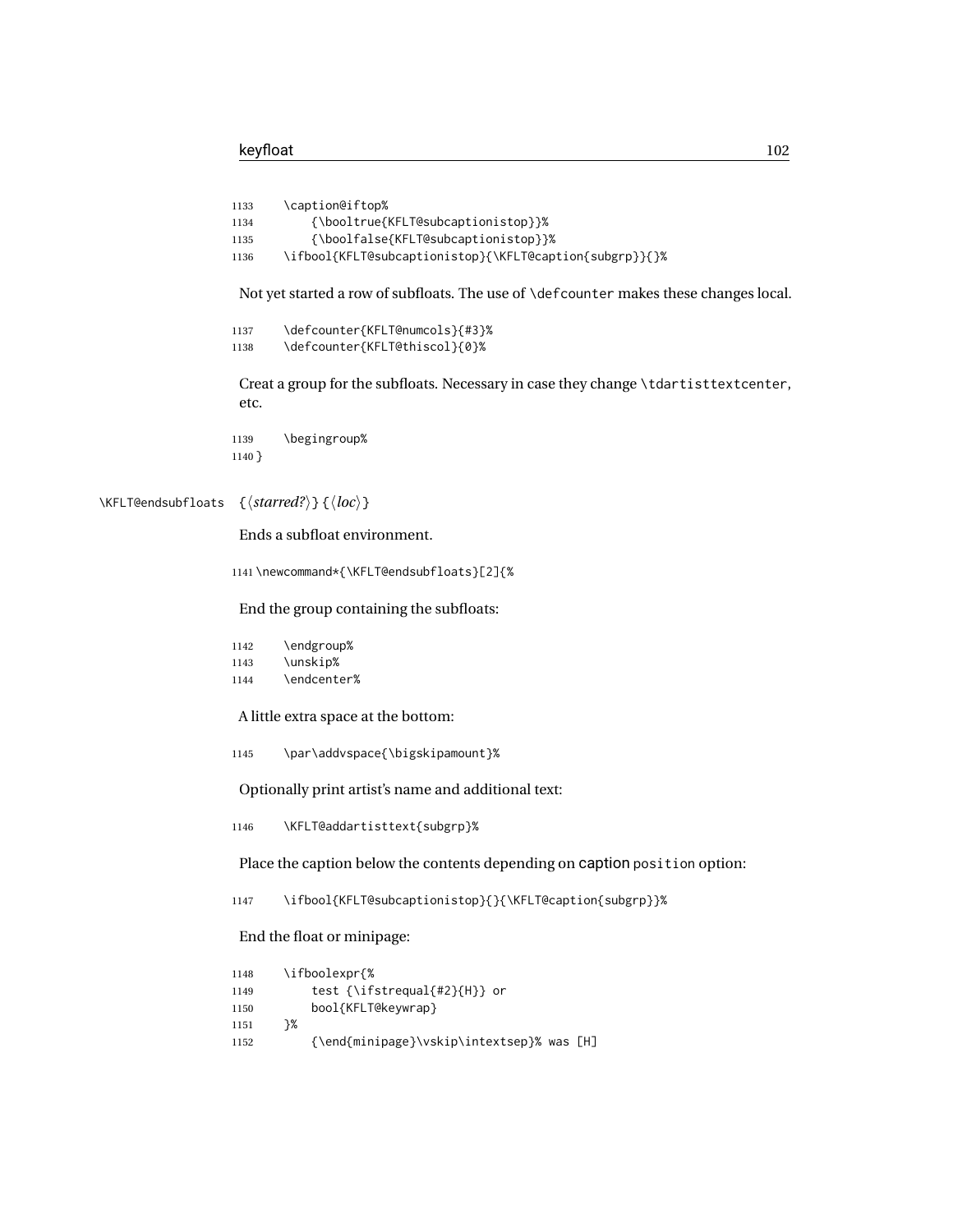```
1133 \caption@iftop%
                  1134 {\booltrue{KFLT@subcaptionistop}}%
                  1135 {\boolfalse{KFLT@subcaptionistop}}%
                  1136 \ifbool{KFLT@subcaptionistop}{\KFLT@caption{subgrp}}{}%
                   Not yet started a row of subfloats. The use of \defcounter makes these changes local.
                  1137 \defcounter{KFLT@numcols}{#3}%
                  1138 \defcounter{KFLT@thiscol}{0}%
                   Creat a group for the subfloats. Necessary in case they change \tdartisttextcenter,
                   etc.
                  1139 \begingroup%
                  1140 }
\KFLT@endsubfloats {⟨starred?⟩} {⟨loc⟩}
                   Ends a subfloat environment.
                  1141 \newcommand*{\KFLT@endsubfloats}[2]{%
                   End the group containing the subfloats:
                  1142 \endgroup%
                  1143 \unskip%
                  1144 \endcenter%
                   A little extra space at the bottom:
                  1145 \par\addvspace{\bigskipamount}%
                   Optionally print artist's name and additional text:
                  1146 \KFLT@addartisttext{subgrp}%
                   Place the caption below the contents depending on caption position option:
                  1147 \ifbool{KFLT@subcaptionistop}{}{\KFLT@caption{subgrp}}%
                   End the float or minipage:
                  1148 \ifboolexpr{%
                  1149 test {\ifstrequal{#2}{H}} or
                  1150 bool{KFLT@keywrap}
                  1151 }%
                  1152 {\end{minipage}\vskip\intextsep}% was [H]
```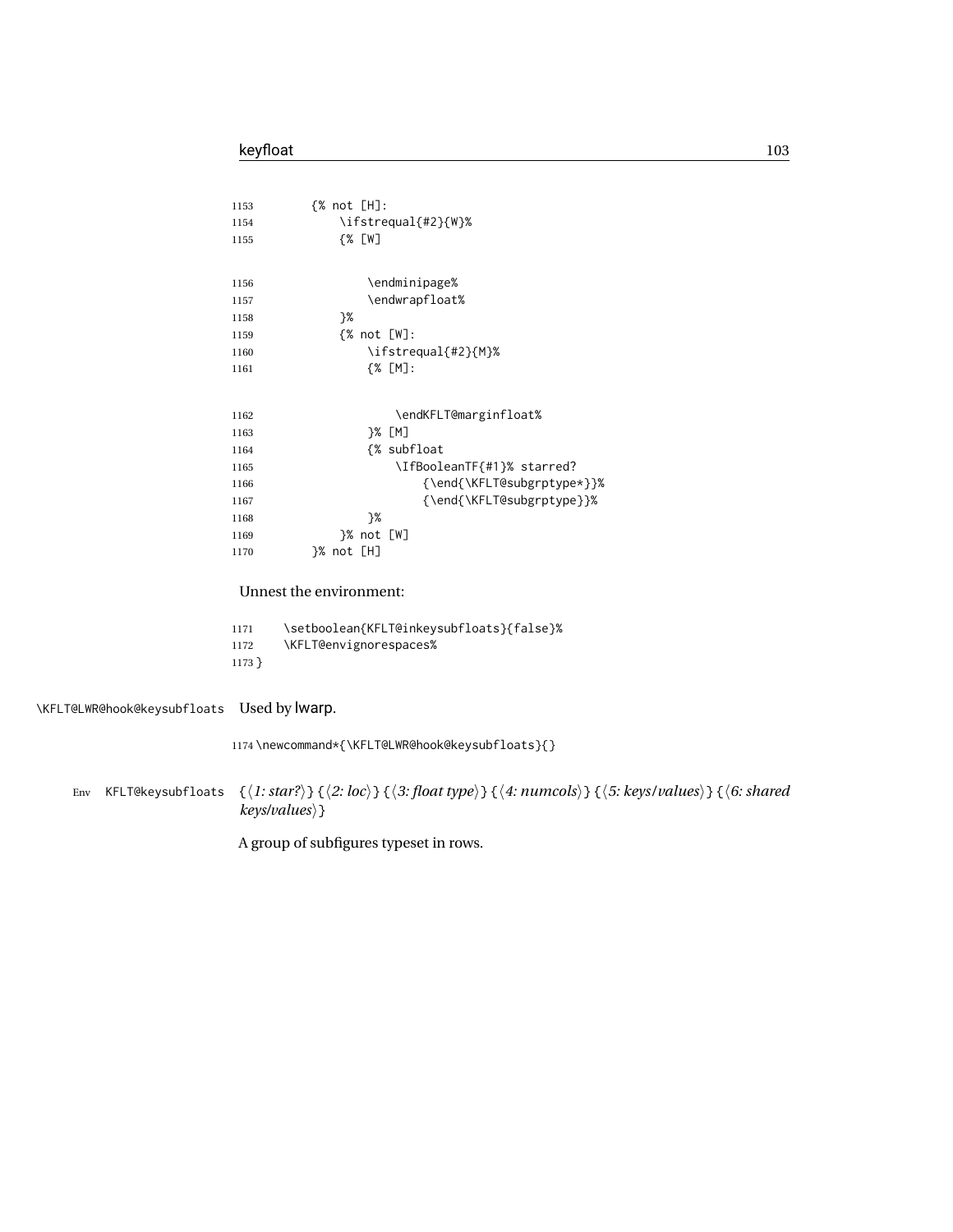| 1153     | {% not [H]:                              |
|----------|------------------------------------------|
| 1154     | \ifstrequal{#2}{W}%                      |
| 1155     | {% [W]                                   |
|          |                                          |
| 1156     | \endminipage%                            |
| 1157     | \endwrapfloat%                           |
| 1158     | ን%                                       |
| 1159     | $\frac{8}{8}$ not $[W]$ :                |
| 1160     | \ifstrequal{#2}{M}%                      |
| 1161     | ${%$ [M]:                                |
|          |                                          |
|          |                                          |
| 1162     | \endKFLT@marginfloat%                    |
| 1163     | }% [M]                                   |
| 1164     | {% subfloat                              |
| 1165     | \IfBooleanTF{#1}% starred?               |
| 1166     | {\end{\KFLT@subgrptype*}}%               |
| 1167     | {\end{\KFLT@subgrptype}}%                |
| 1168     | }%                                       |
| 1169     | }% not [W]                               |
| 1170     | }% not [H]                               |
|          |                                          |
|          | Unnest the environment:                  |
|          |                                          |
| 1171     | \setboolean{KFLT@inkeysubfloats}{false}% |
| 1172     | \KFLT@envignorespaces%                   |
| $1173$ } |                                          |

\KFLT@LWR@hook@keysubfloats Used by lwarp.

\newcommand\*{\KFLT@LWR@hook@keysubfloats}{}

Env KFLT@keysubfloats {⟨*1: star?*⟩} {⟨*2: loc*⟩} {⟨*3: float type*⟩} {⟨*4: numcols*⟩} {⟨*5: keys/values*⟩} {⟨*6: shared keys/values*⟩}

A group of subfigures typeset in rows.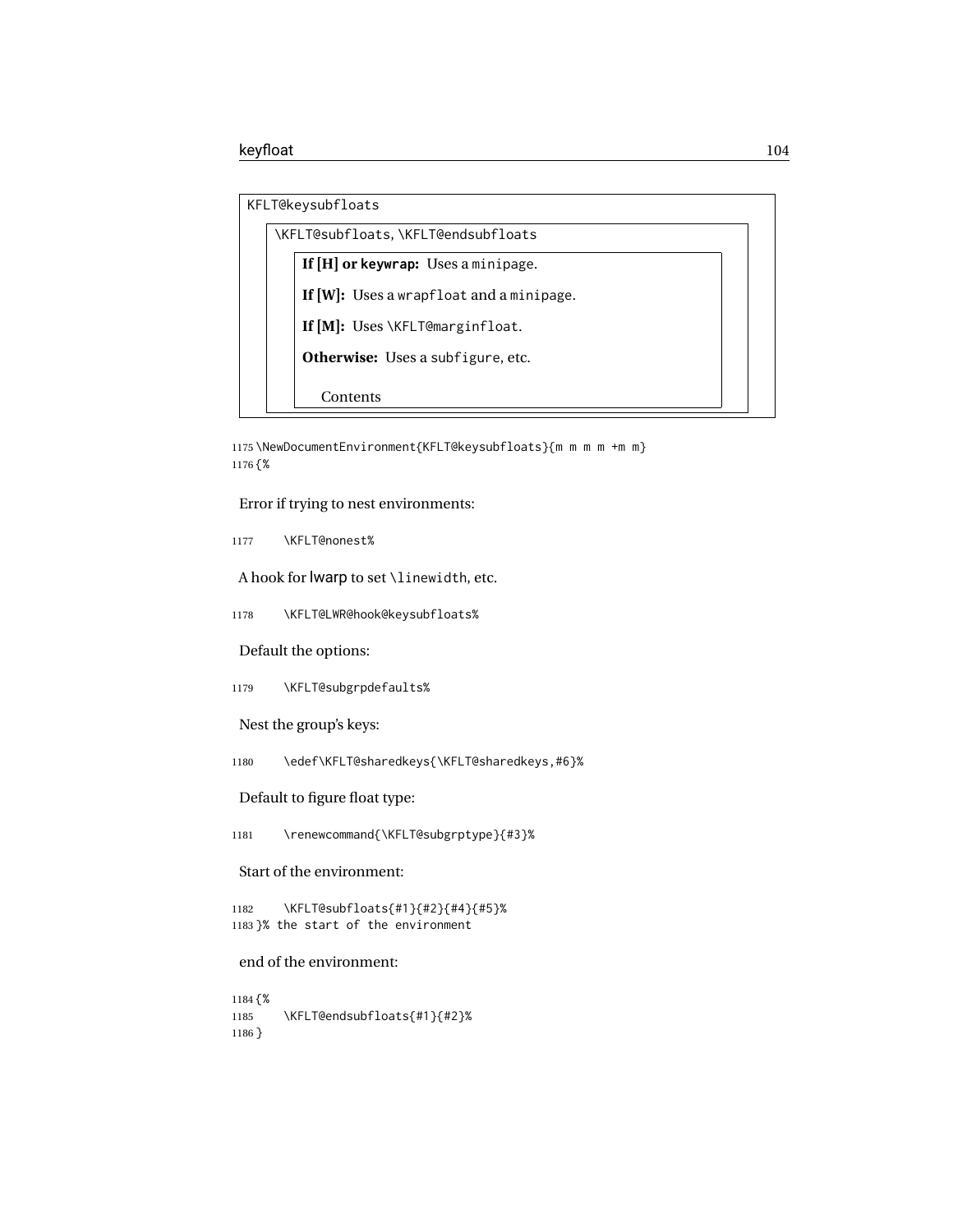| KFLT@keysubfloats |  |
|-------------------|--|
|-------------------|--|

| \KFLT@subfloats,\KFLT@endsubfloats          |  |
|---------------------------------------------|--|
| If $[H]$ or keywrap: Uses a minipage.       |  |
| If $[W]$ : Uses a wrapfloat and a minipage. |  |
| If [M]: Uses \KFLT@marginfloat.             |  |
| <b>Otherwise:</b> Uses a subfigure, etc.    |  |
|                                             |  |
| Contents                                    |  |

1175 \NewDocumentEnvironment{KFLT@keysubfloats}{m m m m +m m} 1176 {%

Error if trying to nest environments:

1177 \KFLT@nonest%

A hook for lwarp to set \linewidth, etc.

1178 \KFLT@LWR@hook@keysubfloats%

Default the options:

1179 \KFLT@subgrpdefaults%

Nest the group's keys:

1180 \edef\KFLT@sharedkeys{\KFLT@sharedkeys,#6}%

Default to figure float type:

1181 \renewcommand{\KFLT@subgrptype}{#3}%

#### Start of the environment:

1182 \KFLT@subfloats{#1}{#2}{#4}{#5}% 1183 }% the start of the environment

#### end of the environment:

1184 {% 1185 \KFLT@endsubfloats{#1}{#2}% 1186 }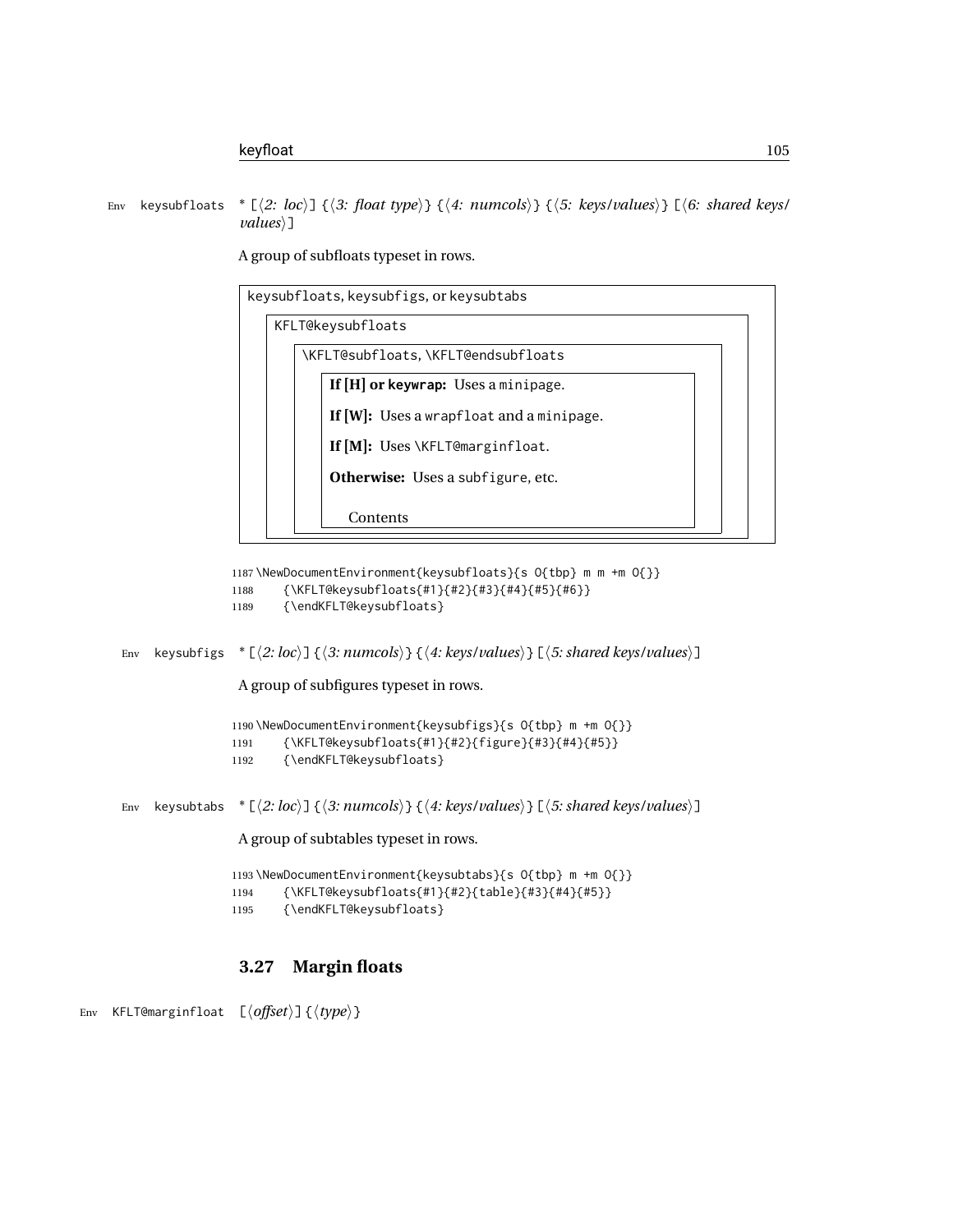Env keysubfloats \* [⟨*2: loc*⟩] {⟨*3: float type*⟩} {⟨*4: numcols*⟩} {⟨*5: keys/values*⟩} [⟨*6: shared keys/ values*⟩]

> keysubfloats, keysubfigs, or keysubtabs KFLT@keysubfloats \KFLT@subfloats, \KFLT@endsubfloats **If [H] or keywrap:** Uses a minipage. **If [W]:** Uses a wrapfloat and a minipage. **If [M]:** Uses \KFLT@marginfloat. **Otherwise:** Uses a subfigure, etc. Contents

A group of subfloats typeset in rows.

```
1187 \NewDocumentEnvironment{keysubfloats}{s O{tbp} m m +m O{}}
1188 {\KFLT@keysubfloats{#1}{#2}{#3}{#4}{#5}{#6}}
```

```
1189 {\endKFLT@keysubfloats}
```
Env keysubfigs \* [⟨*2: loc*⟩] {⟨*3: numcols*⟩} {⟨*4: keys/values*⟩} [⟨*5: shared keys/values*⟩]

A group of subfigures typeset in rows.

```
1190 \NewDocumentEnvironment{keysubfigs}{s O{tbp} m +m O{}}
1191 {\KFLT@keysubfloats{#1}{#2}{figure}{#3}{#4}{#5}}
1192 {\endKFLT@keysubfloats}
```
Env keysubtabs \* [⟨*2: loc*⟩] {⟨*3: numcols*⟩} {⟨*4: keys/values*⟩} [⟨*5: shared keys/values*⟩]

A group of subtables typeset in rows.

```
1193 \NewDocumentEnvironment{keysubtabs}{s O{tbp} m +m O{}}
1194 {\KFLT@keysubfloats{#1}{#2}{table}{#3}{#4}{#5}}
1195 {\endKFLT@keysubfloats}
```
### **3.27 Margin floats**

Env KFLT@marginfloat [⟨*offset*⟩] {⟨*type*⟩}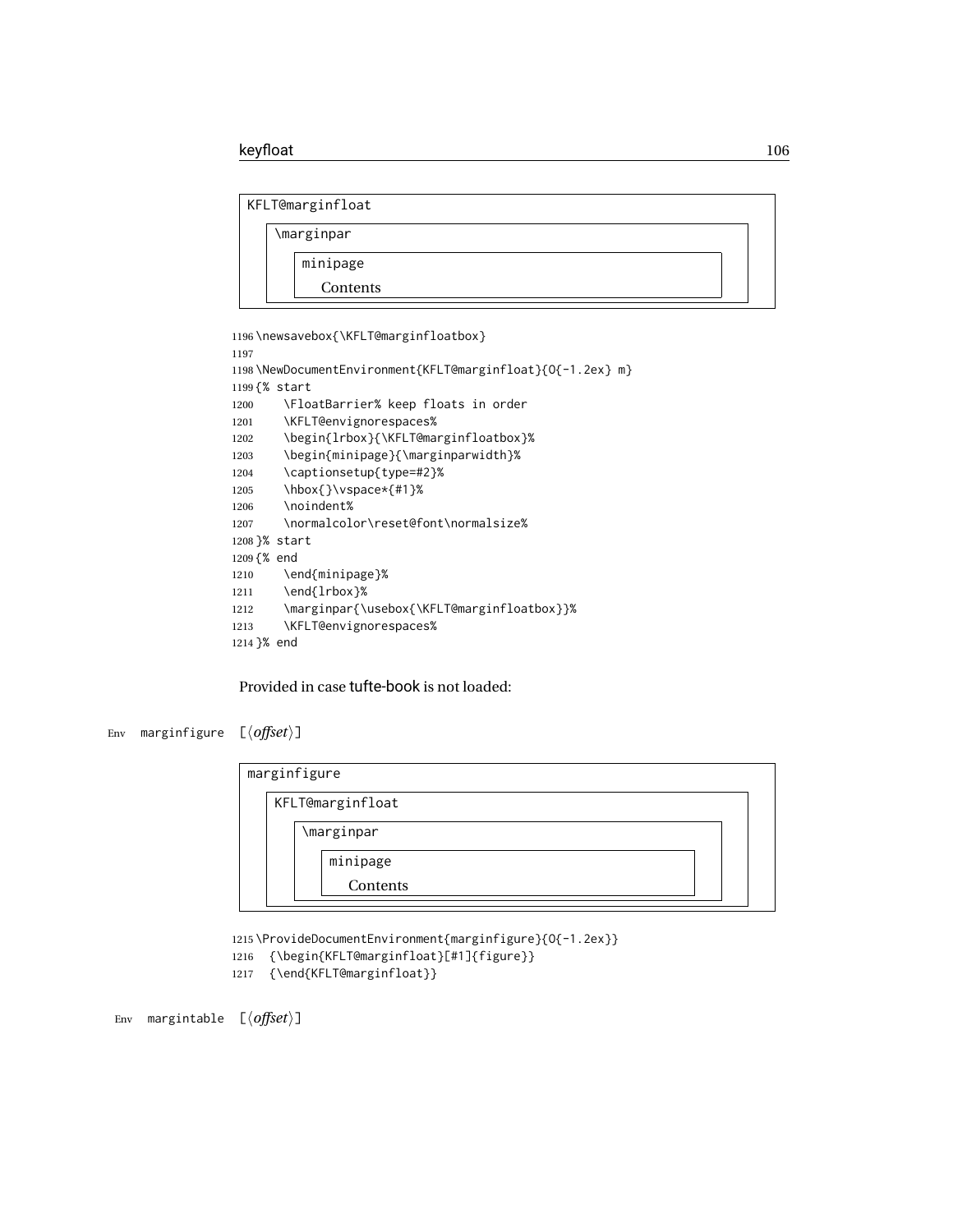```
KFLT@marginfloat
```
\marginpar minipage Contents

```
1196 \newsavebox{\KFLT@marginfloatbox}
1197
1198 \NewDocumentEnvironment{KFLT@marginfloat}{O{-1.2ex} m}
1199 {% start
1200 \FloatBarrier% keep floats in order
1201 \KFLT@envignorespaces%
1202 \begin{lrbox}{\KFLT@marginfloatbox}%
1203 \begin{minipage}{\marginparwidth}%
1204 \captionsetup{type=#2}%
1205 \hbox{}\vspace*{#1}%
1206 \noindent%
1207 \normalcolor\reset@font\normalsize%
1208 }% start
1209 {% end
1210 \end{minipage}%
1211 \end{lrbox}%
1212 \marginpar{\usebox{\KFLT@marginfloatbox}}%
1213 \KFLT@envignorespaces%
1214 }% end
```
Provided in case tufte-book is not loaded:

```
Env marginfigure [⟨offset⟩]
```

| marginfigure |  |                  |  |  |
|--------------|--|------------------|--|--|
|              |  | KFLT@marginfloat |  |  |
|              |  | \marginpar       |  |  |
|              |  | minipage         |  |  |
|              |  | Contents         |  |  |
|              |  |                  |  |  |

\ProvideDocumentEnvironment{marginfigure}{O{-1.2ex}}

- {\begin{KFLT@marginfloat}[#1]{figure}}
- {\end{KFLT@marginfloat}}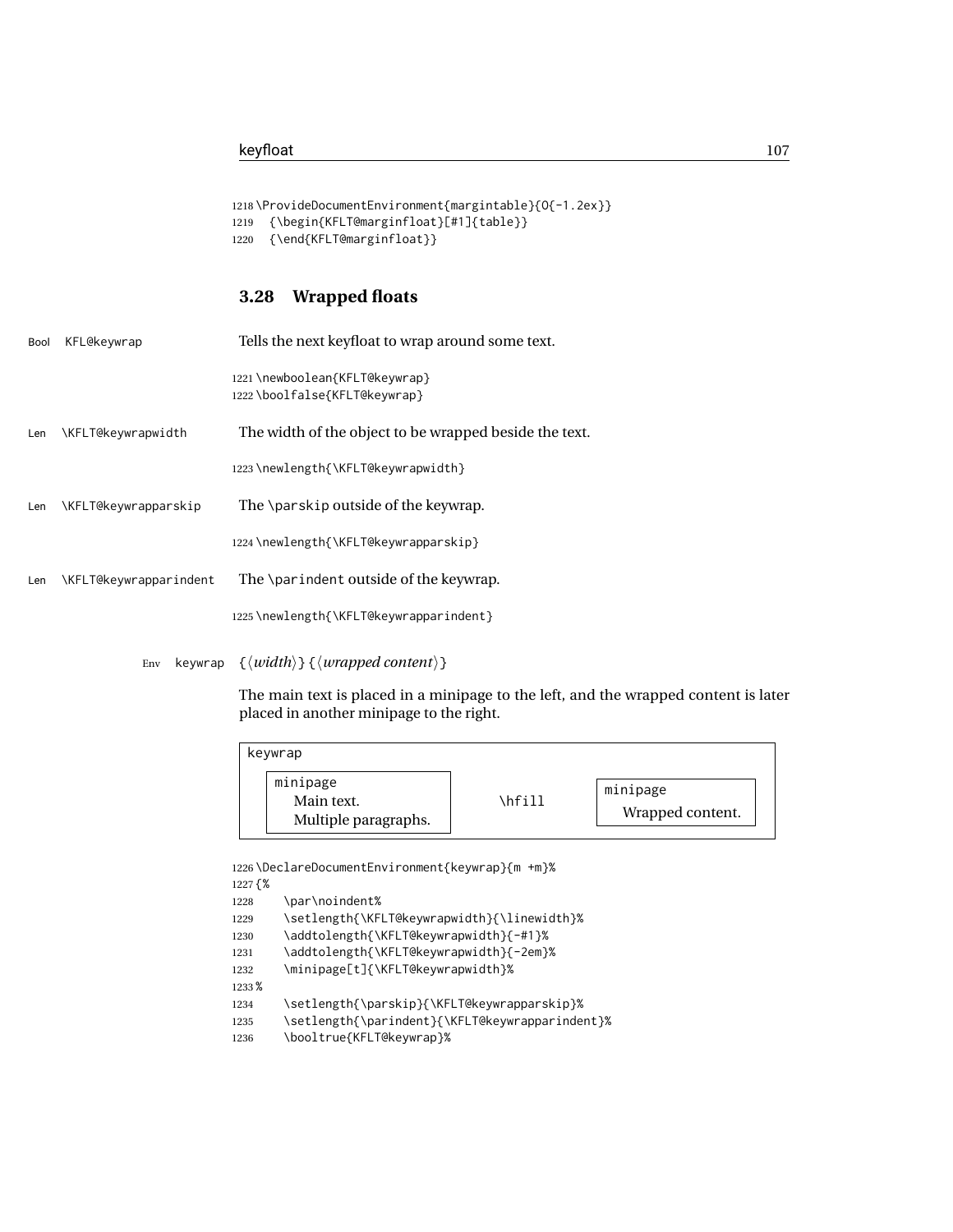```
1218 \ProvideDocumentEnvironment{margintable}{O{-1.2ex}}
1219 {\begin{KFLT@marginfloat}[#1]{table}}
1220 {\end{KFLT@marginfloat}}
```
### **3.28 Wrapped floats**

| Bool | KFL@keywrap               | Tells the next keyfloat to wrap around some text.             |
|------|---------------------------|---------------------------------------------------------------|
|      |                           | 1221\newboolean{KFLT@keywrap}<br>1222\boolfalse{KFLT@keywrap} |
| Len  | <b>\KFLT@keywrapwidth</b> | The width of the object to be wrapped beside the text.        |
|      |                           | 1223\newlength{\KFLT@keywrapwidth}                            |
| Len  | \KFLT@keywrapparskip      | The \parskip outside of the keywrap.                          |
|      |                           | 1224\newlength{\KFLT@keywrapparskip}                          |
| Len  | \KFLT@keywrapparindent    | The \parindent outside of the keywrap.                        |
|      |                           | 1225\newlength{\KFLT@keywrapparindent}                        |
|      |                           |                                                               |

Env keywrap {⟨*width*⟩} {⟨*wrapped content*⟩}

The main text is placed in a minipage to the left, and the wrapped content is later placed in another minipage to the right.

| keywrap                                        |        |                              |
|------------------------------------------------|--------|------------------------------|
| minipage<br>Main text.<br>Multiple paragraphs. | \hfill | minipage<br>Wrapped content. |

```
1226 \DeclareDocumentEnvironment{keywrap}{m +m}%
1227 {%
1228 \par\noindent%
1229 \setlength{\KFLT@keywrapwidth}{\linewidth}%
1230 \addtolength{\KFLT@keywrapwidth}{-#1}%
1231 \addtolength{\KFLT@keywrapwidth}{-2em}%
1232 \minipage[t]{\KFLT@keywrapwidth}%
1233 %
1234 \setlength{\parskip}{\KFLT@keywrapparskip}%
1235 \setlength{\parindent}{\KFLT@keywrapparindent}%
1236 \booltrue{KFLT@keywrap}%
```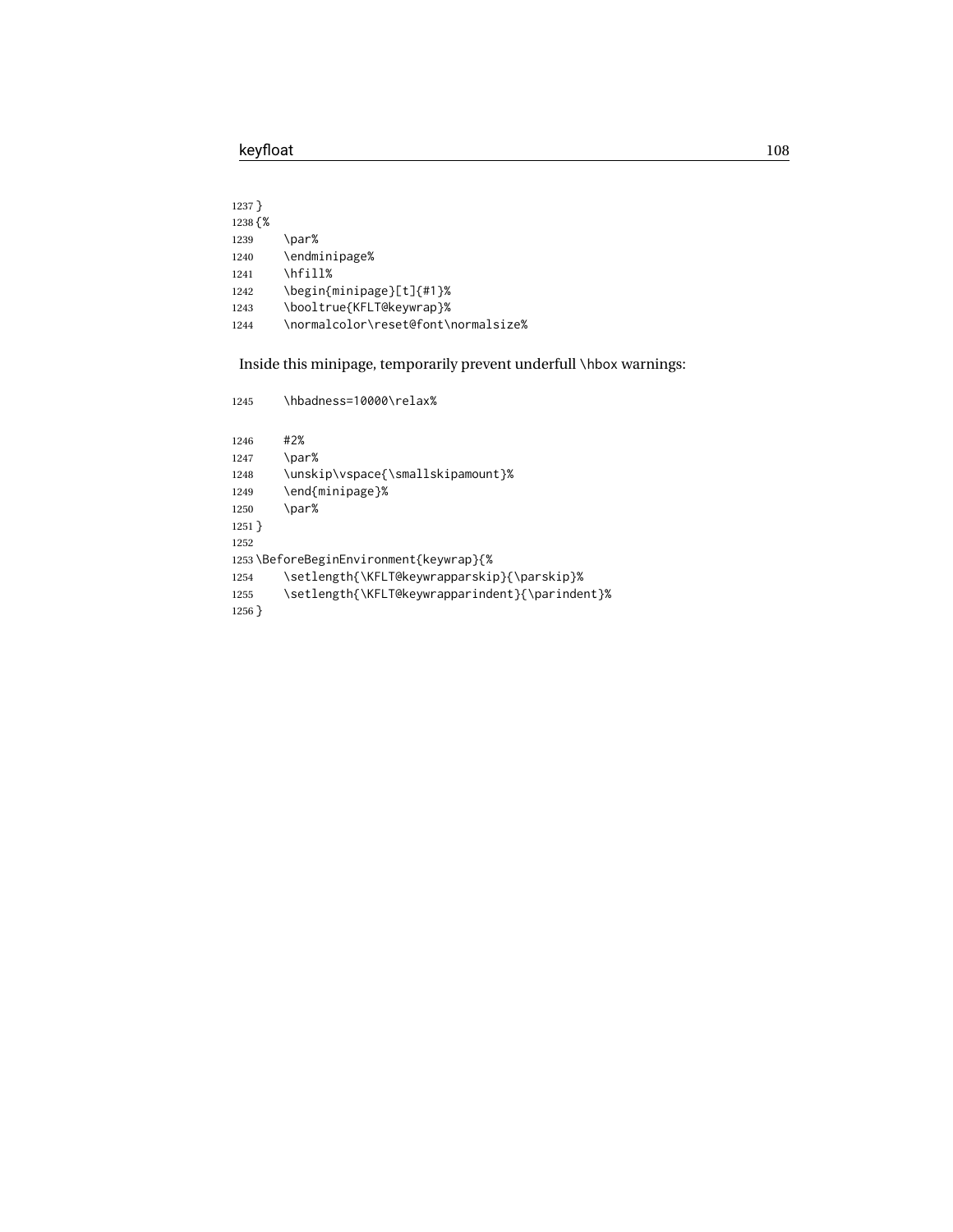| 1237 }  |                                     |
|---------|-------------------------------------|
| 1238 {% |                                     |
| 1239    | \par%                               |
| 1240    | \endminipage%                       |
| 1241    | \hfill%                             |
| 1242    | \begin{minipage}[t]{#1}%            |
| 1243    | \booltrue{KFLT@keywrap}%            |
| 1244    | \normalcolor\reset@font\normalsize% |
|         |                                     |

Inside this minipage, temporarily prevent underfull \hbox warnings:

| 1245                                   | \hbadness=10000\relax%                          |  |  |  |
|----------------------------------------|-------------------------------------------------|--|--|--|
| 1246                                   | #2%                                             |  |  |  |
| 1247                                   | \par%                                           |  |  |  |
| 1248                                   | \unskip\vspace{\smallskipamount}%               |  |  |  |
| 1249                                   | \end{minipage}%                                 |  |  |  |
| 1250                                   | \par%                                           |  |  |  |
| $1251$ }                               |                                                 |  |  |  |
| 1252                                   |                                                 |  |  |  |
| 1253\BeforeBeginEnvironment{keywrap}{% |                                                 |  |  |  |
| 1254                                   | \setlength{\KFLT@keywrapparskip}{\parskip}%     |  |  |  |
| 1255                                   | \setlength{\KFLT@keywrapparindent}{\parindent}% |  |  |  |
| $1256$ }                               |                                                 |  |  |  |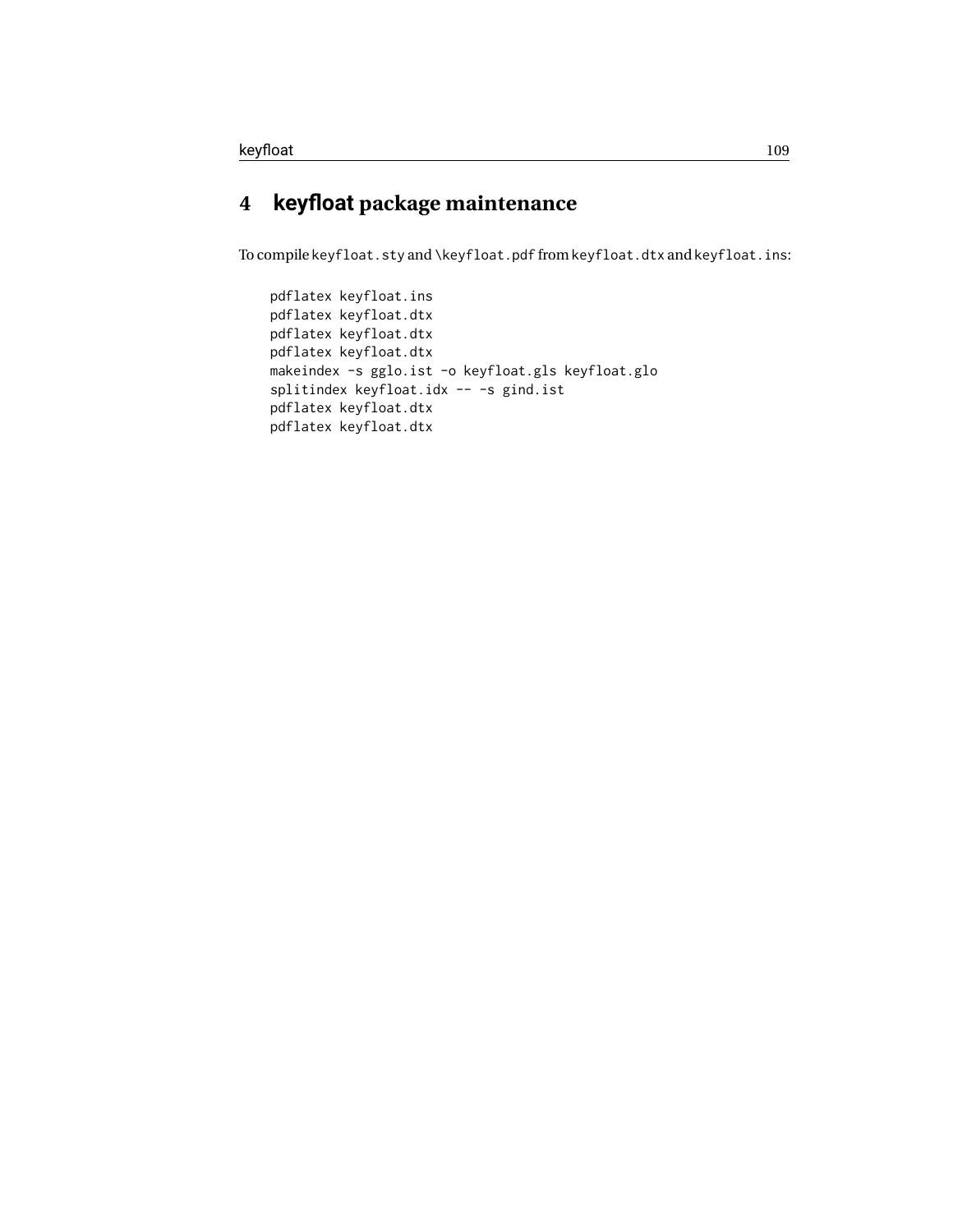### **4 keyfloat package maintenance**

To compile keyfloat.sty and \keyfloat.pdf from keyfloat.dtx and keyfloat.ins:

```
pdflatex keyfloat.ins
pdflatex keyfloat.dtx
pdflatex keyfloat.dtx
pdflatex keyfloat.dtx
makeindex -s gglo.ist -o keyfloat.gls keyfloat.glo
splitindex keyfloat.idx -- -s gind.ist
pdflatex keyfloat.dtx
pdflatex keyfloat.dtx
```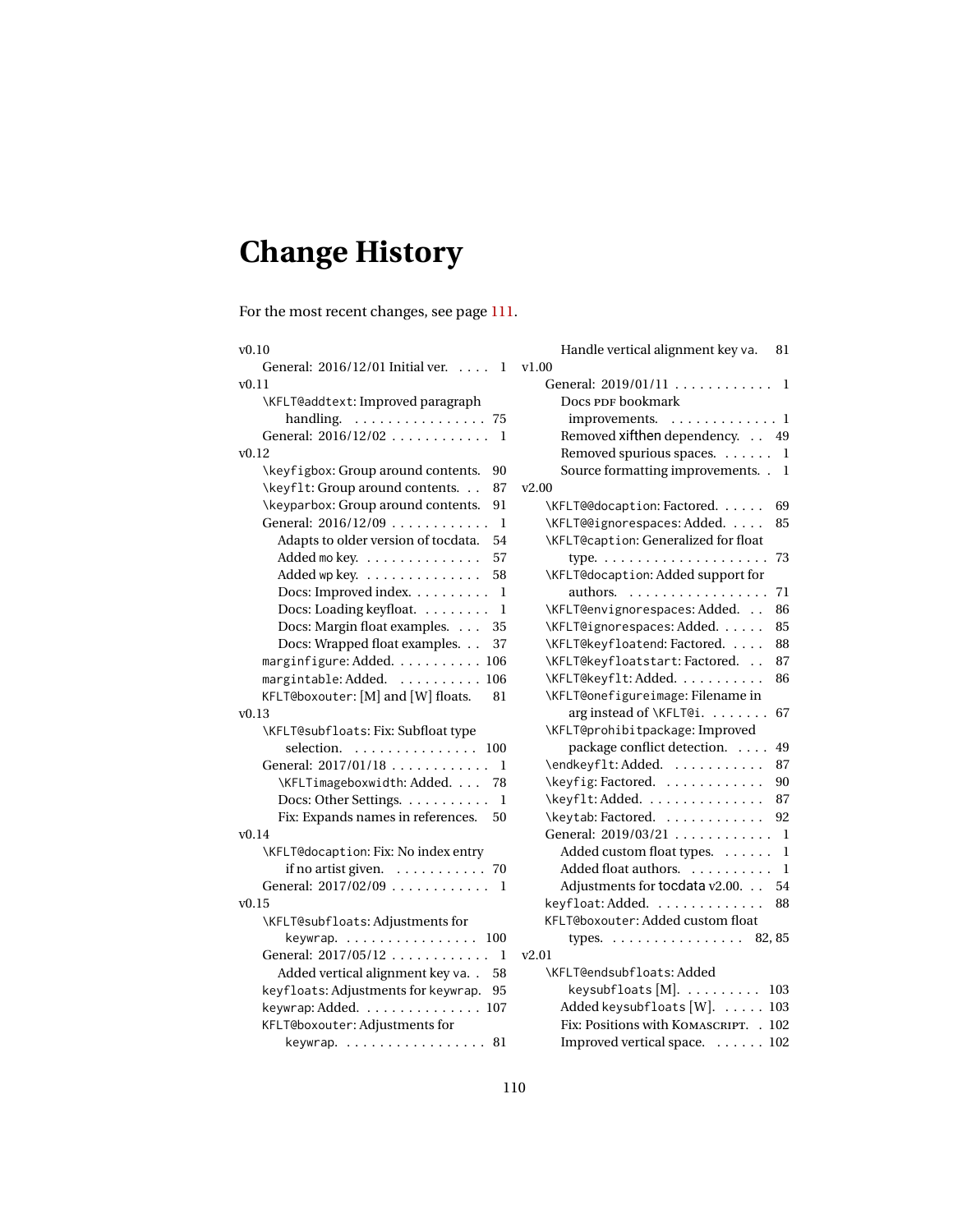# <span id="page-109-0"></span>**Change History**

For the most recent changes, see page [111.](#page-110-0)

| v0.10                                               | Handle vertical alignment key va.<br>81   |
|-----------------------------------------------------|-------------------------------------------|
| General: 2016/12/01 Initial ver.<br>1<br>$\ldots$ . | v1.00                                     |
| v0.11                                               | General: 2019/01/11 1                     |
| \KFLT@addtext: Improved paragraph                   | Docs PDF bookmark                         |
| handling. 75                                        | improvements.<br>. 1                      |
| General: 2016/12/02<br>- 1                          | Removed xifthen dependency. 49            |
| v0.12                                               | Removed spurious spaces. 1                |
| \keyfigbox: Group around contents.<br>90            | Source formatting improvements. . 1       |
| \keyf1t: Group around contents.<br>87               | v2.00                                     |
| \keyparbox: Group around contents.<br>91            | \KFLT@@docaption: Factored.<br>69         |
| General: 2016/12/09<br>-1                           | \KFLT@@ignorespaces: Added.<br>85         |
| Adapts to older version of tocdata.<br>54           | \KFLT@caption: Generalized for float      |
| 57<br>Added mokey.                                  | 73                                        |
| Added wp key. $\dots \dots \dots \dots$<br>58       | \KFLT@docaption: Added support for        |
| Docs: Improved index.<br>1                          | authors.<br>71                            |
| Docs: Loading keyfloat.<br>$\mathbf 1$              | \KFLT@envignorespaces: Added.<br>86       |
| Docs: Margin float examples.<br>35                  | 85<br>\KFLT@ignorespaces: Added.          |
| Docs: Wrapped float examples.<br>37                 | \KFLT@keyfloatend: Factored.<br>88        |
| marginfigure: Added. 106                            | \KFLT@keyfloatstart: Factored.<br>87      |
| margintable: Added.  106                            | \KFLT@keyflt: Added.<br>86                |
| KFLT@boxouter: [M] and [W] floats.<br>81            | \KFLT@onefigureimage: Filename in         |
| v0.13                                               | arginstead of \KFLT@i.<br>67              |
| \KFLT@subfloats: Fix: Subfloat type                 | \KFLT@prohibitpackage: Improved           |
| selection. $\ldots \ldots \ldots \ldots$<br>100     | package conflict detection.<br>49         |
| General: 2017/01/18<br>1                            | \endkeyflt:Added.<br>87                   |
| \KFLTimageboxwidth: Added.<br>78                    | \keyfig: Factored.<br>90                  |
| Docs: Other Settings.<br>1                          | 87<br>\keyflt: Added.                     |
| Fix: Expands names in references.<br>50             | \keytab: Factored.<br>92                  |
| v0.14                                               | General: 2019/03/21<br>- 1                |
| \KFLT@docaption: Fix: No index entry                | Added custom float types.<br>- 1          |
| if no artist given. 70                              | Added float authors.<br>1                 |
| General: 2017/02/09 1                               | Adjustments for tocdata v2.00.<br>54      |
| v0.15                                               | keyfloat: Added.<br>88                    |
| \KFLT@subfloats: Adjustments for                    | KFLT@boxouter: Added custom float         |
| keywrap. 100                                        | types. 82, 85                             |
| General: 2017/05/12<br>1                            | v2.01                                     |
| Added vertical alignment key va. .<br>58            | \KFLT@endsubfloats:Added                  |
| keyfloats: Adjustments for keywrap.<br>95           | keysubfloats [M]. $\dots \dots \dots$ 103 |
| keywrap: Added. 107                                 | Added keysubfloats [W].  103              |
| KFLT@boxouter: Adjustments for                      | Fix: Positions with KOMASCRIPT. . 102     |
| keywrap. $\ldots \ldots \ldots \ldots \ldots 81$    | Improved vertical space. 102              |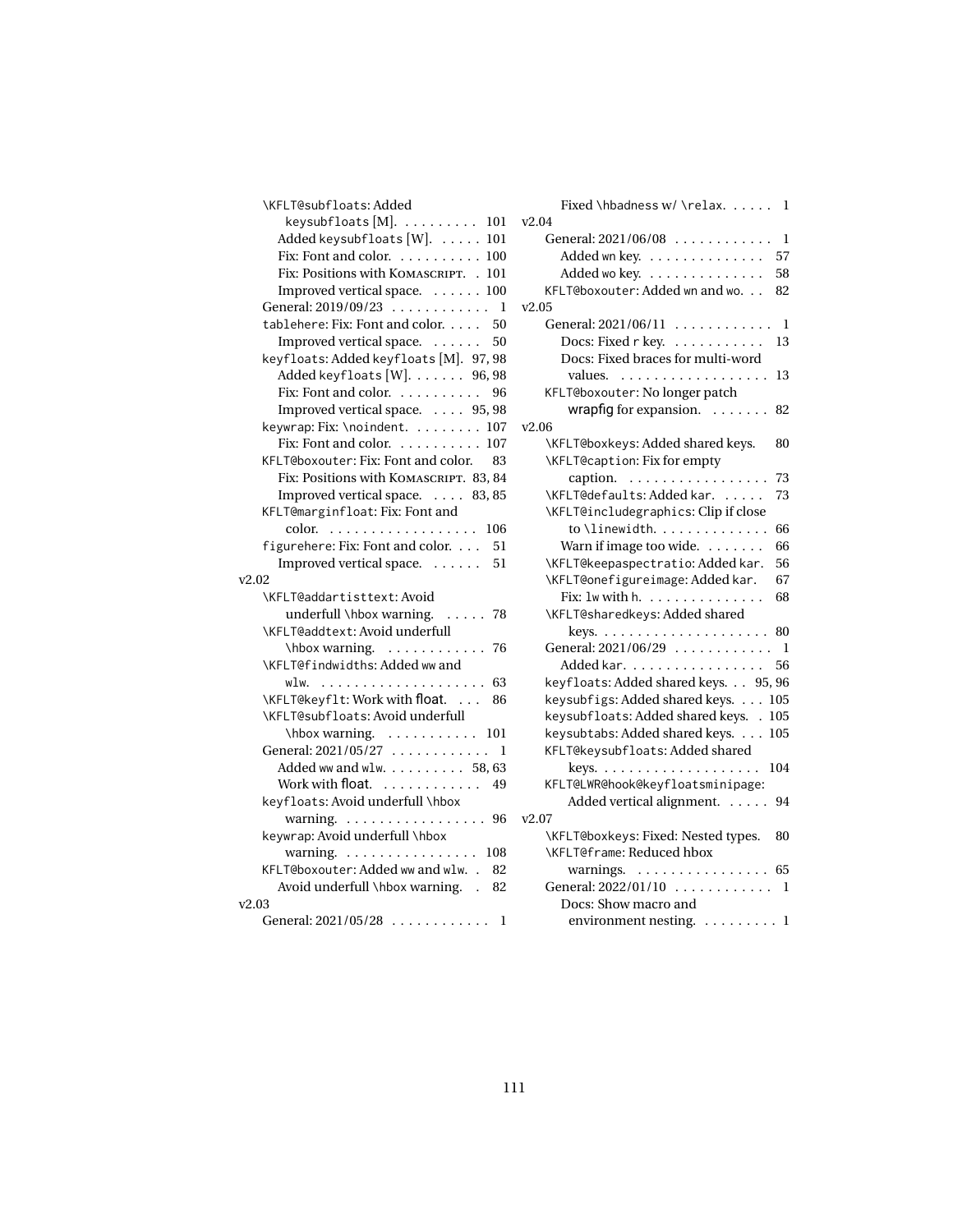<span id="page-110-0"></span>

| \KFLT@subfloats: Added                         |    |
|------------------------------------------------|----|
| keysubfloats $[M]$ . 101                       | v2 |
| Added keysubfloats [W].  101                   |    |
| Fix: Font and color. 100                       |    |
| Fix: Positions with KOMASCRIPT. . 101          |    |
| Improved vertical space. 100                   |    |
| General: 2019/09/23<br>1                       | v2 |
| tablehere: Fix: Font and color.<br>50          |    |
| Improved vertical space.<br>50                 |    |
| keyfloats: Added keyfloats [M]. 97, 98         |    |
| Added keyfloats [W]. 96, 98                    |    |
| Fix: Font and color. $\dots \dots \dots$<br>96 |    |
| Improved vertical space. 95, 98                |    |
| keywrap: Fix: \noindent. 107                   | v2 |
| Fix: Font and color. 107                       |    |
| KFLT@boxouter: Fix: Font and color.<br>83      |    |
| Fix: Positions with KOMASCRIPT. 83, 84         |    |
| Improved vertical space. 83, 85                |    |
| KFLT@marginfloat: Fix: Font and                |    |
| color.<br>.<br>106                             |    |
| figurehere: Fix: Font and color.<br>51         |    |
| Improved vertical space.<br>51                 |    |
| v2.02                                          |    |
| \KFLT@addartisttext: Avoid                     |    |
| underfull \hbox warning.<br>$\ldots$<br>78     |    |
| \KFLT@addtext: Avoid underfull                 |    |
| \hbox warning. 76                              |    |
| \KFLT@findwidths: Added ww and                 |    |
| w1w.<br>63                                     |    |
| \KFLT@keyflt: Work with float.<br>86           |    |
| \KFLT@subfloats: Avoid underfull               |    |
| $\h{\text{hbox warning.} \ldots \ldots 101}$   |    |
| General: 2021/05/27<br>1                       |    |
| Added ww and wlw. 58, 63                       |    |
| Work with float.                               |    |
| 49<br>keyfloats: Avoid underfull \hbox         |    |
|                                                | v2 |
| warning. 96                                    |    |
| keywrap: Avoid underfull \hbox                 |    |
| warning.<br>108                                |    |
| KFLT@boxouter: Added ww and wlw<br>82          |    |
| Avoid underfull \hbox warning<br>82            |    |
| v2.03                                          |    |
| General: $2021/05/28$<br>1                     |    |

| Fixed \hbadness w/ \relax.<br>1                   |
|---------------------------------------------------|
| v2.04                                             |
| General: 2021/06/08<br>1                          |
| Added wn key.<br>57                               |
| Added wo key.<br>58                               |
| KFLT@boxouter: Added wn and wo.<br>82             |
| v2.05                                             |
| General: 2021/06/11<br>1                          |
| Docs: Fixed r key.<br>13<br>.                     |
| Docs: Fixed braces for multi-word                 |
| values.<br>13<br>.                                |
| KFLT@boxouter: No longer patch                    |
| wrapfig for expansion. $\ldots \ldots$<br>82      |
| v2.06                                             |
| \KFLT@boxkeys: Added shared keys.<br>80           |
| \KFLT@caption: Fix for empty                      |
| caption.<br>73                                    |
| \KFLT@defaults: Added kar.<br>73                  |
| \KFLT@includegraphics: Clip if close              |
| to \linewidth. $\ldots$<br>66                     |
| Warn if image too wide.<br>66                     |
| \KFLT@keepaspectratio: Added kar.<br>56           |
| \KFLT@onefigureimage: Added kar.<br>67            |
| Fix: $1w$ with $h$ .<br>68                        |
| \KFLT@sharedkeys: Added shared                    |
| 80                                                |
| General: 2021/06/29<br>1                          |
| Added kar.<br>56                                  |
| keyfloats: Added shared keys. 95, 96              |
| keysubfigs: Added shared keys.                    |
| 105<br>keysubfloats: Added shared keys. .<br>105  |
| keysubtabs: Added shared keys.<br>105             |
| KFLT@keysubfloats: Added shared                   |
|                                                   |
| keys. $\ldots \ldots \ldots \ldots \ldots$<br>104 |
| KFLT@LWR@hook@keyfloatsminipage:                  |
| Added vertical alignment.<br>94                   |
| v2.07                                             |
| \KFLT@boxkeys: Fixed: Nested types.<br>80         |
| \KFLT@frame: Reduced hbox                         |
| warnings.<br>.<br>65                              |
| General: $2022/01/10$<br>1                        |
| Docs: Show macro and                              |
| environment nesting.<br>1                         |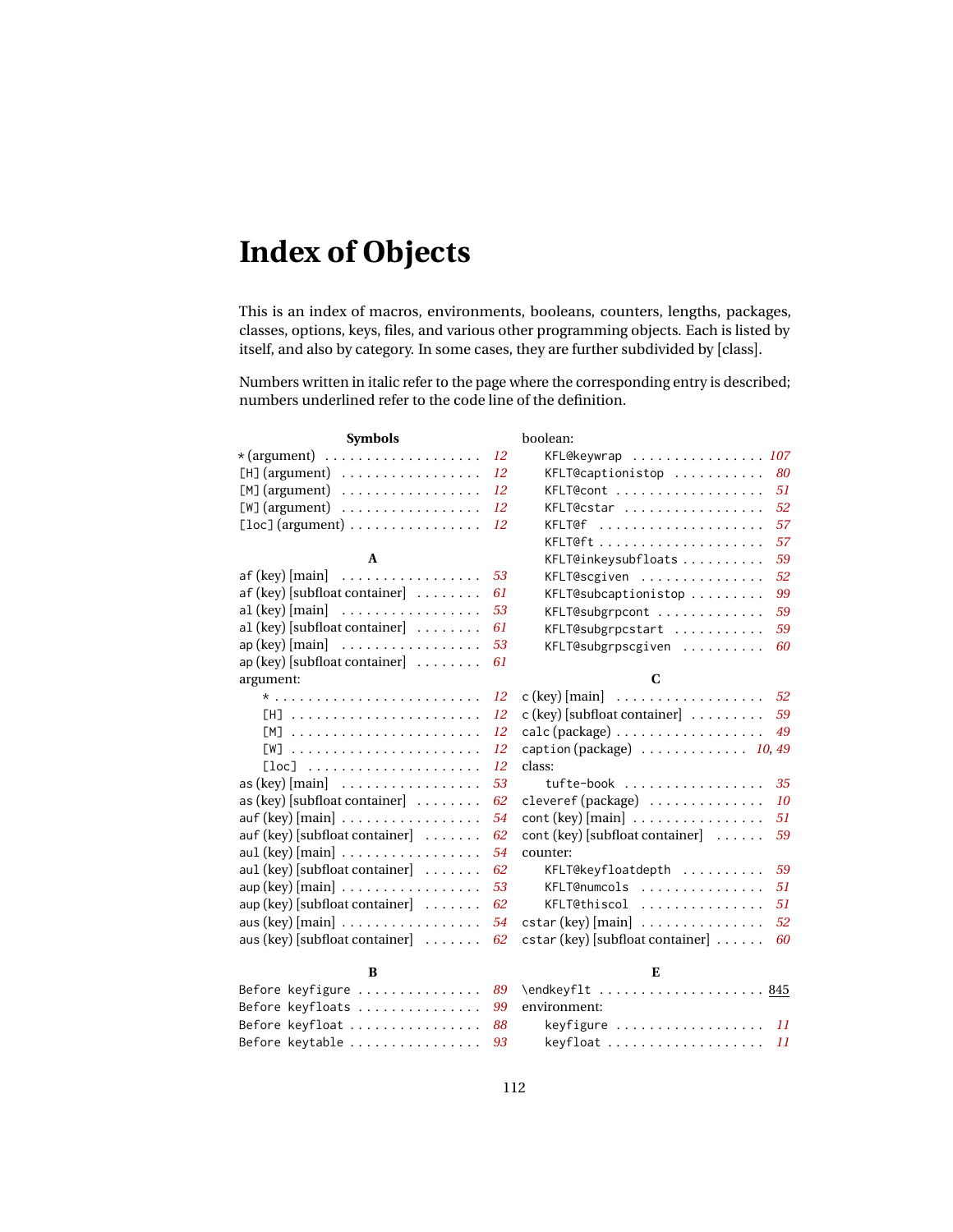### <span id="page-111-0"></span>**Index of Objects**

This is an index of macros, environments, booleans, counters, lengths, packages, classes, options, keys, files, and various other programming objects. Each is listed by itself, and also by category. In some cases, they are further subdivided by [class].

Numbers written in italic refer to the page where the corresponding entry is described; numbers underlined refer to the code line of the definition.

| <b>Symbols</b>                                                 | boolean:                                                                    |
|----------------------------------------------------------------|-----------------------------------------------------------------------------|
| $\star$ (argument)                                             | KFL@keywrap  107<br>12                                                      |
|                                                                | 80<br>12<br>KFLT@captions to p                                              |
| $[M]$ (argument)                                               | 12<br>51<br>KFLT@cont                                                       |
| $[W]$ (argument)                                               | 52<br>12<br>KFLT@cstar                                                      |
| $[loc]$ (argument) $\ldots \ldots \ldots \ldots$               | 57<br>12<br>KFLT@f                                                          |
|                                                                | 57                                                                          |
| A                                                              | 59<br>KFLT@inkeysubfloats                                                   |
| $af (key)$ [main] $\ldots \ldots \ldots \ldots$                | 52<br>53<br>KFLT@scgiven                                                    |
| $af$ (key) [subfloat container] $\dots \dots$                  | 61<br>99<br>KFLT@subcaptionistop                                            |
| $al (key) [main] \ldots \ldots \ldots \ldots$                  | 53<br>KFLT@subgrpcont<br>59                                                 |
| $al$ (key) [subfloat container] $\ldots \ldots$                | 61<br>KFLT@subgrpcstart<br>59                                               |
| $ap (key) [main] \dots \dots \dots \dots \dots$                | 53<br>KFLT@subgrpscgiven<br>60                                              |
| $ap$ (key) [subfloat container] $\ldots \ldots$                | 61                                                                          |
| argument:                                                      | C                                                                           |
|                                                                | c (key) [main] $\ldots \ldots \ldots \ldots \ldots \ldots 52$<br>12         |
| $[H]$                                                          | $\mathbf{c}$ (key) [subfloat container] $\dots \dots$<br>59<br>12           |
| $[M]$                                                          | $calc$ (package) $\ldots \ldots \ldots \ldots \ldots$<br>49<br>12           |
| $\lceil W \rceil$                                              | caption (package)  10,49<br>12                                              |
| $[loc] \ldots \ldots \ldots \ldots \ldots \ldots \ldots$       | 12<br>class:                                                                |
| as $(key)$ [main] $\ldots \ldots \ldots \ldots \ldots$         | 35<br>53<br>tufte-book                                                      |
| $\alpha$ s (key) [subfloat container] $\dots \dots$            | cleveref (package)<br>10<br>62                                              |
| $\alpha$ auf (key) [main] $\ldots \ldots \ldots \ldots \ldots$ | $\cot(\text{key})$ [main] $\ldots \ldots \ldots \ldots$<br>51<br>54         |
| $\alpha$ auf (key) [subfloat container] $\ldots \ldots$        | cont (key) [subfloat container]<br>59<br>62                                 |
| aul (key) [main]                                               | counter:<br>54                                                              |
| aul (key) [subfloat container] $\dots \dots$                   | 62<br>59<br>KFLT@keyfloatdepth                                              |
| $\sup$ (key) $[\text{main}]$                                   | KFLT@numcols<br>53<br>51                                                    |
| aup (key) [subfloat container]                                 | 62<br>KFLT@thiscol<br>51                                                    |
| $\cos(key)$ [main] $\ldots \ldots \ldots \ldots \ldots$        | 52<br>$\text{cstar}(\text{key})$ [main] $\ldots \ldots \ldots \ldots$<br>54 |
| aus (key) [subfloat container] $\dots \dots$                   | $\text{cstar}$ (key) [subfloat container] $\ldots \ldots$<br>60<br>62       |
| B                                                              | E                                                                           |
| Before keyfigure                                               | \endkeyflt  845<br>89                                                       |
| Before keyfloats                                               | environment:<br>99                                                          |
| Before keyfloat                                                | keyfigure  11<br>88                                                         |

keyfloat . . . . . . . . . . . . . . . . . . . *[11](#page-10-0)*

Before keytable . . . . . . . . . . . . . . . . *[93](#page-92-0)*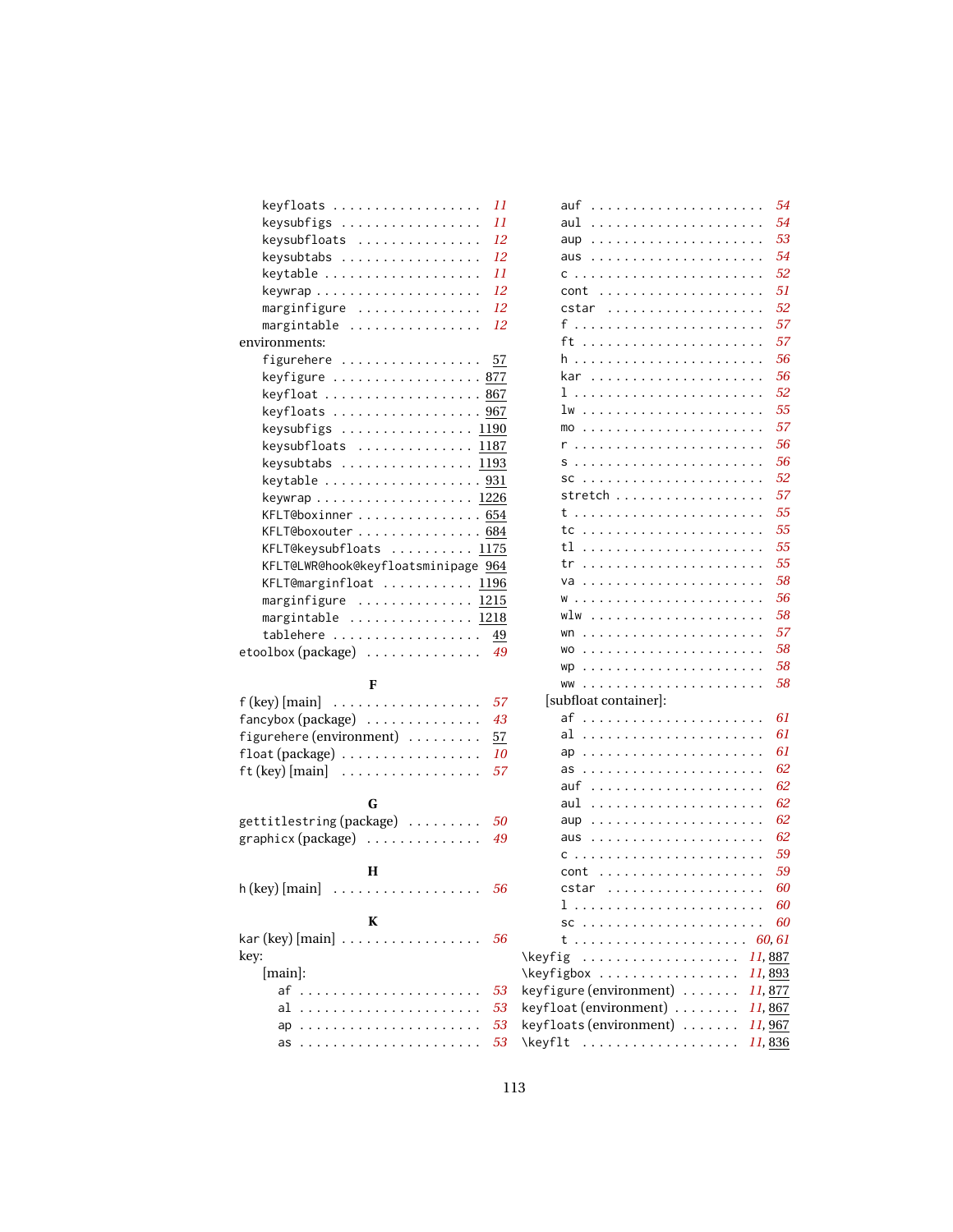| keyfloats                                                   | 11        |
|-------------------------------------------------------------|-----------|
| keysubfigs                                                  | 11        |
| keysubfloats                                                | 12        |
| keysubtabs                                                  | 12        |
| keytable                                                    | 11        |
|                                                             | 12        |
| marginfigure                                                | 12        |
| margintable                                                 | 12        |
| environments:                                               |           |
| figurehere                                                  | 57        |
| keyfigure  877                                              |           |
| keyfloat  867                                               |           |
| keyfloats  967                                              |           |
| keysubfigs  1190                                            |           |
| keysubfloats  1187                                          |           |
| $keysubtabs$ 1193                                           |           |
| keytable $\ldots \ldots \ldots \ldots \ldots \frac{931}{2}$ |           |
| keywrap 1226                                                |           |
| KFLT@boxinner  654                                          |           |
| KFLT@boxouter 684                                           |           |
| KFLT@keysubfloats  1175                                     |           |
| KFLT@LWR@hook@keyfloatsminipage 964                         |           |
| KFLT@marginfloat  1196                                      |           |
| marginfigure  1215                                          |           |
| margintable  1218                                           |           |
| tablehere                                                   | <u>49</u> |
| etoolbox (package)                                          | 49        |
|                                                             |           |
| F                                                           |           |
| $f$ (key) [main] $\dots \dots \dots \dots \dots$            | 57        |
| fancybox (package)                                          | 43        |
| figurehere (environment)                                    | 57        |
| float (package)                                             | 10        |
|                                                             | 57        |
| $ft (key) [main] \dots \dots \dots \dots \dots$             |           |
| G                                                           |           |
| gettitlestring (package)                                    | 50        |
| graphicx (package)                                          | 49        |
|                                                             |           |
| Н                                                           |           |
| h (key) [main]                                              | 56        |
| . <b>.</b>                                                  |           |
| K                                                           |           |
| $\kappa$ ar (key) [main]                                    | 56        |
| key:                                                        | ١k        |
| [main]:                                                     | ١k        |
| af<br>.                                                     | 53<br>ke  |
| al<br>$\ldots$<br>$\ddot{\phantom{a}}$                      | 53<br>ke  |
|                                                             | 53<br>ke  |
| ap                                                          | 53<br>١k  |
| as                                                          |           |

| auf<br>$\ddotsc$<br>$\ddot{\phantom{a}}$<br>$\ddots$<br>$\ddots$<br>$\ddots$                                                                                                                                                                                                 |                      | 54      |
|------------------------------------------------------------------------------------------------------------------------------------------------------------------------------------------------------------------------------------------------------------------------------|----------------------|---------|
| aul                                                                                                                                                                                                                                                                          |                      | 54      |
| aup<br>$\ddot{\phantom{a}}$<br>$\mathbb{R}^2$                                                                                                                                                                                                                                |                      | 53      |
| aus<br>$\ddot{\phantom{a}}$<br>$\ddot{\phantom{a}}$<br>$\ddot{\phantom{a}}$<br>$\ddots$ .<br>$\ddots$<br>$\ldots$<br>$\mathbf{r}$                                                                                                                                            | $\ddot{\phantom{a}}$ | 54      |
| C<br>$\ddot{\phantom{0}}$<br>$\ddot{\phantom{0}}$<br>$\ddot{\phantom{a}}$<br>$\ddot{\phantom{0}}$<br>$\ddot{\phantom{0}}$<br>$\ddot{\phantom{0}}$<br>$\ddotsc$                                                                                                               |                      | 52      |
| cont<br>$\ddot{\phantom{a}}$<br>$\ddot{\phantom{a}}$<br>$\ddot{\phantom{a}}$<br>$\ddotsc$<br>$\ddot{\phantom{0}}$<br>$\ddot{\phantom{a}}$<br>$\ddot{\phantom{a}}$<br>$\ddot{\phantom{0}}$<br>$\ddot{\phantom{a}}$<br>$\ddot{\phantom{a}}$<br>$\ddot{\phantom{a}}$            |                      | 51      |
| cstar<br>$\ddot{\cdot}$<br>$\ddot{\phantom{a}}$<br>$\ddot{\phantom{a}}$<br>$\cdot$<br>$\overline{\phantom{a}}$<br>$\ddot{\phantom{0}}$<br>$\ddot{\phantom{0}}$<br>$\ddot{\phantom{0}}$<br>$\ddot{\phantom{a}}$<br>$\ddot{\phantom{a}}$<br>$\ddot{\phantom{a}}$               |                      | 52      |
| f.,<br>$\cdot$<br>$\overline{a}$<br>$\ddot{\phantom{0}}$                                                                                                                                                                                                                     |                      | 57      |
| ft<br>$\sim$<br>$\cdot$<br>$\ddot{\phantom{a}}$<br>$\overline{\phantom{a}}$<br>$\sim$ $\sim$ $\sim$                                                                                                                                                                          |                      | 57      |
| h<br>.<br>$\ddot{\phantom{0}}$<br>$\ldots$<br>$\ldots$<br>$\ddot{\phantom{a}}$<br>$\mathbf{r}$                                                                                                                                                                               | $\ddot{\phantom{a}}$ | 56      |
| kar<br>.                                                                                                                                                                                                                                                                     |                      | 56      |
| 1<br>$\ddot{\phantom{a}}$<br>$\sim$ $\sim$ $\sim$ $\sim$ $\sim$<br>$\ddot{\phantom{a}}$<br>$\ddot{\phantom{a}}$<br>$\ddot{\phantom{a}}$<br>$\cdots$<br>$\ddots$                                                                                                              |                      | 52      |
| lw<br>$\ddot{\phantom{a}}$<br>$\ddot{\phantom{a}}$<br>$\ddot{\phantom{a}}$<br>$\ddot{\phantom{a}}$<br>$\ddot{\phantom{a}}$<br>$\ddot{\phantom{a}}$<br>$\ddot{\phantom{a}}$<br>$\ddot{\phantom{a}}$                                                                           |                      | 55      |
| mo<br>$\cdot$<br>$\ddot{\phantom{0}}$<br>$\ddot{\phantom{a}}$                                                                                                                                                                                                                |                      | 57      |
| r<br>$\ddot{\phantom{a}}$<br>$\ddot{\phantom{a}}$<br>$\ddot{\phantom{a}}$<br>$\ddot{\phantom{a}}$<br>$\ddot{\phantom{a}}$<br>$\ddot{\phantom{a}}$<br>$\ddot{\phantom{a}}$<br>$\ddot{\phantom{0}}$                                                                            |                      | 56      |
| .<br>S<br>$\ddots$<br>$\cdot$ $\cdot$ $\cdot$<br>$\ddot{\phantom{a}}$                                                                                                                                                                                                        |                      | 56      |
| SC<br>.<br>$\ddots$                                                                                                                                                                                                                                                          |                      | 52      |
| stretch<br>$\ddotsc$<br>$\ddot{\phantom{a}}$<br>$\ddot{\phantom{0}}$<br>$\ddot{\phantom{a}}$<br>$\ddots$<br>$\ddot{\phantom{0}}$<br>$\ddots$<br>$\ddot{\phantom{a}}$<br>$\ddot{\phantom{a}}$                                                                                 |                      | 57      |
| t<br>$\overline{a}$<br>$\ddot{\phantom{a}}$<br>$\ddot{\phantom{a}}$<br>$\ddots$<br>$\ddot{\phantom{a}}$<br>$\ddot{\phantom{a}}$<br>$\ddot{\phantom{a}}$<br>$\ddot{\phantom{a}}$<br>$\ddot{\phantom{0}}$<br>$\ddot{\phantom{a}}$                                              |                      | 55      |
| tc<br>$\ldots$<br>$\cdot$<br>$\ddot{\phantom{a}}$                                                                                                                                                                                                                            |                      | 55      |
| tl<br>$\ddot{\phantom{a}}$<br>$\ldots$<br>$\ddot{\phantom{a}}$<br>$\ddot{\phantom{a}}$<br>$\ddot{\phantom{a}}$<br>$\ddot{\phantom{0}}$                                                                                                                                       |                      | 55      |
| tr<br>$\ddot{\phantom{a}}$<br>.<br>$\ddot{\phantom{a}}$<br>$\ddot{\phantom{a}}$                                                                                                                                                                                              | $\ddot{\phantom{a}}$ | 55      |
| va<br>.<br>$\ddots$                                                                                                                                                                                                                                                          |                      | 58      |
| W<br>$\ddot{\phantom{a}}$<br>$\ddot{\phantom{a}}$<br>$\alpha$ , $\alpha$ , $\alpha$ , $\alpha$<br>$\ddots$<br>$\ddots$<br>$\ddot{\phantom{a}}$<br>$\ddot{\phantom{a}}$                                                                                                       |                      | 56      |
| wlw<br>$\ddot{\phantom{a}}$<br>$\cdot$<br>$\ddot{\phantom{a}}$<br>$\ddot{\phantom{a}}$<br>$\ddot{\phantom{a}}$<br>$\ddot{\phantom{a}}$<br>$\ddot{\phantom{a}}$                                                                                                               |                      | 58      |
| wn<br>$\ldots$<br>$\sim$<br>$\ldots$<br>$\ldots$                                                                                                                                                                                                                             |                      | 57      |
| <b>WO</b><br>1.1.1.1.1<br>$\ddotsc$<br>$\ldots$<br>$\ldots$                                                                                                                                                                                                                  |                      | 58      |
| .<br>wp<br>$\ddot{\phantom{0}}$                                                                                                                                                                                                                                              |                      | 58      |
| <b>WW</b><br>$\ddot{\phantom{0}}$                                                                                                                                                                                                                                            |                      | 58      |
| [subfloat container]:                                                                                                                                                                                                                                                        |                      |         |
| af<br>.<br>$\ddot{\phantom{a}}$<br>$\ddot{\phantom{a}}$                                                                                                                                                                                                                      |                      | 61      |
| al<br>.                                                                                                                                                                                                                                                                      |                      | 61      |
| .<br>ap<br>$\ldots$<br>$\ddot{\phantom{a}}$                                                                                                                                                                                                                                  |                      | 61      |
| as<br>$\cdots$<br>.<br>$\ddot{\phantom{a}}$                                                                                                                                                                                                                                  | $\ddot{\phantom{a}}$ | 62      |
| auf<br>$\ddot{\phantom{a}}$<br>.<br>$\ddots$                                                                                                                                                                                                                                 |                      | 62      |
| aul<br>$\ddot{\phantom{0}}$<br>$\ddot{\phantom{a}}$<br>$\ddot{\phantom{0}}$<br>$\ddot{\phantom{a}}$<br>$\ddot{\phantom{0}}$<br>$\ddot{\phantom{0}}$<br>$\ddot{\phantom{0}}$                                                                                                  |                      | 62      |
| aup<br>$\ddot{\phantom{a}}$<br>$\ddot{\phantom{0}}$<br>$\ddot{\phantom{a}}$                                                                                                                                                                                                  |                      | 62      |
| aus<br>$\ldots$<br>$\overline{\phantom{a}}$<br>$\overline{\phantom{a}}$<br>$\ddot{\phantom{a}}$<br>$\ldots$<br>$\ldots$<br>$\ddot{\phantom{a}}$                                                                                                                              |                      | 62      |
| C<br>.<br>$\ddot{\phantom{a}}$<br>$\ddot{\phantom{0}}$<br>$\ddot{\phantom{0}}$<br>$\ddot{\phantom{a}}$<br>$\ddot{\phantom{0}}$<br>$\ddot{\phantom{a}}$<br>$\ddot{\phantom{a}}$<br>$\ddot{\phantom{a}}$                                                                       |                      | 59      |
| cont<br>$\ddot{\phantom{a}}$<br>$\ddot{\phantom{0}}$<br>$\sim$ $\sim$ $\sim$<br>$\ddot{\phantom{0}}$<br>$\ddot{\phantom{0}}$<br>$\ddot{\phantom{0}}$<br>$\ddot{\phantom{0}}$<br>$\ddot{\phantom{a}}$<br>$\ddot{\phantom{0}}$<br>$\ddot{\phantom{0}}$<br>$\ddot{\phantom{0}}$ |                      | 59      |
| cstar<br>$\ddot{\phantom{0}}$<br>$\sim$ $\sim$<br>$\ddot{\phantom{0}}$<br>$\cdots$<br>$\ddotsc$<br>$\ddot{\phantom{0}}$<br>$\bullet$<br>۰                                                                                                                                    |                      | 60      |
| ı<br>.                                                                                                                                                                                                                                                                       |                      | 60      |
| SC<br>$\sim$ $\sim$ $\sim$                                                                                                                                                                                                                                                   |                      | 60      |
| $\mathbf{r}$<br>t<br>.<br>$\ldots$                                                                                                                                                                                                                                           |                      | .60, 61 |
| .<br>\keyfig<br>$\ddot{\phantom{a}}$<br>$\ddot{\phantom{a}}$                                                                                                                                                                                                                 |                      | 11, 887 |
| \keyfigbox<br>.                                                                                                                                                                                                                                                              |                      | 11, 893 |
| keyfigure (environment)<br>.                                                                                                                                                                                                                                                 |                      | 11, 877 |
| keyfloat (environment).<br>.                                                                                                                                                                                                                                                 |                      | 11, 867 |
| keyfloats (environment)                                                                                                                                                                                                                                                      |                      | 11,967  |
| \keyflt  11,836                                                                                                                                                                                                                                                              |                      |         |
|                                                                                                                                                                                                                                                                              |                      |         |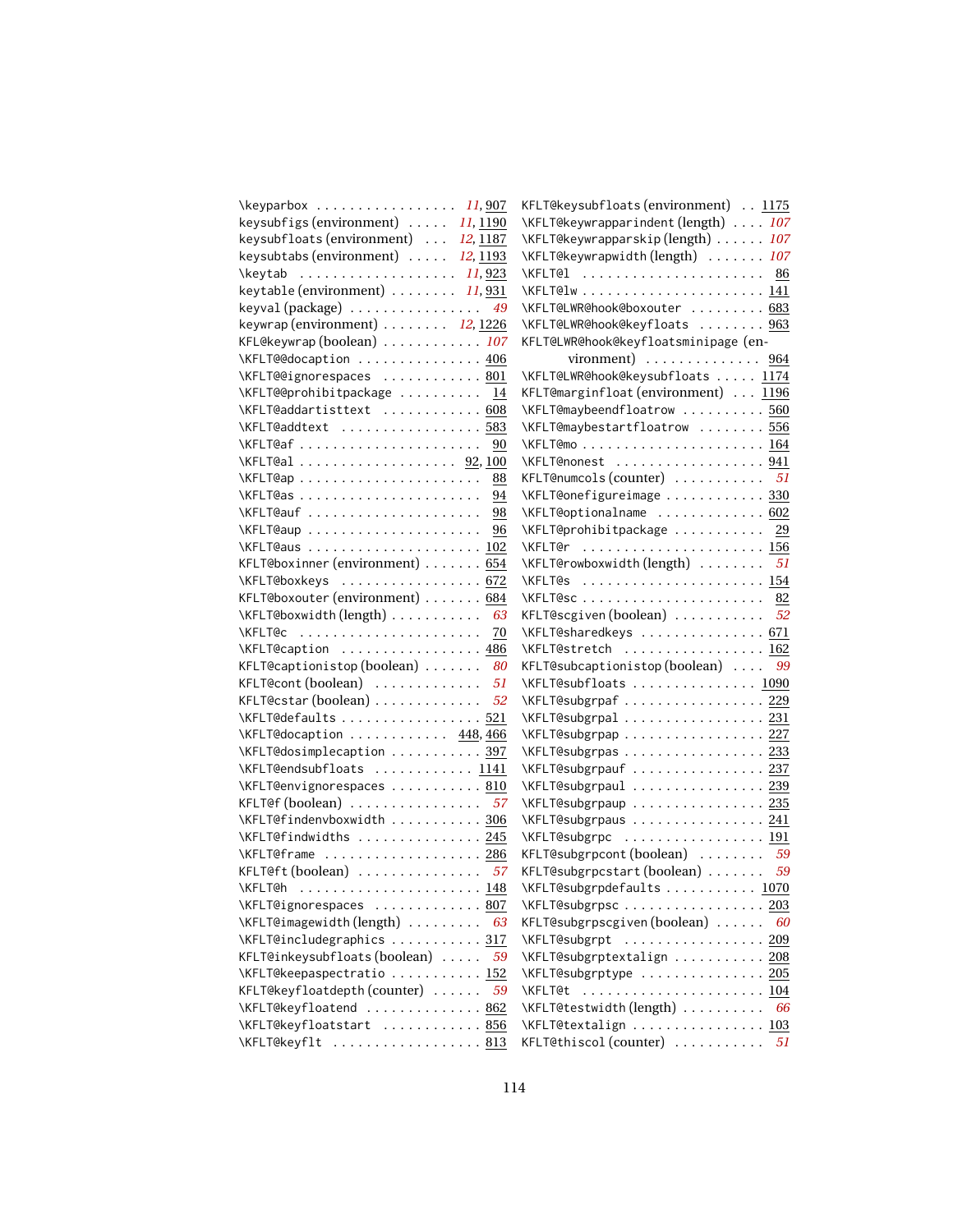| $\kappa$ 11, 907                                      | KFLT@keysubfloats(environment)  1175             |     |
|-------------------------------------------------------|--------------------------------------------------|-----|
| keysubfigs (environment)<br>11, 1190                  | \KFLT@keywrapparindent(length)  107              |     |
| keysubfloats (environment)<br>12, 1187                | \KFLT@keywrapparskip(length)  107                |     |
| keysubtabs (environment)  12, 1193                    | \KFLT@keywrapwidth(length)  107                  |     |
| \keytab $11,923$                                      | \KFLT@1  86                                      |     |
| keytable (environment) $\ldots \ldots \ldots$ 11,931  |                                                  |     |
| keyval (package) $\ldots \ldots \ldots \ldots$ 49     | \KFLT@LWR@hook@boxouter  683                     |     |
| keywrap (environment) $\ldots \ldots \ldots$ 12, 1226 | \KFLT@LWR@hook@keyfloats  963                    |     |
| KFL@keywrap (boolean)  107                            | KFLT@LWR@hook@keyfloatsminipage (en-             |     |
| \KFLT@@docaption  406                                 | vironment) $\ldots \ldots \ldots \ldots$ 964     |     |
| \KFLT@@ignorespaces  801                              | \KFLT@LWR@hook@keysubfloats  1174                |     |
| \KFLT@@prohibitpackage  14                            | KFLT@marginfloat (environment)  1196             |     |
| \KFLT@addartisttext  608                              | \KFLT@maybeendfloatrow  560                      |     |
| \KFLT@addtext  583                                    | \KFLT@maybestartfloatrow  556                    |     |
| \KFLT@af<br>90                                        |                                                  |     |
| $\kappa$ FLT@al  92, 100                              | \KFLT@nonest  941                                |     |
| 88                                                    | KFLT@numcols (counter) $\dots\dots\dots\dots$ 51 |     |
| 94                                                    | \KFLT@onefigureimage  330                        |     |
| \KFLT@auf<br>98                                       | \KFLT@optionalname  602                          |     |
| \KFLT@aup<br>96                                       | \KFLT@prohibitpackage  29                        |     |
| \KFLT@aus  102                                        | \KFLT@r  156                                     |     |
| KFLT@boxinner (environment) $\ldots \ldots 654$       | \KFLT@rowboxwidth(length)  51                    |     |
| \KFLT@boxkeys  672                                    | \KFLT@s  154                                     |     |
| KFLT@boxouter (environment) 684                       |                                                  |     |
| \KFLT@boxwidth(length)<br>63                          | KFLT@scgiven (boolean)  52                       |     |
| <b>\KFLT@c</b><br>70                                  | \KFLT@sharedkeys  671                            |     |
| \KFLT@caption  486                                    | \KFLT@stretch  162                               |     |
| KFLT@captionistop( $boolean) \ldots \ldots$<br>80     | KFLT@subcaptionistop(boolean)  99                |     |
| KFLT@cont $(boolean)$<br>51                           | \KFLT@subfloats  1090                            |     |
| KFLT@cstar (boolean) $\dots\dots\dots\dots$<br>52     | \KFLT@subgrpaf 229                               |     |
| \KFLT@defaults  521                                   | \KFLT@subgrpal  231                              |     |
| \KFLT@docaption  448,466                              | \KFLT@subgrpap 227                               |     |
| \KFLT@dosimplecaption  397                            | \KFLT@subgrpas 233                               |     |
| \KFLT@endsubfloats  1141                              | \KFLT@subgrpauf  237                             |     |
| \KFLT@envignorespaces  810                            | \KFLT@subgrpaul  239                             |     |
| KFLT@f $(boolean)$ 57                                 | \KFLT@subgrpaup 235                              |     |
| \KFLT@findenvboxwidth  306                            | \KFLT@subgrpaus 241                              |     |
| \KFLT@findwidths  245                                 | \KFLT@subgrpc  191                               |     |
| \KFLT@frame  286                                      | KFLT@subgrpcont (boolean)  59                    |     |
| KFLT@ft $(boolean)$ 57                                | KFLT@subgrpcstart(boolean)  59                   |     |
| \KFLT@h                                               | \KFLT@subgrpdefaults  1070                       |     |
| \KFLT@ignorespaces  807                               | \KFLT@subgrpsc 203                               |     |
| 63                                                    | KFLT@subgrpscgiven(boolean)                      | -60 |
| \KFLT@includegraphics  317                            | \KFLT@subgrpt  209                               |     |
| KFLT@inkeysubfloats(boolean)<br>59                    | \KFLT@subgrptextalign  208                       |     |
| \KFLT@keepaspectratio  152                            | \KFLT@subgrptype  205                            |     |
| KFLT@keyfloatdepth(counter)<br>59                     | \KFLT@t  104                                     |     |
| \KFLT@keyfloatend  862                                | \KFLT@testwidth(length)  66                      |     |
| \KFLT@keyfloatstart  856                              | \KFLT@textalign  103                             |     |
|                                                       | KFLT@thiscol (counter)  51                       |     |
| \KFLT@keyflt  813                                     |                                                  |     |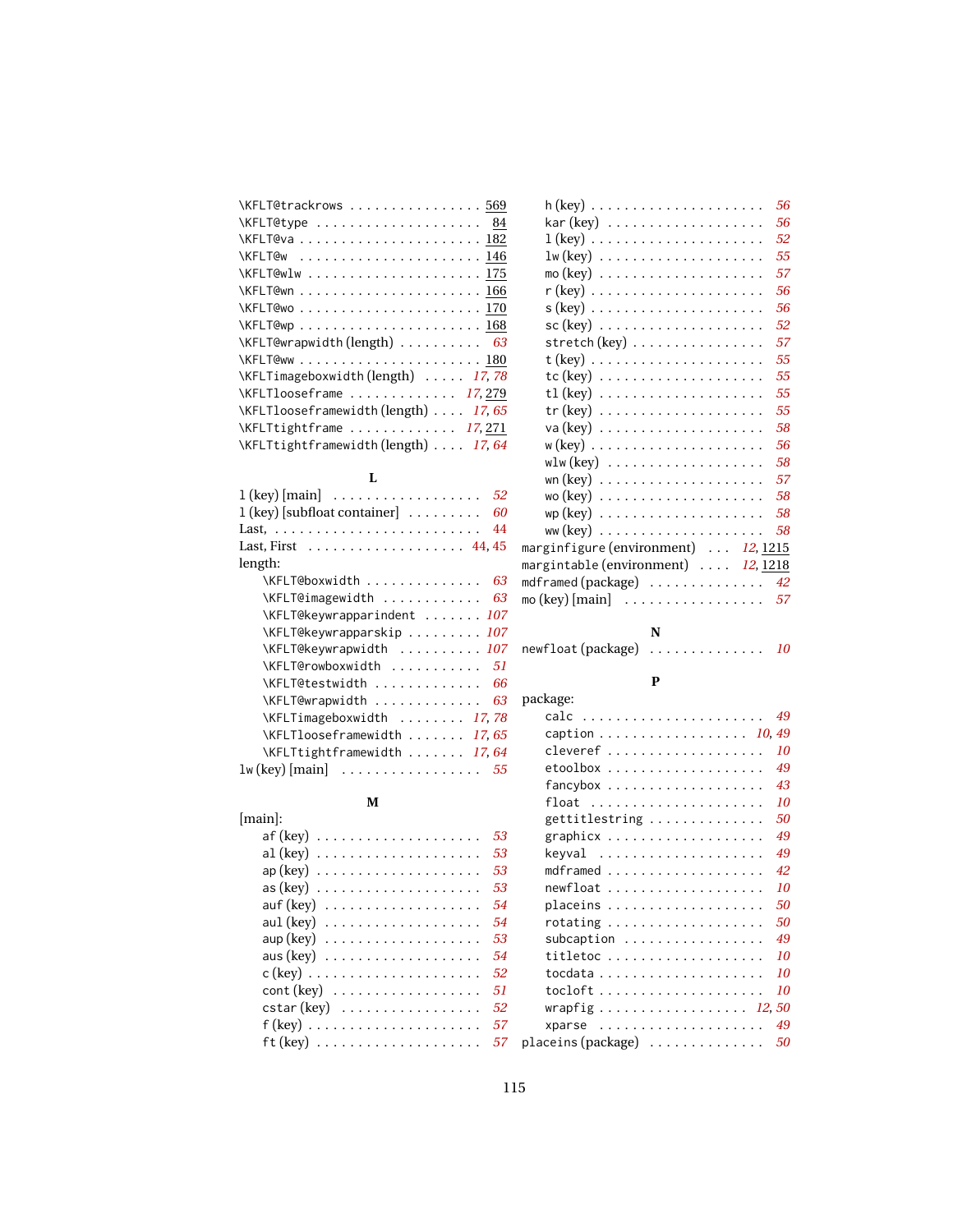| \KFLT@trackrows  569                |
|-------------------------------------|
| $\kappa$ FLT@type  84               |
|                                     |
| \KFLT@w  146                        |
|                                     |
|                                     |
|                                     |
|                                     |
| \KFLT@wrapwidth(length)  63         |
|                                     |
| \KFLTimageboxwidth(length)  17,78   |
| $\kappa$ FLTlooseframe  17,279      |
| \KFLTlooseframewidth (length) 17,65 |
| $\KFLTtightframe \ldots 17,271$     |
| \KFLTtightframewidth(length)  17,64 |

#### **L**

| $1$ (key) $\lfloor \text{main} \rfloor$<br>52                    |
|------------------------------------------------------------------|
| $1$ (key) [subfloat container] $\dots \dots$<br>60               |
| 44                                                               |
| Last, First $\ldots \ldots \ldots \ldots \ldots$ 44, 45          |
| length:                                                          |
| \KFLT@boxwidth<br>63                                             |
| \KFLT@imagewidth<br>63                                           |
| \KFLT@keywrapparindent  107                                      |
| \KFLT@keywrapparskip  107                                        |
| \KFLT@keywrapwidth  107                                          |
| \KFLT@rowboxwidth<br>51                                          |
| \KFLT@testwidth<br>66                                            |
| \KFLT@wrapwidth<br>63                                            |
| \KFLTimageboxwidth  17,78                                        |
| \KFLTlooseframewidth  17,65                                      |
| \KFLTtightframewidth  17,64                                      |
| $1\text{w}$ (key) [main] $\ldots \ldots \ldots \ldots \ldots 55$ |

#### **M**

| $[main]$ :                                                                |    |    |
|---------------------------------------------------------------------------|----|----|
| $\mathsf{af}\left(\mathsf{key}\right) \ldots \ldots \ldots \ldots \ldots$ | 53 |    |
|                                                                           | 53 |    |
| $ap(key)$                                                                 | 53 |    |
| $\mathsf{as}(\mathsf{key})\ \dots \dots \dots \dots \dots \dots$          | 53 |    |
|                                                                           | 54 |    |
| aul $(key)$                                                               | 54 |    |
| $\sup$ (key) $\ldots \ldots \ldots \ldots \ldots$                         | 53 |    |
| aus $(key) \ldots \ldots \ldots \ldots \ldots$                            | 54 |    |
|                                                                           | 52 |    |
|                                                                           | 51 |    |
| $\text{cstar}(\text{key})$                                                | 52 |    |
| $f$ (key)                                                                 | 57 |    |
| $\mathsf{ft}(\mathsf{key})\;.\;.\;.\;.\;.\;.\;.\;.\;.\;.\;.\;.\;.\;.\;$   | 57 | D. |
|                                                                           |    |    |

|                                                                                              | 56 |
|----------------------------------------------------------------------------------------------|----|
|                                                                                              | 56 |
|                                                                                              | 52 |
| $\text{lw}(\text{key})$                                                                      | 55 |
| mo (key) $\,\ldots\, \ldots\, \ldots\, \ldots\, \ldots\, \ldots\, \ldots\,$                  | 57 |
|                                                                                              | 56 |
| $s$ (key) $\dots\dots\dots\dots\dots\dots\dots\dots\dots$                                    | 56 |
| $\texttt{sc} \left( \text{key} \right) \texttt{ \dots \dots \dots \dots \dots \dots \dots }$ | 52 |
| $\mathsf{stretch}\,(\mathsf{key})\,\ldots\ldots\ldots\ldots\ldots\ldots$                     | 57 |
|                                                                                              | 55 |
| $tc$ (key) $\ldots \ldots \ldots \ldots \ldots \ldots$                                       | 55 |
| tl (key) $\dots\dots\dots\dots\dots\dots\dots\dots$                                          | 55 |
|                                                                                              | 55 |
| $va (key) \ldots \ldots \ldots \ldots \ldots \ldots$                                         | 58 |
| w (key) $\ldots \ldots \ldots \ldots \ldots \ldots \ldots$                                   | 56 |
| $w1w(key) \ldots \ldots \ldots \ldots \ldots$                                                | 58 |
|                                                                                              | 57 |
| $wo$ (key) $\ldots \ldots \ldots \ldots \ldots \ldots$                                       | 58 |
|                                                                                              | 58 |
|                                                                                              | 58 |
| marginfigure (environment)  12, 1215                                                         |    |
| margintable (environment)  12, 1218                                                          |    |
| mdframed $(\text{package})$ 42                                                               |    |
| mo (key) [main] $\ldots \ldots \ldots \ldots \ldots$                                         | 57 |
|                                                                                              |    |
| N                                                                                            |    |

| newfloat (package) |  |  |  |  |  |  |  | 10 |
|--------------------|--|--|--|--|--|--|--|----|

#### **P**

| package:                                                      |
|---------------------------------------------------------------|
| 49                                                            |
| caption 10, 49                                                |
| 10<br>cleveref                                                |
| 49<br>etoolbox                                                |
| 43<br>fancybox                                                |
| 10<br>$float \dots \dots \dots \dots \dots \dots \dots \dots$ |
| 50<br>gettitlestring                                          |
| 49<br>graphicx                                                |
| 49<br>keyval                                                  |
| 42<br>mdframed                                                |
| 10<br>newfloat                                                |
| 50<br>placeins                                                |
| 50<br>rotating                                                |
| 49<br>subcaption                                              |
| 10<br>titletoc                                                |
| 10                                                            |
| 10                                                            |
| wrapfig 12, 50                                                |
| 49<br>xparse                                                  |
| placeins (package)<br>50                                      |
|                                                               |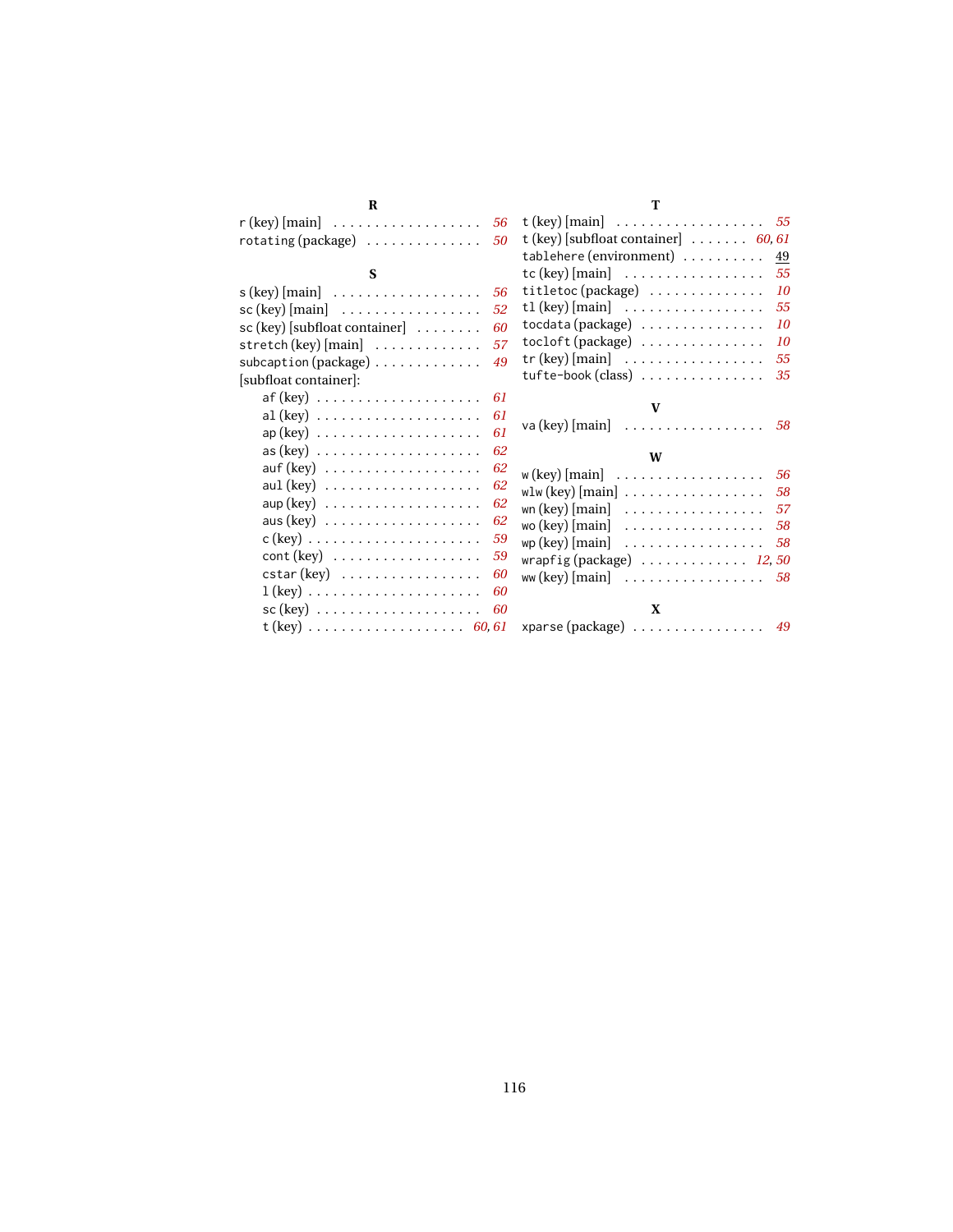| R                                                                                       |    | T                                                             |
|-----------------------------------------------------------------------------------------|----|---------------------------------------------------------------|
| $\mathsf{r}$ (key) [main]                                                               | 56 | t (key) [main] $\ldots \ldots \ldots \ldots \ldots 55$        |
| $rotating(package) \ldots \ldots \ldots \ldots$                                         | 50 | t (key) [subfloat container] $\ldots \ldots 60, 61$           |
|                                                                                         |    | $tablehere (environment) \ldots \ldots$<br>49                 |
| S                                                                                       |    | $tc$ (key) [main] $\ldots \ldots \ldots \ldots$<br>55         |
| $s$ (key) [main] $\dots \dots \dots \dots \dots$                                        | 56 | $titletoc(package) \ldots \ldots \ldots$<br>10                |
| $\text{sc}$ (key) [main] $\dots \dots \dots \dots \dots$                                | 52 | tl (key) $[\text{main}]$<br>55                                |
| $sc (key)$ [subfloat container]                                                         | 60 | $totala (package) \dots \dots \dots \dots$<br>10              |
| stretch (key) $[\text{main}]$                                                           | 57 | tocloft (package)<br>10                                       |
| subcaption (package)                                                                    | 49 | $tr$ (key) [main] $\ldots \ldots \ldots \ldots$<br>55         |
| [subfloat container]:                                                                   |    | tufte-book (class)<br>35                                      |
| $\mathsf{af}\left(\mathsf{key}\right)\right.\ldots\ldots\ldots\ldots\ldots\ldots\ldots$ | 61 |                                                               |
| $al (key) \ldots \ldots \ldots \ldots \ldots$                                           | 61 | V                                                             |
| $ap(key) \ldots \ldots \ldots \ldots \ldots \ldots$                                     | 61 |                                                               |
| $\text{as (key)} \ldots \ldots \ldots \ldots \ldots \ldots$                             | 62 | W                                                             |
| $\text{auf}(\text{key}) \ldots \ldots \ldots \ldots \ldots$                             | 62 |                                                               |
| aul $(key) \ldots \ldots \ldots \ldots \ldots$                                          | 62 | $w$ (key) [main] $\dots \dots \dots \dots \dots$<br>56        |
| $\sup(key)$                                                                             | 62 | wlw (key) $[\text{main}]$ 58                                  |
| aus $(key) \ldots \ldots \ldots \ldots \ldots$                                          | 62 | wn (key) $[\text{main}]$<br>57                                |
| $c$ (key) $\ldots \ldots \ldots \ldots \ldots \ldots$                                   | 59 | wo (key) $[\text{main}]$<br>-58                               |
|                                                                                         | 59 | $wp (key)$ [main] $\ldots \ldots \ldots \ldots \ldots$<br>-58 |
| $\text{cstar}(\text{key})$                                                              | 60 | wrapfig (package) $\ldots \ldots \ldots \ldots 12, 50$        |
| $1 (key) \ldots \ldots \ldots \ldots \ldots \ldots$                                     | 60 | ww (key) $[\text{main}]$ 58                                   |
| $\mathsf{sc}(\mathsf{key})$                                                             | 60 | X                                                             |
| t (key)  60, 61                                                                         |    | xparse (package) $\ldots \ldots \ldots \ldots$ 49             |
|                                                                                         |    |                                                               |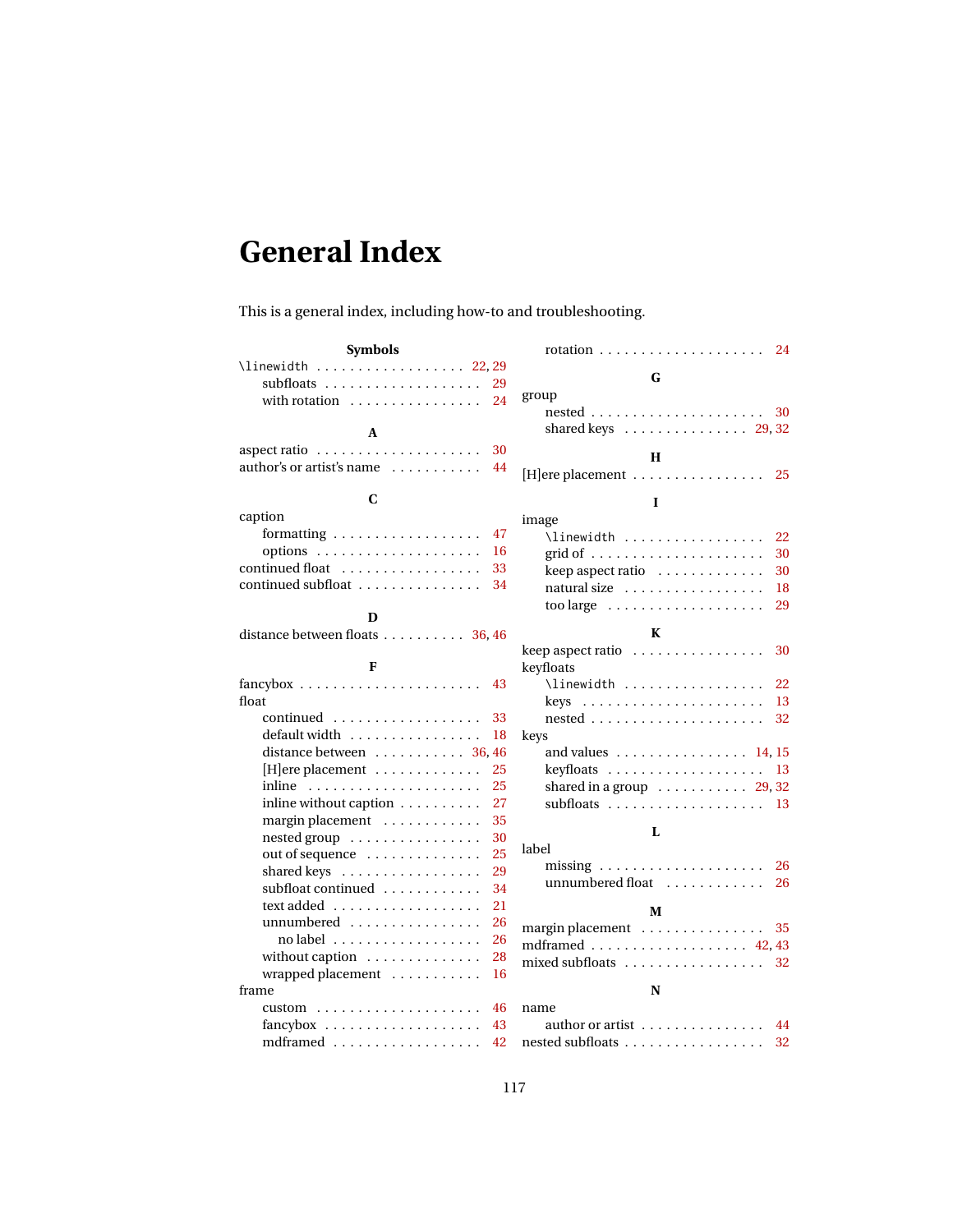## <span id="page-116-0"></span>**General Index**

This is a general index, including how-to and troubleshooting.

| <b>Symbols</b>                                           | 24                                                              |
|----------------------------------------------------------|-----------------------------------------------------------------|
| \linewidth 22, 29                                        |                                                                 |
| subfloats $\ldots \ldots \ldots \ldots \ldots$<br>29     | G                                                               |
| 24<br>with rotation $\dots\dots\dots\dots\dots$          | group                                                           |
|                                                          | $nested \ldots \ldots \ldots \ldots \ldots \ldots$<br>30        |
| A                                                        | shared keys $\ldots \ldots \ldots \ldots 29,32$                 |
| 30                                                       | Н                                                               |
| author's or artist's name $\dots\dots\dots\dots$<br>44   | $[H]$ ere placement $\dots\dots\dots\dots\dots\dots$<br>25      |
|                                                          |                                                                 |
| C                                                        | I                                                               |
| caption                                                  | image                                                           |
| formatting $\ldots \ldots \ldots \ldots \ldots$<br>47    | $\lceil$ linewidth<br>22                                        |
| 16                                                       | 30                                                              |
| continued float<br>33                                    | keep aspect ratio<br>30                                         |
| continued subfloat<br>34                                 | natural size<br>18                                              |
|                                                          | 29<br>too large $\dots \dots \dots \dots \dots \dots$           |
| D                                                        | K                                                               |
| distance between floats 36, 46                           | keep aspect ratio<br>30                                         |
| F                                                        | keyfloats                                                       |
| $fancybox \ldots \ldots \ldots \ldots \ldots$<br>43      | $\{\$<br>22                                                     |
| float                                                    | $keys \ldots \ldots \ldots \ldots \ldots \ldots$<br>13          |
| 33                                                       | $nested \ldots \ldots \ldots \ldots \ldots$<br>32               |
| 18                                                       |                                                                 |
| distance between $\dots \dots \dots 36,46$               | keys<br>and values $\dots \dots \dots \dots \dots \dots 14, 15$ |
| $[H]$ ere placement $\ldots \ldots \ldots \ldots$<br>25  | 13                                                              |
| 25<br>inline                                             | shared in a group $\ldots \ldots \ldots 29, 32$                 |
| inline without caption<br>27                             | subfloats $\ldots \ldots \ldots \ldots \ldots$<br>13            |
| margin placement<br>35                                   |                                                                 |
| nested group<br>30                                       | L                                                               |
| 25<br>out of sequence                                    | label                                                           |
| 29<br>shared keys                                        | missing $\ldots \ldots \ldots \ldots \ldots \ldots$<br>26       |
| subfloat continued<br>34                                 | unnumbered float<br>26                                          |
| 21                                                       |                                                                 |
| unnumbered<br>26                                         | M                                                               |
| $no$ label $\ldots \ldots \ldots \ldots \ldots$<br>26    | margin placement<br>35                                          |
| without caption<br>28                                    | mdframed $\ldots \ldots \ldots \ldots \ldots$ 42.43             |
| wrapped placement<br>16                                  | mixed subfloats<br>32                                           |
| frame                                                    | N                                                               |
| $custom \dots \dots \dots \dots \dots \dots \dots$<br>46 | name                                                            |
| 43                                                       | author or artist<br>44                                          |
| mdframed<br>42                                           | nested subfloats<br>32                                          |
|                                                          |                                                                 |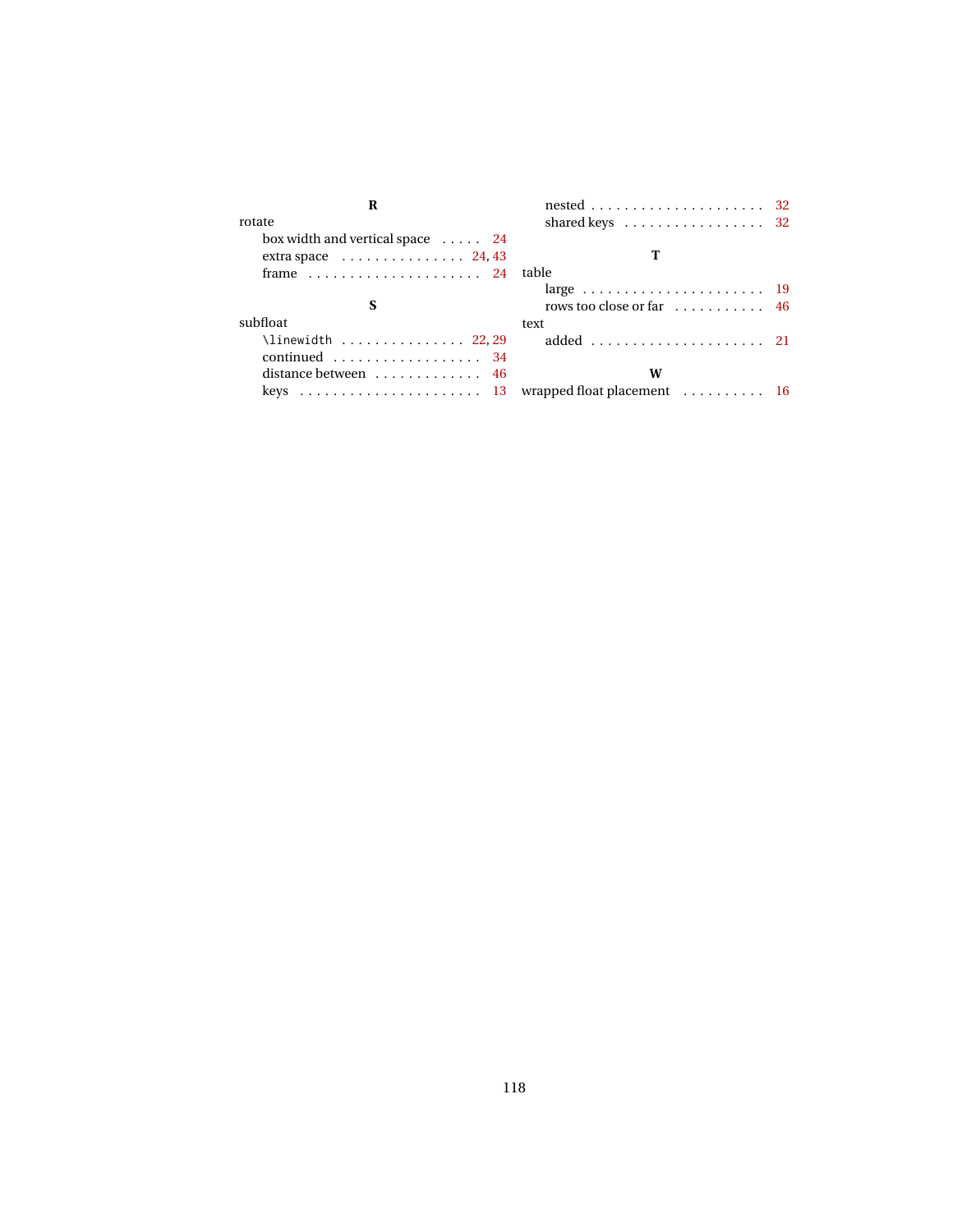| rotate                                               | shared keys $\dots \dots \dots \dots \dots \dots 32$ |  |
|------------------------------------------------------|------------------------------------------------------|--|
| box width and vertical space 24                      |                                                      |  |
| extra space $\ldots \ldots \ldots \ldots 24, 43$     |                                                      |  |
| frame $\ldots \ldots \ldots \ldots \ldots \ldots 24$ | table                                                |  |
|                                                      |                                                      |  |
|                                                      | rows too close or far $\ldots \ldots \ldots$ 46      |  |
| subfloat                                             | text                                                 |  |
| \linewidth $22,29$                                   |                                                      |  |
| continued $34$                                       |                                                      |  |
| distance between $\dots \dots \dots \dots$ 46        | W                                                    |  |
|                                                      |                                                      |  |